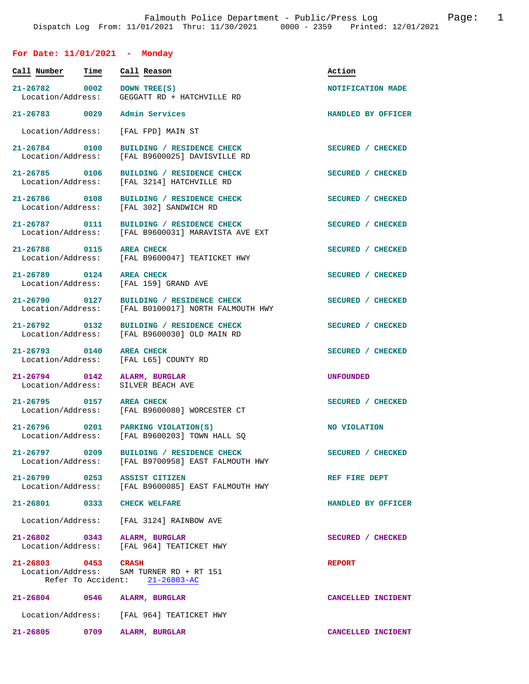## **For Date: 11/01/2021 - Monday**

| Call Number                        | Time | Call Reason                                                                         | Action             |
|------------------------------------|------|-------------------------------------------------------------------------------------|--------------------|
| 21-26782 0002<br>Location/Address: |      | DOWN TREE(S)<br>GEGGATT RD + HATCHVILLE RD                                          | NOTIFICATION MADE  |
| 21-26783 0029                      |      | Admin Services                                                                      | HANDLED BY OFFICER |
| Location/Address:                  |      | [FAL FPD] MAIN ST                                                                   |                    |
| 21-26784 0100<br>Location/Address: |      | BUILDING / RESIDENCE CHECK<br>[FAL B9600025] DAVISVILLE RD                          | SECURED / CHECKED  |
| 21-26785 0106<br>Location/Address: |      | BUILDING / RESIDENCE CHECK<br>[FAL 3214] HATCHVILLE RD                              | SECURED / CHECKED  |
| 21-26786 0108<br>Location/Address: |      | BUILDING / RESIDENCE CHECK<br>[FAL 302] SANDWICH RD                                 | SECURED / CHECKED  |
| 21-26787 0111<br>Location/Address: |      | BUILDING / RESIDENCE CHECK<br>[FAL B9600031] MARAVISTA AVE EXT                      | SECURED / CHECKED  |
| 21-26788 0115<br>Location/Address: |      | <b>AREA CHECK</b><br>[FAL B9600047] TEATICKET HWY                                   | SECURED / CHECKED  |
| 21-26789 0124<br>Location/Address: |      | <b>AREA CHECK</b><br>[FAL 159] GRAND AVE                                            | SECURED / CHECKED  |
| 21-26790 0127<br>Location/Address: |      | BUILDING / RESIDENCE CHECK<br>[FAL B0100017] NORTH FALMOUTH HWY                     | SECURED / CHECKED  |
| Location/Address:                  |      | 21-26792 0132 BUILDING / RESIDENCE CHECK<br>[FAL B9600030] OLD MAIN RD              | SECURED / CHECKED  |
| 21-26793 0140<br>Location/Address: |      | <b>AREA CHECK</b><br>[FAL L65] COUNTY RD                                            | SECURED / CHECKED  |
| 21-26794 0142<br>Location/Address: |      | ALARM, BURGLAR<br>SILVER BEACH AVE                                                  | <b>UNFOUNDED</b>   |
| 21-26795 0157<br>Location/Address: |      | <b>AREA CHECK</b><br>[FAL B9600080] WORCESTER CT                                    | SECURED / CHECKED  |
|                                    |      | 21-26796 0201 PARKING VIOLATION(S)<br>Location/Address: [FAL B9600203] TOWN HALL SQ | NO VIOLATION       |
| 21-26797 0209                      |      | BUILDING / RESIDENCE CHECK<br>Location/Address: [FAL B9700958] EAST FALMOUTH HWY    | SECURED / CHECKED  |
|                                    |      | 21-26799 0253 ASSIST CITIZEN<br>Location/Address: [FAL B9600085] EAST FALMOUTH HWY  | REF FIRE DEPT      |
| 21-26801 0333 CHECK WELFARE        |      |                                                                                     | HANDLED BY OFFICER |
|                                    |      | Location/Address: [FAL 3124] RAINBOW AVE                                            |                    |
|                                    |      | 21-26802 0343 ALARM, BURGLAR<br>Location/Address: [FAL 964] TEATICKET HWY           | SECURED / CHECKED  |
| 21-26803 0453 CRASH                |      | Location/Address: SAM TURNER RD + RT 151<br>Refer To Accident: 21-26803-AC          | <b>REPORT</b>      |
|                                    |      | 21-26804 0546 ALARM, BURGLAR                                                        | CANCELLED INCIDENT |
|                                    |      | Location/Address: [FAL 964] TEATICKET HWY                                           |                    |
|                                    |      | 21-26805 0709 ALARM, BURGLAR                                                        | CANCELLED INCIDENT |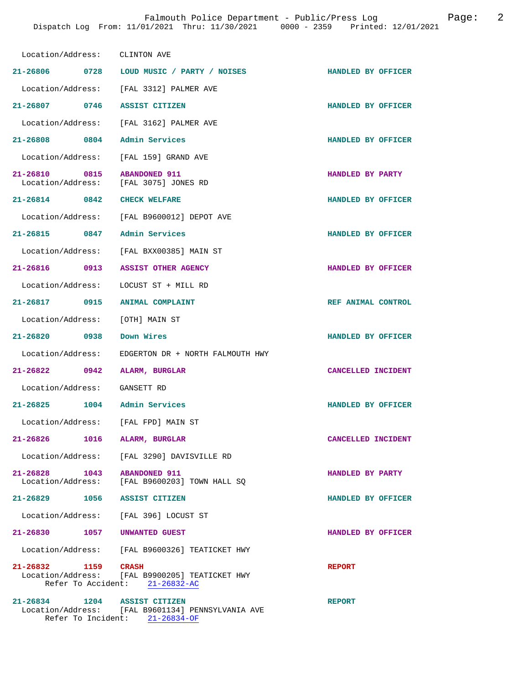| Location/Address: CLINTON AVE                          |                                                                                     |                    |
|--------------------------------------------------------|-------------------------------------------------------------------------------------|--------------------|
|                                                        | 21-26806 0728 LOUD MUSIC / PARTY / NOISES                                           | HANDLED BY OFFICER |
|                                                        | Location/Address: [FAL 3312] PALMER AVE                                             |                    |
| 21-26807 0746 ASSIST CITIZEN                           |                                                                                     | HANDLED BY OFFICER |
|                                                        | Location/Address: [FAL 3162] PALMER AVE                                             |                    |
| 21-26808 0804                                          | Admin Services                                                                      | HANDLED BY OFFICER |
| Location/Address: [FAL 159] GRAND AVE                  |                                                                                     |                    |
| 21-26810 0815<br>Location/Address: [FAL 3075] JONES RD | <b>ABANDONED 911</b>                                                                | HANDLED BY PARTY   |
| 21-26814 0842 CHECK WELFARE                            |                                                                                     | HANDLED BY OFFICER |
|                                                        | Location/Address: [FAL B9600012] DEPOT AVE                                          |                    |
| 21-26815 0847                                          | Admin Services                                                                      | HANDLED BY OFFICER |
|                                                        | Location/Address: [FAL BXX00385] MAIN ST                                            |                    |
| 21-26816 0913 ASSIST OTHER AGENCY                      |                                                                                     | HANDLED BY OFFICER |
| Location/Address: LOCUST ST + MILL RD                  |                                                                                     |                    |
| 21-26817 0915                                          | ANIMAL COMPLAINT                                                                    | REF ANIMAL CONTROL |
| Location/Address: [OTH] MAIN ST                        |                                                                                     |                    |
| 21-26820 0938                                          | Down Wires                                                                          | HANDLED BY OFFICER |
| Location/Address:                                      | EDGERTON DR + NORTH FALMOUTH HWY                                                    |                    |
| 21-26822 0942                                          | ALARM, BURGLAR                                                                      | CANCELLED INCIDENT |
| Location/Address: GANSETT RD                           |                                                                                     |                    |
| 21-26825 1004 Admin Services                           |                                                                                     | HANDLED BY OFFICER |
| Location/Address: [FAL FPD] MAIN ST                    |                                                                                     |                    |
| 21-26826<br>1016                                       | ALARM, BURGLAR                                                                      | CANCELLED INCIDENT |
|                                                        | Location/Address: [FAL 3290] DAVISVILLE RD                                          |                    |
| 21-26828 1043 ABANDONED 911                            | Location/Address: [FAL B9600203] TOWN HALL SQ                                       | HANDLED BY PARTY   |
| 21-26829 1056 ASSIST CITIZEN                           |                                                                                     | HANDLED BY OFFICER |
| Location/Address: [FAL 396] LOCUST ST                  |                                                                                     |                    |
| 21-26830 1057 UNWANTED GUEST                           |                                                                                     | HANDLED BY OFFICER |
|                                                        | Location/Address: [FAL B9600326] TEATICKET HWY                                      |                    |
| 21-26832 1159 CRASH                                    | Location/Address: [FAL B9900205] TEATICKET HWY<br>Refer To Accident: 21-26832-AC    | <b>REPORT</b>      |
| 21-26834 1204 ASSIST CITIZEN                           | Location/Address: [FAL B9601134] PENNSYLVANIA AVE<br>Refer To Incident: 21-26834-OF | <b>REPORT</b>      |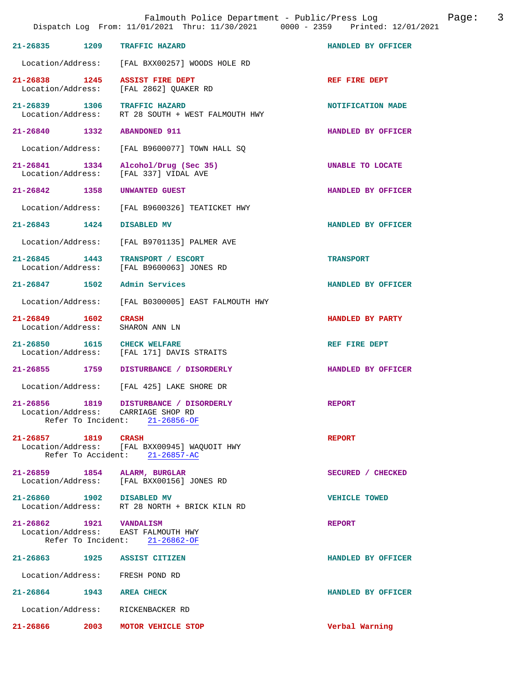|                                        |      | Falmouth Police Department - Public/Press Log<br>Dispatch Log From: 11/01/2021 Thru: 11/30/2021 0000 - 2359 Printed: 12/01/2021 | 3<br>Page:           |
|----------------------------------------|------|---------------------------------------------------------------------------------------------------------------------------------|----------------------|
| $21 - 26835$                           | 1209 | <b>TRAFFIC HAZARD</b>                                                                                                           | HANDLED BY OFFICER   |
|                                        |      | Location/Address: [FAL BXX00257] WOODS HOLE RD                                                                                  |                      |
| 21-26838 1245                          |      | <b>ASSIST FIRE DEPT</b><br>Location/Address: [FAL 2862] QUAKER RD                                                               | REF FIRE DEPT        |
| 21-26839 1306<br>Location/Address:     |      | <b>TRAFFIC HAZARD</b><br>RT 28 SOUTH + WEST FALMOUTH HWY                                                                        | NOTIFICATION MADE    |
| 21-26840 1332                          |      | <b>ABANDONED 911</b>                                                                                                            | HANDLED BY OFFICER   |
| Location/Address:                      |      | [FAL B9600077] TOWN HALL SQ                                                                                                     |                      |
| 21-26841 1334<br>Location/Address:     |      | Alcohol/Drug (Sec 35)<br>[FAL 337] VIDAL AVE                                                                                    | UNABLE TO LOCATE     |
| 21-26842 1358                          |      | UNWANTED GUEST                                                                                                                  | HANDLED BY OFFICER   |
| Location/Address:                      |      | [FAL B9600326] TEATICKET HWY                                                                                                    |                      |
| $21 - 26843$ 1424                      |      | DISABLED MV                                                                                                                     | HANDLED BY OFFICER   |
| Location/Address:                      |      | [FAL B9701135] PALMER AVE                                                                                                       |                      |
| 1443<br>21-26845<br>Location/Address:  |      | TRANSPORT / ESCORT<br>[FAL B9600063] JONES RD                                                                                   | <b>TRANSPORT</b>     |
| $21 - 26847$                           | 1502 | Admin Services                                                                                                                  | HANDLED BY OFFICER   |
| Location/Address:                      |      | [FAL B0300005] EAST FALMOUTH HWY                                                                                                |                      |
| $21 - 26849$<br>Location/Address:      | 1602 | <b>CRASH</b><br>SHARON ANN LN                                                                                                   | HANDLED BY PARTY     |
| 21-26850 1615                          |      | <b>CHECK WELFARE</b><br>Location/Address: [FAL 171] DAVIS STRAITS                                                               | REF FIRE DEPT        |
| 21-26855 1759                          |      | DISTURBANCE / DISORDERLY                                                                                                        | HANDLED BY OFFICER   |
|                                        |      | Location/Address: [FAL 425] LAKE SHORE DR                                                                                       |                      |
| 21-26856<br>1819<br>Refer To Incident: |      | DISTURBANCE / DISORDERLY<br>Location/Address: CARRIAGE SHOP RD<br>$21 - 26856 - OF$                                             | <b>REPORT</b>        |
| 21-26857 1819<br>Refer To Accident:    |      | <b>CRASH</b><br>Location/Address: [FAL BXX00945] WAQUOIT HWY<br>$21 - 26857 - AC$                                               | <b>REPORT</b>        |
| 21-26859 1854<br>Location/Address:     |      | ALARM, BURGLAR<br>[FAL BXX00156] JONES RD                                                                                       | SECURED / CHECKED    |
| 21-26860 1902 DISABLED MV              |      | Location/Address: RT 28 NORTH + BRICK KILN RD                                                                                   | <b>VEHICLE TOWED</b> |
| 21-26862 1921 VANDALISM                |      | Location/Address: EAST FALMOUTH HWY<br>Refer To Incident: 21-26862-OF                                                           | <b>REPORT</b>        |
| 21-26863                               | 1925 | <b>ASSIST CITIZEN</b>                                                                                                           | HANDLED BY OFFICER   |
| Location/Address: FRESH POND RD        |      |                                                                                                                                 |                      |
| $21 - 26864$ 1943                      |      | <b>AREA CHECK</b>                                                                                                               | HANDLED BY OFFICER   |
| Location/Address:                      |      | RICKENBACKER RD                                                                                                                 |                      |
| 21-26866                               | 2003 | MOTOR VEHICLE STOP                                                                                                              | Verbal Warning       |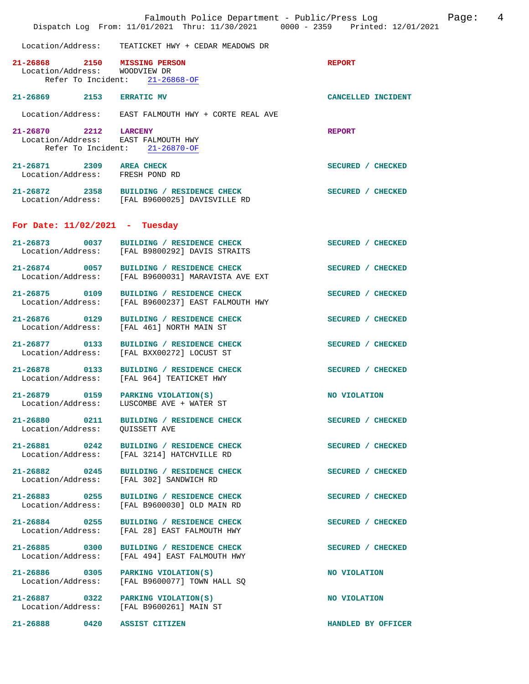|                                                               | Dispatch Log From: 11/01/2021 Thru: 11/30/2021 0000 - 2359 Printed: 12/01/2021                 | Falmouth Police Department - Public/Press Log Fage: 4 |  |
|---------------------------------------------------------------|------------------------------------------------------------------------------------------------|-------------------------------------------------------|--|
|                                                               | Location/Address: TEATICKET HWY + CEDAR MEADOWS DR                                             |                                                       |  |
| 21-26868 2150 MISSING PERSON<br>Location/Address: WOODVIEW DR | Refer To Incident: 21-26868-OF                                                                 | <b>REPORT</b>                                         |  |
| 21-26869 2153 ERRATIC MV                                      |                                                                                                | CANCELLED INCIDENT                                    |  |
|                                                               | Location/Address: EAST FALMOUTH HWY + CORTE REAL AVE                                           |                                                       |  |
|                                                               | 21-26870 2212 LARCENY<br>Location/Address: EAST FALMOUTH HWY<br>Refer To Incident: 21-26870-OF | <b>REPORT</b>                                         |  |
| 21-26871 2309 AREA CHECK<br>Location/Address: FRESH POND RD   |                                                                                                | SECURED / CHECKED                                     |  |
|                                                               | 21-26872 2358 BUILDING / RESIDENCE CHECK<br>Location/Address: [FAL B9600025] DAVISVILLE RD     | SECURED / CHECKED                                     |  |
| For Date: $11/02/2021$ - Tuesday                              |                                                                                                |                                                       |  |
|                                                               | 21-26873 0037 BUILDING / RESIDENCE CHECK<br>Location/Address: [FAL B9800292] DAVIS STRAITS     | SECURED / CHECKED                                     |  |
|                                                               | 21-26874 0057 BUILDING / RESIDENCE CHECK<br>Location/Address: [FAL B9600031] MARAVISTA AVE EXT | SECURED / CHECKED                                     |  |
| 21-26875 0109<br>Location/Address:                            | BUILDING / RESIDENCE CHECK<br>[FAL B9600237] EAST FALMOUTH HWY                                 | SECURED / CHECKED                                     |  |
|                                                               | 21-26876 0129 BUILDING / RESIDENCE CHECK<br>Location/Address: [FAL 461] NORTH MAIN ST          | SECURED / CHECKED                                     |  |
|                                                               | 21-26877 0133 BUILDING / RESIDENCE CHECK<br>Location/Address: [FAL BXX00272] LOCUST ST         | SECURED / CHECKED                                     |  |
|                                                               | 21-26878 0133 BUILDING / RESIDENCE CHECK<br>Location/Address: [FAL 964] TEATICKET HWY          | SECURED / CHECKED                                     |  |
|                                                               | 21-26879 0159 PARKING VIOLATION(S)<br>Location/Address: LUSCOMBE AVE + WATER ST                | NO VIOLATION                                          |  |
| Location/Address:                                             | 21-26880 0211 BUILDING / RESIDENCE CHECK<br>QUISSETT AVE                                       | SECURED / CHECKED                                     |  |
| 21-26881 0242<br>Location/Address:                            | BUILDING / RESIDENCE CHECK<br>[FAL 3214] HATCHVILLE RD                                         | SECURED / CHECKED                                     |  |
| 21-26882 0245<br>Location/Address:                            | BUILDING / RESIDENCE CHECK<br>[FAL 302] SANDWICH RD                                            | SECURED / CHECKED                                     |  |
| $21 - 26883$ 0255<br>Location/Address:                        | BUILDING / RESIDENCE CHECK<br>[FAL B9600030] OLD MAIN RD                                       | SECURED / CHECKED                                     |  |
| Location/Address:                                             | 21-26884 0255 BUILDING / RESIDENCE CHECK<br>[FAL 28] EAST FALMOUTH HWY                         | SECURED / CHECKED                                     |  |
| 21-26885 0300<br>Location/Address:                            | BUILDING / RESIDENCE CHECK<br>[FAL 494] EAST FALMOUTH HWY                                      | SECURED / CHECKED                                     |  |
| Location/Address:                                             | 21-26886 0305 PARKING VIOLATION(S)<br>[FAL B9600077] TOWN HALL SQ                              | NO VIOLATION                                          |  |
|                                                               | 21-26887 0322 PARKING VIOLATION(S)<br>Location/Address: [FAL B9600261] MAIN ST                 | NO VIOLATION                                          |  |
| 0420<br>21-26888                                              | ASSIST CITIZEN                                                                                 | HANDLED BY OFFICER                                    |  |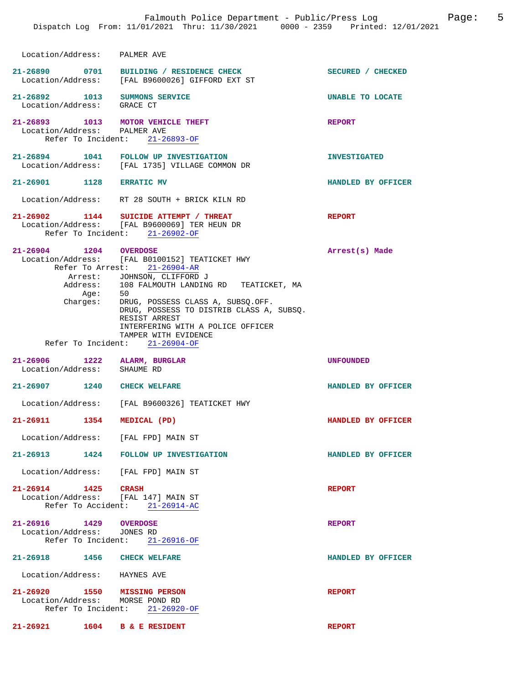| Location/Address: PALMER AVE                                      |                                                                                                                                                                                                                                                                                                                                           |                         |
|-------------------------------------------------------------------|-------------------------------------------------------------------------------------------------------------------------------------------------------------------------------------------------------------------------------------------------------------------------------------------------------------------------------------------|-------------------------|
|                                                                   | 21-26890 0701 BUILDING / RESIDENCE CHECK<br>Location/Address: [FAL B9600026] GIFFORD EXT ST                                                                                                                                                                                                                                               | SECURED / CHECKED       |
| 21-26892 1013 SUMMONS SERVICE<br>Location/Address: GRACE CT       |                                                                                                                                                                                                                                                                                                                                           | <b>UNABLE TO LOCATE</b> |
| 21-26893 1013 MOTOR VEHICLE THEFT<br>Location/Address: PALMER AVE | Refer To Incident: 21-26893-OF                                                                                                                                                                                                                                                                                                            | <b>REPORT</b>           |
|                                                                   | 21-26894 1041 FOLLOW UP INVESTIGATION<br>Location/Address: [FAL 1735] VILLAGE COMMON DR                                                                                                                                                                                                                                                   | <b>INVESTIGATED</b>     |
| 21-26901 1128 ERRATIC MV                                          |                                                                                                                                                                                                                                                                                                                                           | HANDLED BY OFFICER      |
|                                                                   | Location/Address: RT 28 SOUTH + BRICK KILN RD                                                                                                                                                                                                                                                                                             |                         |
|                                                                   | 21-26902 1144 SUICIDE ATTEMPT / THREAT<br>Location/Address: [FAL B9600069] TER HEUN DR<br>Refer To Incident: 21-26902-OF                                                                                                                                                                                                                  | <b>REPORT</b>           |
| 21-26904 1204 OVERDOSE<br>Charges:                                | Location/Address: [FAL B0100152] TEATICKET HWY<br>Refer To Arrest: 21-26904-AR<br>Arrest: JOHNSON, CLIFFORD J<br>Address: 108 FALMOUTH LANDING RD TEATICKET, MA<br>Age: 50<br>DRUG, POSSESS CLASS A, SUBSQ.OFF.<br>DRUG, POSSESS TO DISTRIB CLASS A, SUBSQ.<br>RESIST ARREST<br>INTERFERING WITH A POLICE OFFICER<br>TAMPER WITH EVIDENCE | Arrest(s) Made          |
|                                                                   |                                                                                                                                                                                                                                                                                                                                           |                         |
|                                                                   | Refer To Incident: 21-26904-OF                                                                                                                                                                                                                                                                                                            |                         |
| 21-26906 1222 ALARM, BURGLAR<br>Location/Address: SHAUME RD       |                                                                                                                                                                                                                                                                                                                                           | UNFOUNDED               |
| 21-26907 1240 CHECK WELFARE                                       |                                                                                                                                                                                                                                                                                                                                           | HANDLED BY OFFICER      |
|                                                                   | Location/Address: [FAL B9600326] TEATICKET HWY                                                                                                                                                                                                                                                                                            |                         |
| 21-26911 1354 MEDICAL (PD)                                        |                                                                                                                                                                                                                                                                                                                                           | HANDLED BY OFFICER      |
| Location/Address: [FAL FPD] MAIN ST                               |                                                                                                                                                                                                                                                                                                                                           |                         |
|                                                                   | 21-26913 1424 FOLLOW UP INVESTIGATION                                                                                                                                                                                                                                                                                                     | HANDLED BY OFFICER      |
| Location/Address: [FAL FPD] MAIN ST                               |                                                                                                                                                                                                                                                                                                                                           |                         |
| 21-26914 1425 CRASH<br>Location/Address: [FAL 147] MAIN ST        | Refer To Accident: 21-26914-AC                                                                                                                                                                                                                                                                                                            | <b>REPORT</b>           |
| 21-26916 1429 OVERDOSE<br>Location/Address: JONES RD              | Refer To Incident: 21-26916-OF                                                                                                                                                                                                                                                                                                            | <b>REPORT</b>           |
| 21-26918 1456 CHECK WELFARE                                       |                                                                                                                                                                                                                                                                                                                                           | HANDLED BY OFFICER      |
| Location/Address: HAYNES AVE                                      |                                                                                                                                                                                                                                                                                                                                           |                         |
| 21-26920 1550 MISSING PERSON<br>Location/Address: MORSE POND RD   | Refer To Incident: 21-26920-OF                                                                                                                                                                                                                                                                                                            | <b>REPORT</b>           |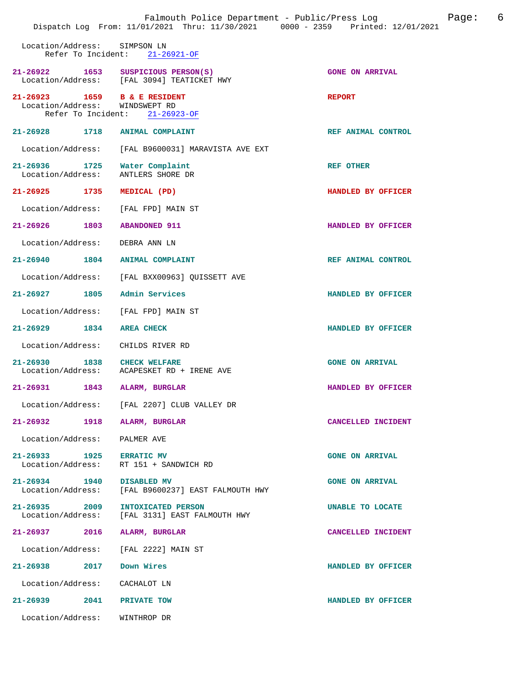|                                                                      | Falmouth Police Department - Public/Press Log<br>Dispatch Log From: 11/01/2021 Thru: 11/30/2021 0000 - 2359 Printed: 12/01/2021 | 6<br>Page:             |
|----------------------------------------------------------------------|---------------------------------------------------------------------------------------------------------------------------------|------------------------|
| Location/Address:<br>Refer To Incident:                              | SIMPSON LN<br>$21 - 26921 - OF$                                                                                                 |                        |
| 21-26922 1653                                                        | SUSPICIOUS PERSON(S)<br>Location/Address: [FAL 3094] TEATICKET HWY                                                              | <b>GONE ON ARRIVAL</b> |
| $21 - 26923$<br>Location/Address: WINDSWEPT RD<br>Refer To Incident: | 1659 B & E RESIDENT<br>$21 - 26923 - OF$                                                                                        | <b>REPORT</b>          |
| 21-26928 1718                                                        | <b>ANIMAL COMPLAINT</b>                                                                                                         | REF ANIMAL CONTROL     |
| Location/Address:                                                    | [FAL B9600031] MARAVISTA AVE EXT                                                                                                |                        |
| 21-26936 1725<br>Location/Address:                                   | Water Complaint<br>ANTLERS SHORE DR                                                                                             | <b>REF OTHER</b>       |
| 21-26925 1735                                                        | MEDICAL (PD)                                                                                                                    | HANDLED BY OFFICER     |
| Location/Address:                                                    | [FAL FPD] MAIN ST                                                                                                               |                        |
| 21-26926 1803                                                        | <b>ABANDONED 911</b>                                                                                                            | HANDLED BY OFFICER     |
| Location/Address:                                                    | DEBRA ANN LN                                                                                                                    |                        |
| 21-26940<br>1804                                                     | <b>ANIMAL COMPLAINT</b>                                                                                                         | REF ANIMAL CONTROL     |
| Location/Address:                                                    | [FAL BXX00963] QUISSETT AVE                                                                                                     |                        |
| $21 - 26927$<br>1805                                                 | Admin Services                                                                                                                  | HANDLED BY OFFICER     |
| Location/Address:                                                    | [FAL FPD] MAIN ST                                                                                                               |                        |
| $21 - 26929$<br>1834                                                 | <b>AREA CHECK</b>                                                                                                               | HANDLED BY OFFICER     |
| Location/Address:                                                    | CHILDS RIVER RD                                                                                                                 |                        |
| $21 - 26930$<br>1838<br>Location/Address:                            | <b>CHECK WELFARE</b><br>ACAPESKET RD + IRENE AVE                                                                                | <b>GONE ON ARRIVAL</b> |
| 21-26931<br>1843                                                     | ALARM, BURGLAR                                                                                                                  | HANDLED BY OFFICER     |
| Location/Address:                                                    | [FAL 2207] CLUB VALLEY DR                                                                                                       |                        |
| 21-26932<br>1918                                                     | ALARM, BURGLAR                                                                                                                  | CANCELLED INCIDENT     |
| Location/Address:                                                    | PALMER AVE                                                                                                                      |                        |
| 21-26933 1925<br>Location/Address:                                   | <b>ERRATIC MV</b><br>RT 151 + SANDWICH RD                                                                                       | <b>GONE ON ARRIVAL</b> |
| 21-26934 1940<br>Location/Address:                                   | DISABLED MV<br>[FAL B9600237] EAST FALMOUTH HWY                                                                                 | <b>GONE ON ARRIVAL</b> |
| $21 - 26935$<br>2009<br>Location/Address:                            | INTOXICATED PERSON<br>[FAL 3131] EAST FALMOUTH HWY                                                                              | UNABLE TO LOCATE       |
| 21-26937<br>2016                                                     | ALARM, BURGLAR                                                                                                                  | CANCELLED INCIDENT     |
| Location/Address:                                                    | [FAL 2222] MAIN ST                                                                                                              |                        |
| 21-26938<br>2017                                                     | Down Wires                                                                                                                      | HANDLED BY OFFICER     |
| Location/Address:                                                    | CACHALOT LN                                                                                                                     |                        |
| 21-26939<br>2041                                                     | PRIVATE TOW                                                                                                                     | HANDLED BY OFFICER     |
| Location/Address:                                                    | WINTHROP DR                                                                                                                     |                        |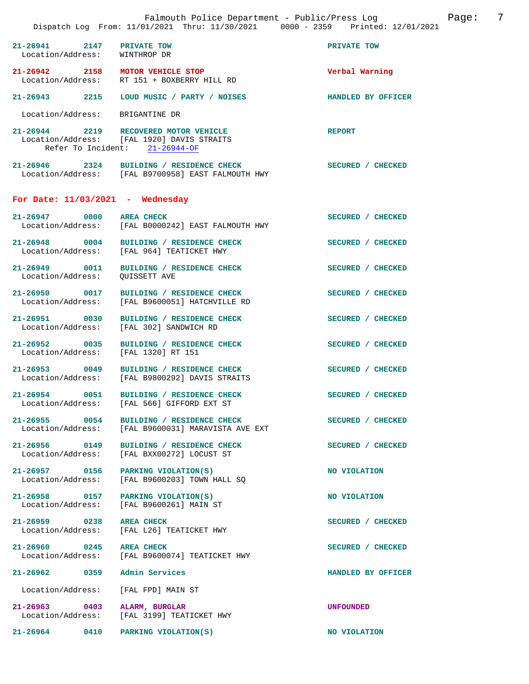**21-26941 2147 PRIVATE TOW PRIVATE TOW**  Location/Address: **21-26942 2158 MOTOR VEHICLE STOP Verbal Warning**  RT 151 + BOXBERRY HILL RD **21-26943 2215 LOUD MUSIC / PARTY / NOISES HANDLED BY OFFICER**  Location/Address: BRIGANTINE DR **21-26944 2219 RECOVERED MOTOR VEHICLE REPORT**  Location/Address: [FAL 1920] DAVIS STRAITS Refer To Incident: 21-26944-OF **21-26946 2324 BUILDING / RESIDENCE CHECK SECURED / CHECKED**  Location/Address: [FAL B9700958] EAST FALMOUTH HWY **For Date: 11/03/2021 - Wednesday** 21-26947 0000 AREA CHECK **SECURED** / CHECKED<br>
Location/Address: [FAL B0000242] EAST FALMOUTH HWY [FAL B0000242] EAST FALMOUTH HWY 21-26948 0004 BUILDING / RESIDENCE CHECK SECURED / CHECKED Location/Address: [FAL 964] TEATICKET HWY [FAL 964] TEATICKET HWY **21-26949 0011 BUILDING / RESIDENCE CHECK SECURED / CHECKED**  Location/Address: QUISSETT AVE **21-26950 0017 BUILDING / RESIDENCE CHECK SECURED / CHECKED**  Location/Address: [FAL B9600051] HATCHVILLE RD 21-26951 0030 BUILDING / RESIDENCE CHECK SECURED / CHECKED Location / Address: [FAL 302] SANDWICH RD [FAL 302] SANDWICH RD **21-26952 0035 BUILDING / RESIDENCE CHECK SECURED / CHECKED**  Location/Address: **21-26953 0049 BUILDING / RESIDENCE CHECK SECURED / CHECKED**  Location/Address: [FAL B9800292] DAVIS STRAITS 21-26954 0051 BUILDING / RESIDENCE CHECK **SECURED** / CHECKED Location/Address: [FAL 566] GIFFORD EXT ST Location/Address: [FAL 566] GIFFORD EXT ST 21-26955 0054 BUILDING / RESIDENCE CHECK<br>
Location/Address: [FAL B9600031] MARAVISTA AVE EXT [FAL B9600031] MARAVISTA AVE EXT 21-26956 0149 BUILDING / RESIDENCE CHECK<br>
Location/Address: [FAL BXX00272] LOCUST ST Location/Address: [FAL BXX00272] LOCUST ST 21-26957 0156 PARKING VIOLATION(S) NO VIOLATION Location/Address: [FAL B9600203] TOWN HALL SO  $[FAL B9600203]$  TOWN HALL SO 21-26958 0157 PARKING VIOLATION(S) NO VIOLATION Location/Address: [FAL B9600261] MAIN ST **21-26959 0238 AREA CHECK SECURED / CHECKED**  Location/Address: [FAL L26] TEATICKET HWY

21-26960 0245 AREA CHECK SECURED / CHECKED

**21-26962 0359 Admin Services HANDLED BY OFFICER** 

Location/Address: [FAL FPD] MAIN ST

Location/Address: [FAL B9600074] TEATICKET HWY

**21-26963 0403 ALARM, BURGLAR UNFOUNDED**  Location/Address: [FAL 3199] TEATICKET HWY

**21-26964 0410 PARKING VIOLATION(S) NO VIOLATION**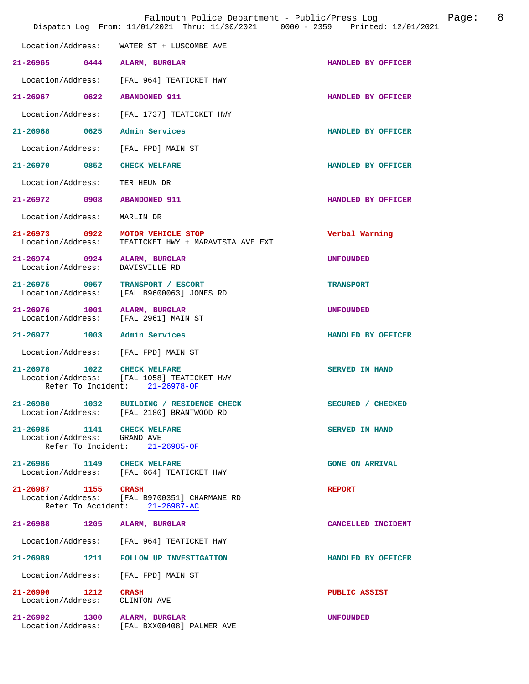|                                                            | Falmouth Police Department - Public/Press Log<br>Dispatch Log From: 11/01/2021 Thru: 11/30/2021 0000 - 2359 Printed: 12/01/2021 | 8<br>Page:             |
|------------------------------------------------------------|---------------------------------------------------------------------------------------------------------------------------------|------------------------|
| Location/Address:                                          | WATER ST + LUSCOMBE AVE                                                                                                         |                        |
| 21-26965 0444                                              | ALARM, BURGLAR                                                                                                                  | HANDLED BY OFFICER     |
| Location/Address:                                          | [FAL 964] TEATICKET HWY                                                                                                         |                        |
| 0622<br>$21 - 26967$                                       | <b>ABANDONED 911</b>                                                                                                            | HANDLED BY OFFICER     |
| Location/Address:                                          | [FAL 1737] TEATICKET HWY                                                                                                        |                        |
| 21-26968 0625 Admin Services                               |                                                                                                                                 | HANDLED BY OFFICER     |
| Location/Address:                                          | [FAL FPD] MAIN ST                                                                                                               |                        |
| 21-26970 0852                                              | CHECK WELFARE                                                                                                                   | HANDLED BY OFFICER     |
| Location/Address:                                          | TER HEUN DR                                                                                                                     |                        |
| $21 - 26972$<br>0908                                       | <b>ABANDONED 911</b>                                                                                                            | HANDLED BY OFFICER     |
| Location/Address:                                          | MARLIN DR                                                                                                                       |                        |
| 21-26973 0922<br>Location/Address:                         | MOTOR VEHICLE STOP<br>TEATICKET HWY + MARAVISTA AVE EXT                                                                         | Verbal Warning         |
| $21 - 26974$ 0924<br>Location/Address:                     | ALARM, BURGLAR<br>DAVISVILLE RD                                                                                                 | <b>UNFOUNDED</b>       |
| 21-26975 0957<br>Location/Address:                         | TRANSPORT / ESCORT<br>[FAL B9600063] JONES RD                                                                                   | <b>TRANSPORT</b>       |
| $21 - 26976$<br>1001<br>Location/Address:                  | ALARM, BURGLAR<br>[FAL 2961] MAIN ST                                                                                            | <b>UNFOUNDED</b>       |
| $21 - 26977$<br>1003                                       | Admin Services                                                                                                                  | HANDLED BY OFFICER     |
| Location/Address: [FAL FPD] MAIN ST                        |                                                                                                                                 |                        |
| 21-26978 1022<br>Refer To Incident:                        | <b>CHECK WELFARE</b><br>Location/Address: [FAL 1058] TEATICKET HWY<br>$21 - 26978 - OF$                                         | SERVED IN HAND         |
|                                                            | 21-26980 1032 BUILDING / RESIDENCE CHECK<br>Location/Address: [FAL 2180] BRANTWOOD RD                                           | SECURED / CHECKED      |
| 21-26985 1141 CHECK WELFARE<br>Location/Address: GRAND AVE | Refer To Incident: 21-26985-OF                                                                                                  | <b>SERVED IN HAND</b>  |
| 21-26986 1149 CHECK WELFARE                                | Location/Address: [FAL 664] TEATICKET HWY                                                                                       | <b>GONE ON ARRIVAL</b> |
| 21-26987 1155 CRASH                                        | Location/Address: [FAL B9700351] CHARMANE RD<br>Refer To Accident: 21-26987-AC                                                  | <b>REPORT</b>          |
| 21-26988 1205 ALARM, BURGLAR                               |                                                                                                                                 | CANCELLED INCIDENT     |
| Location/Address:                                          | [FAL 964] TEATICKET HWY                                                                                                         |                        |
| 21-26989<br>1211                                           | FOLLOW UP INVESTIGATION                                                                                                         | HANDLED BY OFFICER     |
| Location/Address:                                          | [FAL FPD] MAIN ST                                                                                                               |                        |
| $21 - 26990$ 1212<br>Location/Address:                     | <b>CRASH</b><br>CLINTON AVE                                                                                                     | PUBLIC ASSIST          |
| 21-26992 1300                                              | ALARM, BURGLAR<br>Location/Address: [FAL BXX00408] PALMER AVE                                                                   | <b>UNFOUNDED</b>       |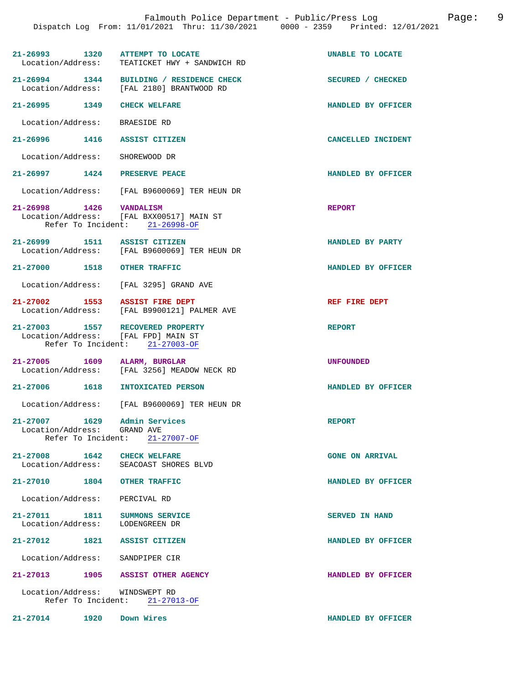| 21-26993 1320 ATTEMPT TO LOCATE                                         | Location/Address: TEATICKET HWY + SANDWICH RD                              | UNABLE TO LOCATE       |
|-------------------------------------------------------------------------|----------------------------------------------------------------------------|------------------------|
| 21-26994 1344                                                           | BUILDING / RESIDENCE CHECK<br>Location/Address: [FAL 2180] BRANTWOOD RD    | SECURED / CHECKED      |
| 21-26995 1349 CHECK WELFARE                                             |                                                                            | HANDLED BY OFFICER     |
| Location/Address: BRAESIDE RD                                           |                                                                            |                        |
| 21-26996 1416 ASSIST CITIZEN                                            |                                                                            | CANCELLED INCIDENT     |
| Location/Address: SHOREWOOD DR                                          |                                                                            |                        |
| 21-26997 1424 PRESERVE PEACE                                            |                                                                            | HANDLED BY OFFICER     |
|                                                                         | Location/Address: [FAL B9600069] TER HEUN DR                               |                        |
| 21-26998 1426 VANDALISM                                                 | Location/Address: [FAL BXX00517] MAIN ST<br>Refer To Incident: 21-26998-OF | <b>REPORT</b>          |
| 21-26999 1511 ASSIST CITIZEN                                            | Location/Address: [FAL B9600069] TER HEUN DR                               | HANDLED BY PARTY       |
| 21-27000 1518 OTHER TRAFFIC                                             |                                                                            | HANDLED BY OFFICER     |
|                                                                         | Location/Address: [FAL 3295] GRAND AVE                                     |                        |
| 21-27002 1553 ASSIST FIRE DEPT                                          | Location/Address: [FAL B9900121] PALMER AVE                                | REF FIRE DEPT          |
| 21-27003 1557 RECOVERED PROPERTY<br>Location/Address: [FAL FPD] MAIN ST | Refer To Incident: 21-27003-OF                                             | <b>REPORT</b>          |
| 21-27005 1609 ALARM, BURGLAR                                            | Location/Address: [FAL 3256] MEADOW NECK RD                                | UNFOUNDED              |
| 21-27006 1618 INTOXICATED PERSON                                        |                                                                            | HANDLED BY OFFICER     |
|                                                                         | Location/Address: [FAL B9600069] TER HEUN DR                               |                        |
| 21-27007 1629 Admin Services<br>Location/Address: GRAND AVE             | Refer To Incident: 21-27007-OF                                             | <b>REPORT</b>          |
|                                                                         |                                                                            |                        |
| 21-27008 1642 CHECK WELFARE                                             | Location/Address: SEACOAST SHORES BLVD                                     | <b>GONE ON ARRIVAL</b> |
| 21-27010 1804 OTHER TRAFFIC                                             |                                                                            | HANDLED BY OFFICER     |
| Location/Address: PERCIVAL RD                                           |                                                                            |                        |
| 21-27011 1811 SUMMONS SERVICE<br>Location/Address: LODENGREEN DR        |                                                                            | SERVED IN HAND         |
| 21-27012 1821 ASSIST CITIZEN                                            |                                                                            | HANDLED BY OFFICER     |
| Location/Address: SANDPIPER CIR                                         |                                                                            |                        |
| 21-27013 1905 ASSIST OTHER AGENCY                                       |                                                                            | HANDLED BY OFFICER     |
| Location/Address: WINDSWEPT RD                                          | Refer To Incident: 21-27013-OF                                             |                        |
| 21-27014 1920                                                           | Down Wires                                                                 | HANDLED BY OFFICER     |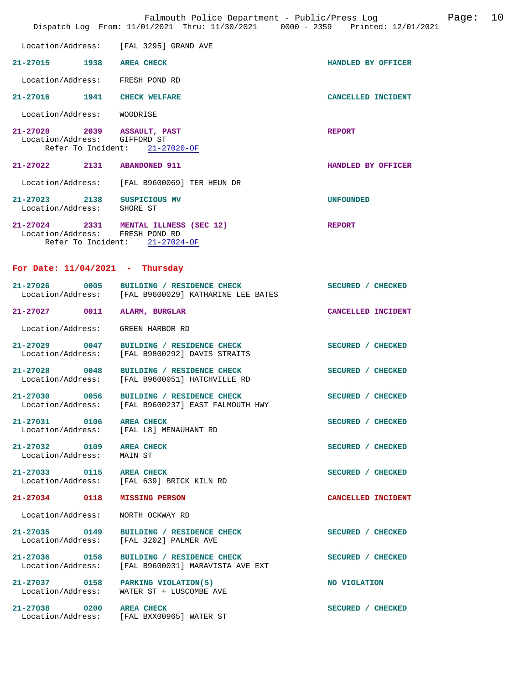|                                                           | Falmouth Police Department - Public/Press Log<br>Dispatch Log From: 11/01/2021 Thru: 11/30/2021 0000 - 2359 Printed: 12/01/2021 |                           | Page: | 10 |
|-----------------------------------------------------------|---------------------------------------------------------------------------------------------------------------------------------|---------------------------|-------|----|
| Location/Address:                                         | [FAL 3295] GRAND AVE                                                                                                            |                           |       |    |
| 21-27015 1938 AREA CHECK                                  |                                                                                                                                 | HANDLED BY OFFICER        |       |    |
| Location/Address:                                         | FRESH POND RD                                                                                                                   |                           |       |    |
| 21-27016 1941                                             | <b>CHECK WELFARE</b>                                                                                                            | <b>CANCELLED INCIDENT</b> |       |    |
| Location/Address:                                         | WOODRISE                                                                                                                        |                           |       |    |
| 21-27020 2039 ASSAULT, PAST<br>Location/Address:          | GIFFORD ST<br>Refer To Incident: 21-27020-OF                                                                                    | <b>REPORT</b>             |       |    |
| 21-27022 2131 ABANDONED 911                               |                                                                                                                                 | HANDLED BY OFFICER        |       |    |
|                                                           | Location/Address: [FAL B9600069] TER HEUN DR                                                                                    |                           |       |    |
| 21-27023 2138 SUSPICIOUS MV<br>Location/Address: SHORE ST |                                                                                                                                 | <b>UNFOUNDED</b>          |       |    |
| Location/Address: FRESH POND RD                           | 21-27024 2331 MENTAL ILLNESS (SEC 12)<br>Refer To Incident: 21-27024-OF                                                         | <b>REPORT</b>             |       |    |
| For Date: $11/04/2021$ - Thursday                         |                                                                                                                                 |                           |       |    |
|                                                           | 21-27026 0005 BUILDING / RESIDENCE CHECK<br>Location/Address: [FAL B9600029] KATHARINE LEE BATES                                | SECURED / CHECKED         |       |    |
| 21-27027 0011                                             | ALARM, BURGLAR                                                                                                                  | CANCELLED INCIDENT        |       |    |
| Location/Address:                                         | GREEN HARBOR RD                                                                                                                 |                           |       |    |
| 21-27029 0047<br>Location/Address:                        | BUILDING / RESIDENCE CHECK<br>[FAL B9800292] DAVIS STRAITS                                                                      | SECURED / CHECKED         |       |    |
| $21 - 27028$<br>$\sim$ 0048<br>Location/Address:          | BUILDING / RESIDENCE CHECK<br>[FAL B9600051] HATCHVILLE RD                                                                      | SECURED / CHECKED         |       |    |
| $21 - 27030$<br>0056                                      | BUILDING / RESIDENCE CHECK<br>Location/Address: [FAL B9600237] EAST FALMOUTH HWY                                                | SECURED / CHECKED         |       |    |
| 21-27031 0106 AREA CHECK                                  | Location/Address: [FAL L8] MENAUHANT RD                                                                                         | SECURED / CHECKED         |       |    |
| 21-27032 0109 AREA CHECK<br>Location/Address:             | MAIN ST                                                                                                                         | SECURED / CHECKED         |       |    |
| 21-27033 0115 AREA CHECK                                  | Location/Address: [FAL 639] BRICK KILN RD                                                                                       | SECURED / CHECKED         |       |    |
| 21-27034 0118 MISSING PERSON                              |                                                                                                                                 | CANCELLED INCIDENT        |       |    |
| Location/Address:                                         | NORTH OCKWAY RD                                                                                                                 |                           |       |    |
| 21-27035 0149                                             | BUILDING / RESIDENCE CHECK<br>Location/Address: [FAL 3202] PALMER AVE                                                           | SECURED / CHECKED         |       |    |
| Location/Address:                                         | 21-27036 0158 BUILDING / RESIDENCE CHECK<br>[FAL B9600031] MARAVISTA AVE EXT                                                    | SECURED / CHECKED         |       |    |
| 21-27037 0158 PARKING VIOLATION(S)                        | Location/Address: WATER ST + LUSCOMBE AVE                                                                                       | NO VIOLATION              |       |    |
| 21-27038 0200 AREA CHECK                                  | Location/Address: [FAL BXX00965] WATER ST                                                                                       | SECURED / CHECKED         |       |    |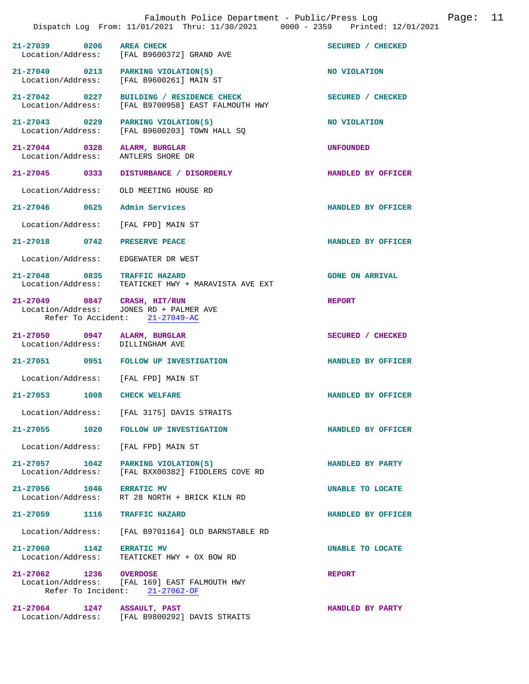|                                               | Falmouth Police Department - Public/Press Log<br>Dispatch Log From: 11/01/2021 Thru: 11/30/2021 0000 - 2359 Printed: 12/01/2021 | Page: 11               |  |
|-----------------------------------------------|---------------------------------------------------------------------------------------------------------------------------------|------------------------|--|
| 21-27039 0206 AREA CHECK                      | Location/Address: [FAL B9600372] GRAND AVE                                                                                      | SECURED / CHECKED      |  |
| Location/Address:                             | 21-27040 0213 PARKING VIOLATION(S)<br>[FAL B9600261] MAIN ST                                                                    | NO VIOLATION           |  |
| 21-27042 0227<br>Location/Address:            | BUILDING / RESIDENCE CHECK<br>[FAL B9700958] EAST FALMOUTH HWY                                                                  | SECURED / CHECKED      |  |
| Location/Address:                             | 21-27043 0229 PARKING VIOLATION(S)<br>[FAL B9600203] TOWN HALL SQ                                                               | NO VIOLATION           |  |
| Location/Address:                             | 21-27044 0328 ALARM, BURGLAR<br>ANTLERS SHORE DR                                                                                | <b>UNFOUNDED</b>       |  |
| 21-27045 0333                                 | DISTURBANCE / DISORDERLY                                                                                                        | HANDLED BY OFFICER     |  |
| Location/Address:                             | OLD MEETING HOUSE RD                                                                                                            |                        |  |
|                                               | 21-27046 0625 Admin Services                                                                                                    | HANDLED BY OFFICER     |  |
|                                               | Location/Address: [FAL FPD] MAIN ST                                                                                             |                        |  |
|                                               | 21-27018 0742 PRESERVE PEACE                                                                                                    | HANDLED BY OFFICER     |  |
| Location/Address:                             | EDGEWATER DR WEST                                                                                                               |                        |  |
|                                               | 21-27048 0835 TRAFFIC HAZARD<br>Location/Address: TEATICKET HWY + MARAVISTA AVE EXT                                             | <b>GONE ON ARRIVAL</b> |  |
|                                               | 21-27049 0847 CRASH, HIT/RUN<br>Location/Address: JONES RD + PALMER AVE<br>Refer To Accident: 21-27049-AC                       | <b>REPORT</b>          |  |
|                                               | 21-27050 0947 ALARM, BURGLAR<br>Location/Address: DILLINGHAM AVE                                                                | SECURED / CHECKED      |  |
|                                               | 21-27051 0951 FOLLOW UP INVESTIGATION                                                                                           | HANDLED BY OFFICER     |  |
|                                               | Location/Address: [FAL FPD] MAIN ST                                                                                             |                        |  |
| 21–27053<br>1008                              | <b>CHECK WELFARE</b>                                                                                                            | HANDLED BY OFFICER     |  |
|                                               | Location/Address: [FAL 3175] DAVIS STRAITS                                                                                      |                        |  |
|                                               | 21-27055 1020 FOLLOW UP INVESTIGATION                                                                                           | HANDLED BY OFFICER     |  |
| Location/Address:                             | [FAL FPD] MAIN ST                                                                                                               |                        |  |
| 21-27057 1042<br>Location/Address:            | PARKING VIOLATION(S)<br>[FAL BXX00382] FIDDLERS COVE RD                                                                         | HANDLED BY PARTY       |  |
| 21-27056 1046 ERRATIC MV<br>Location/Address: | RT 28 NORTH + BRICK KILN RD                                                                                                     | UNABLE TO LOCATE       |  |
| 21-27059 1116                                 | <b>TRAFFIC HAZARD</b>                                                                                                           | HANDLED BY OFFICER     |  |
| Location/Address:                             | [FAL B9701164] OLD BARNSTABLE RD                                                                                                |                        |  |
| 21-27060 1142<br>Location/Address:            | <b>ERRATIC MV</b><br>TEATICKET HWY + OX BOW RD                                                                                  | UNABLE TO LOCATE       |  |
| 21-27062 1236 OVERDOSE                        | Location/Address: [FAL 169] EAST FALMOUTH HWY<br>Refer To Incident: 21-27062-OF                                                 | <b>REPORT</b>          |  |
| $21 - 27064$                                  | 1247 ASSAULT, PAST<br>Location/Address: [FAL B9800292] DAVIS STRAITS                                                            | HANDLED BY PARTY       |  |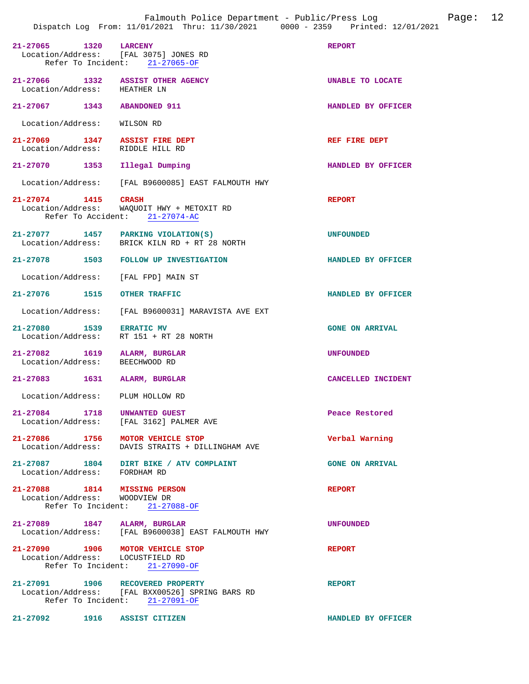|                                                                         | Falmouth Police Department - Public/Press Log<br>Dispatch Log From: 11/01/2021 Thru: 11/30/2021 0000 - 2359 Printed: 12/01/2021 |                        | Page: | 12 |
|-------------------------------------------------------------------------|---------------------------------------------------------------------------------------------------------------------------------|------------------------|-------|----|
| 21-27065 1320 LARCENY<br>Location/Address: [FAL 3075] JONES RD          | Refer To Incident: 21-27065-OF                                                                                                  | <b>REPORT</b>          |       |    |
| 21-27066 1332 ASSIST OTHER AGENCY<br>Location/Address: HEATHER LN       |                                                                                                                                 | UNABLE TO LOCATE       |       |    |
| 21-27067 1343 ABANDONED 911                                             |                                                                                                                                 | HANDLED BY OFFICER     |       |    |
| Location/Address: WILSON RD                                             |                                                                                                                                 |                        |       |    |
| 21-27069 1347 ASSIST FIRE DEPT<br>Location/Address: RIDDLE HILL RD      |                                                                                                                                 | REF FIRE DEPT          |       |    |
| 21-27070 1353 Illegal Dumping                                           |                                                                                                                                 | HANDLED BY OFFICER     |       |    |
| Location/Address:                                                       | [FAL B9600085] EAST FALMOUTH HWY                                                                                                |                        |       |    |
| 21-27074 1415 CRASH                                                     | Location/Address: WAQUOIT HWY + METOXIT RD<br>Refer To Accident: 21-27074-AC                                                    | <b>REPORT</b>          |       |    |
| 21-27077 1457 PARKING VIOLATION(S)                                      | Location/Address: BRICK KILN RD + RT 28 NORTH                                                                                   | <b>UNFOUNDED</b>       |       |    |
|                                                                         | 21-27078 1503 FOLLOW UP INVESTIGATION                                                                                           | HANDLED BY OFFICER     |       |    |
| Location/Address: [FAL FPD] MAIN ST                                     |                                                                                                                                 |                        |       |    |
| 21-27076 1515                                                           | OTHER TRAFFIC                                                                                                                   | HANDLED BY OFFICER     |       |    |
|                                                                         | Location/Address: [FAL B9600031] MARAVISTA AVE EXT                                                                              |                        |       |    |
| 21-27080 1539 ERRATIC MV<br>Location/Address:                           | RT 151 + RT 28 NORTH                                                                                                            | <b>GONE ON ARRIVAL</b> |       |    |
| 21-27082 1619 ALARM, BURGLAR<br>Location/Address: BEECHWOOD RD          |                                                                                                                                 | <b>UNFOUNDED</b>       |       |    |
| 21-27083 1631 ALARM, BURGLAR                                            |                                                                                                                                 | CANCELLED INCIDENT     |       |    |
| Location/Address:                                                       | PLUM HOLLOW RD                                                                                                                  |                        |       |    |
| 21-27084 1718 UNWANTED GUEST<br>Location/Address: [FAL 3162] PALMER AVE |                                                                                                                                 | Peace Restored         |       |    |
| 21-27086 1756 MOTOR VEHICLE STOP                                        | Location/Address: DAVIS STRAITS + DILLINGHAM AVE                                                                                | Verbal Warning         |       |    |
| Location/Address: FORDHAM RD                                            | 21-27087 1804 DIRT BIKE / ATV COMPLAINT                                                                                         | <b>GONE ON ARRIVAL</b> |       |    |
| 21-27088 1814 MISSING PERSON<br>Location/Address: WOODVIEW DR           | Refer To Incident: 21-27088-OF                                                                                                  | <b>REPORT</b>          |       |    |
| 21-27089 1847 ALARM, BURGLAR                                            | Location/Address: [FAL B9600038] EAST FALMOUTH HWY                                                                              | <b>UNFOUNDED</b>       |       |    |
| 21-27090 1906 MOTOR VEHICLE STOP<br>Location/Address: LOCUSTFIELD RD    | Refer To Incident: 21-27090-OF                                                                                                  | <b>REPORT</b>          |       |    |
| 21-27091 1906 RECOVERED PROPERTY                                        | Location/Address: [FAL BXX00526] SPRING BARS RD<br>Refer To Incident: 21-27091-OF                                               | <b>REPORT</b>          |       |    |
| 21-27092 1916 ASSIST CITIZEN                                            |                                                                                                                                 | HANDLED BY OFFICER     |       |    |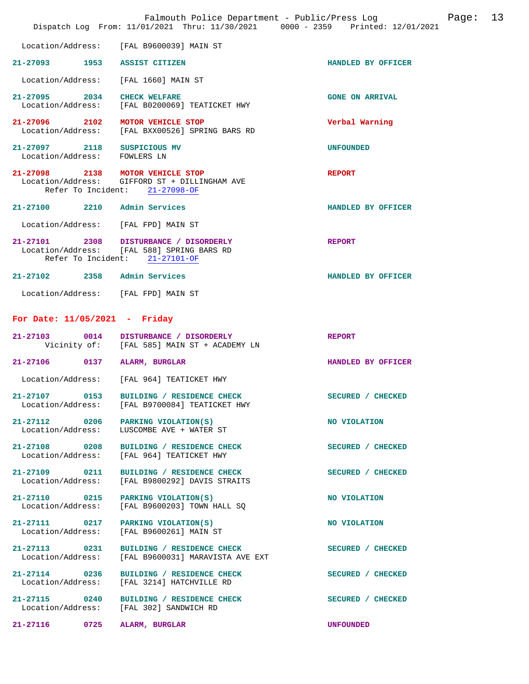|                                              |      | Falmouth Police Department - Public/Press Log<br>Dispatch Log From: 11/01/2021 Thru: 11/30/2021 0000 - 2359 Printed: 12/01/2021 |                        | Page: | 13 |
|----------------------------------------------|------|---------------------------------------------------------------------------------------------------------------------------------|------------------------|-------|----|
| Location/Address:                            |      | [FAL B9600039] MAIN ST                                                                                                          |                        |       |    |
| 21-27093 1953                                |      | ASSIST CITIZEN                                                                                                                  | HANDLED BY OFFICER     |       |    |
| Location/Address:                            |      | [FAL 1660] MAIN ST                                                                                                              |                        |       |    |
| $21 - 27095$<br>Location/Address:            | 2034 | <b>CHECK WELFARE</b><br>[FAL B0200069] TEATICKET HWY                                                                            | <b>GONE ON ARRIVAL</b> |       |    |
| 21-27096<br>Location/Address:                | 2102 | MOTOR VEHICLE STOP<br>[FAL BXX00526] SPRING BARS RD                                                                             | Verbal Warning         |       |    |
| $21 - 27097$<br>Location/Address: FOWLERS LN | 2118 | SUSPICIOUS MV                                                                                                                   | <b>UNFOUNDED</b>       |       |    |
| 21-27098 2138<br>Location/Address:           |      | MOTOR VEHICLE STOP<br>GIFFORD ST + DILLINGHAM AVE<br>Refer To Incident: 21-27098-OF                                             | <b>REPORT</b>          |       |    |
| 21-27100                                     |      | 2210 Admin Services                                                                                                             | HANDLED BY OFFICER     |       |    |
| Location/Address:                            |      | [FAL FPD] MAIN ST                                                                                                               |                        |       |    |
| $21 - 27101$                                 |      | 2308 DISTURBANCE / DISORDERLY<br>Location/Address: [FAL 588] SPRING BARS RD<br>Refer To Incident: 21-27101-OF                   | <b>REPORT</b>          |       |    |
| 21-27102 2358 Admin Services                 |      |                                                                                                                                 | HANDLED BY OFFICER     |       |    |
|                                              |      | Location/Address: [FAL FPD] MAIN ST                                                                                             |                        |       |    |
| For Date: $11/05/2021$ - Friday              |      |                                                                                                                                 |                        |       |    |
| 21-27103                                     | 0014 | DISTURBANCE / DISORDERLY<br>Vicinity of: [FAL 585] MAIN ST + ACADEMY LN                                                         | <b>REPORT</b>          |       |    |
| $21 - 27106$                                 | 0137 | ALARM, BURGLAR                                                                                                                  | HANDLED BY OFFICER     |       |    |
| Location/Address:                            |      | [FAL 964] TEATICKET HWY                                                                                                         |                        |       |    |
| 21-27107<br>Location/Address:                | 0153 | BUILDING / RESIDENCE CHECK<br>[FAL B9700084] TEATICKET HWY                                                                      | SECURED / CHECKED      |       |    |
| 21-27112 0206                                |      | PARKING VIOLATION(S)<br>Location/Address: LUSCOMBE AVE + WATER ST                                                               | NO VIOLATION           |       |    |
| 21-27108 0208<br>Location/Address:           |      | BUILDING / RESIDENCE CHECK<br>[FAL 964] TEATICKET HWY                                                                           | SECURED / CHECKED      |       |    |
| 21-27109 0211<br>Location/Address:           |      | BUILDING / RESIDENCE CHECK<br>[FAL B9800292] DAVIS STRAITS                                                                      | SECURED / CHECKED      |       |    |
| 21-27110 0215<br>Location/Address:           |      | PARKING VIOLATION(S)<br>[FAL B9600203] TOWN HALL SQ                                                                             | NO VIOLATION           |       |    |
| 21-27111 0217<br>Location/Address:           |      | PARKING VIOLATION(S)<br>[FAL B9600261] MAIN ST                                                                                  | NO VIOLATION           |       |    |
| 21-27113 0231<br>Location/Address:           |      | BUILDING / RESIDENCE CHECK<br>[FAL B9600031] MARAVISTA AVE EXT                                                                  | SECURED / CHECKED      |       |    |
| 21-27114 0236<br>Location/Address:           |      | BUILDING / RESIDENCE CHECK<br>[FAL 3214] HATCHVILLE RD                                                                          | SECURED / CHECKED      |       |    |
| 21-27115 0240<br>Location/Address:           |      | BUILDING / RESIDENCE CHECK<br>[FAL 302] SANDWICH RD                                                                             | SECURED / CHECKED      |       |    |
| 21-27116 0725                                |      | ALARM, BURGLAR                                                                                                                  | <b>UNFOUNDED</b>       |       |    |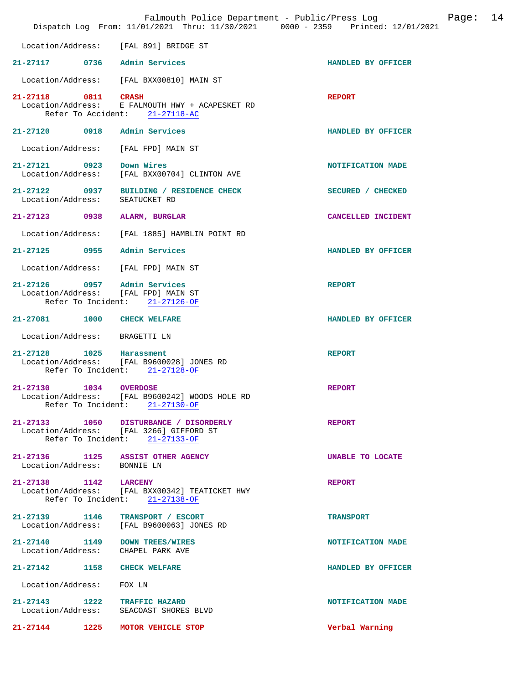|                                    |      | Falmouth Police Department - Public/Press Log<br>Dispatch Log From: 11/01/2021 Thru: 11/30/2021 0000 - 2359 Printed: 12/01/2021 |                    | Page: | 14 |
|------------------------------------|------|---------------------------------------------------------------------------------------------------------------------------------|--------------------|-------|----|
| Location/Address:                  |      | [FAL 891] BRIDGE ST                                                                                                             |                    |       |    |
| 21-27117 0736 Admin Services       |      |                                                                                                                                 | HANDLED BY OFFICER |       |    |
| Location/Address:                  |      | [FAL BXX00810] MAIN ST                                                                                                          |                    |       |    |
| 21-27118 0811 CRASH                |      | Location/Address: E FALMOUTH HWY + ACAPESKET RD<br>Refer To Accident: 21-27118-AC                                               | <b>REPORT</b>      |       |    |
| 21-27120 0918 Admin Services       |      |                                                                                                                                 | HANDLED BY OFFICER |       |    |
| Location/Address:                  |      | [FAL FPD] MAIN ST                                                                                                               |                    |       |    |
| 21-27121 0923<br>Location/Address: |      | Down Wires<br>[FAL BXX00704] CLINTON AVE                                                                                        | NOTIFICATION MADE  |       |    |
| Location/Address:                  |      | 21-27122 0937 BUILDING / RESIDENCE CHECK<br>SEATUCKET RD                                                                        | SECURED / CHECKED  |       |    |
| 21-27123 0938 ALARM, BURGLAR       |      |                                                                                                                                 | CANCELLED INCIDENT |       |    |
| Location/Address:                  |      | [FAL 1885] HAMBLIN POINT RD                                                                                                     |                    |       |    |
| $21 - 27125$                       | 0955 | Admin Services                                                                                                                  | HANDLED BY OFFICER |       |    |
|                                    |      | Location/Address: [FAL FPD] MAIN ST                                                                                             |                    |       |    |
| 21-27126 0957 Admin Services       |      | Location/Address: [FAL FPD] MAIN ST<br>Refer To Incident: 21-27126-OF                                                           | <b>REPORT</b>      |       |    |
| 21-27081 1000 CHECK WELFARE        |      |                                                                                                                                 | HANDLED BY OFFICER |       |    |
| Location/Address:                  |      | BRAGETTI LN                                                                                                                     |                    |       |    |
| 21-27128 1025 Harassment           |      | Location/Address: [FAL B9600028] JONES RD<br>Refer To Incident: 21-27128-OF                                                     | <b>REPORT</b>      |       |    |
| $21 - 27130$<br>Location/Address:  | 1034 | <b>OVERDOSE</b><br>[FAL B9600242] WOODS HOLE RD<br>Refer To Incident: 21-27130-OF                                               | <b>REPORT</b>      |       |    |
|                                    |      | 21-27133 1050 DISTURBANCE / DISORDERLY<br>Location/Address: [FAL 3266] GIFFORD ST<br>Refer To Incident: 21-27133-OF             | <b>REPORT</b>      |       |    |
| Location/Address: BONNIE LN        |      | 21-27136 1125 ASSIST OTHER AGENCY                                                                                               | UNABLE TO LOCATE   |       |    |
| 21-27138 1142 LARCENY              |      | Location/Address: [FAL BXX00342] TEATICKET HWY<br>Refer To Incident: 21-27138-OF                                                | <b>REPORT</b>      |       |    |
|                                    |      | 21-27139 1146 TRANSPORT / ESCORT<br>Location/Address: [FAL B9600063] JONES RD                                                   | <b>TRANSPORT</b>   |       |    |
| Location/Address: CHAPEL PARK AVE  |      | 21-27140 1149 DOWN TREES/WIRES                                                                                                  | NOTIFICATION MADE  |       |    |
| 21-27142 1158 CHECK WELFARE        |      |                                                                                                                                 | HANDLED BY OFFICER |       |    |
| Location/Address: FOX LN           |      |                                                                                                                                 |                    |       |    |
| 21-27143 1222 TRAFFIC HAZARD       |      | Location/Address: SEACOAST SHORES BLVD                                                                                          | NOTIFICATION MADE  |       |    |
|                                    |      | 21-27144 1225 MOTOR VEHICLE STOP                                                                                                | Verbal Warning     |       |    |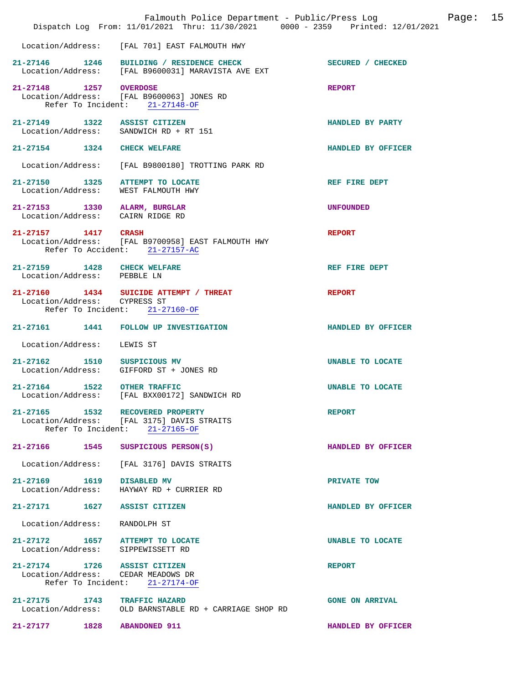|                                                                  | Falmouth Police Department - Public/Press Log<br>Dispatch Log From: 11/01/2021 Thru: 11/30/2021 0000 - 2359 Printed: 12/01/2021 |                         | Page: 15 |  |
|------------------------------------------------------------------|---------------------------------------------------------------------------------------------------------------------------------|-------------------------|----------|--|
|                                                                  | Location/Address: [FAL 701] EAST FALMOUTH HWY                                                                                   |                         |          |  |
|                                                                  | 21-27146 1246 BUILDING / RESIDENCE CHECK<br>Location/Address: [FAL B9600031] MARAVISTA AVE EXT                                  | SECURED / CHECKED       |          |  |
| 21-27148 1257 OVERDOSE                                           | Location/Address: [FAL B9600063] JONES RD<br>Refer To Incident: 21-27148-OF                                                     | <b>REPORT</b>           |          |  |
| 21-27149 1322 ASSIST CITIZEN                                     | Location/Address: SANDWICH RD + RT 151                                                                                          | HANDLED BY PARTY        |          |  |
| 21-27154 1324 CHECK WELFARE                                      |                                                                                                                                 | HANDLED BY OFFICER      |          |  |
|                                                                  | Location/Address: [FAL B9800180] TROTTING PARK RD                                                                               |                         |          |  |
| Location/Address:                                                | 21-27150 1325 ATTEMPT TO LOCATE<br>WEST FALMOUTH HWY                                                                            | REF FIRE DEPT           |          |  |
| 21-27153 1330 ALARM, BURGLAR<br>Location/Address: CAIRN RIDGE RD |                                                                                                                                 | <b>UNFOUNDED</b>        |          |  |
| 21-27157 1417 CRASH                                              | Location/Address: [FAL B9700958] EAST FALMOUTH HWY<br>Refer To Accident: 21-27157-AC                                            | <b>REPORT</b>           |          |  |
| 21-27159 1428 CHECK WELFARE<br>Location/Address: PEBBLE LN       |                                                                                                                                 | REF FIRE DEPT           |          |  |
| Location/Address: CYPRESS ST                                     | $21-27160$ 1434 SUICIDE ATTEMPT / THREAT<br>Refer To Incident: 21-27160-OF                                                      | <b>REPORT</b>           |          |  |
|                                                                  | 21-27161 1441 FOLLOW UP INVESTIGATION                                                                                           | HANDLED BY OFFICER      |          |  |
| Location/Address:                                                | LEWIS ST                                                                                                                        |                         |          |  |
| 21-27162 1510 SUSPICIOUS MV                                      | Location/Address: GIFFORD ST + JONES RD                                                                                         | UNABLE TO LOCATE        |          |  |
| 21-27164 1522 OTHER TRAFFIC                                      | Location/Address: [FAL BXX00172] SANDWICH RD                                                                                    | <b>UNABLE TO LOCATE</b> |          |  |
|                                                                  | 21-27165 1532 RECOVERED PROPERTY<br>Location/Address: [FAL 3175] DAVIS STRAITS<br>Refer To Incident: $21-27165-OF$              | <b>REPORT</b>           |          |  |
|                                                                  | 21-27166 1545 SUSPICIOUS PERSON(S)                                                                                              | HANDLED BY OFFICER      |          |  |
|                                                                  | Location/Address: [FAL 3176] DAVIS STRAITS                                                                                      |                         |          |  |
| 21-27169 1619 DISABLED MV                                        | Location/Address:    HAYWAY RD + CURRIER RD                                                                                     | PRIVATE TOW             |          |  |
| 21-27171 1627 ASSIST CITIZEN                                     |                                                                                                                                 | HANDLED BY OFFICER      |          |  |
| Location/Address: RANDOLPH ST                                    |                                                                                                                                 |                         |          |  |
|                                                                  | 21-27172 1657 ATTEMPT TO LOCATE<br>Location/Address: SIPPEWISSETT RD                                                            | UNABLE TO LOCATE        |          |  |
| 21-27174 1726 ASSIST CITIZEN                                     | Location/Address: CEDAR MEADOWS DR<br>Refer To Incident: 21-27174-OF                                                            | <b>REPORT</b>           |          |  |
| 21-27175 1743 TRAFFIC HAZARD                                     | Location/Address: OLD BARNSTABLE RD + CARRIAGE SHOP RD                                                                          | <b>GONE ON ARRIVAL</b>  |          |  |
| 21-27177 1828 ABANDONED 911                                      |                                                                                                                                 | HANDLED BY OFFICER      |          |  |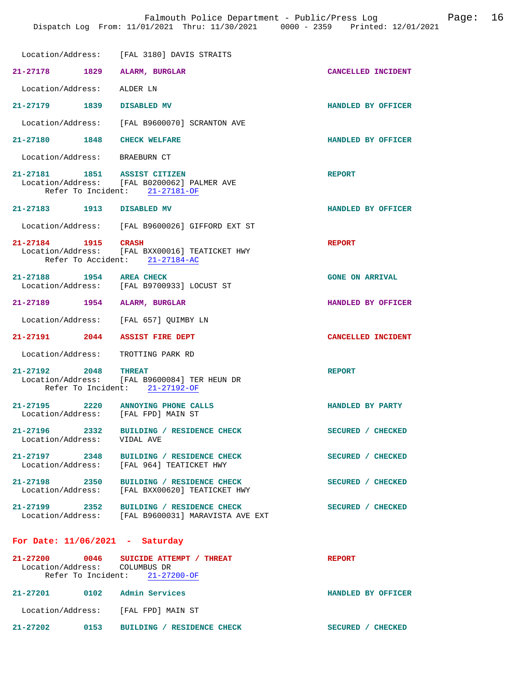|                                                                           | Location/Address: [FAL 3180] DAVIS STRAITS                                                      |                           |
|---------------------------------------------------------------------------|-------------------------------------------------------------------------------------------------|---------------------------|
| 21-27178 1829                                                             | ALARM, BURGLAR                                                                                  | CANCELLED INCIDENT        |
| Location/Address:                                                         | ALDER LN                                                                                        |                           |
| 21–27179 1839                                                             | DISABLED MV                                                                                     | HANDLED BY OFFICER        |
|                                                                           | Location/Address: [FAL B9600070] SCRANTON AVE                                                   |                           |
| 21-27180 1848                                                             | <b>CHECK WELFARE</b>                                                                            | <b>HANDLED BY OFFICER</b> |
| Location/Address: BRAEBURN CT                                             |                                                                                                 |                           |
| 21-27181 1851 ASSIST CITIZEN                                              | Location/Address: [FAL B0200062] PALMER AVE<br>Refer To Incident: 21-27181-OF                   | <b>REPORT</b>             |
| 21-27183 1913 DISABLED MV                                                 |                                                                                                 | HANDLED BY OFFICER        |
|                                                                           | Location/Address: [FAL B9600026] GIFFORD EXT ST                                                 |                           |
| 21-27184 1915                                                             | CRASH<br>Location/Address: [FAL BXX00016] TEATICKET HWY<br>Refer To Accident: 21-27184-AC       | <b>REPORT</b>             |
| 21-27188 1954 AREA CHECK                                                  | Location/Address: [FAL B9700933] LOCUST ST                                                      | <b>GONE ON ARRIVAL</b>    |
| 21-27189 1954 ALARM, BURGLAR                                              |                                                                                                 | HANDLED BY OFFICER        |
| Location/Address:                                                         | [FAL 657] OUIMBY LN                                                                             |                           |
| 21-27191 2044                                                             | <b>ASSIST FIRE DEPT</b>                                                                         | <b>CANCELLED INCIDENT</b> |
| Location/Address:                                                         | TROTTING PARK RD                                                                                |                           |
| 21-27192 2048                                                             | <b>THREAT</b><br>Location/Address: [FAL B9600084] TER HEUN DR<br>Refer To Incident: 21-27192-OF | <b>REPORT</b>             |
| 21-27195 2220 ANNOYING PHONE CALLS<br>Location/Address: [FAL FPD] MAIN ST |                                                                                                 | HANDLED BY PARTY          |
| 21-27196 2332<br>Location/Address:                                        | BUILDING / RESIDENCE CHECK<br>VIDAL AVE                                                         | SECURED / CHECKED         |
| 21-27197 2348                                                             | BUILDING / RESIDENCE CHECK<br>Location/Address: [FAL 964] TEATICKET HWY                         | SECURED / CHECKED         |
| 21-27198 2350<br>Location/Address:                                        | BUILDING / RESIDENCE CHECK<br>[FAL BXX00620] TEATICKET HWY                                      | SECURED / CHECKED         |
| 21–27199 2352                                                             | BUILDING / RESIDENCE CHECK<br>Location/Address: [FAL B9600031] MARAVISTA AVE EXT                | SECURED / CHECKED         |
| For Date: $11/06/2021$ - Saturday                                         |                                                                                                 |                           |
| 21-27200<br>0046                                                          | SUICIDE ATTEMPT / THREAT                                                                        | <b>REPORT</b>             |

|                   | Refer To Incident: | $21 - 27200 - OF$          |                                  |
|-------------------|--------------------|----------------------------|----------------------------------|
| 21-27201          | 0102               | Admin Services             | HANDLED BY OFFICER               |
| Location/Address: |                    | [FAL FPD] MAIN ST          |                                  |
| 21-27202          | 0153               | BUILDING / RESIDENCE CHECK | <b>SECURED</b><br><b>CHECKED</b> |

Location/Address: COLUMBUS DR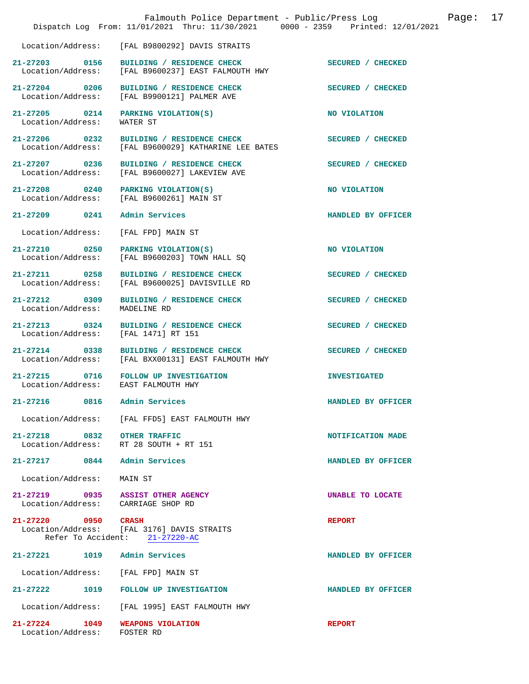|                                                                         | Falmouth Police Department - Public/Press Log<br>Dispatch Log From: 11/01/2021 Thru: 11/30/2021 0000 - 2359 Printed: 12/01/2021 |                     | Page: | 17 |
|-------------------------------------------------------------------------|---------------------------------------------------------------------------------------------------------------------------------|---------------------|-------|----|
| Location/Address:                                                       | [FAL B9800292] DAVIS STRAITS                                                                                                    |                     |       |    |
| 21-27203 0156<br>Location/Address:                                      | BUILDING / RESIDENCE CHECK<br>[FAL B9600237] EAST FALMOUTH HWY                                                                  | SECURED / CHECKED   |       |    |
| 21-27204 0206<br>Location/Address:                                      | BUILDING / RESIDENCE CHECK<br>[FAL B9900121] PALMER AVE                                                                         | SECURED / CHECKED   |       |    |
| 21-27205 0214<br>Location/Address:                                      | PARKING VIOLATION(S)<br>WATER ST                                                                                                | NO VIOLATION        |       |    |
| 21-27206 0232<br>Location/Address:                                      | BUILDING / RESIDENCE CHECK<br>[FAL B9600029] KATHARINE LEE BATES                                                                | SECURED / CHECKED   |       |    |
| 21-27207 0236<br>Location/Address:                                      | BUILDING / RESIDENCE CHECK<br>[FAL B9600027] LAKEVIEW AVE                                                                       | SECURED / CHECKED   |       |    |
| 21-27208 0240<br>Location/Address:                                      | PARKING VIOLATION(S)<br>[FAL B9600261] MAIN ST                                                                                  | NO VIOLATION        |       |    |
| 21-27209 0241                                                           | Admin Services                                                                                                                  | HANDLED BY OFFICER  |       |    |
| Location/Address:                                                       | [FAL FPD] MAIN ST                                                                                                               |                     |       |    |
| 21-27210 0250<br>Location/Address:                                      | PARKING VIOLATION(S)<br>[FAL B9600203] TOWN HALL SQ                                                                             | NO VIOLATION        |       |    |
| 21-27211 0258<br>Location/Address:                                      | BUILDING / RESIDENCE CHECK<br>[FAL B9600025] DAVISVILLE RD                                                                      | SECURED / CHECKED   |       |    |
| 21-27212 0309<br>Location/Address:                                      | BUILDING / RESIDENCE CHECK<br>MADELINE RD                                                                                       | SECURED / CHECKED   |       |    |
| 21-27213 0324<br>Location/Address:                                      | BUILDING / RESIDENCE CHECK<br>[FAL 1471] RT 151                                                                                 | SECURED / CHECKED   |       |    |
| 21-27214 0338<br>Location/Address:                                      | BUILDING / RESIDENCE CHECK<br>[FAL BXX00131] EAST FALMOUTH HWY                                                                  | SECURED / CHECKED   |       |    |
| Location/Address: EAST FALMOUTH HWY                                     | 21-27215 0716 FOLLOW UP INVESTIGATION                                                                                           | <b>INVESTIGATED</b> |       |    |
| $21 - 27216$<br>0816                                                    | Admin Services                                                                                                                  | HANDLED BY OFFICER  |       |    |
|                                                                         | Location/Address: [FAL FFD5] EAST FALMOUTH HWY                                                                                  |                     |       |    |
| 21-27218 0832<br>Location/Address:                                      | <b>OTHER TRAFFIC</b><br>RT 28 SOUTH + RT 151                                                                                    | NOTIFICATION MADE   |       |    |
| 21-27217 0844 Admin Services                                            |                                                                                                                                 | HANDLED BY OFFICER  |       |    |
| Location/Address:                                                       | MAIN ST                                                                                                                         |                     |       |    |
| 21-27219 0935 ASSIST OTHER AGENCY<br>Location/Address: CARRIAGE SHOP RD |                                                                                                                                 | UNABLE TO LOCATE    |       |    |
| 21-27220 0950                                                           | <b>CRASH</b><br>Location/Address: [FAL 3176] DAVIS STRAITS<br>Refer To Accident: 21-27220-AC                                    | <b>REPORT</b>       |       |    |
| $21 - 27221$                                                            | 1019 Admin Services                                                                                                             | HANDLED BY OFFICER  |       |    |
| Location/Address: [FAL FPD] MAIN ST                                     |                                                                                                                                 |                     |       |    |
| 21-27222<br>1019                                                        | FOLLOW UP INVESTIGATION                                                                                                         | HANDLED BY OFFICER  |       |    |
|                                                                         | Location/Address: [FAL 1995] EAST FALMOUTH HWY                                                                                  |                     |       |    |
| 21-27224 1049<br>Location/Address:                                      | WEAPONS VIOLATION<br>FOSTER RD                                                                                                  | <b>REPORT</b>       |       |    |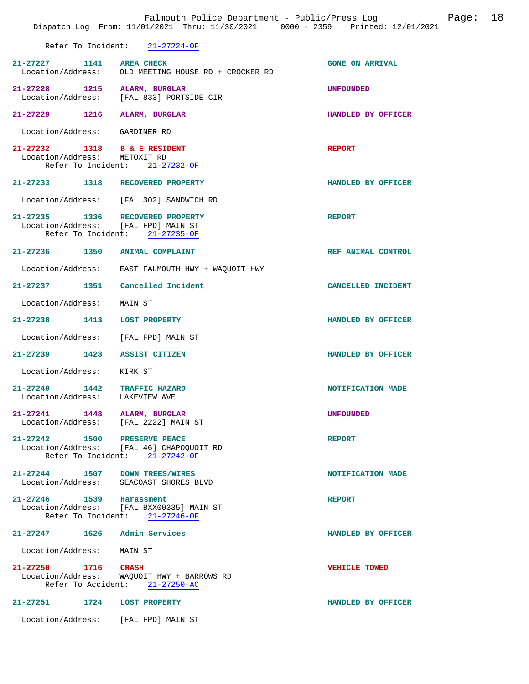|                                                                         | Falmouth Police Department - Public/Press Log<br>Dispatch Log From: 11/01/2021 Thru: 11/30/2021 0000 - 2359 Printed: 12/01/2021 | Page: 18               |  |
|-------------------------------------------------------------------------|---------------------------------------------------------------------------------------------------------------------------------|------------------------|--|
|                                                                         | Refer To Incident: 21-27224-OF                                                                                                  |                        |  |
| 21-27227 1141 AREA CHECK                                                | Location/Address: OLD MEETING HOUSE RD + CROCKER RD                                                                             | <b>GONE ON ARRIVAL</b> |  |
| 21-27228 1215 ALARM, BURGLAR                                            | Location/Address: [FAL 833] PORTSIDE CIR                                                                                        | <b>UNFOUNDED</b>       |  |
| 21-27229 1216 ALARM, BURGLAR                                            |                                                                                                                                 | HANDLED BY OFFICER     |  |
| Location/Address: GARDINER RD                                           |                                                                                                                                 |                        |  |
| 21-27232 1318 B & E RESIDENT<br>Location/Address: METOXIT RD            | Refer To Incident: 21-27232-OF                                                                                                  | <b>REPORT</b>          |  |
| 21-27233 1318 RECOVERED PROPERTY                                        |                                                                                                                                 | HANDLED BY OFFICER     |  |
|                                                                         | Location/Address: [FAL 302] SANDWICH RD                                                                                         |                        |  |
| 21-27235 1336 RECOVERED PROPERTY<br>Location/Address: [FAL FPD] MAIN ST | Refer To Incident: 21-27235-OF                                                                                                  | <b>REPORT</b>          |  |
| 21-27236 1350 ANIMAL COMPLAINT                                          |                                                                                                                                 | REF ANIMAL CONTROL     |  |
|                                                                         | Location/Address: EAST FALMOUTH HWY + WAQUOIT HWY                                                                               |                        |  |
| 21-27237 1351 Cancelled Incident                                        |                                                                                                                                 | CANCELLED INCIDENT     |  |
| Location/Address: MAIN ST                                               |                                                                                                                                 |                        |  |
| 21-27238 1413 LOST PROPERTY                                             |                                                                                                                                 | HANDLED BY OFFICER     |  |
| Location/Address: [FAL FPD] MAIN ST                                     |                                                                                                                                 |                        |  |
| 21-27239 1423 ASSIST CITIZEN                                            |                                                                                                                                 | HANDLED BY OFFICER     |  |
| Location/Address: KIRK ST                                               |                                                                                                                                 |                        |  |
| 21-27240 1442 TRAFFIC HAZARD<br>Location/Address: LAKEVIEW AVE          |                                                                                                                                 | NOTIFICATION MADE      |  |
| 21-27241 1448 ALARM, BURGLAR<br>Location/Address: [FAL 2222] MAIN ST    |                                                                                                                                 | <b>UNFOUNDED</b>       |  |
| 21-27242 1500 PRESERVE PEACE                                            | Location/Address: [FAL 46] CHAPOQUOIT RD<br>Refer To Incident: 21-27242-OF                                                      | <b>REPORT</b>          |  |
| 21-27244 1507 DOWN TREES/WIRES                                          | Location/Address: SEACOAST SHORES BLVD                                                                                          | NOTIFICATION MADE      |  |
| 21-27246 1539 Harassment                                                |                                                                                                                                 | <b>REPORT</b>          |  |
|                                                                         | Location/Address: [FAL BXX00335] MAIN ST<br>Refer To Incident: 21-27246-OF                                                      |                        |  |
| 21-27247 1626 Admin Services                                            |                                                                                                                                 | HANDLED BY OFFICER     |  |
| Location/Address: MAIN ST                                               |                                                                                                                                 |                        |  |
| 21-27250 1716 CRASH                                                     | Location/Address: WAQUOIT HWY + BARROWS RD<br>Refer To Accident: 21-27250-AC                                                    | <b>VEHICLE TOWED</b>   |  |
| 21-27251 1724 LOST PROPERTY                                             |                                                                                                                                 | HANDLED BY OFFICER     |  |
| Location/Address: [FAL FPD] MAIN ST                                     |                                                                                                                                 |                        |  |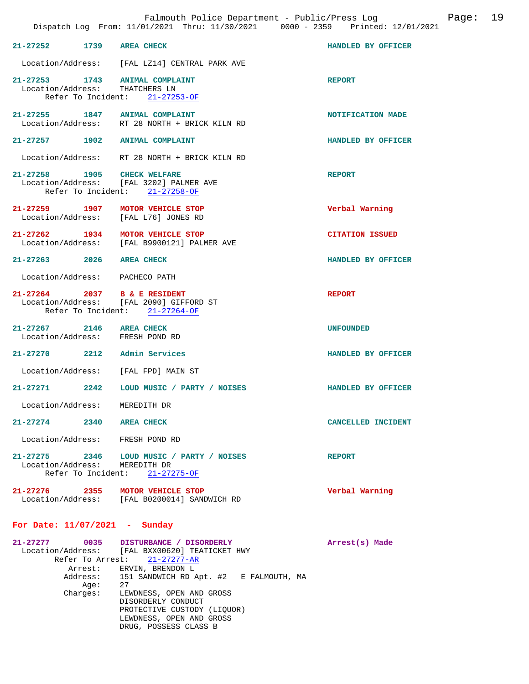|                                                                  | Dispatch Log From: 11/01/2021 Thru: 11/30/2021 0000 - 2359 Printed: 12/01/2021  | Falmouth Police Department - Public/Press Log Fage: 19 |  |
|------------------------------------------------------------------|---------------------------------------------------------------------------------|--------------------------------------------------------|--|
| 21-27252 1739 AREA CHECK                                         |                                                                                 | HANDLED BY OFFICER                                     |  |
|                                                                  | Location/Address: [FAL LZ14] CENTRAL PARK AVE                                   |                                                        |  |
| 21-27253 1743 ANIMAL COMPLAINT<br>Location/Address: THATCHERS LN | Refer To Incident: 21-27253-OF                                                  | <b>REPORT</b>                                          |  |
| 21-27255 1847 ANIMAL COMPLAINT                                   | Location/Address: RT 28 NORTH + BRICK KILN RD                                   | NOTIFICATION MADE                                      |  |
| 21-27257 1902 ANIMAL COMPLAINT                                   |                                                                                 | HANDLED BY OFFICER                                     |  |
|                                                                  | Location/Address: RT 28 NORTH + BRICK KILN RD                                   |                                                        |  |
| 21-27258 1905 CHECK WELFARE                                      | Location/Address: [FAL 3202] PALMER AVE<br>Refer To Incident: 21-27258-OF       | <b>REPORT</b>                                          |  |
|                                                                  | 21-27259 1907 MOTOR VEHICLE STOP<br>Location/Address: [FAL L76] JONES RD        | Verbal Warning                                         |  |
|                                                                  | 21-27262 1934 MOTOR VEHICLE STOP<br>Location/Address: [FAL B9900121] PALMER AVE | <b>CITATION ISSUED</b>                                 |  |
| 21-27263 2026 AREA CHECK                                         |                                                                                 | HANDLED BY OFFICER                                     |  |
| Location/Address: PACHECO PATH                                   |                                                                                 |                                                        |  |
| 21-27264 2037 B & E RESIDENT                                     | Location/Address: [FAL 2090] GIFFORD ST<br>Refer To Incident: 21-27264-OF       | <b>REPORT</b>                                          |  |
| 21-27267 2146 AREA CHECK<br>Location/Address: FRESH POND RD      |                                                                                 | <b>UNFOUNDED</b>                                       |  |
| 21-27270 2212 Admin Services                                     |                                                                                 | HANDLED BY OFFICER                                     |  |
|                                                                  | Location/Address: [FAL FPD] MAIN ST                                             |                                                        |  |
|                                                                  | 21-27271 2242 LOUD MUSIC / PARTY / NOISES                                       | HANDLED BY OFFICER                                     |  |
| Location/Address:                                                | MEREDITH DR                                                                     |                                                        |  |
| 21-27274<br>2340                                                 | <b>AREA CHECK</b>                                                               | <b>CANCELLED INCIDENT</b>                              |  |
| Location/Address:                                                | FRESH POND RD                                                                   |                                                        |  |
| Location/Address:<br>Refer To Incident:                          | 21-27275 2346 LOUD MUSIC / PARTY / NOISES<br>MEREDITH DR<br>$21 - 27275 - OF$   | <b>REPORT</b>                                          |  |
| 21-27276 2355                                                    | MOTOR VEHICLE STOP<br>Location/Address: [FAL B0200014] SANDWICH RD              | Verbal Warning                                         |  |

## **For Date: 11/07/2021 - Sunday**

| 21-27277 | 0035 DISTURBANCE / DISORDERLY<br>Location/Address: [FAL BXX00620] TEATICKET HWY<br>Refer To Arrest: 21-27277-AR | Arrest(s) Made |  |
|----------|-----------------------------------------------------------------------------------------------------------------|----------------|--|
|          | Arrest: ERVIN, BRENDON L                                                                                        |                |  |
|          | Address: 151 SANDWICH RD Apt. #2 E FALMOUTH, MA                                                                 |                |  |
| Aqe:     | 27                                                                                                              |                |  |
| Charges: | LEWDNESS, OPEN AND GROSS                                                                                        |                |  |
|          | DISORDERLY CONDUCT                                                                                              |                |  |
|          | PROTECTIVE CUSTODY (LIQUOR)                                                                                     |                |  |
|          | LEWDNESS, OPEN AND GROSS                                                                                        |                |  |
|          | DRUG, POSSESS CLASS B                                                                                           |                |  |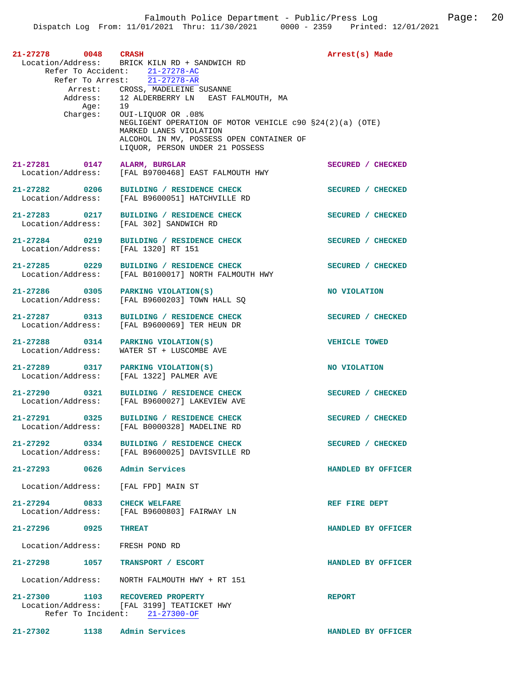| 21-27278<br>$0048$ CRASH                          | Location/Address: BRICK KILN RD + SANDWICH RD<br>Refer To Accident: 21-27278-AC<br>Refer To Arrest: 21-27278-AR                                                                                                                                                             | Arrest(s) Made       |
|---------------------------------------------------|-----------------------------------------------------------------------------------------------------------------------------------------------------------------------------------------------------------------------------------------------------------------------------|----------------------|
| Address:<br>Age:<br>Charges:                      | Arrest: CROSS, MADELEINE SUSANNE<br>12 ALDERBERRY LN – EAST FALMOUTH, MA<br>19<br>OUI-LIQUOR OR .08%<br>NEGLIGENT OPERATION OF MOTOR VEHICLE $c90 S24(2)(a)$ (OTE)<br>MARKED LANES VIOLATION<br>ALCOHOL IN MV, POSSESS OPEN CONTAINER OF<br>LIQUOR, PERSON UNDER 21 POSSESS |                      |
| 21-27281 0147 ALARM, BURGLAR<br>Location/Address: | [FAL B9700468] EAST FALMOUTH HWY                                                                                                                                                                                                                                            | SECURED / CHECKED    |
| 21-27282 0206<br>Location/Address:                | BUILDING / RESIDENCE CHECK<br>[FAL B9600051] HATCHVILLE RD                                                                                                                                                                                                                  | SECURED / CHECKED    |
| 21-27283 0217<br>Location/Address:                | BUILDING / RESIDENCE CHECK<br>[FAL 302] SANDWICH RD                                                                                                                                                                                                                         | SECURED / CHECKED    |
| 21-27284 0219<br>Location/Address:                | BUILDING / RESIDENCE CHECK<br>[FAL 1320] RT 151                                                                                                                                                                                                                             | SECURED / CHECKED    |
| 21-27285 0229<br>Location/Address:                | BUILDING / RESIDENCE CHECK<br>[FAL B0100017] NORTH FALMOUTH HWY                                                                                                                                                                                                             | SECURED / CHECKED    |
| 21-27286 0305<br>Location/Address:                | PARKING VIOLATION(S)<br>[FAL B9600203] TOWN HALL SO                                                                                                                                                                                                                         | NO VIOLATION         |
| 21-27287 0313<br>Location/Address:                | BUILDING / RESIDENCE CHECK<br>[FAL B9600069] TER HEUN DR                                                                                                                                                                                                                    | SECURED / CHECKED    |
| 21-27288 0314<br>Location/Address:                | PARKING VIOLATION(S)<br>WATER ST + LUSCOMBE AVE                                                                                                                                                                                                                             | <b>VEHICLE TOWED</b> |
| 21-27289 0317<br>Location/Address:                | PARKING VIOLATION(S)<br>[FAL 1322] PALMER AVE                                                                                                                                                                                                                               | NO VIOLATION         |
| 21-27290 0321<br>Location/Address:                | BUILDING / RESIDENCE CHECK<br>[FAL B9600027] LAKEVIEW AVE                                                                                                                                                                                                                   | SECURED / CHECKED    |
| Location/Address:                                 | 21-27291 0325 BUILDING / RESIDENCE CHECK<br>[FAL B0000328] MADELINE RD                                                                                                                                                                                                      | SECURED / CHECKED    |
|                                                   | 21-27292 0334 BUILDING / RESIDENCE CHECK<br>Location/Address: [FAL B9600025] DAVISVILLE RD                                                                                                                                                                                  | SECURED / CHECKED    |
| 21-27293 0626 Admin Services                      |                                                                                                                                                                                                                                                                             | HANDLED BY OFFICER   |
| Location/Address: [FAL FPD] MAIN ST               |                                                                                                                                                                                                                                                                             |                      |
| $21 - 27294$ 0833                                 | <b>CHECK WELFARE</b><br>Location/Address: [FAL B9600803] FAIRWAY LN                                                                                                                                                                                                         | REF FIRE DEPT        |
| $21 - 27296$ 0925                                 | <b>THREAT</b>                                                                                                                                                                                                                                                               | HANDLED BY OFFICER   |
| Location/Address:                                 | FRESH POND RD                                                                                                                                                                                                                                                               |                      |
| 21-27298 1057 TRANSPORT / ESCORT                  |                                                                                                                                                                                                                                                                             | HANDLED BY OFFICER   |
| Location/Address:                                 | NORTH FALMOUTH HWY + RT 151                                                                                                                                                                                                                                                 |                      |
| 21-27300 1103                                     | <b>RECOVERED PROPERTY</b><br>Location/Address: [FAL 3199] TEATICKET HWY<br>Refer To Incident: 21-27300-OF                                                                                                                                                                   | <b>REPORT</b>        |
| $21 - 27302$<br>1138                              | Admin Services                                                                                                                                                                                                                                                              | HANDLED BY OFFICER   |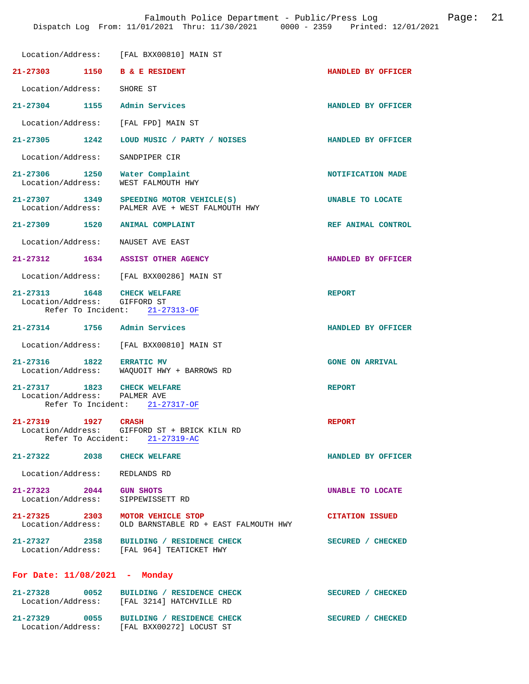|                                                              | Location/Address: [FAL BXX00810] MAIN ST                                                       |                        |
|--------------------------------------------------------------|------------------------------------------------------------------------------------------------|------------------------|
| 21-27303 1150 B & E RESIDENT                                 |                                                                                                | HANDLED BY OFFICER     |
| Location/Address:                                            | SHORE ST                                                                                       |                        |
| 21-27304 1155                                                | Admin Services                                                                                 | HANDLED BY OFFICER     |
| Location/Address: [FAL FPD] MAIN ST                          |                                                                                                |                        |
| 21-27305 1242                                                | LOUD MUSIC / PARTY / NOISES                                                                    | HANDLED BY OFFICER     |
| Location/Address:                                            | SANDPIPER CIR                                                                                  |                        |
| 21-27306 1250<br>Location/Address:                           | Water Complaint<br>WEST FALMOUTH HWY                                                           | NOTIFICATION MADE      |
| Location/Address:                                            | 21-27307 1349 SPEEDING MOTOR VEHICLE(S)<br>PALMER AVE + WEST FALMOUTH HWY                      | UNABLE TO LOCATE       |
| 21-27309 1520 ANIMAL COMPLAINT                               |                                                                                                | REF ANIMAL CONTROL     |
| Location/Address:                                            | NAUSET AVE EAST                                                                                |                        |
| 21-27312 1634 ASSIST OTHER AGENCY                            |                                                                                                | HANDLED BY OFFICER     |
|                                                              | Location/Address: [FAL BXX00286] MAIN ST                                                       |                        |
| 21-27313 1648 CHECK WELFARE                                  |                                                                                                | <b>REPORT</b>          |
| Location/Address: GIFFORD ST                                 | Refer To Incident: 21-27313-OF                                                                 |                        |
|                                                              |                                                                                                |                        |
| 21-27314 1756 Admin Services                                 |                                                                                                | HANDLED BY OFFICER     |
|                                                              | Location/Address: [FAL BXX00810] MAIN ST                                                       |                        |
| 21-27316 1822 ERRATIC MV                                     | Location/Address: WAQUOIT HWY + BARROWS RD                                                     | <b>GONE ON ARRIVAL</b> |
|                                                              |                                                                                                |                        |
| 21-27317 1823 CHECK WELFARE<br>Location/Address: PALMER AVE  |                                                                                                | <b>REPORT</b>          |
|                                                              | Refer To Incident: 21-27317-OF                                                                 |                        |
| 21-27319<br>1927                                             | <b>CRASH</b><br>Location/Address: GIFFORD ST + BRICK KILN RD<br>Refer To Accident: 21-27319-AC | <b>REPORT</b>          |
| 21-27322 2038 CHECK WELFARE                                  |                                                                                                | HANDLED BY OFFICER     |
| Location/Address: REDLANDS RD                                |                                                                                                |                        |
| 21-27323 2044 GUN SHOTS<br>Location/Address: SIPPEWISSETT RD |                                                                                                | UNABLE TO LOCATE       |
| 21-27325 2303 MOTOR VEHICLE STOP                             | Location/Address: OLD BARNSTABLE RD + EAST FALMOUTH HWY                                        | <b>CITATION ISSUED</b> |
|                                                              | 21-27327 2358 BUILDING / RESIDENCE CHECK<br>Location/Address: [FAL 964] TEATICKET HWY          | SECURED / CHECKED      |
| For Date: $11/08/2021$ - Monday                              |                                                                                                |                        |
|                                                              | 21-27328 0052 BUILDING / RESIDENCE CHECK<br>Location/Address: [FAL 3214] HATCHVILLE RD         | SECURED / CHECKED      |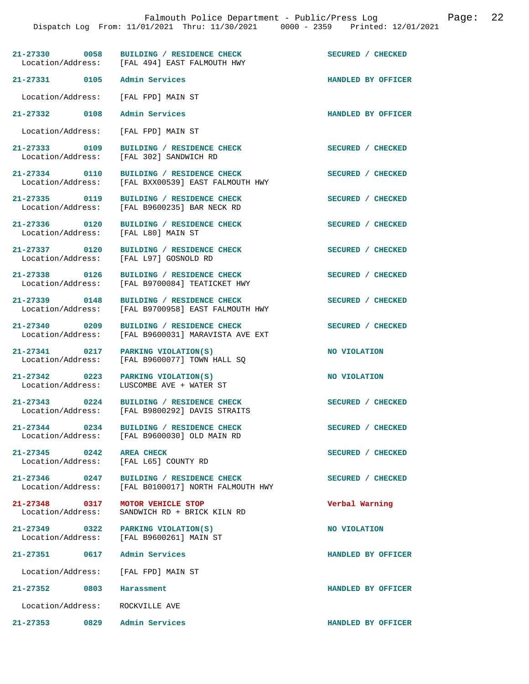|                                    | 21-27330 0058 BUILDING / RESIDENCE CHECK<br>Location/Address: [FAL 494] EAST FALMOUTH HWY | SECURED / CHECKED  |
|------------------------------------|-------------------------------------------------------------------------------------------|--------------------|
| 21-27331 0105                      | Admin Services                                                                            | HANDLED BY OFFICER |
|                                    | Location/Address: [FAL FPD] MAIN ST                                                       |                    |
| 21-27332 0108                      | Admin Services                                                                            | HANDLED BY OFFICER |
| Location/Address:                  | [FAL FPD] MAIN ST                                                                         |                    |
| 21-27333 0109<br>Location/Address: | BUILDING / RESIDENCE CHECK<br>[FAL 302] SANDWICH RD                                       | SECURED / CHECKED  |
| 21-27334 0110<br>Location/Address: | BUILDING / RESIDENCE CHECK<br>[FAL BXX00539] EAST FALMOUTH HWY                            | SECURED / CHECKED  |
| 21-27335 0119<br>Location/Address: | BUILDING / RESIDENCE CHECK<br>[FAL B9600235] BAR NECK RD                                  | SECURED / CHECKED  |
| 21-27336 0120<br>Location/Address: | BUILDING / RESIDENCE CHECK<br>[FAL L80] MAIN ST                                           | SECURED / CHECKED  |
| 21-27337 0120<br>Location/Address: | BUILDING / RESIDENCE CHECK<br>[FAL L97] GOSNOLD RD                                        | SECURED / CHECKED  |
| 21-27338 0126<br>Location/Address: | BUILDING / RESIDENCE CHECK<br>[FAL B9700084] TEATICKET HWY                                | SECURED / CHECKED  |
| 21-27339 0148<br>Location/Address: | BUILDING / RESIDENCE CHECK<br>[FAL B9700958] EAST FALMOUTH HWY                            | SECURED / CHECKED  |
| 21-27340 0209<br>Location/Address: | BUILDING / RESIDENCE CHECK<br>[FAL B9600031] MARAVISTA AVE EXT                            | SECURED / CHECKED  |
| 21-27341 0217<br>Location/Address: | PARKING VIOLATION(S)<br>[FAL B9600077] TOWN HALL SO                                       | NO VIOLATION       |
| 21-27342 0223<br>Location/Address: | PARKING VIOLATION(S)<br>LUSCOMBE AVE + WATER ST                                           | NO VIOLATION       |
| $21 - 27343$ 0224                  | BUILDING / RESIDENCE CHECK<br>Location/Address: [FAL B9800292] DAVIS STRAITS              | SECURED / CHECKED  |
|                                    | 21-27344 0234 BUILDING / RESIDENCE CHECK<br>Location/Address: [FAL B9600030] OLD MAIN RD  | SECURED / CHECKED  |
| 21-27345 0242 AREA CHECK           | Location/Address: [FAL L65] COUNTY RD                                                     | SECURED / CHECKED  |
| 21-27346 0247                      | BUILDING / RESIDENCE CHECK<br>Location/Address: [FAL B0100017] NORTH FALMOUTH HWY         | SECURED / CHECKED  |
| 21-27348 0317<br>Location/Address: | MOTOR VEHICLE STOP<br>SANDWICH RD + BRICK KILN RD                                         | Verbal Warning     |
|                                    | 21-27349 0322 PARKING VIOLATION(S)<br>Location/Address: [FAL B9600261] MAIN ST            | NO VIOLATION       |
|                                    | 21-27351 0617 Admin Services                                                              | HANDLED BY OFFICER |
|                                    | Location/Address: [FAL FPD] MAIN ST                                                       |                    |
| 21-27352 0803 Harassment           |                                                                                           | HANDLED BY OFFICER |
|                                    | Location/Address: ROCKVILLE AVE                                                           |                    |
| 21-27353 0829                      | Admin Services                                                                            | HANDLED BY OFFICER |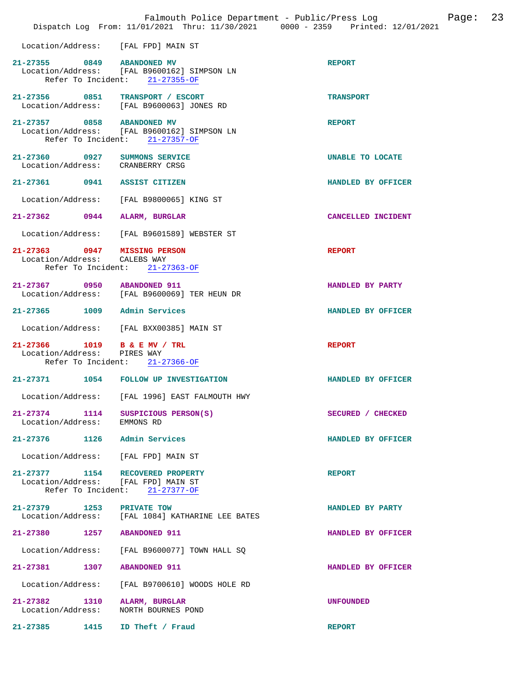|                                                              |      | Falmouth Police Department - Public/Press Log<br>Dispatch Log From: 11/01/2021 Thru: 11/30/2021 0000 - 2359 Printed: 12/01/2021 | Page: 23           |
|--------------------------------------------------------------|------|---------------------------------------------------------------------------------------------------------------------------------|--------------------|
|                                                              |      | Location/Address: [FAL FPD] MAIN ST                                                                                             |                    |
| 21-27355 0849 ABANDONED MV                                   |      | Location/Address: [FAL B9600162] SIMPSON LN<br>Refer To Incident: 21-27355-OF                                                   | <b>REPORT</b>      |
|                                                              |      | 21-27356 0851 TRANSPORT / ESCORT<br>Location/Address: [FAL B9600063] JONES RD                                                   | <b>TRANSPORT</b>   |
| 21-27357 0858 ABANDONED MV                                   |      | Location/Address: [FAL B9600162] SIMPSON LN<br>Refer To Incident: 21-27357-OF                                                   | <b>REPORT</b>      |
| Location/Address: CRANBERRY CRSG                             |      | 21-27360 0927 SUMMONS SERVICE                                                                                                   | UNABLE TO LOCATE   |
| 21-27361 0941 ASSIST CITIZEN                                 |      |                                                                                                                                 | HANDLED BY OFFICER |
|                                                              |      | Location/Address: [FAL B9800065] KING ST                                                                                        |                    |
| 21-27362 0944 ALARM, BURGLAR                                 |      |                                                                                                                                 | CANCELLED INCIDENT |
|                                                              |      | Location/Address: [FAL B9601589] WEBSTER ST                                                                                     |                    |
| 21-27363 0947 MISSING PERSON<br>Location/Address: CALEBS WAY |      | Refer To Incident: 21-27363-OF                                                                                                  | <b>REPORT</b>      |
| 21-27367 0950 ABANDONED 911                                  |      | Location/Address: [FAL B9600069] TER HEUN DR                                                                                    | HANDLED BY PARTY   |
| 21-27365 1009 Admin Services                                 |      |                                                                                                                                 | HANDLED BY OFFICER |
|                                                              |      | Location/Address: [FAL BXX00385] MAIN ST                                                                                        |                    |
| 21-27366 1019 B & E MV / TRL<br>Location/Address: PIRES WAY  |      | Refer To Incident: 21-27366-OF                                                                                                  | <b>REPORT</b>      |
|                                                              |      | 21-27371 1054 FOLLOW UP INVESTIGATION                                                                                           | HANDLED BY OFFICER |
| Location/Address:                                            |      | [FAL 1996] EAST FALMOUTH HWY                                                                                                    |                    |
| $21 - 27374$<br>Location/Address: EMMONS RD                  | 1114 | SUSPICIOUS PERSON(S)                                                                                                            | SECURED / CHECKED  |
| 21-27376 1126 Admin Services                                 |      |                                                                                                                                 | HANDLED BY OFFICER |
|                                                              |      | Location/Address: [FAL FPD] MAIN ST                                                                                             |                    |
| Refer To Incident:                                           |      | 21-27377 1154 RECOVERED PROPERTY<br>Location/Address: [FAL FPD] MAIN ST<br>$21 - 27377 - OF$                                    | <b>REPORT</b>      |
| 21-27379 1253                                                |      | PRIVATE TOW<br>Location/Address: [FAL 1084] KATHARINE LEE BATES                                                                 | HANDLED BY PARTY   |
| 21-27380 1257 ABANDONED 911                                  |      |                                                                                                                                 | HANDLED BY OFFICER |
| Location/Address:                                            |      | [FAL B9600077] TOWN HALL SQ                                                                                                     |                    |
| 21-27381                                                     | 1307 | <b>ABANDONED 911</b>                                                                                                            | HANDLED BY OFFICER |
| Location/Address:                                            |      | [FAL B9700610] WOODS HOLE RD                                                                                                    |                    |
| 21-27382 1310<br>Location/Address:                           |      | ALARM, BURGLAR<br>NORTH BOURNES POND                                                                                            | <b>UNFOUNDED</b>   |
| 21-27385 1415                                                |      | ID Theft / Fraud                                                                                                                | <b>REPORT</b>      |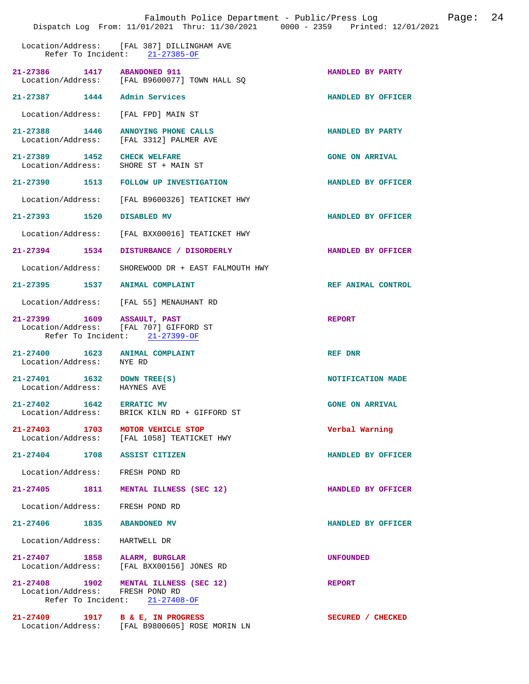|                                                                     |      | Falmouth Police Department - Public/Press Log<br>Dispatch Log From: 11/01/2021 Thru: 11/30/2021 0000 - 2359 Printed: 12/01/2021 |                        | Page: | 24 |
|---------------------------------------------------------------------|------|---------------------------------------------------------------------------------------------------------------------------------|------------------------|-------|----|
|                                                                     |      | Location/Address: [FAL 387] DILLINGHAM AVE<br>Refer To Incident: 21-27385-OF                                                    |                        |       |    |
| 21-27386 1417 ABANDONED 911                                         |      | Location/Address: [FAL B9600077] TOWN HALL SQ                                                                                   | HANDLED BY PARTY       |       |    |
| 21-27387 1444 Admin Services                                        |      |                                                                                                                                 | HANDLED BY OFFICER     |       |    |
| Location/Address:                                                   |      | [FAL FPD] MAIN ST                                                                                                               |                        |       |    |
|                                                                     |      | 21-27388 1446 ANNOYING PHONE CALLS<br>Location/Address: [FAL 3312] PALMER AVE                                                   | HANDLED BY PARTY       |       |    |
| 21-27389 1452 CHECK WELFARE<br>Location/Address: SHORE ST + MAIN ST |      |                                                                                                                                 | <b>GONE ON ARRIVAL</b> |       |    |
|                                                                     |      | 21-27390 1513 FOLLOW UP INVESTIGATION                                                                                           | HANDLED BY OFFICER     |       |    |
| Location/Address:                                                   |      | [FAL B9600326] TEATICKET HWY                                                                                                    |                        |       |    |
| 21-27393 1520                                                       |      | DISABLED MV                                                                                                                     | HANDLED BY OFFICER     |       |    |
| Location/Address:                                                   |      | [FAL BXX00016] TEATICKET HWY                                                                                                    |                        |       |    |
| $21 - 27394$                                                        | 1534 | DISTURBANCE / DISORDERLY                                                                                                        | HANDLED BY OFFICER     |       |    |
| Location/Address:                                                   |      | SHOREWOOD DR + EAST FALMOUTH HWY                                                                                                |                        |       |    |
| 21-27395 1537 ANIMAL COMPLAINT                                      |      |                                                                                                                                 | REF ANIMAL CONTROL     |       |    |
|                                                                     |      | Location/Address: [FAL 55] MENAUHANT RD                                                                                         |                        |       |    |
| 21-27399 1609 ASSAULT, PAST                                         |      | Location/Address: [FAL 707] GIFFORD ST<br>Refer To Incident: 21-27399-OF                                                        | <b>REPORT</b>          |       |    |
| 21-27400 1623 ANIMAL COMPLAINT<br>Location/Address:                 |      | NYE RD                                                                                                                          | REF DNR                |       |    |
| 21-27401 1632 DOWN TREE(S)<br>Location/Address:                     |      | HAYNES AVE                                                                                                                      | NOTIFICATION MADE      |       |    |
| 21-27402 1642 ERRATIC MV<br>Location/Address:                       |      | BRICK KILN RD + GIFFORD ST                                                                                                      | <b>GONE ON ARRIVAL</b> |       |    |
| 21-27403 1703 MOTOR VEHICLE STOP                                    |      | Location/Address: [FAL 1058] TEATICKET HWY                                                                                      | Verbal Warning         |       |    |
| 21-27404 1708 ASSIST CITIZEN                                        |      |                                                                                                                                 | HANDLED BY OFFICER     |       |    |
| Location/Address:                                                   |      | FRESH POND RD                                                                                                                   |                        |       |    |
| 21-27405 1811                                                       |      | MENTAL ILLNESS (SEC 12)                                                                                                         | HANDLED BY OFFICER     |       |    |
| Location/Address:                                                   |      | FRESH POND RD                                                                                                                   |                        |       |    |
| 21-27406 1835 ABANDONED MV                                          |      |                                                                                                                                 | HANDLED BY OFFICER     |       |    |
| Location/Address:                                                   |      | HARTWELL DR                                                                                                                     |                        |       |    |
| 21-27407 1858 ALARM, BURGLAR                                        |      | Location/Address: [FAL BXX00156] JONES RD                                                                                       | <b>UNFOUNDED</b>       |       |    |
| Location/Address: FRESH POND RD                                     |      | 21-27408 1902 MENTAL ILLNESS (SEC 12)<br>Refer To Incident: 21-27408-OF                                                         | <b>REPORT</b>          |       |    |
|                                                                     |      | 21-27409 1917 B & E, IN PROGRESS<br>Location/Address: [FAL B9800605] ROSE MORIN LN                                              | SECURED / CHECKED      |       |    |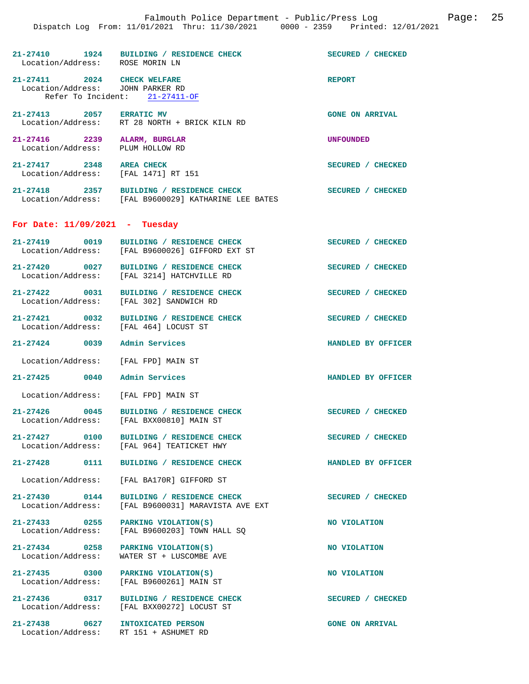|                                                                 | Dispatch Log From: 11/01/2021 Thru: 11/30/2021 0000 - 2359 Printed: 12/01/2021                   | Falmouth Police Department - Public/Press Log Fage: 25 |
|-----------------------------------------------------------------|--------------------------------------------------------------------------------------------------|--------------------------------------------------------|
| Location/Address: ROSE MORIN LN                                 | 21-27410 1924 BUILDING / RESIDENCE CHECK                                                         | SECURED / CHECKED                                      |
| 21-27411 2024 CHECK WELFARE<br>Location/Address: JOHN PARKER RD | Refer To Incident: 21-27411-OF                                                                   | <b>REPORT</b>                                          |
| 21-27413 2057 ERRATIC MV                                        | Location/Address: RT 28 NORTH + BRICK KILN RD                                                    | <b>GONE ON ARRIVAL</b>                                 |
| 21-27416 2239 ALARM, BURGLAR<br>Location/Address:               | PLUM HOLLOW RD                                                                                   | UNFOUNDED                                              |
| 21-27417 2348 AREA CHECK<br>Location/Address: [FAL 1471] RT 151 |                                                                                                  | SECURED / CHECKED                                      |
|                                                                 | 21-27418 2357 BUILDING / RESIDENCE CHECK<br>Location/Address: [FAL B9600029] KATHARINE LEE BATES | SECURED / CHECKED                                      |
| For Date: $11/09/2021$ - Tuesday                                |                                                                                                  |                                                        |
|                                                                 | 21-27419 0019 BUILDING / RESIDENCE CHECK<br>Location/Address: [FAL B9600026] GIFFORD EXT ST      | SECURED / CHECKED                                      |
|                                                                 | 21-27420 0027 BUILDING / RESIDENCE CHECK<br>Location/Address: [FAL 3214] HATCHVILLE RD           | SECURED / CHECKED                                      |
|                                                                 | 21-27422 0031 BUILDING / RESIDENCE CHECK<br>Location/Address: [FAL 302] SANDWICH RD              | SECURED / CHECKED                                      |
| 21-27421 0032<br>Location/Address: [FAL 464] LOCUST ST          | BUILDING / RESIDENCE CHECK                                                                       | SECURED / CHECKED                                      |
| 21-27424 0039 Admin Services                                    |                                                                                                  | HANDLED BY OFFICER                                     |
| Location/Address: [FAL FPD] MAIN ST                             |                                                                                                  |                                                        |
| 21-27425<br>0040                                                | Admin Services                                                                                   | HANDLED BY OFFICER                                     |

Location/Address: [FAL FPD] MAIN ST

**21-27426 0045 BUILDING / RESIDENCE CHECK SECURED / CHECKED**  Location/Address: [FAL BXX00810] MAIN ST

**21-27438 0627 INTOXICATED PERSON GONE ON ARRIVAL** 

**21-27427 0100 BUILDING / RESIDENCE CHECK SECURED / CHECKED**  [FAL 964] TEATICKET HWY

**21-27428 0111 BUILDING / RESIDENCE CHECK HANDLED BY OFFICER** 

Location/Address: [FAL BA170R] GIFFORD ST

**21-27430 0144 BUILDING / RESIDENCE CHECK SECURED / CHECKED**  Location/Address: [FAL B9600031] MARAVISTA AVE EXT

**21-27433 0255 PARKING VIOLATION(S) NO VIOLATION**  Location/Address: [FAL B9600203] TOWN HALL SQ

**21-27434 0258 PARKING VIOLATION(S) NO VIOLATION**  WATER ST + LUSCOMBE AVE

**21-27435** 0300 PARKING VIOLATION(S) NO VIOLATION Location/Address: [FAL B9600261] MAIN ST [FAL B9600261] MAIN ST

21-27436 0317 BUILDING / RESIDENCE CHECK SECURED / CHECKED Location/Address: [FAL BXX00272] LOCUST ST Location/Address: [FAL BXX00272] LOCUST ST

RT 151 + ASHUMET RD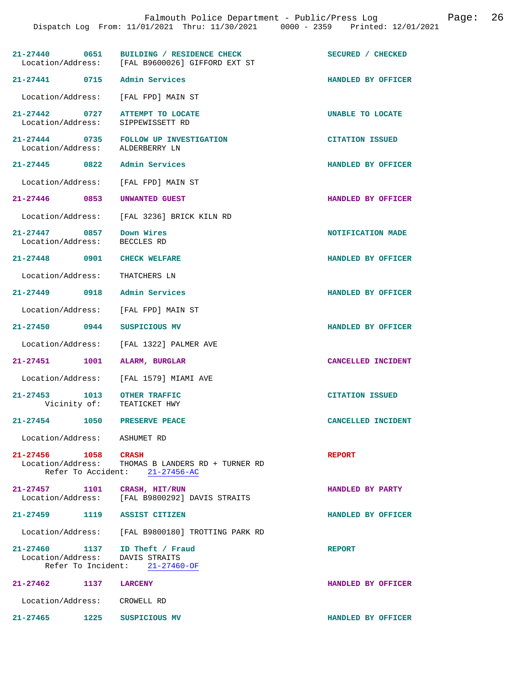| 21-27440 0651                                                        |      | BUILDING / RESIDENCE CHECK<br>Location/Address: [FAL B9600026] GIFFORD EXT ST       | SECURED / CHECKED       |
|----------------------------------------------------------------------|------|-------------------------------------------------------------------------------------|-------------------------|
| 21-27441 0715 Admin Services                                         |      |                                                                                     | HANDLED BY OFFICER      |
|                                                                      |      | Location/Address: [FAL FPD] MAIN ST                                                 |                         |
| 21-27442 0727 ATTEMPT TO LOCATE<br>Location/Address: SIPPEWISSETT RD |      |                                                                                     | <b>UNABLE TO LOCATE</b> |
| Location/Address: ALDERBERRY LN                                      |      | 21-27444 0735 FOLLOW UP INVESTIGATION                                               | <b>CITATION ISSUED</b>  |
| 21-27445 0822 Admin Services                                         |      |                                                                                     | HANDLED BY OFFICER      |
| Location/Address: [FAL FPD] MAIN ST                                  |      |                                                                                     |                         |
| 21-27446 0853 UNWANTED GUEST                                         |      |                                                                                     | HANDLED BY OFFICER      |
|                                                                      |      | Location/Address: [FAL 3236] BRICK KILN RD                                          |                         |
| 21-27447 0857 Down Wires<br>Location/Address: BECCLES RD             |      |                                                                                     | NOTIFICATION MADE       |
| 21-27448 0901 CHECK WELFARE                                          |      |                                                                                     | HANDLED BY OFFICER      |
| Location/Address: THATCHERS LN                                       |      |                                                                                     |                         |
| 21-27449 0918 Admin Services                                         |      |                                                                                     | HANDLED BY OFFICER      |
|                                                                      |      | Location/Address: [FAL FPD] MAIN ST                                                 |                         |
| 21-27450 0944 SUSPICIOUS MV                                          |      |                                                                                     | HANDLED BY OFFICER      |
|                                                                      |      | Location/Address: [FAL 1322] PALMER AVE                                             |                         |
| 21-27451 1001                                                        |      | ALARM, BURGLAR                                                                      | CANCELLED INCIDENT      |
|                                                                      |      | Location/Address: [FAL 1579] MIAMI AVE                                              |                         |
| 21-27453 1013<br>Vicinity of:                                        |      | <b>OTHER TRAFFIC</b><br>TEATICKET HWY                                               | <b>CITATION ISSUED</b>  |
| $21 - 27454$<br>1050                                                 |      | <b>PRESERVE PEACE</b>                                                               | CANCELLED INCIDENT      |
| Location/Address: ASHUMET RD                                         |      |                                                                                     |                         |
| 21-27456 1058 CRASH                                                  |      | Location/Address: THOMAS B LANDERS RD + TURNER RD<br>Refer To Accident: 21-27456-AC | <b>REPORT</b>           |
| 21-27457 1101 CRASH, HIT/RUN                                         |      | Location/Address: [FAL B9800292] DAVIS STRAITS                                      | HANDLED BY PARTY        |
| 21-27459 1119 ASSIST CITIZEN                                         |      |                                                                                     | HANDLED BY OFFICER      |
|                                                                      |      | Location/Address: [FAL B9800180] TROTTING PARK RD                                   |                         |
| 21-27460 1137 ID Theft / Fraud<br>Location/Address: DAVIS STRAITS    |      | Refer To Incident: $21-27460-OF$                                                    | <b>REPORT</b>           |
| 21-27462                                                             | 1137 | <b>LARCENY</b>                                                                      | HANDLED BY OFFICER      |
| Location/Address: CROWELL RD                                         |      |                                                                                     |                         |
| 21-27465 1225 SUSPICIOUS MV                                          |      |                                                                                     | HANDLED BY OFFICER      |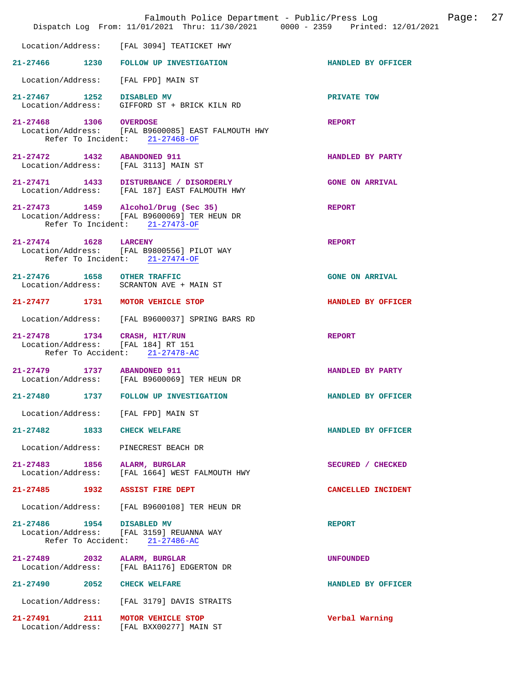|                                                                     | Falmouth Police Department - Public/Press Log<br>Dispatch Log From: 11/01/2021 Thru: 11/30/2021 0000 - 2359 Printed: 12/01/2021 |                        | Page: | 27 |
|---------------------------------------------------------------------|---------------------------------------------------------------------------------------------------------------------------------|------------------------|-------|----|
| Location/Address:                                                   | [FAL 3094] TEATICKET HWY                                                                                                        |                        |       |    |
| 21-27466 1230                                                       | FOLLOW UP INVESTIGATION                                                                                                         | HANDLED BY OFFICER     |       |    |
| Location/Address:                                                   | [FAL FPD] MAIN ST                                                                                                               |                        |       |    |
| 21-27467 1252 DISABLED MV                                           | Location/Address: GIFFORD ST + BRICK KILN RD                                                                                    | PRIVATE TOW            |       |    |
| 21-27468 1306 OVERDOSE                                              | Location/Address: [FAL B9600085] EAST FALMOUTH HWY<br>Refer To Incident: 21-27468-OF                                            | <b>REPORT</b>          |       |    |
| 21-27472 1432 ABANDONED 911<br>Location/Address: [FAL 3113] MAIN ST |                                                                                                                                 | HANDLED BY PARTY       |       |    |
|                                                                     | 21-27471 1433 DISTURBANCE / DISORDERLY<br>Location/Address: [FAL 187] EAST FALMOUTH HWY                                         | <b>GONE ON ARRIVAL</b> |       |    |
|                                                                     | 21-27473 1459 Alcohol/Drug (Sec 35)<br>Location/Address: [FAL B9600069] TER HEUN DR<br>Refer To Incident: 21-27473-OF           | <b>REPORT</b>          |       |    |
| 21-27474 1628 LARCENY                                               | Location/Address: [FAL B9800556] PILOT WAY<br>Refer To Incident: 21-27474-OF                                                    | <b>REPORT</b>          |       |    |
| 21-27476   1658   OTHER TRAFFIC                                     | Location/Address: SCRANTON AVE + MAIN ST                                                                                        | <b>GONE ON ARRIVAL</b> |       |    |
| 21-27477 1731                                                       | MOTOR VEHICLE STOP                                                                                                              | HANDLED BY OFFICER     |       |    |
| Location/Address:                                                   | [FAL B9600037] SPRING BARS RD                                                                                                   |                        |       |    |
| 21-27478 1734 CRASH, HIT/RUN<br>Location/Address: [FAL 184] RT 151  | Refer To Accident: 21-27478-AC                                                                                                  | <b>REPORT</b>          |       |    |
| 21-27479 1737 ABANDONED 911                                         | Location/Address: [FAL B9600069] TER HEUN DR                                                                                    | HANDLED BY PARTY       |       |    |
| $21 - 27480$<br>1737                                                | FOLLOW UP INVESTIGATION                                                                                                         | HANDLED BY OFFICER     |       |    |
| Location/Address: [FAL FPD] MAIN ST                                 |                                                                                                                                 |                        |       |    |
| 21-27482 1833 CHECK WELFARE                                         |                                                                                                                                 | HANDLED BY OFFICER     |       |    |
| Location/Address:                                                   | PINECREST BEACH DR                                                                                                              |                        |       |    |
| 21-27483 1856<br>Location/Address:                                  | ALARM, BURGLAR<br>[FAL 1664] WEST FALMOUTH HWY                                                                                  | SECURED / CHECKED      |       |    |
| 21-27485 1932 ASSIST FIRE DEPT                                      |                                                                                                                                 | CANCELLED INCIDENT     |       |    |
|                                                                     | Location/Address: [FAL B9600108] TER HEUN DR                                                                                    |                        |       |    |
| 21-27486 1954 DISABLED MV                                           | Location/Address: [FAL 3159] REUANNA WAY<br>Refer To Accident: 21-27486-AC                                                      | <b>REPORT</b>          |       |    |
| 21-27489 2032                                                       | ALARM, BURGLAR<br>Location/Address: [FAL BA1176] EDGERTON DR                                                                    | <b>UNFOUNDED</b>       |       |    |
| 21-27490 2052 CHECK WELFARE                                         |                                                                                                                                 | HANDLED BY OFFICER     |       |    |
|                                                                     | Location/Address: [FAL 3179] DAVIS STRAITS                                                                                      |                        |       |    |
| 21-27491 2111                                                       | MOTOR VEHICLE STOP<br>Location/Address: [FAL BXX00277] MAIN ST                                                                  | Verbal Warning         |       |    |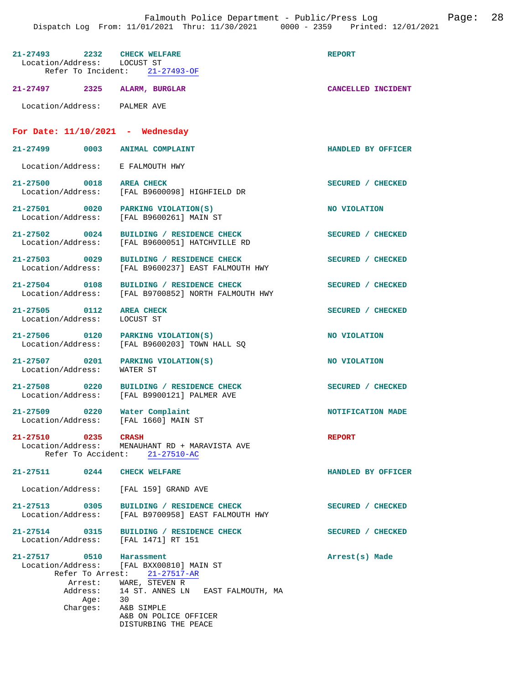| 21-27493 2232 CHECK WELFARE<br>Location/Address: LOCUST ST | Refer To Incident: 21-27493-OF                                                                                                          | <b>REPORT</b>            |
|------------------------------------------------------------|-----------------------------------------------------------------------------------------------------------------------------------------|--------------------------|
| 21-27497 2325                                              | <b>ALARM, BURGLAR</b>                                                                                                                   | CANCELLED INCIDENT       |
| Location/Address: PALMER AVE                               |                                                                                                                                         |                          |
| For Date: $11/10/2021$ - Wednesday                         |                                                                                                                                         |                          |
| 21-27499 0003 ANIMAL COMPLAINT                             |                                                                                                                                         | HANDLED BY OFFICER       |
| Location/Address: E FALMOUTH HWY                           |                                                                                                                                         |                          |
| 21-27500 0018<br>Location/Address:                         | <b>AREA CHECK</b><br>[FAL B9600098] HIGHFIELD DR                                                                                        | SECURED / CHECKED        |
| 21-27501 0020<br>Location/Address:                         | PARKING VIOLATION(S)<br>[FAL B9600261] MAIN ST                                                                                          | NO VIOLATION             |
| 21-27502 0024<br>Location/Address:                         | BUILDING / RESIDENCE CHECK<br>[FAL B9600051] HATCHVILLE RD                                                                              | SECURED / CHECKED        |
| 21-27503 0029<br>Location/Address:                         | BUILDING / RESIDENCE CHECK<br>[FAL B9600237] EAST FALMOUTH HWY                                                                          | SECURED / CHECKED        |
| 21-27504 0108<br>Location/Address:                         | BUILDING / RESIDENCE CHECK<br>[FAL B9700852] NORTH FALMOUTH HWY                                                                         | SECURED / CHECKED        |
| 21-27505 0112<br>Location/Address:                         | <b>AREA CHECK</b><br>LOCUST ST                                                                                                          | SECURED / CHECKED        |
| 21-27506 0120 PARKING VIOLATION(S)<br>Location/Address:    | [FAL B9600203] TOWN HALL SQ                                                                                                             | NO VIOLATION             |
| 21-27507 0201<br>Location/Address:                         | PARKING VIOLATION(S)<br>WATER ST                                                                                                        | NO VIOLATION             |
| 21-27508 0220<br>Location/Address:                         | BUILDING / RESIDENCE CHECK<br>[FAL B9900121] PALMER AVE                                                                                 | SECURED / CHECKED        |
| 21-27509 0220<br>Location/Address:                         | Water Complaint<br>[FAL 1660] MAIN ST                                                                                                   | <b>NOTIFICATION MADE</b> |
| 21-27510 0235                                              | CRASH<br>Location/Address: MENAUHANT RD + MARAVISTA AVE<br>Refer To Accident: 21-27510-AC                                               | <b>REPORT</b>            |
| 21-27511 0244 CHECK WELFARE                                |                                                                                                                                         | HANDLED BY OFFICER       |
| Location/Address: [FAL 159] GRAND AVE                      |                                                                                                                                         |                          |
|                                                            | 21-27513 0305 BUILDING / RESIDENCE CHECK<br>Location/Address: [FAL B9700958] EAST FALMOUTH HWY                                          | SECURED / CHECKED        |
| 21-27514 0315<br>Location/Address:                         | BUILDING / RESIDENCE CHECK<br>[FAL 1471] RT 151                                                                                         | SECURED / CHECKED        |
| 21-27517 0510 Harassment<br>Address:                       | Location/Address: [FAL BXX00810] MAIN ST<br>Refer To Arrest: 21-27517-AR<br>Arrest: WARE, STEVEN R<br>14 ST. ANNES LN EAST FALMOUTH, MA | Arrest(s) Made           |
| Aqe:<br>Charges:                                           | 30<br>A&B SIMPLE<br>A&B ON POLICE OFFICER<br>DISTURBING THE PEACE                                                                       |                          |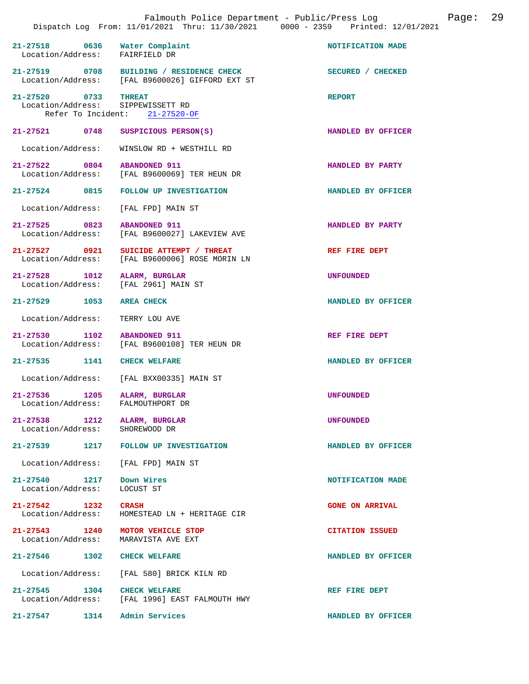|                                                           |                                                                                             | Dispatch Log From: 11/01/2021 Thru: 11/30/2021 0000 - 2359 Printed: 12/01/2021 |
|-----------------------------------------------------------|---------------------------------------------------------------------------------------------|--------------------------------------------------------------------------------|
| 21-27518 0636<br>Location/Address: FAIRFIELD DR           | Water Complaint                                                                             | NOTIFICATION MADE                                                              |
|                                                           | 21-27519 0708 BUILDING / RESIDENCE CHECK<br>Location/Address: [FAL B9600026] GIFFORD EXT ST | SECURED / CHECKED                                                              |
| 21-27520 0733 THREAT<br>Location/Address: SIPPEWISSETT RD | Refer To Incident: 21-27520-OF                                                              | <b>REPORT</b>                                                                  |
| 21-27521 0748                                             | SUSPICIOUS PERSON(S)                                                                        | HANDLED BY OFFICER                                                             |
| Location/Address:                                         | WINSLOW RD + WESTHILL RD                                                                    |                                                                                |
| 21-27522 0804                                             | <b>ABANDONED 911</b><br>Location/Address: [FAL B9600069] TER HEUN DR                        | HANDLED BY PARTY                                                               |
| 21-27524 0815                                             | FOLLOW UP INVESTIGATION                                                                     | HANDLED BY OFFICER                                                             |
| Location/Address:                                         | [FAL FPD] MAIN ST                                                                           |                                                                                |
| 21-27525 0823                                             | <b>ABANDONED 911</b><br>Location/Address: [FAL B9600027] LAKEVIEW AVE                       | HANDLED BY PARTY                                                               |
| 21-27527 0921                                             | SUICIDE ATTEMPT / THREAT<br>Location/Address: [FAL B9600006] ROSE MORIN LN                  | REF FIRE DEPT                                                                  |
| 21-27528 1012<br>Location/Address: [FAL 2961] MAIN ST     | ALARM, BURGLAR                                                                              | UNFOUNDED                                                                      |
| 21-27529 1053                                             | <b>AREA CHECK</b>                                                                           | HANDLED BY OFFICER                                                             |
| Location/Address:                                         | TERRY LOU AVE                                                                               |                                                                                |
| 21-27530 1102                                             | <b>ABANDONED 911</b><br>Location/Address: [FAL B9600108] TER HEUN DR                        | REF FIRE DEPT                                                                  |
| 21-27535 1141                                             | <b>CHECK WELFARE</b>                                                                        | HANDLED BY OFFICER                                                             |
| Location/Address:                                         | [FAL BXX00335] MAIN ST                                                                      |                                                                                |
| 21-27536 1205<br>Location/Address: FALMOUTHPORT DR        | ALARM, BURGLAR                                                                              | <b>UNFOUNDED</b>                                                               |
| 21-27538 1212<br>Location/Address:                        | ALARM, BURGLAR<br>SHOREWOOD DR                                                              | <b>UNFOUNDED</b>                                                               |
| $21 - 27539$<br>1217                                      | <b>FOLLOW UP INVESTIGATION</b>                                                              | HANDLED BY OFFICER                                                             |
| Location/Address: [FAL FPD] MAIN ST                       |                                                                                             |                                                                                |
| 21-27540 1217<br>Location/Address:                        | Down Wires<br>LOCUST ST                                                                     | NOTIFICATION MADE                                                              |
| $21 - 27542$ 1232<br>Location/Address:                    | <b>CRASH</b><br>HOMESTEAD LN + HERITAGE CIR                                                 | <b>GONE ON ARRIVAL</b>                                                         |
| 21-27543 1240<br>Location/Address:                        | MOTOR VEHICLE STOP<br>MARAVISTA AVE EXT                                                     | <b>CITATION ISSUED</b>                                                         |
| 21-27546 1302                                             | <b>CHECK WELFARE</b>                                                                        | HANDLED BY OFFICER                                                             |
| Location/Address:                                         | [FAL 580] BRICK KILN RD                                                                     |                                                                                |
| 21-27545 1304 CHECK WELFARE                               | Location/Address: [FAL 1996] EAST FALMOUTH HWY                                              | REF FIRE DEPT                                                                  |
| 21-27547 1314 Admin Services                              |                                                                                             | HANDLED BY OFFICER                                                             |

Falmouth Police Department - Public/Press Log Page: 29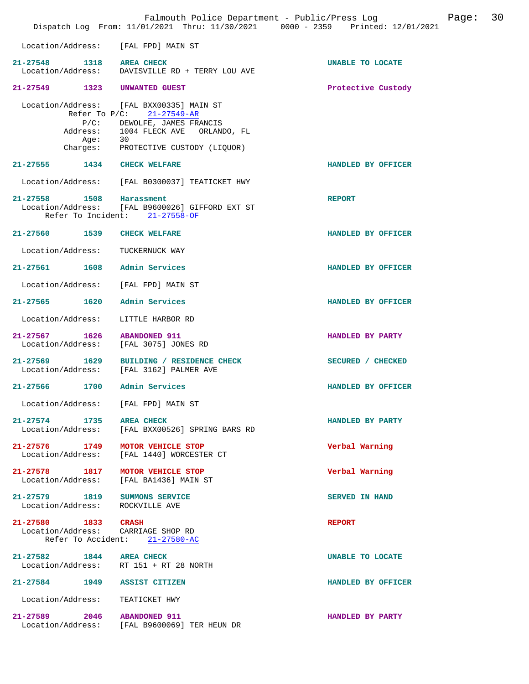|               |                     |                                                                                                                                                                                             | Falmouth Police Department - Public/Press Log<br>Dispatch Log From: 11/01/2021 Thru: 11/30/2021 0000 - 2359 Printed: 12/01/2021 | 30<br>Page: |
|---------------|---------------------|---------------------------------------------------------------------------------------------------------------------------------------------------------------------------------------------|---------------------------------------------------------------------------------------------------------------------------------|-------------|
|               |                     | Location/Address: [FAL FPD] MAIN ST                                                                                                                                                         |                                                                                                                                 |             |
|               |                     | 21-27548 1318 AREA CHECK<br>Location/Address: DAVISVILLE RD + TERRY LOU AVE                                                                                                                 | <b>UNABLE TO LOCATE</b>                                                                                                         |             |
|               |                     | 21-27549 1323 UNWANTED GUEST                                                                                                                                                                | Protective Custody                                                                                                              |             |
|               | Age:                | Location/Address: [FAL BXX00335] MAIN ST<br>Refer To $P/C: 21-27549-AR$<br>P/C: DEWOLFE, JAMES FRANCIS<br>Address: 1004 FLECK AVE ORLANDO, FL<br>30<br>Charges: PROTECTIVE CUSTODY (LIQUOR) |                                                                                                                                 |             |
|               |                     | 21-27555 1434 CHECK WELFARE                                                                                                                                                                 | HANDLED BY OFFICER                                                                                                              |             |
|               |                     | Location/Address: [FAL B0300037] TEATICKET HWY                                                                                                                                              |                                                                                                                                 |             |
|               |                     | 21-27558 1508 Harassment<br>Location/Address: [FAL B9600026] GIFFORD EXT ST<br>Refer To Incident: 21-27558-OF                                                                               | <b>REPORT</b>                                                                                                                   |             |
|               |                     | 21-27560 1539 CHECK WELFARE                                                                                                                                                                 | HANDLED BY OFFICER                                                                                                              |             |
|               | Location/Address:   | TUCKERNUCK WAY                                                                                                                                                                              |                                                                                                                                 |             |
|               |                     | 21-27561 1608 Admin Services                                                                                                                                                                | HANDLED BY OFFICER                                                                                                              |             |
|               |                     | Location/Address: [FAL FPD] MAIN ST                                                                                                                                                         |                                                                                                                                 |             |
| 21-27565 1620 |                     | Admin Services                                                                                                                                                                              | HANDLED BY OFFICER                                                                                                              |             |
|               | Location/Address:   | LITTLE HARBOR RD                                                                                                                                                                            |                                                                                                                                 |             |
|               | Location/Address:   | 21-27567 1626 ABANDONED 911<br>[FAL 3075] JONES RD                                                                                                                                          | HANDLED BY PARTY                                                                                                                |             |
|               |                     | 21-27569 1629 BUILDING / RESIDENCE CHECK<br>Location/Address: [FAL 3162] PALMER AVE                                                                                                         | SECURED / CHECKED                                                                                                               |             |
| 21-27566 1700 |                     | Admin Services                                                                                                                                                                              | HANDLED BY OFFICER                                                                                                              |             |
|               |                     | Location/Address: [FAL FPD] MAIN ST                                                                                                                                                         |                                                                                                                                 |             |
|               |                     | 21-27574 1735 AREA CHECK<br>Location/Address: [FAL BXX00526] SPRING BARS RD                                                                                                                 | HANDLED BY PARTY                                                                                                                |             |
|               |                     | 21-27576 1749 MOTOR VEHICLE STOP<br>Location/Address: [FAL 1440] WORCESTER CT                                                                                                               | Verbal Warning                                                                                                                  |             |
|               |                     | 21-27578 1817 MOTOR VEHICLE STOP<br>Location/Address: [FAL BA1436] MAIN ST                                                                                                                  | Verbal Warning                                                                                                                  |             |
|               |                     | 21-27579 1819 SUMMONS SERVICE<br>Location/Address: ROCKVILLE AVE                                                                                                                            | SERVED IN HAND                                                                                                                  |             |
|               | 21-27580 1833 CRASH | Location/Address: CARRIAGE SHOP RD<br>Refer To Accident: 21-27580-AC                                                                                                                        | <b>REPORT</b>                                                                                                                   |             |
|               |                     | 21-27582 1844 AREA CHECK<br>Location/Address: RT 151 + RT 28 NORTH                                                                                                                          | UNABLE TO LOCATE                                                                                                                |             |
|               |                     | 21-27584 1949 ASSIST CITIZEN                                                                                                                                                                | HANDLED BY OFFICER                                                                                                              |             |
|               |                     | Location/Address: TEATICKET HWY                                                                                                                                                             |                                                                                                                                 |             |
|               |                     | 21-27589 2046 ABANDONED 911<br>Location/Address: [FAL B9600069] TER HEUN DR                                                                                                                 | HANDLED BY PARTY                                                                                                                |             |
|               |                     |                                                                                                                                                                                             |                                                                                                                                 |             |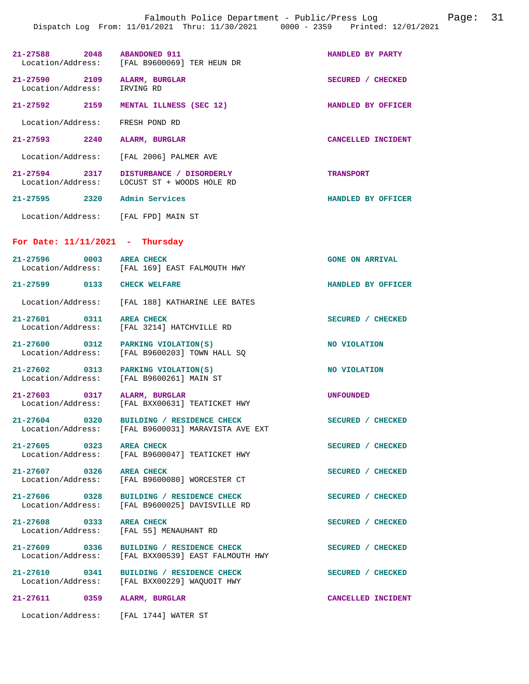Falmouth Police Department - Public/Press Log Page: 31 Dispatch Log From: 11/01/2021 Thru: 11/30/2021 0000 - 2359 Printed: 12/01/2021

| 21-27588 2048 ABANDONED 911<br>Location/Address:          | [FAL B9600069] TER HEUN DR                                                                     | HANDLED BY PARTY       |
|-----------------------------------------------------------|------------------------------------------------------------------------------------------------|------------------------|
| 21-27590 2109<br>Location/Address:                        | ALARM, BURGLAR<br>IRVING RD                                                                    | SECURED / CHECKED      |
| 21-27592 2159                                             | MENTAL ILLNESS (SEC 12)                                                                        | HANDLED BY OFFICER     |
| Location/Address:                                         | FRESH POND RD                                                                                  |                        |
| 21-27593 2240                                             | ALARM, BURGLAR                                                                                 | CANCELLED INCIDENT     |
| Location/Address:                                         | [FAL 2006] PALMER AVE                                                                          |                        |
| 21-27594 2317<br>Location/Address:                        | DISTURBANCE / DISORDERLY<br>LOCUST ST + WOODS HOLE RD                                          | <b>TRANSPORT</b>       |
| 21–27595 2320                                             | Admin Services                                                                                 | HANDLED BY OFFICER     |
| Location/Address: [FAL FPD] MAIN ST                       |                                                                                                |                        |
| For Date: $11/11/2021$ - Thursday                         |                                                                                                |                        |
| 21-27596 0003 AREA CHECK                                  | Location/Address: [FAL 169] EAST FALMOUTH HWY                                                  | <b>GONE ON ARRIVAL</b> |
| 21-27599 0133 CHECK WELFARE                               |                                                                                                | HANDLED BY OFFICER     |
|                                                           | Location/Address: [FAL 188] KATHARINE LEE BATES                                                |                        |
| 21-27601 0311 AREA CHECK<br>Location/Address:             | [FAL 3214] HATCHVILLE RD                                                                       | SECURED / CHECKED      |
| $21-27600$ 0312 PARKING VIOLATION(S)<br>Location/Address: | [FAL B9600203] TOWN HALL SQ                                                                    | NO VIOLATION           |
| 21-27602 0313<br>Location/Address:                        | PARKING VIOLATION(S)<br>[FAL B9600261] MAIN ST                                                 | NO VIOLATION           |
| 21-27603 0317 ALARM, BURGLAR<br>Location/Address:         | [FAL BXX00631] TEATICKET HWY                                                                   | <b>UNFOUNDED</b>       |
| $21 - 27604$<br>0320                                      | BUILDING / RESIDENCE CHECK<br>Location/Address: [FAL B9600031] MARAVISTA AVE EXT               | SECURED / CHECKED      |
| 21-27605 0323                                             | <b>AREA CHECK</b><br>Location/Address: [FAL B9600047] TEATICKET HWY                            | SECURED / CHECKED      |
| 21-27607 0326 AREA CHECK                                  | Location/Address: [FAL B9600080] WORCESTER CT                                                  | SECURED / CHECKED      |
|                                                           | 21-27606 0328 BUILDING / RESIDENCE CHECK<br>Location/Address: [FAL B9600025] DAVISVILLE RD     | SECURED / CHECKED      |
| 21-27608 0333 AREA CHECK                                  | Location/Address: [FAL 55] MENAUHANT RD                                                        | SECURED / CHECKED      |
|                                                           | 21-27609 0336 BUILDING / RESIDENCE CHECK<br>Location/Address: [FAL BXX00539] EAST FALMOUTH HWY | SECURED / CHECKED      |
|                                                           | 21-27610 0341 BUILDING / RESIDENCE CHECK<br>Location/Address: [FAL BXX00229] WAQUOIT HWY       | SECURED / CHECKED      |
| 21-27611 0359 ALARM, BURGLAR                              |                                                                                                | CANCELLED INCIDENT     |
| Location/Address:                                         | [FAL 1744] WATER ST                                                                            |                        |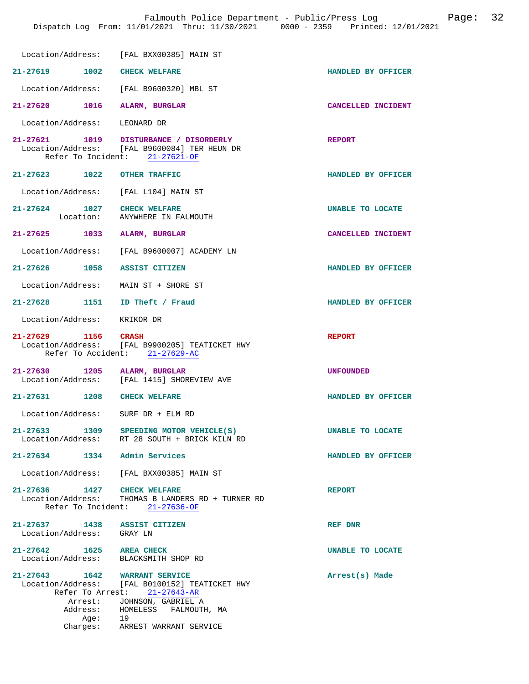|                                                                  | Location/Address: [FAL BXX00385] MAIN ST                                                                                 |                    |
|------------------------------------------------------------------|--------------------------------------------------------------------------------------------------------------------------|--------------------|
| 21-27619 1002 CHECK WELFARE                                      |                                                                                                                          | HANDLED BY OFFICER |
|                                                                  | Location/Address: [FAL B9600320] MBL ST                                                                                  |                    |
| 21-27620 1016 ALARM, BURGLAR                                     |                                                                                                                          | CANCELLED INCIDENT |
| Location/Address: LEONARD DR                                     |                                                                                                                          |                    |
|                                                                  | 21-27621 1019 DISTURBANCE / DISORDERLY<br>Location/Address: [FAL B9600084] TER HEUN DR<br>Refer To Incident: 21-27621-OF | <b>REPORT</b>      |
| 21-27623 1022 OTHER TRAFFIC                                      |                                                                                                                          | HANDLED BY OFFICER |
| Location/Address: [FAL L104] MAIN ST                             |                                                                                                                          |                    |
| 21-27624 1027 CHECK WELFARE                                      | Location: ANYWHERE IN FALMOUTH                                                                                           | UNABLE TO LOCATE   |
| 21-27625 1033 ALARM, BURGLAR                                     |                                                                                                                          | CANCELLED INCIDENT |
|                                                                  | Location/Address: [FAL B9600007] ACADEMY LN                                                                              |                    |
| 21-27626 1058 ASSIST CITIZEN                                     |                                                                                                                          | HANDLED BY OFFICER |
| Location/Address: MAIN ST + SHORE ST                             |                                                                                                                          |                    |
| 21-27628 1151 ID Theft / Fraud                                   |                                                                                                                          | HANDLED BY OFFICER |
| Location/Address: KRIKOR DR                                      |                                                                                                                          |                    |
|                                                                  |                                                                                                                          |                    |
| 21-27629 1156 CRASH                                              | Location/Address: [FAL B9900205] TEATICKET HWY<br>Refer To Accident: 21-27629-AC                                         | <b>REPORT</b>      |
| 21-27630 1205 ALARM, BURGLAR                                     |                                                                                                                          | <b>UNFOUNDED</b>   |
|                                                                  | Location/Address: [FAL 1415] SHOREVIEW AVE                                                                               |                    |
| 21-27631 1208 CHECK WELFARE                                      |                                                                                                                          | HANDLED BY OFFICER |
| Location/Address: SURF DR + ELM RD                               |                                                                                                                          |                    |
| $21 - 27633$                                                     | 1309 SPEEDING MOTOR VEHICLE(S)<br>Location/Address: RT 28 SOUTH + BRICK KILN RD                                          | UNABLE TO LOCATE   |
| 21-27634 1334 Admin Services                                     |                                                                                                                          | HANDLED BY OFFICER |
|                                                                  | Location/Address: [FAL BXX00385] MAIN ST                                                                                 |                    |
| 21-27636 1427 CHECK WELFARE                                      | Location/Address: THOMAS B LANDERS RD + TURNER RD<br>Refer To Incident: 21-27636-OF                                      | <b>REPORT</b>      |
| 21-27637 1438 ASSIST CITIZEN<br>Location/Address: GRAY LN        |                                                                                                                          | REF DNR            |
| 21-27642 1625 AREA CHECK<br>Location/Address: BLACKSMITH SHOP RD |                                                                                                                          | UNABLE TO LOCATE   |
| 21-27643 1642 WARRANT SERVICE                                    | Location/Address: [FAL B0100152] TEATICKET HWY<br>Refer To Arrest: 21-27643-AR                                           | Arrest(s) Made     |
|                                                                  | Arrest: JOHNSON, GABRIEL A<br>Address: HOMELESS FALMOUTH, MA                                                             |                    |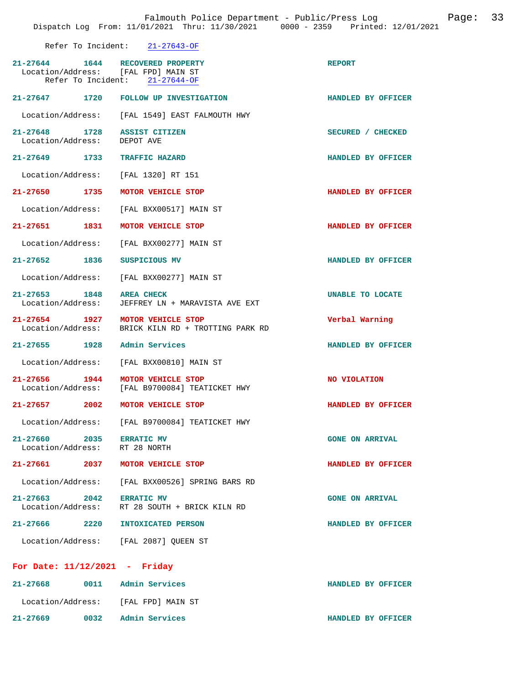| $21 - 27643 - OF$ |
|-------------------|
|                   |

| 21-27644 1644 RECOVERED PROPERTY<br>Location/Address: [FAL FPD] MAIN ST | Refer To Incident: 21-27644-OF                         | <b>REPORT</b>           |
|-------------------------------------------------------------------------|--------------------------------------------------------|-------------------------|
|                                                                         | 21-27647 1720 FOLLOW UP INVESTIGATION                  | HANDLED BY OFFICER      |
|                                                                         | Location/Address: [FAL 1549] EAST FALMOUTH HWY         |                         |
| 21-27648 1728<br>Location/Address:                                      | ASSIST CITIZEN<br>DEPOT AVE                            | SECURED / CHECKED       |
| 21-27649 1733                                                           | <b>TRAFFIC HAZARD</b>                                  | HANDLED BY OFFICER      |
| Location/Address: [FAL 1320] RT 151                                     |                                                        |                         |
| 21-27650 1735                                                           | MOTOR VEHICLE STOP                                     | HANDLED BY OFFICER      |
|                                                                         | Location/Address: [FAL BXX00517] MAIN ST               |                         |
| 21-27651 1831                                                           | MOTOR VEHICLE STOP                                     | HANDLED BY OFFICER      |
| Location/Address:                                                       | [FAL BXX00277] MAIN ST                                 |                         |
| 21-27652 1836                                                           | SUSPICIOUS MV                                          | HANDLED BY OFFICER      |
| Location/Address:                                                       | [FAL BXX00277] MAIN ST                                 |                         |
| 21-27653 1848<br>Location/Address:                                      | <b>AREA CHECK</b><br>JEFFREY LN + MARAVISTA AVE EXT    | <b>UNABLE TO LOCATE</b> |
| 21-27654 1927<br>Location/Address:                                      | MOTOR VEHICLE STOP<br>BRICK KILN RD + TROTTING PARK RD | Verbal Warning          |
| 21-27655 1928                                                           | Admin Services                                         | HANDLED BY OFFICER      |
| Location/Address:                                                       | [FAL BXX00810] MAIN ST                                 |                         |
| 21-27656 1944<br>Location/Address:                                      | MOTOR VEHICLE STOP<br>[FAL B9700084] TEATICKET HWY     | NO VIOLATION            |
| 21-27657 2002                                                           | MOTOR VEHICLE STOP                                     | HANDLED BY OFFICER      |
|                                                                         | Location/Address: [FAL B9700084] TEATICKET HWY         |                         |
| 21-27660 2035 ERRATIC MV<br>Location/Address: RT 28 NORTH               |                                                        | <b>GONE ON ARRIVAL</b>  |
| 21-27661 2037 MOTOR VEHICLE STOP                                        |                                                        | HANDLED BY OFFICER      |
|                                                                         | Location/Address: [FAL BXX00526] SPRING BARS RD        |                         |
| 21-27663 2042 ERRATIC MV                                                | Location/Address: RT 28 SOUTH + BRICK KILN RD          | <b>GONE ON ARRIVAL</b>  |
| 21-27666 2220                                                           | INTOXICATED PERSON                                     | HANDLED BY OFFICER      |
| Location/Address: [FAL 2087] QUEEN ST                                   |                                                        |                         |
| For Date: $11/12/2021$ - Friday                                         |                                                        |                         |
|                                                                         |                                                        |                         |
| 21-27668                                                                | 0011 Admin Services                                    | HANDLED BY OFFICER      |
| Location/Address: [FAL FPD] MAIN ST                                     |                                                        |                         |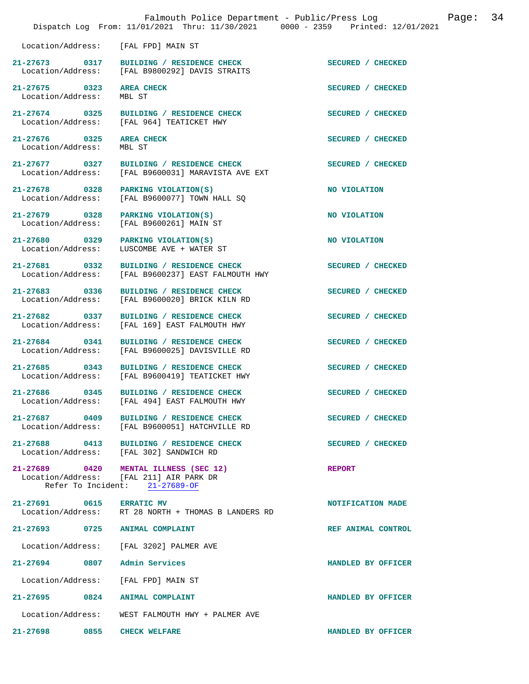|                                           | Falmouth Police Department - Public/Press Log<br>Dispatch Log From: 11/01/2021 Thru: 11/30/2021 0000 - 2359 Printed: 12/01/2021 | 34<br>Page:        |
|-------------------------------------------|---------------------------------------------------------------------------------------------------------------------------------|--------------------|
| Location/Address:                         | [FAL FPD] MAIN ST                                                                                                               |                    |
| 21-27673 0317                             | BUILDING / RESIDENCE CHECK<br>Location/Address: [FAL B9800292] DAVIS STRAITS                                                    | SECURED / CHECKED  |
| 21-27675 0323<br>Location/Address:        | <b>AREA CHECK</b><br>MBL ST                                                                                                     | SECURED / CHECKED  |
| 21-27674 0325<br>Location/Address:        | BUILDING / RESIDENCE CHECK<br>[FAL 964] TEATICKET HWY                                                                           | SECURED / CHECKED  |
| 21-27676 0325<br>Location/Address:        | <b>AREA CHECK</b><br>MBL ST                                                                                                     | SECURED / CHECKED  |
| 21-27677 0327<br>Location/Address:        | BUILDING / RESIDENCE CHECK<br>[FAL B9600031] MARAVISTA AVE EXT                                                                  | SECURED / CHECKED  |
| 21-27678 0328<br>Location/Address:        | PARKING VIOLATION(S)<br>[FAL B9600077] TOWN HALL SQ                                                                             | NO VIOLATION       |
| 21-27679 0328<br>Location/Address:        | PARKING VIOLATION(S)<br>[FAL B9600261] MAIN ST                                                                                  | NO VIOLATION       |
| 21-27680 0329<br>Location/Address:        | PARKING VIOLATION(S)<br>LUSCOMBE AVE + WATER ST                                                                                 | NO VIOLATION       |
| 21-27681 0332<br>Location/Address:        | BUILDING / RESIDENCE CHECK<br>[FAL B9600237] EAST FALMOUTH HWY                                                                  | SECURED / CHECKED  |
| 21-27683 0336<br>Location/Address:        | BUILDING / RESIDENCE CHECK<br>[FAL B9600020] BRICK KILN RD                                                                      | SECURED / CHECKED  |
| 21-27682 0337<br>Location/Address:        | BUILDING / RESIDENCE CHECK<br>[FAL 169] EAST FALMOUTH HWY                                                                       | SECURED / CHECKED  |
| 21-27684 0341<br>Location/Address:        | BUILDING / RESIDENCE CHECK<br>[FAL B9600025] DAVISVILLE RD                                                                      | SECURED / CHECKED  |
| 21-27685<br>0343<br>Location/Address:     | BUILDING / RESIDENCE CHECK<br>[FAL B9600419] TEATICKET HWY                                                                      | SECURED / CHECKED  |
| 21-27686 0345<br>Location/Address:        | BUILDING / RESIDENCE CHECK<br>[FAL 494] EAST FALMOUTH HWY                                                                       | SECURED / CHECKED  |
| $21 - 27687$<br>0409<br>Location/Address: | BUILDING / RESIDENCE CHECK<br>[FAL B9600051] HATCHVILLE RD                                                                      | SECURED / CHECKED  |
|                                           | 21-27688 0413 BUILDING / RESIDENCE CHECK<br>Location/Address: [FAL 302] SANDWICH RD                                             | SECURED / CHECKED  |
|                                           | 21-27689 0420 MENTAL ILLNESS (SEC 12)<br>Location/Address: [FAL 211] AIR PARK DR<br>Refer To Incident: 21-27689-OF              | <b>REPORT</b>      |
| 21-27691 0615 ERRATIC MV                  | Location/Address: RT 28 NORTH + THOMAS B LANDERS RD                                                                             | NOTIFICATION MADE  |
| 21-27693 0725 ANIMAL COMPLAINT            |                                                                                                                                 | REF ANIMAL CONTROL |
|                                           | Location/Address: [FAL 3202] PALMER AVE                                                                                         |                    |
| 21-27694 0807                             | Admin Services                                                                                                                  | HANDLED BY OFFICER |
| Location/Address:                         | [FAL FPD] MAIN ST                                                                                                               |                    |
| 21–27695<br>0824                          | ANIMAL COMPLAINT                                                                                                                | HANDLED BY OFFICER |
| Location/Address:                         | WEST FALMOUTH HWY + PALMER AVE                                                                                                  |                    |
| 0855<br>$21 - 27698$                      | <b>CHECK WELFARE</b>                                                                                                            | HANDLED BY OFFICER |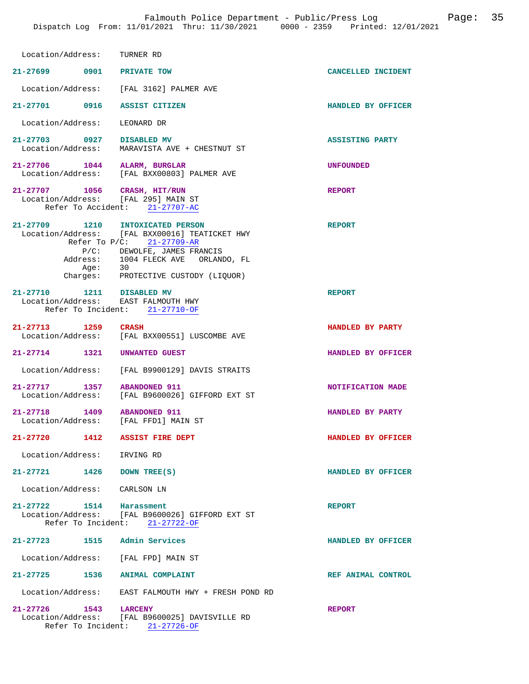| Location/Address: TURNER RD                                         |                                                                                                                                                                                                    |                        |
|---------------------------------------------------------------------|----------------------------------------------------------------------------------------------------------------------------------------------------------------------------------------------------|------------------------|
| 21-27699 0901 PRIVATE TOW                                           |                                                                                                                                                                                                    | CANCELLED INCIDENT     |
|                                                                     | Location/Address: [FAL 3162] PALMER AVE                                                                                                                                                            |                        |
| 21-27701 0916 ASSIST CITIZEN                                        |                                                                                                                                                                                                    | HANDLED BY OFFICER     |
| Location/Address:                                                   | LEONARD DR                                                                                                                                                                                         |                        |
| 21-27703 0927 DISABLED MV                                           | Location/Address: MARAVISTA AVE + CHESTNUT ST                                                                                                                                                      | <b>ASSISTING PARTY</b> |
| 21-27706 1044 ALARM, BURGLAR                                        | Location/Address: [FAL BXX00803] PALMER AVE                                                                                                                                                        | <b>UNFOUNDED</b>       |
| 21-27707 1056 CRASH, HIT/RUN<br>Location/Address: [FAL 295] MAIN ST | Refer To Accident: 21-27707-AC                                                                                                                                                                     | <b>REPORT</b>          |
| 21-27709 1210 INTOXICATED PERSON<br>Aqe:                            | Location/Address: [FAL BXX00016] TEATICKET HWY<br>Refer To $P/C$ : 21-27709-AR<br>P/C: DEWOLFE, JAMES FRANCIS<br>Address: 1004 FLECK AVE ORLANDO, FL<br>30<br>Charges: PROTECTIVE CUSTODY (LIQUOR) | <b>REPORT</b>          |
| 21-27710 1211 DISABLED MV<br>Location/Address: EAST FALMOUTH HWY    | Refer To Incident: 21-27710-OF                                                                                                                                                                     | <b>REPORT</b>          |
| 21-27713 1259 CRASH                                                 | Location/Address: [FAL BXX00551] LUSCOMBE AVE                                                                                                                                                      | HANDLED BY PARTY       |
| 21-27714 1321 UNWANTED GUEST                                        |                                                                                                                                                                                                    | HANDLED BY OFFICER     |
|                                                                     | Location/Address: [FAL B9900129] DAVIS STRAITS                                                                                                                                                     |                        |
| 21-27717 1357                                                       | <b>ABANDONED 911</b><br>Location/Address: [FAL B9600026] GIFFORD EXT ST                                                                                                                            | NOTIFICATION MADE      |
| 21-27718 1409<br>Location/Address: [FAL FFD1] MAIN ST               | <b>ABANDONED 911</b>                                                                                                                                                                               | HANDLED BY PARTY       |
| 21-27720 1412 ASSIST FIRE DEPT                                      |                                                                                                                                                                                                    | HANDLED BY OFFICER     |
| Location/Address: IRVING RD                                         |                                                                                                                                                                                                    |                        |
| 21-27721 1426 DOWN TREE(S)                                          |                                                                                                                                                                                                    | HANDLED BY OFFICER     |
| Location/Address: CARLSON LN                                        |                                                                                                                                                                                                    |                        |
| 21-27722 1514                                                       | Harassment<br>Location/Address: [FAL B9600026] GIFFORD EXT ST<br>Refer To Incident: 21-27722-OF                                                                                                    | <b>REPORT</b>          |
| 21-27723 1515 Admin Services                                        |                                                                                                                                                                                                    | HANDLED BY OFFICER     |
| Location/Address: [FAL FPD] MAIN ST                                 |                                                                                                                                                                                                    |                        |
| 21-27725 1536 ANIMAL COMPLAINT                                      |                                                                                                                                                                                                    | REF ANIMAL CONTROL     |
|                                                                     | Location/Address: EAST FALMOUTH HWY + FRESH POND RD                                                                                                                                                |                        |
| 21-27726 1543 LARCENY                                               | Location/Address: [FAL B9600025] DAVISVILLE RD<br>Refer To Incident: 21-27726-OF                                                                                                                   | <b>REPORT</b>          |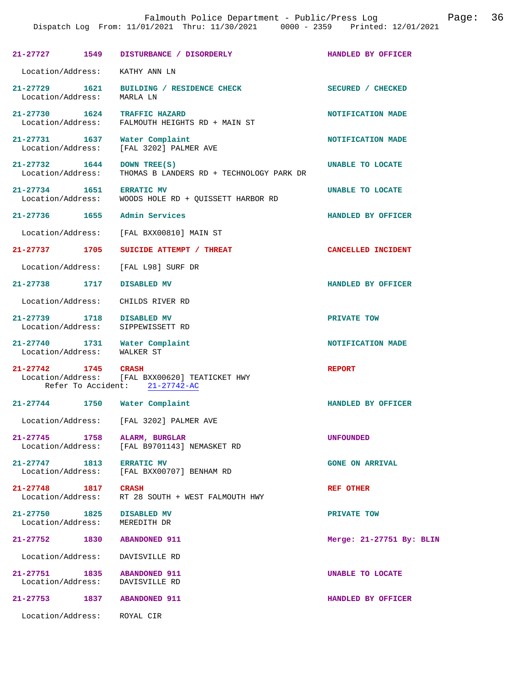|                                                                | Dispatch Log From: 11/01/2021 Thru: 11/30/2021 0000 - 2359 Printed: 12/01/2021   |                          |
|----------------------------------------------------------------|----------------------------------------------------------------------------------|--------------------------|
|                                                                | 21-27727 1549 DISTURBANCE / DISORDERLY                                           | HANDLED BY OFFICER       |
| Location/Address: KATHY ANN LN                                 |                                                                                  |                          |
| Location/Address: MARLA LN                                     | 21-27729 1621 BUILDING / RESIDENCE CHECK                                         | SECURED / CHECKED        |
| Location/Address:                                              | 21-27730 1624 TRAFFIC HAZARD<br>FALMOUTH HEIGHTS RD + MAIN ST                    | NOTIFICATION MADE        |
|                                                                | 21-27731 1637 Water Complaint<br>Location/Address: [FAL 3202] PALMER AVE         | NOTIFICATION MADE        |
| 21-27732 1644 DOWN TREE(S)<br>Location/Address:                | THOMAS B LANDERS RD + TECHNOLOGY PARK DR                                         | UNABLE TO LOCATE         |
| 21-27734 1651 ERRATIC MV                                       | Location/Address: WOODS HOLE RD + QUISSETT HARBOR RD                             | UNABLE TO LOCATE         |
|                                                                | 21-27736 1655 Admin Services                                                     | HANDLED BY OFFICER       |
|                                                                | Location/Address: [FAL BXX00810] MAIN ST                                         |                          |
| 21-27737 1705                                                  | SUICIDE ATTEMPT / THREAT                                                         | CANCELLED INCIDENT       |
|                                                                | Location/Address: [FAL L98] SURF DR                                              |                          |
| 21-27738 1717                                                  | DISABLED MV                                                                      | HANDLED BY OFFICER       |
| Location/Address:                                              | CHILDS RIVER RD                                                                  |                          |
| 21-27739 1718 DISABLED MV<br>Location/Address:                 | SIPPEWISSETT RD                                                                  | PRIVATE TOW              |
| Location/Address: WALKER ST                                    | 21-27740 1731 Water Complaint                                                    | NOTIFICATION MADE        |
| 21-27742 1745 CRASH                                            | Location/Address: [FAL BXX00620] TEATICKET HWY<br>Refer To Accident: 21-27742-AC | <b>REPORT</b>            |
|                                                                | 21-27744 1750 Water Complaint                                                    | HANDLED BY OFFICER       |
|                                                                | Location/Address: [FAL 3202] PALMER AVE                                          |                          |
| Location/Address:                                              | 21-27745 1758 ALARM, BURGLAR<br>[FAL B9701143] NEMASKET RD                       | <b>UNFOUNDED</b>         |
| 21-27747 1813 ERRATIC MV                                       | Location/Address: [FAL BXX00707] BENHAM RD                                       | <b>GONE ON ARRIVAL</b>   |
| 21-27748 1817 CRASH                                            | Location/Address: RT 28 SOUTH + WEST FALMOUTH HWY                                | <b>REF OTHER</b>         |
| 21-27750 1825 DISABLED MV<br>Location/Address: MEREDITH DR     |                                                                                  | PRIVATE TOW              |
| 21-27752 1830                                                  | <b>ABANDONED 911</b>                                                             | Merge: 21-27751 By: BLIN |
| Location/Address: DAVISVILLE RD                                |                                                                                  |                          |
| 21-27751 1835 ABANDONED 911<br>Location/Address: DAVISVILLE RD |                                                                                  | UNABLE TO LOCATE         |
| 21-27753 1837 ABANDONED 911                                    |                                                                                  | HANDLED BY OFFICER       |
|                                                                |                                                                                  |                          |

Falmouth Police Department - Public/Press Log Page: 36

Location/Address: ROYAL CIR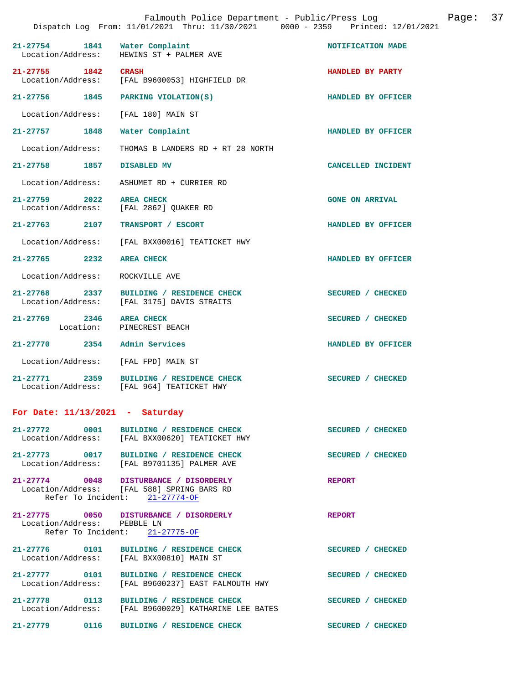|                                    |      | Falmouth Police Department - Public/Press Log<br>Dispatch Log From: 11/01/2021 Thru: 11/30/2021 0000 - 2359 Printed: 12/01/2021 |                        | Page: | 37 |
|------------------------------------|------|---------------------------------------------------------------------------------------------------------------------------------|------------------------|-------|----|
| $21 - 27754$<br>Location/Address:  |      | 1841 Water Complaint<br>HEWINS ST + PALMER AVE                                                                                  | NOTIFICATION MADE      |       |    |
| 21-27755 1842<br>Location/Address: |      | <b>CRASH</b><br>[FAL B9600053] HIGHFIELD DR                                                                                     | HANDLED BY PARTY       |       |    |
| 21-27756 1845                      |      | PARKING VIOLATION(S)                                                                                                            | HANDLED BY OFFICER     |       |    |
| Location/Address:                  |      | [FAL 180] MAIN ST                                                                                                               |                        |       |    |
| 21-27757 1848                      |      | Water Complaint                                                                                                                 | HANDLED BY OFFICER     |       |    |
| Location/Address:                  |      | THOMAS B LANDERS RD + RT 28 NORTH                                                                                               |                        |       |    |
| 21-27758 1857                      |      | DISABLED MV                                                                                                                     | CANCELLED INCIDENT     |       |    |
| Location/Address:                  |      | ASHUMET RD + CURRIER RD                                                                                                         |                        |       |    |
| $21 - 27759$                       | 2022 | <b>AREA CHECK</b><br>Location/Address: [FAL 2862] QUAKER RD                                                                     | <b>GONE ON ARRIVAL</b> |       |    |
| 21-27763 2107                      |      | TRANSPORT / ESCORT                                                                                                              | HANDLED BY OFFICER     |       |    |
| Location/Address:                  |      | [FAL BXX00016] TEATICKET HWY                                                                                                    |                        |       |    |
| $21 - 27765$                       | 2232 | <b>AREA CHECK</b>                                                                                                               | HANDLED BY OFFICER     |       |    |
| Location/Address:                  |      | ROCKVILLE AVE                                                                                                                   |                        |       |    |
|                                    |      | 21-27768 2337 BUILDING / RESIDENCE CHECK<br>Location/Address: [FAL 3175] DAVIS STRAITS                                          | SECURED / CHECKED      |       |    |
| 21-27769 2346                      |      | <b>AREA CHECK</b><br>Location: PINECREST BEACH                                                                                  | SECURED / CHECKED      |       |    |
| $21 - 27770$                       | 2354 | Admin Services                                                                                                                  | HANDLED BY OFFICER     |       |    |
| Location/Address:                  |      | [FAL FPD] MAIN ST                                                                                                               |                        |       |    |
| $21 - 27771$                       | 2359 | BUILDING / RESIDENCE CHECK<br>Location/Address: [FAL 964] TEATICKET HWY                                                         | SECURED / CHECKED      |       |    |
| For Date: $11/13/2021$ - Saturday  |      |                                                                                                                                 |                        |       |    |
| 21-27772 0001                      |      | BUILDING / RESIDENCE CHECK<br>Location/Address: [FAL BXX00620] TEATICKET HWY                                                    | SECURED / CHECKED      |       |    |
|                                    |      | 21-27773 0017 BUILDING / RESIDENCE CHECK<br>Location/Address: [FAL B9701135] PALMER AVE                                         | SECURED / CHECKED      |       |    |
|                                    |      | 21-27774 0048 DISTURBANCE / DISORDERLY<br>Location/Address: [FAL 588] SPRING BARS RD<br>Refer To Incident: 21-27774-OF          | <b>REPORT</b>          |       |    |
| Location/Address: PEBBLE LN        |      | 21-27775 0050 DISTURBANCE / DISORDERLY<br>Refer To Incident: 21-27775-OF                                                        | <b>REPORT</b>          |       |    |
| 21-27776 0101                      |      | BUILDING / RESIDENCE CHECK<br>Location/Address: [FAL BXX00810] MAIN ST                                                          | SECURED / CHECKED      |       |    |
| 21-27777 0101                      |      | BUILDING / RESIDENCE CHECK<br>Location/Address: [FAL B9600237] EAST FALMOUTH HWY                                                | SECURED / CHECKED      |       |    |
| 21-27778 0113                      |      | BUILDING / RESIDENCE CHECK<br>Location/Address: [FAL B9600029] KATHARINE LEE BATES                                              | SECURED / CHECKED      |       |    |
| 21-27779 0116                      |      | BUILDING / RESIDENCE CHECK                                                                                                      | SECURED / CHECKED      |       |    |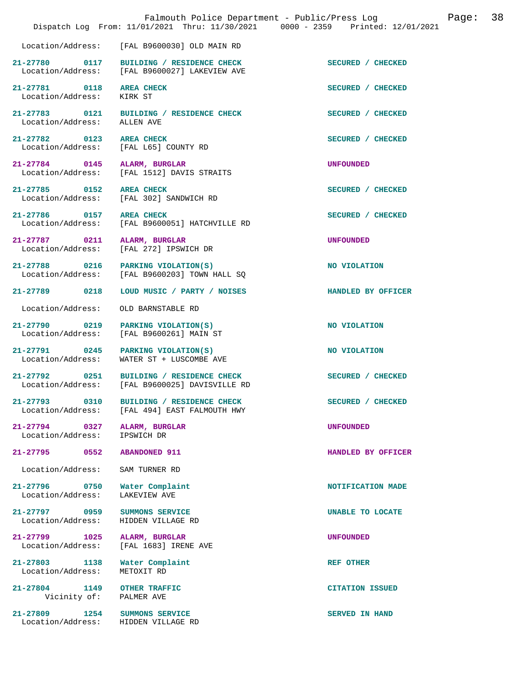|                                           | Falmouth Police Department - Public/Press Log<br>Dispatch Log From: 11/01/2021 Thru: 11/30/2021 0000 - 2359 Printed: 12/01/2021 |                        | Page: | 38 |
|-------------------------------------------|---------------------------------------------------------------------------------------------------------------------------------|------------------------|-------|----|
|                                           | Location/Address: [FAL B9600030] OLD MAIN RD                                                                                    |                        |       |    |
| 21-27780 0117                             | BUILDING / RESIDENCE CHECK<br>Location/Address: [FAL B9600027] LAKEVIEW AVE                                                     | SECURED / CHECKED      |       |    |
| 21-27781 0118<br>Location/Address:        | <b>AREA CHECK</b><br>KIRK ST                                                                                                    | SECURED / CHECKED      |       |    |
| 21-27783 0121<br>Location/Address:        | BUILDING / RESIDENCE CHECK<br>ALLEN AVE                                                                                         | SECURED / CHECKED      |       |    |
| 21-27782 0123<br>Location/Address:        | <b>AREA CHECK</b><br>[FAL L65] COUNTY RD                                                                                        | SECURED / CHECKED      |       |    |
| 21-27784 0145<br>Location/Address:        | ALARM, BURGLAR<br>[FAL 1512] DAVIS STRAITS                                                                                      | <b>UNFOUNDED</b>       |       |    |
| 21-27785 0152                             | <b>AREA CHECK</b><br>Location/Address: [FAL 302] SANDWICH RD                                                                    | SECURED / CHECKED      |       |    |
| 21-27786 0157<br>Location/Address:        | <b>AREA CHECK</b><br>[FAL B9600051] HATCHVILLE RD                                                                               | SECURED / CHECKED      |       |    |
| 21-27787 0211<br>Location/Address:        | ALARM, BURGLAR<br>[FAL 272] IPSWICH DR                                                                                          | <b>UNFOUNDED</b>       |       |    |
| 21-27788 0216<br>Location/Address:        | PARKING VIOLATION(S)<br>[FAL B9600203] TOWN HALL SQ                                                                             | NO VIOLATION           |       |    |
| 21-27789<br>0218                          | LOUD MUSIC / PARTY / NOISES                                                                                                     | HANDLED BY OFFICER     |       |    |
| Location/Address:                         | OLD BARNSTABLE RD                                                                                                               |                        |       |    |
| 21-27790 0219<br>Location/Address:        | PARKING VIOLATION(S)<br>[FAL B9600261] MAIN ST                                                                                  | NO VIOLATION           |       |    |
| 21-27791 0245<br>Location/Address:        | PARKING VIOLATION(S)<br>WATER ST + LUSCOMBE AVE                                                                                 | NO VIOLATION           |       |    |
| 21-27792 0251                             | BUILDING / RESIDENCE CHECK<br>Location/Address: [FAL B9600025] DAVISVILLE RD                                                    | SECURED / CHECKED      |       |    |
| 21-27793 0310<br>Location/Address:        | BUILDING / RESIDENCE CHECK<br>[FAL 494] EAST FALMOUTH HWY                                                                       | SECURED / CHECKED      |       |    |
| 21-27794 0327<br>Location/Address:        | ALARM, BURGLAR<br>IPSWICH DR                                                                                                    | <b>UNFOUNDED</b>       |       |    |
| 21-27795<br>0552                          | <b>ABANDONED 911</b>                                                                                                            | HANDLED BY OFFICER     |       |    |
| Location/Address:                         | SAM TURNER RD                                                                                                                   |                        |       |    |
| 21-27796 0750<br>Location/Address:        | Water Complaint<br>LAKEVIEW AVE                                                                                                 | NOTIFICATION MADE      |       |    |
| 21-27797 0959<br>Location/Address:        | SUMMONS SERVICE<br>HIDDEN VILLAGE RD                                                                                            | UNABLE TO LOCATE       |       |    |
| 21-27799<br>1025<br>Location/Address:     | ALARM, BURGLAR<br>[FAL 1683] IRENE AVE                                                                                          | <b>UNFOUNDED</b>       |       |    |
| $21 - 27803$<br>1138<br>Location/Address: | Water Complaint<br>METOXIT RD                                                                                                   | <b>REF OTHER</b>       |       |    |
| $21 - 27804$<br>1149<br>Vicinity of:      | <b>OTHER TRAFFIC</b><br>PALMER AVE                                                                                              | <b>CITATION ISSUED</b> |       |    |
| 21-27809<br>1254<br>Location/Address:     | SUMMONS SERVICE<br>HIDDEN VILLAGE RD                                                                                            | SERVED IN HAND         |       |    |
|                                           |                                                                                                                                 |                        |       |    |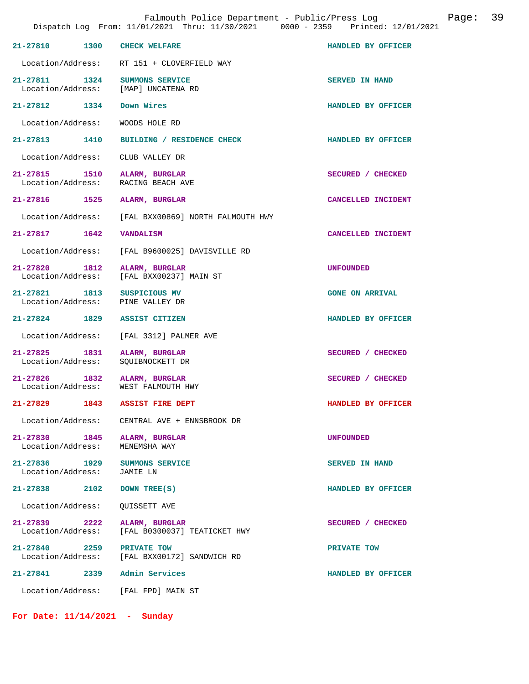|                                    |      | Falmouth Police Department - Public/Press Log<br>Dispatch Log From: 11/01/2021 Thru: 11/30/2021 0000 - 2359 Printed: 12/01/2021 |                        | Page: | 39 |
|------------------------------------|------|---------------------------------------------------------------------------------------------------------------------------------|------------------------|-------|----|
| 21-27810                           | 1300 | <b>CHECK WELFARE</b>                                                                                                            | HANDLED BY OFFICER     |       |    |
|                                    |      | Location/Address: RT 151 + CLOVERFIELD WAY                                                                                      |                        |       |    |
| 21-27811 1324                      |      | SUMMONS SERVICE<br>Location/Address: [MAP] UNCATENA RD                                                                          | SERVED IN HAND         |       |    |
| 21-27812 1334                      |      | Down Wires                                                                                                                      | HANDLED BY OFFICER     |       |    |
| Location/Address:                  |      | WOODS HOLE RD                                                                                                                   |                        |       |    |
| 21-27813 1410                      |      | BUILDING / RESIDENCE CHECK                                                                                                      | HANDLED BY OFFICER     |       |    |
| Location/Address:                  |      | CLUB VALLEY DR                                                                                                                  |                        |       |    |
| 21-27815 1510<br>Location/Address: |      | ALARM, BURGLAR<br>RACING BEACH AVE                                                                                              | SECURED / CHECKED      |       |    |
| 21-27816                           | 1525 | ALARM, BURGLAR                                                                                                                  | CANCELLED INCIDENT     |       |    |
| Location/Address:                  |      | [FAL BXX00869] NORTH FALMOUTH HWY                                                                                               |                        |       |    |
| 21-27817 1642                      |      | <b>VANDALISM</b>                                                                                                                | CANCELLED INCIDENT     |       |    |
| Location/Address:                  |      | [FAL B9600025] DAVISVILLE RD                                                                                                    |                        |       |    |
| 21-27820 1812<br>Location/Address: |      | ALARM, BURGLAR<br>[FAL BXX00237] MAIN ST                                                                                        | <b>UNFOUNDED</b>       |       |    |
| 21-27821 1813<br>Location/Address: |      | SUSPICIOUS MV<br>PINE VALLEY DR                                                                                                 | <b>GONE ON ARRIVAL</b> |       |    |
| 21-27824 1829                      |      | ASSIST CITIZEN                                                                                                                  | HANDLED BY OFFICER     |       |    |
| Location/Address:                  |      | [FAL 3312] PALMER AVE                                                                                                           |                        |       |    |
| 21-27825 1831<br>Location/Address: |      | ALARM, BURGLAR<br>SQUIBNOCKETT DR                                                                                               | SECURED / CHECKED      |       |    |
| 21-27826 1832<br>Location/Address: |      | ALARM, BURGLAR<br>WEST FALMOUTH HWY                                                                                             | SECURED / CHECKED      |       |    |
| 21-27829                           | 1843 | <b>ASSIST FIRE DEPT</b>                                                                                                         | HANDLED BY OFFICER     |       |    |
| Location/Address:                  |      | CENTRAL AVE + ENNSBROOK DR                                                                                                      |                        |       |    |
| 21-27830<br>Location/Address:      | 1845 | ALARM, BURGLAR<br>MENEMSHA WAY                                                                                                  | <b>UNFOUNDED</b>       |       |    |
| 21-27836 1929<br>Location/Address: |      | SUMMONS SERVICE<br>JAMIE LN                                                                                                     | SERVED IN HAND         |       |    |
| 21-27838                           | 2102 | DOWN TREE(S)                                                                                                                    | HANDLED BY OFFICER     |       |    |
| Location/Address:                  |      | QUISSETT AVE                                                                                                                    |                        |       |    |
| 21-27839<br>Location/Address:      | 2222 | ALARM, BURGLAR<br>[FAL B0300037] TEATICKET HWY                                                                                  | SECURED / CHECKED      |       |    |
| 21-27840<br>Location/Address:      | 2259 | PRIVATE TOW<br>[FAL BXX00172] SANDWICH RD                                                                                       | PRIVATE TOW            |       |    |
| 21-27841 2339                      |      | Admin Services                                                                                                                  | HANDLED BY OFFICER     |       |    |
| Location/Address:                  |      | [FAL FPD] MAIN ST                                                                                                               |                        |       |    |

**For Date: 11/14/2021 - Sunday**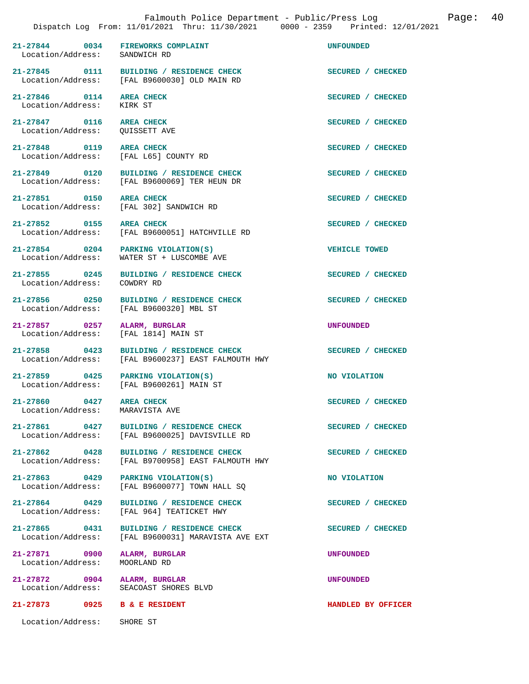**21-27844 0034 FIREWORKS COMPLAINT UNFOUNDED** 

[FAL B9600030] OLD MAIN RD

**21-27845 0111 BUILDING / RESIDENCE CHECK SECURED / CHECKED** 

**21-27846 0114 AREA CHECK SECURED / CHECKED**  Location/Address: KIRK ST **21-27847 0116 AREA CHECK SECURED / CHECKED**  Location/Address: QUISSETT AVE 21-27848 0119 AREA CHECK **SECURED** / CHECKED Location/Address: [FAL L65] COUNTY RD [FAL L65] COUNTY RD 21-27849 0120 BUILDING / RESIDENCE CHECK SECURED / CHECKED Location / Address: [FAL B9600069] TER HEUN DR [FAL B9600069] TER HEUN DR **21-27851 0150 AREA CHECK SECURED / CHECKED**  Location/Address: [FAL 302] SANDWICH RD 21-27852 0155 AREA CHECK **AREA CHECK SECURED** / CHECKED Location / Address: [FAL B9600051] HATCHVILLE RD [FAL B9600051] HATCHVILLE RD **21-27854 0204 PARKING VIOLATION(S) VEHICLE TOWED**  Location/Address: WATER ST + LUSCOMBE AVE **21-27855 0245 BUILDING / RESIDENCE CHECK SECURED / CHECKED**  21-27856 0250 BUILDING / RESIDENCE CHECK SECURED / CHECKED Location / Address: [FAL B9600320] MBL ST [FAL B9600320] MBL ST **21-27857 0257 ALARM, BURGLAR UNFOUNDED**  Location/Address: [FAL 1814] MAIN ST **21-27858 0423 BUILDING / RESIDENCE CHECK SECURED / CHECKED**  Location/Address: [FAL B9600237] EAST FALMOUTH HWY **21-27859 0425 PARKING VIOLATION(S) NO VIOLATION**  Location/Address: [FAL B9600261] MAIN ST

21-27860 0427 AREA CHECK **CHECK SECURED** / CHECKED Location / Address: MARAVISTA AVE

21-27861 0427 BUILDING / RESIDENCE CHECK<br>
Location/Address: [FAL B9600025] DAVISVILLE RD [FAL B9600025] DAVISVILLE RD

21-27862 0428 BUILDING / RESIDENCE CHECK<br>
Location/Address: [FAL B9700958] EAST FALMOUTH HWY [FAL B9700958] EAST FALMOUTH HWY

**21-27863 0429 PARKING VIOLATION(S) NO VIOLATION**  Location/Address: [FAL B9600077] TOWN HALL SQ

21-27864 0429 BUILDING / RESIDENCE CHECK SECURED / CHECKED Location/Address: [FAL 964] TEATICKET HWY [FAL 964] TEATICKET HWY

21-27865 0431 BUILDING / RESIDENCE CHECK **SECURED** / CHECKED Location/Address: [FAL B9600031] MARAVISTA AVE EXT [FAL B9600031] MARAVISTA AVE EXT

**21-27871 0900 ALARM, BURGLAR UNFOUNDED**  Location/Address: MOORLAND RD

**21-27872 0904 ALARM, BURGLAR UNFOUNDED**  Location/Address: SEACOAST SHORES BLVD

Location/Address: SHORE ST

Location/Address:

Location/Address:

Location/Address:

**21-27873 0925 B & E RESIDENT HANDLED BY OFFICER**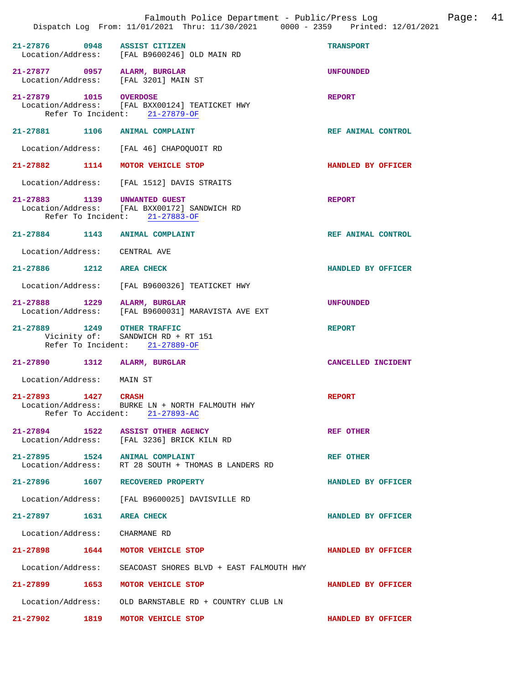|                                                   | Falmouth Police Department - Public/Press Log<br>Dispatch Log From: 11/01/2021 Thru: 11/30/2021 0000 - 2359 Printed: 12/01/2021 |                    | Page: | 41 |
|---------------------------------------------------|---------------------------------------------------------------------------------------------------------------------------------|--------------------|-------|----|
|                                                   |                                                                                                                                 |                    |       |    |
| $21 - 27876$<br>0948                              | <b>ASSIST CITIZEN</b><br>Location/Address: [FAL B9600246] OLD MAIN RD                                                           | <b>TRANSPORT</b>   |       |    |
| 21-27877 0957 ALARM, BURGLAR<br>Location/Address: | [FAL 3201] MAIN ST                                                                                                              | <b>UNFOUNDED</b>   |       |    |
| 21-27879                                          | 1015 OVERDOSE<br>Location/Address: [FAL BXX00124] TEATICKET HWY<br>Refer To Incident: 21-27879-OF                               | <b>REPORT</b>      |       |    |
| 21-27881 1106 ANIMAL COMPLAINT                    |                                                                                                                                 | REF ANIMAL CONTROL |       |    |
| Location/Address:                                 | [FAL 46] CHAPOQUOIT RD                                                                                                          |                    |       |    |
| 21-27882 1114                                     | MOTOR VEHICLE STOP                                                                                                              | HANDLED BY OFFICER |       |    |
| Location/Address:                                 | [FAL 1512] DAVIS STRAITS                                                                                                        |                    |       |    |
| 21-27883 1139 UNWANTED GUEST                      | Location/Address: [FAL BXX00172] SANDWICH RD<br>Refer To Incident: 21-27883-OF                                                  | <b>REPORT</b>      |       |    |
| 21-27884 1143                                     | <b>ANIMAL COMPLAINT</b>                                                                                                         | REF ANIMAL CONTROL |       |    |
| Location/Address:                                 | CENTRAL AVE                                                                                                                     |                    |       |    |
| 21-27886 1212                                     | <b>AREA CHECK</b>                                                                                                               | HANDLED BY OFFICER |       |    |
| Location/Address:                                 | [FAL B9600326] TEATICKET HWY                                                                                                    |                    |       |    |
| 21-27888 1229<br>Location/Address:                | ALARM, BURGLAR<br>[FAL B9600031] MARAVISTA AVE EXT                                                                              | <b>UNFOUNDED</b>   |       |    |
| 21-27889 1249 OTHER TRAFFIC<br>Vicinity of:       | SANDWICH RD + RT 151<br>Refer To Incident: 21-27889-OF                                                                          | <b>REPORT</b>      |       |    |
| 21-27890 1312                                     | ALARM, BURGLAR                                                                                                                  | CANCELLED INCIDENT |       |    |
| Location/Address:                                 | MAIN ST                                                                                                                         |                    |       |    |
| 21-27893<br>1427                                  | <b>CRASH</b><br>Location/Address: BURKE LN + NORTH FALMOUTH HWY<br>Refer To Accident: 21-27893-AC                               | <b>REPORT</b>      |       |    |
|                                                   | 21-27894 1522 ASSIST OTHER AGENCY<br>Location/Address: [FAL 3236] BRICK KILN RD                                                 | <b>REF OTHER</b>   |       |    |
| 21-27895 1524 ANIMAL COMPLAINT                    | Location/Address: RT 28 SOUTH + THOMAS B LANDERS RD                                                                             | <b>REF OTHER</b>   |       |    |
| 21-27896 1607 RECOVERED PROPERTY                  |                                                                                                                                 | HANDLED BY OFFICER |       |    |
|                                                   | Location/Address: [FAL B9600025] DAVISVILLE RD                                                                                  |                    |       |    |
| 21-27897<br>1631                                  | <b>AREA CHECK</b>                                                                                                               | HANDLED BY OFFICER |       |    |
| Location/Address: CHARMANE RD                     |                                                                                                                                 |                    |       |    |
| 21-27898 1644                                     | MOTOR VEHICLE STOP                                                                                                              | HANDLED BY OFFICER |       |    |
| Location/Address:                                 | SEACOAST SHORES BLVD + EAST FALMOUTH HWY                                                                                        |                    |       |    |
| 21-27899 1653                                     | MOTOR VEHICLE STOP                                                                                                              | HANDLED BY OFFICER |       |    |
| Location/Address:                                 | OLD BARNSTABLE RD + COUNTRY CLUB LN                                                                                             |                    |       |    |
| 1819<br>21-27902                                  | MOTOR VEHICLE STOP                                                                                                              | HANDLED BY OFFICER |       |    |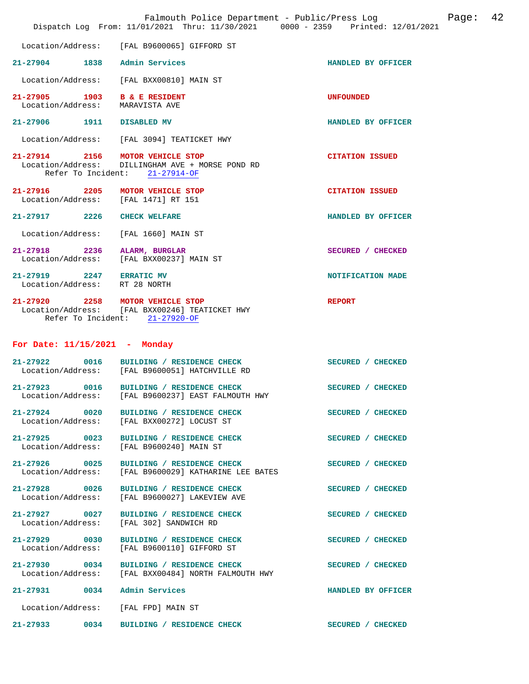|                                                           | Falmouth Police Department - Public/Press Log<br>Dispatch Log From: 11/01/2021 Thru: 11/30/2021 0000 - 2359 Printed: 12/01/2021 |                        | Page: 42 |  |
|-----------------------------------------------------------|---------------------------------------------------------------------------------------------------------------------------------|------------------------|----------|--|
|                                                           | Location/Address: [FAL B9600065] GIFFORD ST                                                                                     |                        |          |  |
| 21-27904 1838                                             | Admin Services                                                                                                                  | HANDLED BY OFFICER     |          |  |
| Location/Address:                                         | [FAL BXX00810] MAIN ST                                                                                                          |                        |          |  |
| 21-27905 1903<br>Location/Address: MARAVISTA AVE          | <b>B &amp; E RESIDENT</b>                                                                                                       | <b>UNFOUNDED</b>       |          |  |
| 21-27906 1911                                             | <b>DISABLED MV</b>                                                                                                              | HANDLED BY OFFICER     |          |  |
|                                                           | Location/Address: [FAL 3094] TEATICKET HWY                                                                                      |                        |          |  |
| 21-27914 2156 MOTOR VEHICLE STOP                          | Location/Address: DILLINGHAM AVE + MORSE POND RD<br>Refer To Incident: 21-27914-OF                                              | <b>CITATION ISSUED</b> |          |  |
| 21-27916 2205<br>Location/Address: [FAL 1471] RT 151      | MOTOR VEHICLE STOP                                                                                                              | <b>CITATION ISSUED</b> |          |  |
| 21-27917 2226                                             | <b>CHECK WELFARE</b>                                                                                                            | HANDLED BY OFFICER     |          |  |
| Location/Address:                                         | [FAL 1660] MAIN ST                                                                                                              |                        |          |  |
| 21-27918 2236<br>Location/Address:                        | ALARM, BURGLAR<br>[FAL BXX00237] MAIN ST                                                                                        | SECURED / CHECKED      |          |  |
| 21-27919 2247 ERRATIC MV<br>Location/Address: RT 28 NORTH |                                                                                                                                 | NOTIFICATION MADE      |          |  |
| 21-27920 2258 MOTOR VEHICLE STOP                          | Location/Address: [FAL BXX00246] TEATICKET HWY<br>Refer To Incident: 21-27920-OF                                                | <b>REPORT</b>          |          |  |
| For Date: $11/15/2021$ - Monday                           |                                                                                                                                 |                        |          |  |
|                                                           | 21-27922 0016 BUILDING / RESIDENCE CHECK<br>Location/Address: [FAL B9600051] HATCHVILLE RD                                      | SECURED / CHECKED      |          |  |
| $21 - 27923$<br>0016                                      | BUILDING / RESIDENCE CHECK<br>Location/Address: [FAL B9600237] EAST FALMOUTH HWY                                                | SECURED / CHECKED      |          |  |
| $21 - 27924$ 0020                                         | BUILDING / RESIDENCE CHECK<br>Location/Address: [FAL BXX00272] LOCUST ST                                                        | SECURED / CHECKED      |          |  |
|                                                           | 21-27925 0023 BUILDING / RESIDENCE CHECK<br>Location/Address: [FAL B9600240] MAIN ST                                            | SECURED / CHECKED      |          |  |
| 21-27926 0025<br>Location/Address:                        | BUILDING / RESIDENCE CHECK<br>[FAL B9600029] KATHARINE LEE BATES                                                                | SECURED / CHECKED      |          |  |
| 21-27928 0026<br>Location/Address:                        | BUILDING / RESIDENCE CHECK<br>[FAL B9600027] LAKEVIEW AVE                                                                       | SECURED / CHECKED      |          |  |
| 21-27927 0027<br>Location/Address:                        | BUILDING / RESIDENCE CHECK<br>[FAL 302] SANDWICH RD                                                                             | SECURED / CHECKED      |          |  |
| 21-27929 0030<br>Location/Address:                        | BUILDING / RESIDENCE CHECK<br>[FAL B9600110] GIFFORD ST                                                                         | SECURED / CHECKED      |          |  |
| Location/Address:                                         | 21-27930 0034 BUILDING / RESIDENCE CHECK<br>[FAL BXX00484] NORTH FALMOUTH HWY                                                   | SECURED / CHECKED      |          |  |
| 21-27931 0034 Admin Services                              |                                                                                                                                 | HANDLED BY OFFICER     |          |  |
| Location/Address: [FAL FPD] MAIN ST                       |                                                                                                                                 |                        |          |  |
| 21-27933 0034                                             | BUILDING / RESIDENCE CHECK                                                                                                      | SECURED / CHECKED      |          |  |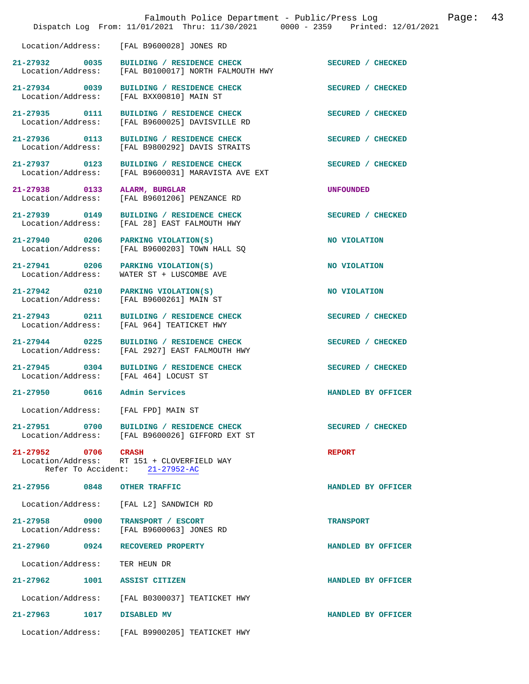|                                           | Falmouth Police Department - Public/Press Log<br>Dispatch Log From: 11/01/2021 Thru: 11/30/2021 0000 - 2359 Printed: 12/01/2021 | 43<br>Page:        |
|-------------------------------------------|---------------------------------------------------------------------------------------------------------------------------------|--------------------|
| Location/Address:                         | [FAL B9600028] JONES RD                                                                                                         |                    |
| 21-27932 0035<br>Location/Address:        | BUILDING / RESIDENCE CHECK<br>[FAL B0100017] NORTH FALMOUTH HWY                                                                 | SECURED / CHECKED  |
| 21-27934 0039<br>Location/Address:        | BUILDING / RESIDENCE CHECK<br>[FAL BXX00810] MAIN ST                                                                            | SECURED / CHECKED  |
| 21-27935 0111<br>Location/Address:        | BUILDING / RESIDENCE CHECK<br>[FAL B9600025] DAVISVILLE RD                                                                      | SECURED / CHECKED  |
| 21-27936 0113<br>Location/Address:        | BUILDING / RESIDENCE CHECK<br>[FAL B9800292] DAVIS STRAITS                                                                      | SECURED / CHECKED  |
| 21-27937 0123<br>Location/Address:        | BUILDING / RESIDENCE CHECK<br>[FAL B9600031] MARAVISTA AVE EXT                                                                  | SECURED / CHECKED  |
| 21-27938 0133<br>Location/Address:        | ALARM, BURGLAR<br>[FAL B9601206] PENZANCE RD                                                                                    | <b>UNFOUNDED</b>   |
| 21-27939 0149<br>Location/Address:        | BUILDING / RESIDENCE CHECK<br>[FAL 28] EAST FALMOUTH HWY                                                                        | SECURED / CHECKED  |
| 21-27940 0206<br>Location/Address:        | PARKING VIOLATION(S)<br>[FAL B9600203] TOWN HALL SQ                                                                             | NO VIOLATION       |
| 21-27941 0206<br>Location/Address:        | PARKING VIOLATION(S)<br>WATER ST + LUSCOMBE AVE                                                                                 | NO VIOLATION       |
| 21-27942 0210<br>Location/Address:        | PARKING VIOLATION(S)<br>[FAL B9600261] MAIN ST                                                                                  | NO VIOLATION       |
| 21-27943 0211<br>Location/Address:        | BUILDING / RESIDENCE CHECK<br>[FAL 964] TEATICKET HWY                                                                           | SECURED / CHECKED  |
| 21-27944 0225<br>Location/Address:        | BUILDING / RESIDENCE CHECK<br>[FAL 2927] EAST FALMOUTH HWY                                                                      | SECURED / CHECKED  |
| $21 - 27945$<br>0304<br>Location/Address: | BUILDING / RESIDENCE CHECK<br>[FAL 464] LOCUST ST                                                                               | SECURED / CHECKED  |
| 0616<br>21-27950                          | Admin Services                                                                                                                  | HANDLED BY OFFICER |
| Location/Address: [FAL FPD] MAIN ST       |                                                                                                                                 |                    |
| 21-27951 0700                             | BUILDING / RESIDENCE CHECK<br>Location/Address: [FAL B9600026] GIFFORD EXT ST                                                   | SECURED / CHECKED  |
| 21-27952 0706                             | <b>CRASH</b><br>Location/Address: RT 151 + CLOVERFIELD WAY<br>Refer To Accident: 21-27952-AC                                    | <b>REPORT</b>      |
| 21-27956 0848                             | <b>OTHER TRAFFIC</b>                                                                                                            | HANDLED BY OFFICER |
| Location/Address:                         | [FAL L2] SANDWICH RD                                                                                                            |                    |
| 21-27958 0900<br>Location/Address:        | TRANSPORT / ESCORT<br>[FAL B9600063] JONES RD                                                                                   | <b>TRANSPORT</b>   |
| 21-27960<br>0924                          | RECOVERED PROPERTY                                                                                                              | HANDLED BY OFFICER |
| Location/Address:                         | TER HEUN DR                                                                                                                     |                    |
| $21 - 27962$<br>1001                      | <b>ASSIST CITIZEN</b>                                                                                                           | HANDLED BY OFFICER |
| Location/Address:                         | [FAL B0300037] TEATICKET HWY                                                                                                    |                    |
| $21 - 27963$<br>1017                      | <b>DISABLED MV</b>                                                                                                              | HANDLED BY OFFICER |
| Location/Address:                         | [FAL B9900205] TEATICKET HWY                                                                                                    |                    |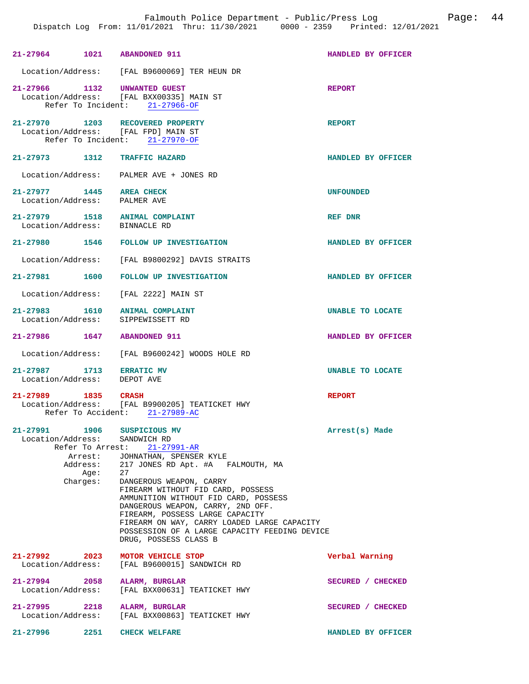| 21-27964 1021 ABANDONED 911                                                                       |                                                                                                                                                                                                                                       | HANDLED BY OFFICER      |
|---------------------------------------------------------------------------------------------------|---------------------------------------------------------------------------------------------------------------------------------------------------------------------------------------------------------------------------------------|-------------------------|
|                                                                                                   | Location/Address: [FAL B9600069] TER HEUN DR                                                                                                                                                                                          |                         |
| 21-27966 1132 UNWANTED GUEST                                                                      | Location/Address: [FAL BXX00335] MAIN ST<br>Refer To Incident: $21-27966-OF$                                                                                                                                                          | <b>REPORT</b>           |
| 21-27970 1203 RECOVERED PROPERTY<br>Location/Address: [FAL FPD] MAIN ST                           | Refer To Incident: 21-27970-OF                                                                                                                                                                                                        | <b>REPORT</b>           |
| 21-27973 1312                                                                                     | <b>TRAFFIC HAZARD</b>                                                                                                                                                                                                                 | HANDLED BY OFFICER      |
|                                                                                                   | Location/Address: PALMER AVE + JONES RD                                                                                                                                                                                               |                         |
| 21-27977 1445<br>Location/Address: PALMER AVE                                                     | <b>AREA CHECK</b>                                                                                                                                                                                                                     | <b>UNFOUNDED</b>        |
| 21-27979 1518<br>Location/Address: BINNACLE RD                                                    | ANIMAL COMPLAINT                                                                                                                                                                                                                      | REF DNR                 |
|                                                                                                   | 21-27980 1546 FOLLOW UP INVESTIGATION                                                                                                                                                                                                 | HANDLED BY OFFICER      |
|                                                                                                   | Location/Address: [FAL B9800292] DAVIS STRAITS                                                                                                                                                                                        |                         |
| 21-27981 1600                                                                                     | FOLLOW UP INVESTIGATION                                                                                                                                                                                                               | HANDLED BY OFFICER      |
| Location/Address: [FAL 2222] MAIN ST                                                              |                                                                                                                                                                                                                                       |                         |
| 21-27983 1610<br>Location/Address:                                                                | ANIMAL COMPLAINT<br>SIPPEWISSETT RD                                                                                                                                                                                                   | <b>UNABLE TO LOCATE</b> |
| 21-27986 1647 ABANDONED 911                                                                       |                                                                                                                                                                                                                                       | HANDLED BY OFFICER      |
|                                                                                                   | Location/Address: [FAL B9600242] WOODS HOLE RD                                                                                                                                                                                        |                         |
| 21-27987 1713 ERRATIC MV<br>Location/Address: DEPOT AVE                                           |                                                                                                                                                                                                                                       | <b>UNABLE TO LOCATE</b> |
| 21-27989 1835 CRASH                                                                               | Location/Address: [FAL B9900205] TEATICKET HWY<br>Refer To Accident: 21-27989-AC                                                                                                                                                      | <b>REPORT</b>           |
| 21-27991 1906<br>Location/Address:<br>Refer To Arrest:<br>Arrest:<br>Address:<br>Age:<br>Charges: | SUSPICIOUS MV<br>SANDWICH RD<br>$21 - 27991 - AR$<br>JOHNATHAN, SPENSER KYLE<br>217 JONES RD Apt. #A FALMOUTH, MA<br>27<br>DANGEROUS WEAPON, CARRY<br>FIREARM WITHOUT FID CARD, POSSESS                                               | Arrest(s) Made          |
|                                                                                                   | AMMUNITION WITHOUT FID CARD, POSSESS<br>DANGEROUS WEAPON, CARRY, 2ND OFF.<br>FIREARM, POSSESS LARGE CAPACITY<br>FIREARM ON WAY, CARRY LOADED LARGE CAPACITY<br>POSSESSION OF A LARGE CAPACITY FEEDING DEVICE<br>DRUG, POSSESS CLASS B |                         |
| 21-27992<br>2023<br>Location/Address:                                                             | MOTOR VEHICLE STOP<br>[FAL B9600015] SANDWICH RD                                                                                                                                                                                      | Verbal Warning          |
| 21-27994 2058<br>Location/Address:                                                                | ALARM, BURGLAR<br>[FAL BXX00631] TEATICKET HWY                                                                                                                                                                                        | SECURED / CHECKED       |
| 21-27995 2218<br>Location/Address:                                                                | ALARM, BURGLAR<br>[FAL BXX00863] TEATICKET HWY                                                                                                                                                                                        | SECURED / CHECKED       |
| 21-27996<br>2251                                                                                  | <b>CHECK WELFARE</b>                                                                                                                                                                                                                  | HANDLED BY OFFICER      |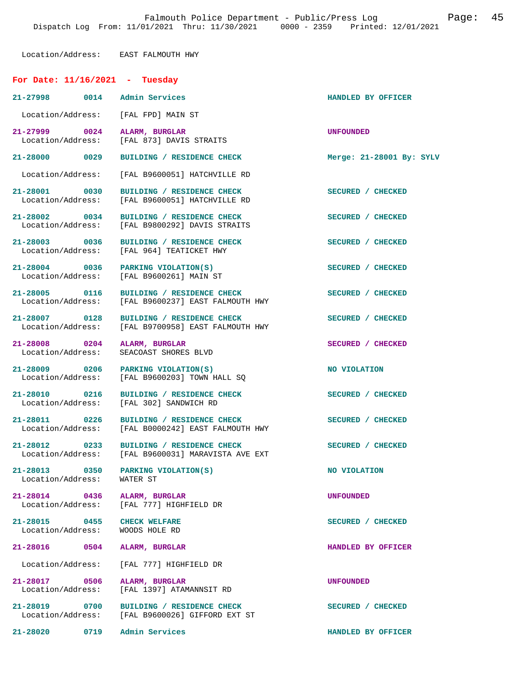Location/Address: EAST FALMOUTH HWY

| For Date: $11/16/2021$ - Tuesday                                 |                                                                                                |                          |
|------------------------------------------------------------------|------------------------------------------------------------------------------------------------|--------------------------|
| 21-27998 0014 Admin Services                                     |                                                                                                | HANDLED BY OFFICER       |
| Location/Address: [FAL FPD] MAIN ST                              |                                                                                                |                          |
|                                                                  | 21-27999 0024 ALARM, BURGLAR<br>Location/Address: [FAL 873] DAVIS STRAITS                      | <b>UNFOUNDED</b>         |
| 21-28000 0029                                                    | BUILDING / RESIDENCE CHECK                                                                     | Merge: 21-28001 By: SYLV |
|                                                                  | Location/Address: [FAL B9600051] HATCHVILLE RD                                                 |                          |
| 21-28001 0030                                                    | BUILDING / RESIDENCE CHECK<br>Location/Address: [FAL B9600051] HATCHVILLE RD                   | SECURED / CHECKED        |
| 21-28002 0034                                                    | BUILDING / RESIDENCE CHECK<br>Location/Address: [FAL B9800292] DAVIS STRAITS                   | SECURED / CHECKED        |
| 21-28003 0036                                                    | BUILDING / RESIDENCE CHECK<br>Location/Address: [FAL 964] TEATICKET HWY                        | SECURED / CHECKED        |
|                                                                  | 21-28004 0036 PARKING VIOLATION(S)<br>Location/Address: [FAL B9600261] MAIN ST                 | SECURED / CHECKED        |
|                                                                  | 21-28005 0116 BUILDING / RESIDENCE CHECK<br>Location/Address: [FAL B9600237] EAST FALMOUTH HWY | SECURED / CHECKED        |
|                                                                  | 21-28007 0128 BUILDING / RESIDENCE CHECK<br>Location/Address: [FAL B9700958] EAST FALMOUTH HWY | SECURED / CHECKED        |
| 21-28008 0204 ALARM, BURGLAR<br>Location/Address:                | SEACOAST SHORES BLVD                                                                           | SECURED / CHECKED        |
|                                                                  | 21-28009 0206 PARKING VIOLATION(S)<br>Location/Address: [FAL B9600203] TOWN HALL SQ            | NO VIOLATION             |
|                                                                  | 21-28010 0216 BUILDING / RESIDENCE CHECK<br>Location/Address: [FAL 302] SANDWICH RD            | SECURED / CHECKED        |
|                                                                  | 21-28011 0226 BUILDING / RESIDENCE CHECK<br>Location/Address: [FAL B0000242] EAST FALMOUTH HWY | SECURED / CHECKED        |
| 21-28012 0233                                                    | BUILDING / RESIDENCE CHECK<br>Location/Address: [FAL B9600031] MARAVISTA AVE EXT               | SECURED / CHECKED        |
| 21-28013 0350 PARKING VIOLATION(S)<br>Location/Address: WATER ST |                                                                                                | NO VIOLATION             |
| 21-28014 0436 ALARM, BURGLAR                                     | Location/Address: [FAL 777] HIGHFIELD DR                                                       | UNFOUNDED                |
| 21-28015 0455 CHECK WELFARE<br>Location/Address: WOODS HOLE RD   |                                                                                                | SECURED / CHECKED        |
| 21-28016 0504 ALARM, BURGLAR                                     |                                                                                                | HANDLED BY OFFICER       |
|                                                                  | Location/Address: [FAL 777] HIGHFIELD DR                                                       |                          |
| 21-28017 0506 ALARM, BURGLAR                                     | Location/Address: [FAL 1397] ATAMANNSIT RD                                                     | <b>UNFOUNDED</b>         |
|                                                                  | 21-28019 0700 BUILDING / RESIDENCE CHECK<br>Location/Address: [FAL B9600026] GIFFORD EXT ST    | SECURED / CHECKED        |
| 21-28020 0719 Admin Services                                     |                                                                                                | HANDLED BY OFFICER       |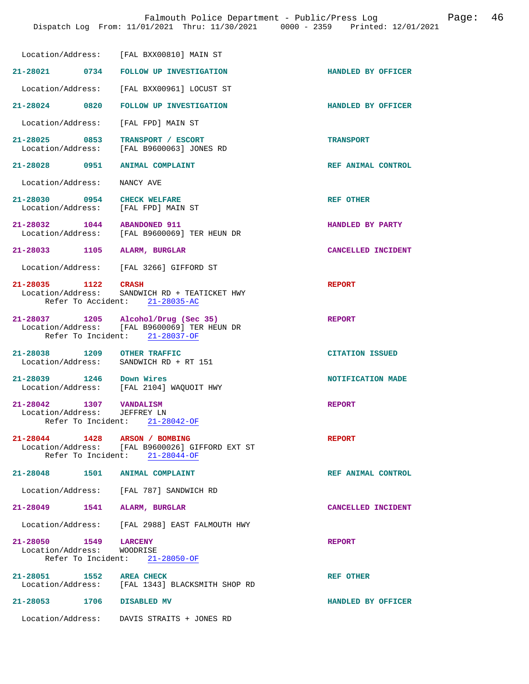|                                                                                | Location/Address: [FAL BXX00810] MAIN ST                                                                              |                        |
|--------------------------------------------------------------------------------|-----------------------------------------------------------------------------------------------------------------------|------------------------|
| 21-28021 0734                                                                  | FOLLOW UP INVESTIGATION                                                                                               | HANDLED BY OFFICER     |
|                                                                                | Location/Address: [FAL BXX00961] LOCUST ST                                                                            |                        |
| 21-28024 0820                                                                  | <b>FOLLOW UP INVESTIGATION</b>                                                                                        | HANDLED BY OFFICER     |
| Location/Address:                                                              | [FAL FPD] MAIN ST                                                                                                     |                        |
| 21-28025 0853<br>Location/Address:                                             | TRANSPORT / ESCORT<br>[FAL B9600063] JONES RD                                                                         | <b>TRANSPORT</b>       |
| 21-28028 0951                                                                  | <b>ANIMAL COMPLAINT</b>                                                                                               | REF ANIMAL CONTROL     |
| Location/Address:                                                              | NANCY AVE                                                                                                             |                        |
| 21-28030 0954<br>Location/Address: [FAL FPD] MAIN ST                           | <b>CHECK WELFARE</b>                                                                                                  | REF OTHER              |
| 21-28032 1044                                                                  | <b>ABANDONED 911</b><br>Location/Address: [FAL B9600069] TER HEUN DR                                                  | HANDLED BY PARTY       |
| 21-28033 1105 ALARM, BURGLAR                                                   |                                                                                                                       | CANCELLED INCIDENT     |
|                                                                                | Location/Address: [FAL 3266] GIFFORD ST                                                                               |                        |
| 21-28035 1122 CRASH                                                            | Location/Address: SANDWICH RD + TEATICKET HWY<br>Refer To Accident: 21-28035-AC                                       | <b>REPORT</b>          |
|                                                                                | 21-28037 1205 Alcohol/Drug (Sec 35)<br>Location/Address: [FAL B9600069] TER HEUN DR<br>Refer To Incident: 21-28037-OF | <b>REPORT</b>          |
| 21-28038 1209<br>Location/Address:                                             | <b>OTHER TRAFFIC</b><br>SANDWICH RD + RT 151                                                                          | <b>CITATION ISSUED</b> |
| 21-28039 1246 Down Wires                                                       | Location/Address: [FAL 2104] WAQUOIT HWY                                                                              | NOTIFICATION MADE      |
| 21-28042 1307 VANDALISM<br>Location/Address:<br>Refer To Incident: 21-28042-OF | JEFFREY LN                                                                                                            | <b>REPORT</b>          |
| 21-28044 1428 ARSON / BOMBING                                                  | Location/Address: [FAL B9600026] GIFFORD EXT ST<br>Refer To Incident: 21-28044-OF                                     | <b>REPORT</b>          |
| 21-28048 1501 ANIMAL COMPLAINT                                                 |                                                                                                                       | REF ANIMAL CONTROL     |
|                                                                                | Location/Address: [FAL 787] SANDWICH RD                                                                               |                        |
| 21-28049 1541 ALARM, BURGLAR                                                   |                                                                                                                       | CANCELLED INCIDENT     |
|                                                                                | Location/Address: [FAL 2988] EAST FALMOUTH HWY                                                                        |                        |
| 21-28050 1549<br>Location/Address: WOODRISE                                    | <b>LARCENY</b><br>Refer To Incident: 21-28050-OF                                                                      | <b>REPORT</b>          |
| 21-28051 1552 AREA CHECK                                                       | Location/Address: [FAL 1343] BLACKSMITH SHOP RD                                                                       | REF OTHER              |
| 21-28053 1706 DISABLED MV                                                      |                                                                                                                       | HANDLED BY OFFICER     |
|                                                                                | Location/Address: DAVIS STRAITS + JONES RD                                                                            |                        |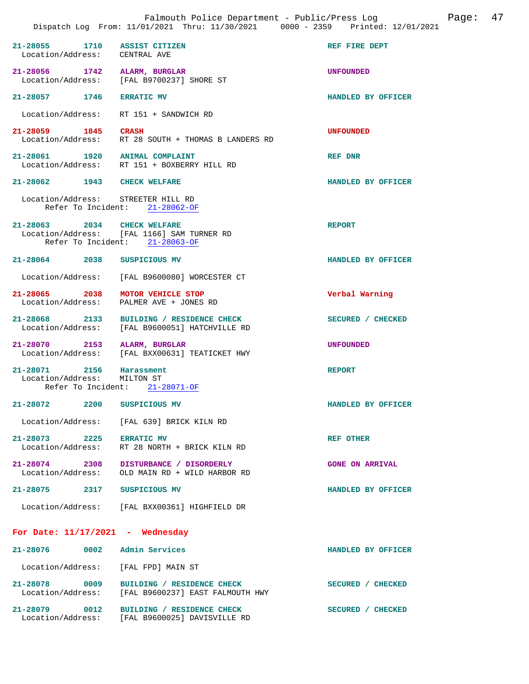|                                                                             | Falmouth Police Department - Public/Press Log<br>Dispatch Log From: 11/01/2021 Thru: 11/30/2021 0000 - 2359 Printed: 12/01/2021 |                        | Page: 47 |
|-----------------------------------------------------------------------------|---------------------------------------------------------------------------------------------------------------------------------|------------------------|----------|
| 21-28055 1710 ASSIST CITIZEN<br>Location/Address: CENTRAL AVE               |                                                                                                                                 | REF FIRE DEPT          |          |
| 21-28056 1742 ALARM, BURGLAR                                                | Location/Address: [FAL B9700237] SHORE ST                                                                                       | <b>UNFOUNDED</b>       |          |
| 21-28057 1746 ERRATIC MV                                                    |                                                                                                                                 | HANDLED BY OFFICER     |          |
| Location/Address: RT 151 + SANDWICH RD                                      |                                                                                                                                 |                        |          |
| 21-28059 1845 CRASH                                                         | Location/Address: RT 28 SOUTH + THOMAS B LANDERS RD                                                                             | <b>UNFOUNDED</b>       |          |
| 21-28061 1920 ANIMAL COMPLAINT                                              | Location/Address: RT 151 + BOXBERRY HILL RD                                                                                     | REF DNR                |          |
| 21-28062 1943 CHECK WELFARE                                                 |                                                                                                                                 | HANDLED BY OFFICER     |          |
| Location/Address: STREETER HILL RD                                          | Refer To Incident: 21-28062-OF                                                                                                  |                        |          |
| 21-28063 2034 CHECK WELFARE<br>Refer To Incident: 21-28063-OF               | Location/Address: [FAL 1166] SAM TURNER RD                                                                                      | <b>REPORT</b>          |          |
| 21-28064 2038 SUSPICIOUS MV                                                 |                                                                                                                                 | HANDLED BY OFFICER     |          |
|                                                                             | Location/Address: [FAL B9600080] WORCESTER CT                                                                                   |                        |          |
| 21-28065 2038 MOTOR VEHICLE STOP<br>Location/Address: PALMER AVE + JONES RD |                                                                                                                                 | Verbal Warning         |          |
|                                                                             | 21-28068 2133 BUILDING / RESIDENCE CHECK<br>Location/Address: [FAL B9600051] HATCHVILLE RD                                      | SECURED / CHECKED      |          |
| 21-28070 2153 ALARM, BURGLAR                                                | Location/Address: [FAL BXX00631] TEATICKET HWY                                                                                  | <b>UNFOUNDED</b>       |          |
| 21-28071 2156 Harassment<br>Location/Address: MILTON ST                     | Refer To Incident: 21-28071-OF                                                                                                  | <b>REPORT</b>          |          |
| 21-28072<br>2200                                                            | SUSPICIOUS MV                                                                                                                   | HANDLED BY OFFICER     |          |
|                                                                             | Location/Address: [FAL 639] BRICK KILN RD                                                                                       |                        |          |
| 21-28073 2225 ERRATIC MV<br>Location/Address:                               | RT 28 NORTH + BRICK KILN RD                                                                                                     | <b>REF OTHER</b>       |          |
| Location/Address:                                                           | 21-28074 2308 DISTURBANCE / DISORDERLY<br>OLD MAIN RD + WILD HARBOR RD                                                          | <b>GONE ON ARRIVAL</b> |          |
| 21-28075 2317 SUSPICIOUS MV                                                 |                                                                                                                                 | HANDLED BY OFFICER     |          |
|                                                                             | Location/Address: [FAL BXX00361] HIGHFIELD DR                                                                                   |                        |          |
| For Date: $11/17/2021$ - Wednesday                                          |                                                                                                                                 |                        |          |
| 21-28076 0002 Admin Services                                                |                                                                                                                                 | HANDLED BY OFFICER     |          |
| Location/Address: [FAL FPD] MAIN ST                                         |                                                                                                                                 |                        |          |
| 21-28078 0009                                                               | BUILDING / RESIDENCE CHECK<br>Location/Address: [FAL B9600237] EAST FALMOUTH HWY                                                | SECURED / CHECKED      |          |
|                                                                             | 21-28079 0012 BUILDING / RESIDENCE CHECK<br>Location/Address: [FAL B9600025] DAVISVILLE RD                                      | SECURED / CHECKED      |          |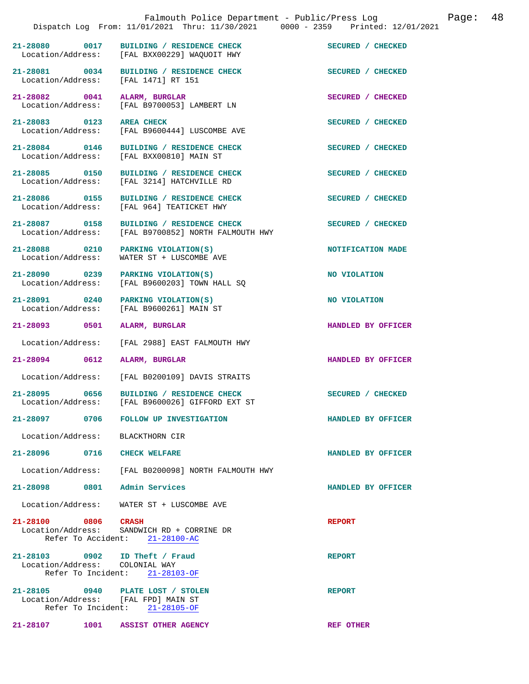|                                                                                                | Falmouth Police Department - Public/Press Log<br>Dispatch Log From: 11/01/2021 Thru: 11/30/2021 0000 - 2359 Printed: 12/01/2021 |                    | Page: | 48 |
|------------------------------------------------------------------------------------------------|---------------------------------------------------------------------------------------------------------------------------------|--------------------|-------|----|
| 21-28080 0017                                                                                  | BUILDING / RESIDENCE CHECK<br>Location/Address: [FAL BXX00229] WAQUOIT HWY                                                      | SECURED / CHECKED  |       |    |
| 21-28081 0034<br>Location/Address: [FAL 1471] RT 151                                           | BUILDING / RESIDENCE CHECK                                                                                                      | SECURED / CHECKED  |       |    |
| 21-28082 0041                                                                                  | ALARM, BURGLAR<br>Location/Address: [FAL B9700053] LAMBERT LN                                                                   | SECURED / CHECKED  |       |    |
| $21 - 28083$ 0123                                                                              | <b>AREA CHECK</b><br>Location/Address: [FAL B9600444] LUSCOMBE AVE                                                              | SECURED / CHECKED  |       |    |
| 21-28084 0146                                                                                  | BUILDING / RESIDENCE CHECK<br>Location/Address: [FAL BXX00810] MAIN ST                                                          | SECURED / CHECKED  |       |    |
| 21-28085 0150                                                                                  | BUILDING / RESIDENCE CHECK<br>Location/Address: [FAL 3214] HATCHVILLE RD                                                        | SECURED / CHECKED  |       |    |
| 21-28086 0155<br>Location/Address:                                                             | BUILDING / RESIDENCE CHECK<br>[FAL 964] TEATICKET HWY                                                                           | SECURED / CHECKED  |       |    |
| 21-28087 0158<br>Location/Address:                                                             | BUILDING / RESIDENCE CHECK<br>[FAL B9700852] NORTH FALMOUTH HWY                                                                 | SECURED / CHECKED  |       |    |
| 21-28088 0210<br>Location/Address:                                                             | PARKING VIOLATION(S)<br>WATER ST + LUSCOMBE AVE                                                                                 | NOTIFICATION MADE  |       |    |
| 21-28090 0239                                                                                  | PARKING VIOLATION(S)<br>Location/Address: [FAL B9600203] TOWN HALL SQ                                                           | NO VIOLATION       |       |    |
| 21-28091 0240<br>Location/Address:                                                             | PARKING VIOLATION(S)<br>[FAL B9600261] MAIN ST                                                                                  | NO VIOLATION       |       |    |
| 21-28093<br>0501                                                                               | ALARM, BURGLAR                                                                                                                  | HANDLED BY OFFICER |       |    |
| Location/Address:                                                                              | [FAL 2988] EAST FALMOUTH HWY                                                                                                    |                    |       |    |
| 21-28094 0612                                                                                  | ALARM, BURGLAR                                                                                                                  | HANDLED BY OFFICER |       |    |
| Location/Address:                                                                              | [FAL B0200109] DAVIS STRAITS                                                                                                    |                    |       |    |
| 21-28095<br>0656<br>Location/Address:                                                          | BUILDING / RESIDENCE CHECK<br>[FAL B9600026] GIFFORD EXT ST                                                                     | SECURED / CHECKED  |       |    |
| 0706<br>$21 - 28097$                                                                           | FOLLOW UP INVESTIGATION                                                                                                         | HANDLED BY OFFICER |       |    |
| Location/Address:                                                                              | BLACKTHORN CIR                                                                                                                  |                    |       |    |
| 21-28096<br>0716                                                                               | <b>CHECK WELFARE</b>                                                                                                            | HANDLED BY OFFICER |       |    |
| Location/Address:                                                                              | [FAL B0200098] NORTH FALMOUTH HWY                                                                                               |                    |       |    |
| 21-28098<br>0801                                                                               | Admin Services                                                                                                                  | HANDLED BY OFFICER |       |    |
| Location/Address:                                                                              | WATER ST + LUSCOMBE AVE                                                                                                         |                    |       |    |
| 21-28100 0806<br>Location/Address:<br>Refer To Accident:                                       | <b>CRASH</b><br>SANDWICH RD + CORRINE DR<br>$21 - 28100 - AC$                                                                   | <b>REPORT</b>      |       |    |
| 21-28103 0902<br>Location/Address: COLONIAL WAY<br>Refer To Incident:                          | ID Theft / Fraud<br>$21 - 28103 - OF$                                                                                           | <b>REPORT</b>      |       |    |
| 21-28105 0940 PLATE LOST / STOLEN<br>Location/Address: [FAL FPD] MAIN ST<br>Refer To Incident: | $21 - 28105 - OF$                                                                                                               | <b>REPORT</b>      |       |    |

**21-28107 1001 ASSIST OTHER AGENCY REF OTHER**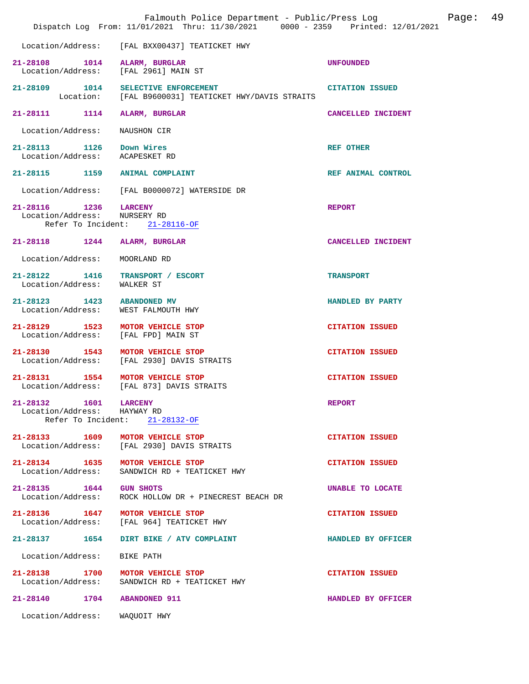|                                                                      | Falmouth Police Department - Public/Press Log<br>Dispatch Log From: 11/01/2021 Thru: 11/30/2021 0000 - 2359 Printed: 12/01/2021 |                         | Page: | 49 |
|----------------------------------------------------------------------|---------------------------------------------------------------------------------------------------------------------------------|-------------------------|-------|----|
|                                                                      | Location/Address: [FAL BXX00437] TEATICKET HWY                                                                                  |                         |       |    |
| 21-28108 1014 ALARM, BURGLAR<br>Location/Address: [FAL 2961] MAIN ST |                                                                                                                                 | <b>UNFOUNDED</b>        |       |    |
| 21-28109 1014 SELECTIVE ENFORCEMENT                                  | Location: [FAL B9600031] TEATICKET HWY/DAVIS STRAITS                                                                            | <b>CITATION ISSUED</b>  |       |    |
| 21-28111 1114                                                        | ALARM, BURGLAR                                                                                                                  | CANCELLED INCIDENT      |       |    |
| Location/Address:                                                    | NAUSHON CIR                                                                                                                     |                         |       |    |
| 21-28113 1126 Down Wires<br>Location/Address: ACAPESKET RD           |                                                                                                                                 | <b>REF OTHER</b>        |       |    |
| 21-28115 1159 ANIMAL COMPLAINT                                       |                                                                                                                                 | REF ANIMAL CONTROL      |       |    |
| Location/Address:                                                    | [FAL B0000072] WATERSIDE DR                                                                                                     |                         |       |    |
| 21-28116 1236<br>Location/Address:                                   | <b>LARCENY</b><br>NURSERY RD<br>Refer To Incident: 21-28116-OF                                                                  | <b>REPORT</b>           |       |    |
| 21-28118 1244                                                        | ALARM, BURGLAR                                                                                                                  | CANCELLED INCIDENT      |       |    |
| Location/Address:                                                    | MOORLAND RD                                                                                                                     |                         |       |    |
| 21-28122 1416<br>Location/Address: WALKER ST                         | TRANSPORT / ESCORT                                                                                                              | <b>TRANSPORT</b>        |       |    |
| 21-28123 1423 ABANDONED MV<br>Location/Address: WEST FALMOUTH HWY    |                                                                                                                                 | HANDLED BY PARTY        |       |    |
| 21-28129 1523<br>Location/Address:                                   | MOTOR VEHICLE STOP<br>[FAL FPD] MAIN ST                                                                                         | <b>CITATION ISSUED</b>  |       |    |
| 21-28130 1543 MOTOR VEHICLE STOP                                     | Location/Address: [FAL 2930] DAVIS STRAITS                                                                                      | <b>CITATION ISSUED</b>  |       |    |
| 21-28131 1554 MOTOR VEHICLE STOP                                     | Location/Address: [FAL 873] DAVIS STRAITS                                                                                       | <b>CITATION ISSUED</b>  |       |    |
| 1601 LARCENY<br>21-28132<br>Location/Address: HAYWAY RD              | Refer To Incident: 21-28132-OF                                                                                                  | <b>REPORT</b>           |       |    |
| 21-28133 1609                                                        | MOTOR VEHICLE STOP<br>Location/Address: [FAL 2930] DAVIS STRAITS                                                                | <b>CITATION ISSUED</b>  |       |    |
| 21-28134 1635<br>Location/Address:                                   | MOTOR VEHICLE STOP<br>SANDWICH RD + TEATICKET HWY                                                                               | <b>CITATION ISSUED</b>  |       |    |
| 21-28135 1644<br>Location/Address:                                   | <b>GUN SHOTS</b><br>ROCK HOLLOW DR + PINECREST BEACH DR                                                                         | <b>UNABLE TO LOCATE</b> |       |    |
| 21-28136 1647 MOTOR VEHICLE STOP<br>Location/Address:                | [FAL 964] TEATICKET HWY                                                                                                         | <b>CITATION ISSUED</b>  |       |    |
| 21-28137 1654                                                        | DIRT BIKE / ATV COMPLAINT                                                                                                       | HANDLED BY OFFICER      |       |    |
| Location/Address:                                                    | BIKE PATH                                                                                                                       |                         |       |    |
| 21-28138 1700<br>Location/Address:                                   | MOTOR VEHICLE STOP<br>SANDWICH RD + TEATICKET HWY                                                                               | <b>CITATION ISSUED</b>  |       |    |
| 21-28140<br>1704                                                     | <b>ABANDONED 911</b>                                                                                                            | HANDLED BY OFFICER      |       |    |
| Location/Address:                                                    | WAQUOIT HWY                                                                                                                     |                         |       |    |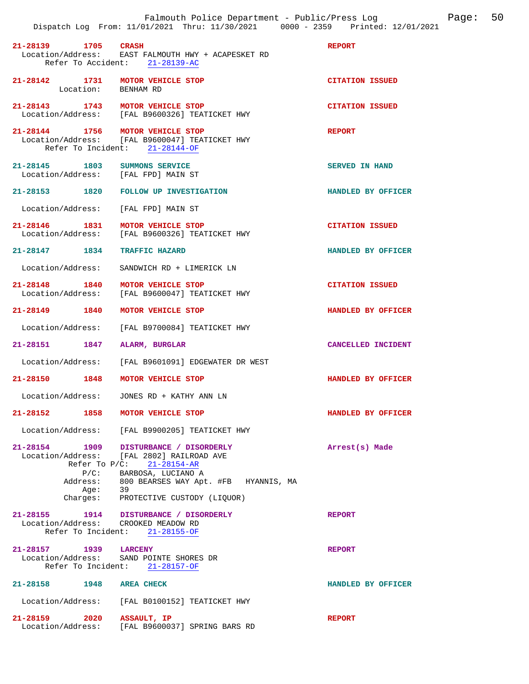|                          | Falmouth Police Department - Public/Press Log<br>Dispatch Log From: 11/01/2021 Thru: 11/30/2021 0000 - 2359 Printed: 12/01/2021 |                        | Page: | 50 |
|--------------------------|---------------------------------------------------------------------------------------------------------------------------------|------------------------|-------|----|
| 21-28139 1705 CRASH      | Location/Address: EAST FALMOUTH HWY + ACAPESKET RD<br>Refer To Accident: 21-28139-AC                                            | <b>REPORT</b>          |       |    |
|                          | 21-28142 1731 MOTOR VEHICLE STOP<br>Location: BENHAM RD                                                                         | <b>CITATION ISSUED</b> |       |    |
|                          | 21-28143 1743 MOTOR VEHICLE STOP<br>Location/Address: [FAL B9600326] TEATICKET HWY                                              | <b>CITATION ISSUED</b> |       |    |
|                          | 21-28144 1756 MOTOR VEHICLE STOP<br>Location/Address: [FAL B9600047] TEATICKET HWY<br>Refer To Incident: 21-28144-OF            | <b>REPORT</b>          |       |    |
|                          | 21-28145 1803 SUMMONS SERVICE<br>Location/Address: [FAL FPD] MAIN ST                                                            | SERVED IN HAND         |       |    |
|                          | 21-28153 1820 FOLLOW UP INVESTIGATION                                                                                           | HANDLED BY OFFICER     |       |    |
| Location/Address:        | [FAL FPD] MAIN ST                                                                                                               |                        |       |    |
|                          | 21-28146 1831 MOTOR VEHICLE STOP<br>Location/Address: [FAL B9600326] TEATICKET HWY                                              | <b>CITATION ISSUED</b> |       |    |
| 21-28147 1834            | <b>TRAFFIC HAZARD</b>                                                                                                           | HANDLED BY OFFICER     |       |    |
| Location/Address:        | SANDWICH RD + LIMERICK LN                                                                                                       |                        |       |    |
| Location/Address:        | 21-28148 1840 MOTOR VEHICLE STOP<br>[FAL B9600047] TEATICKET HWY                                                                | <b>CITATION ISSUED</b> |       |    |
|                          | 21-28149 1840 MOTOR VEHICLE STOP                                                                                                | HANDLED BY OFFICER     |       |    |
| Location/Address:        | [FAL B9700084] TEATICKET HWY                                                                                                    |                        |       |    |
| 21-28151 1847            | ALARM, BURGLAR                                                                                                                  | CANCELLED INCIDENT     |       |    |
|                          | Location/Address: [FAL B9601091] EDGEWATER DR WEST                                                                              |                        |       |    |
| 21-28150 1848            | <b>MOTOR VEHICLE STOP</b>                                                                                                       | HANDLED BY OFFICER     |       |    |
| Location/Address:        | JONES RD + KATHY ANN LN                                                                                                         |                        |       |    |
|                          | 21-28152 1858 MOTOR VEHICLE STOP                                                                                                | HANDLED BY OFFICER     |       |    |
|                          | Location/Address: [FAL B9900205] TEATICKET HWY                                                                                  |                        |       |    |
|                          | 21-28154 1909 DISTURBANCE / DISORDERLY<br>Location/Address: [FAL 2802] RAILROAD AVE<br>Refer To $P/C: 21-28154-AR$              | Arrest(s) Made         |       |    |
| Address:                 | P/C: BARBOSA, LUCIANO A<br>800 BEARSES WAY Apt. #FB HYANNIS, MA                                                                 |                        |       |    |
| Aqe:                     | 39<br>Charges: PROTECTIVE CUSTODY (LIQUOR)                                                                                      |                        |       |    |
|                          | 21-28155 1914 DISTURBANCE / DISORDERLY<br>Location/Address: CROOKED MEADOW RD<br>Refer To Incident: 21-28155-OF                 | <b>REPORT</b>          |       |    |
| 21-28157 1939 LARCENY    | Location/Address: SAND POINTE SHORES DR<br>Refer To Incident: 21-28157-OF                                                       | <b>REPORT</b>          |       |    |
| 21-28158 1948 AREA CHECK |                                                                                                                                 | HANDLED BY OFFICER     |       |    |
|                          | Location/Address: [FAL B0100152] TEATICKET HWY                                                                                  |                        |       |    |
| 21-28159 2020            | ASSAULT, IP<br>Location/Address: [FAL B9600037] SPRING BARS RD                                                                  | <b>REPORT</b>          |       |    |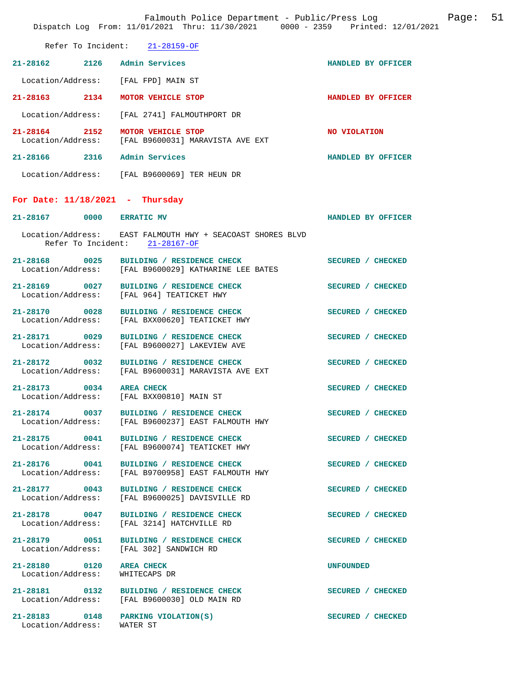|                                                            | Falmouth Police Department - Public/Press Log Fage: 51<br>Dispatch Log From: 11/01/2021 Thru: 11/30/2021 0000 - 2359 Printed: 12/01/2021 |                    |  |
|------------------------------------------------------------|------------------------------------------------------------------------------------------------------------------------------------------|--------------------|--|
|                                                            | Refer To Incident: 21-28159-OF                                                                                                           |                    |  |
|                                                            | 21-28162 2126 Admin Services                                                                                                             | HANDLED BY OFFICER |  |
|                                                            | Location/Address: [FAL FPD] MAIN ST                                                                                                      |                    |  |
|                                                            | 21-28163 2134 MOTOR VEHICLE STOP                                                                                                         | HANDLED BY OFFICER |  |
|                                                            | Location/Address: [FAL 2741] FALMOUTHPORT DR                                                                                             |                    |  |
|                                                            | 21-28164 2152 MOTOR VEHICLE STOP<br>Location/Address: [FAL B9600031] MARAVISTA AVE EXT                                                   | NO VIOLATION       |  |
|                                                            | 21-28166 2316 Admin Services                                                                                                             | HANDLED BY OFFICER |  |
|                                                            | Location/Address: [FAL B9600069] TER HEUN DR                                                                                             |                    |  |
| For Date: $11/18/2021$ - Thursday                          |                                                                                                                                          |                    |  |
| 21-28167 0000 ERRATIC MV                                   |                                                                                                                                          | HANDLED BY OFFICER |  |
|                                                            | Location/Address: EAST FALMOUTH HWY + SEACOAST SHORES BLVD<br>Refer To Incident: 21-28167-OF                                             |                    |  |
|                                                            | 21-28168 0025 BUILDING / RESIDENCE CHECK<br>Location/Address: [FAL B9600029] KATHARINE LEE BATES                                         | SECURED / CHECKED  |  |
|                                                            | 21-28169 0027 BUILDING / RESIDENCE CHECK<br>Location/Address: [FAL 964] TEATICKET HWY                                                    | SECURED / CHECKED  |  |
|                                                            | 21-28170 0028 BUILDING / RESIDENCE CHECK<br>Location/Address: [FAL BXX00620] TEATICKET HWY                                               | SECURED / CHECKED  |  |
| 21-28171 0029<br>Location/Address:                         | BUILDING / RESIDENCE CHECK<br>[FAL B9600027] LAKEVIEW AVE                                                                                | SECURED / CHECKED  |  |
|                                                            | 21-28172 0032 BUILDING / RESIDENCE CHECK<br>Location/Address: [FAL B9600031] MARAVISTA AVE EXT                                           | SECURED / CHECKED  |  |
| 21-28173 0034 AREA CHECK<br>Location/Address:              | [FAL BXX00810] MAIN ST                                                                                                                   | SECURED / CHECKED  |  |
|                                                            | 21-28174 0037 BUILDING / RESIDENCE CHECK<br>Location/Address:      [FAL B9600237] EAST FALMOUTH HWY                                      | SECURED / CHECKED  |  |
|                                                            | 21-28175 0041 BUILDING / RESIDENCE CHECK<br>Location/Address:    [FAL B9600074] TEATICKET HWY                                            | SECURED / CHECKED  |  |
|                                                            | 21-28176 0041 BUILDING / RESIDENCE CHECK<br>Location/Address: [FAL B9700958] EAST FALMOUTH HWY                                           | SECURED / CHECKED  |  |
| 21-28177 0043                                              | BUILDING / RESIDENCE CHECK<br>Location/Address: [FAL B9600025] DAVISVILLE RD                                                             | SECURED / CHECKED  |  |
|                                                            | 21-28178 0047 BUILDING / RESIDENCE CHECK<br>Location/Address: [FAL 3214] HATCHVILLE RD                                                   | SECURED / CHECKED  |  |
|                                                            | 21-28179 0051 BUILDING / RESIDENCE CHECK<br>Location/Address: [FAL 302] SANDWICH RD                                                      | SECURED / CHECKED  |  |
| 21-28180 0120 AREA CHECK<br>Location/Address: WHITECAPS DR |                                                                                                                                          | UNFOUNDED          |  |
|                                                            | 21-28181 0132 BUILDING / RESIDENCE CHECK<br>Location/Address: [FAL B9600030] OLD MAIN RD                                                 | SECURED / CHECKED  |  |
| Location/Address: WATER ST                                 | 21-28183 0148 PARKING VIOLATION(S)                                                                                                       | SECURED / CHECKED  |  |
|                                                            |                                                                                                                                          |                    |  |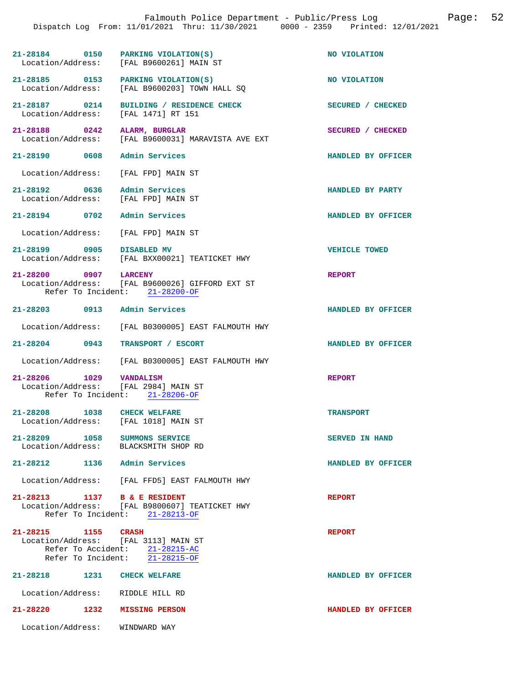|                                                                       |                                                                  |                                                                                     | Falmouth Police Department - Public/Press Log<br>Dispatch Log From: 11/01/2021 Thru: 11/30/2021 0000 - 2359 Printed: 12/01/2021 | Page: | 52 |
|-----------------------------------------------------------------------|------------------------------------------------------------------|-------------------------------------------------------------------------------------|---------------------------------------------------------------------------------------------------------------------------------|-------|----|
|                                                                       |                                                                  |                                                                                     |                                                                                                                                 |       |    |
|                                                                       |                                                                  | 21-28184 0150 PARKING VIOLATION(S)<br>Location/Address: [FAL B9600261] MAIN ST      | NO VIOLATION                                                                                                                    |       |    |
|                                                                       |                                                                  | 21-28185 0153 PARKING VIOLATION(S)<br>Location/Address: [FAL B9600203] TOWN HALL SQ | NO VIOLATION                                                                                                                    |       |    |
|                                                                       |                                                                  | 21-28187 0214 BUILDING / RESIDENCE CHECK<br>Location/Address: [FAL 1471] RT 151     | SECURED / CHECKED                                                                                                               |       |    |
| 21-28188 0242 ALARM, BURGLAR<br>Location/Address:                     |                                                                  | [FAL B9600031] MARAVISTA AVE EXT                                                    | SECURED / CHECKED                                                                                                               |       |    |
| 21-28190 0608 Admin Services                                          |                                                                  |                                                                                     | HANDLED BY OFFICER                                                                                                              |       |    |
| Location/Address: [FAL FPD] MAIN ST                                   |                                                                  |                                                                                     |                                                                                                                                 |       |    |
| 21-28192 0636 Admin Services<br>Location/Address: [FAL FPD] MAIN ST   |                                                                  |                                                                                     | HANDLED BY PARTY                                                                                                                |       |    |
| 21-28194 0702 Admin Services                                          |                                                                  |                                                                                     | HANDLED BY OFFICER                                                                                                              |       |    |
| Location/Address: [FAL FPD] MAIN ST                                   |                                                                  |                                                                                     |                                                                                                                                 |       |    |
| 21-28199 0905 DISABLED MV                                             |                                                                  | Location/Address: [FAL BXX00021] TEATICKET HWY                                      | <b>VEHICLE TOWED</b>                                                                                                            |       |    |
| 21-28200 0907 LARCENY<br>Refer To Incident: 21-28200-OF               |                                                                  | Location/Address: [FAL B9600026] GIFFORD EXT ST                                     | <b>REPORT</b>                                                                                                                   |       |    |
| 21-28203 0913 Admin Services                                          |                                                                  |                                                                                     | HANDLED BY OFFICER                                                                                                              |       |    |
|                                                                       |                                                                  | Location/Address: [FAL B0300005] EAST FALMOUTH HWY                                  |                                                                                                                                 |       |    |
| 21-28204 0943                                                         |                                                                  | TRANSPORT / ESCORT                                                                  | HANDLED BY OFFICER                                                                                                              |       |    |
|                                                                       |                                                                  | Location/Address: [FAL B0300005] EAST FALMOUTH HWY                                  |                                                                                                                                 |       |    |
| 21-28206 1029 VANDALISM<br>Location/Address: [FAL 2984] MAIN ST       | Refer To Incident: 21-28206-OF                                   |                                                                                     | <b>REPORT</b>                                                                                                                   |       |    |
| 21-28208 1038 CHECK WELFARE<br>Location/Address: [FAL 1018] MAIN ST   |                                                                  |                                                                                     | <b>TRANSPORT</b>                                                                                                                |       |    |
| 21-28209 1058 SUMMONS SERVICE<br>Location/Address: BLACKSMITH SHOP RD |                                                                  |                                                                                     | <b>SERVED IN HAND</b>                                                                                                           |       |    |
| 21-28212 1136 Admin Services                                          |                                                                  |                                                                                     | HANDLED BY OFFICER                                                                                                              |       |    |
|                                                                       |                                                                  | Location/Address: [FAL FFD5] EAST FALMOUTH HWY                                      |                                                                                                                                 |       |    |
| 21-28213 1137 B & E RESIDENT                                          | Refer To Incident: 21-28213-OF                                   | Location/Address: [FAL B9800607] TEATICKET HWY                                      | <b>REPORT</b>                                                                                                                   |       |    |
| 21-28215 1155 CRASH<br>Location/Address: [FAL 3113] MAIN ST           | Refer To Accident: 21-28215-AC<br>Refer To Incident: 21-28215-OF |                                                                                     | <b>REPORT</b>                                                                                                                   |       |    |
|                                                                       |                                                                  |                                                                                     | HANDLED BY OFFICER                                                                                                              |       |    |
| Location/Address: RIDDLE HILL RD                                      |                                                                  |                                                                                     |                                                                                                                                 |       |    |
| 21-28220 1232 MISSING PERSON                                          |                                                                  |                                                                                     | HANDLED BY OFFICER                                                                                                              |       |    |
| Location/Address:                                                     | WINDWARD WAY                                                     |                                                                                     |                                                                                                                                 |       |    |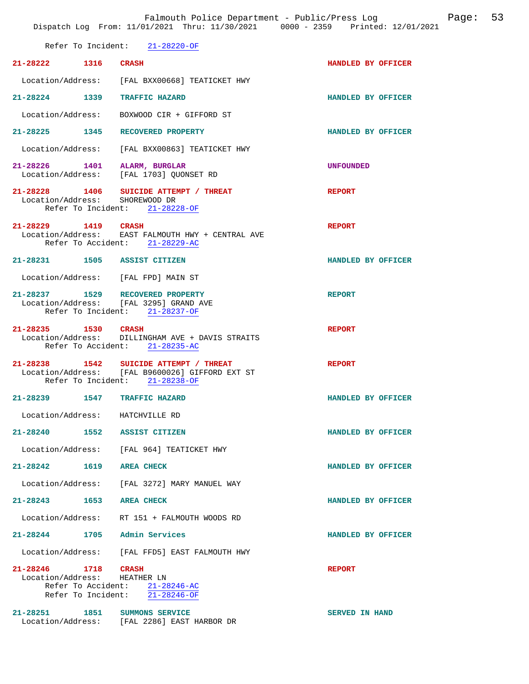| VETET TO THOTAGHO.                               | $21 - 20220 - 01$                                                                                                           |                       |
|--------------------------------------------------|-----------------------------------------------------------------------------------------------------------------------------|-----------------------|
| 21-28222 1316 CRASH                              |                                                                                                                             | HANDLED BY OFFICER    |
|                                                  | Location/Address: [FAL BXX00668] TEATICKET HWY                                                                              |                       |
|                                                  | 21-28224 1339 TRAFFIC HAZARD                                                                                                | HANDLED BY OFFICER    |
|                                                  | Location/Address: BOXWOOD CIR + GIFFORD ST                                                                                  |                       |
|                                                  | 21-28225 1345 RECOVERED PROPERTY                                                                                            | HANDLED BY OFFICER    |
|                                                  | Location/Address: [FAL BXX00863] TEATICKET HWY                                                                              |                       |
|                                                  | 21-28226 1401 ALARM, BURGLAR<br>Location/Address: [FAL 1703] QUONSET RD                                                     | <b>UNFOUNDED</b>      |
| Location/Address: SHOREWOOD DR                   | 21-28228 1406 SUICIDE ATTEMPT / THREAT<br>Refer To Incident: 21-28228-OF                                                    | <b>REPORT</b>         |
| 21-28229 1419 CRASH                              | Location/Address: EAST FALMOUTH HWY + CENTRAL AVE<br>Refer To Accident: 21-28229-AC                                         | <b>REPORT</b>         |
|                                                  | 21-28231 1505 ASSIST CITIZEN                                                                                                | HANDLED BY OFFICER    |
|                                                  | Location/Address: [FAL FPD] MAIN ST                                                                                         |                       |
|                                                  | 21-28237 1529 RECOVERED PROPERTY<br>Location/Address: [FAL 3295] GRAND AVE<br>Refer To Incident: 21-28237-OF                | <b>REPORT</b>         |
| 21-28235 1530 CRASH                              | Location/Address: DILLINGHAM AVE + DAVIS STRAITS<br>Refer To Accident: 21-28235-AC                                          | <b>REPORT</b>         |
|                                                  | 21-28238 1542 SUICIDE ATTEMPT / THREAT<br>Location/Address: [FAL B9600026] GIFFORD EXT ST<br>Refer To Incident: 21-28238-OF | <b>REPORT</b>         |
| 21-28239 1547 TRAFFIC HAZARD                     |                                                                                                                             | HANDLED BY OFFICER    |
| Location/Address: HATCHVILLE RD                  |                                                                                                                             |                       |
| 21-28240 1552 ASSIST CITIZEN                     |                                                                                                                             | HANDLED BY OFFICER    |
|                                                  | Location/Address: [FAL 964] TEATICKET HWY                                                                                   |                       |
| 21-28242 1619 AREA CHECK                         |                                                                                                                             | HANDLED BY OFFICER    |
|                                                  | Location/Address: [FAL 3272] MARY MANUEL WAY                                                                                |                       |
| 21-28243 1653 AREA CHECK                         |                                                                                                                             | HANDLED BY OFFICER    |
|                                                  | Location/Address: RT 151 + FALMOUTH WOODS RD                                                                                |                       |
| 21-28244 1705 Admin Services                     |                                                                                                                             | HANDLED BY OFFICER    |
|                                                  | Location/Address: [FAL FFD5] EAST FALMOUTH HWY                                                                              |                       |
| 21-28246<br>1718<br>Location/Address: HEATHER LN | CRASH<br>Refer To Accident: 21-28246-AC                                                                                     | <b>REPORT</b>         |
| Refer To Incident:                               | 21-28246-OF                                                                                                                 |                       |
| 21-28251 1851                                    | SUMMONS SERVICE<br>Location/Address: [FAL 2286] EAST HARBOR DR                                                              | <b>SERVED IN HAND</b> |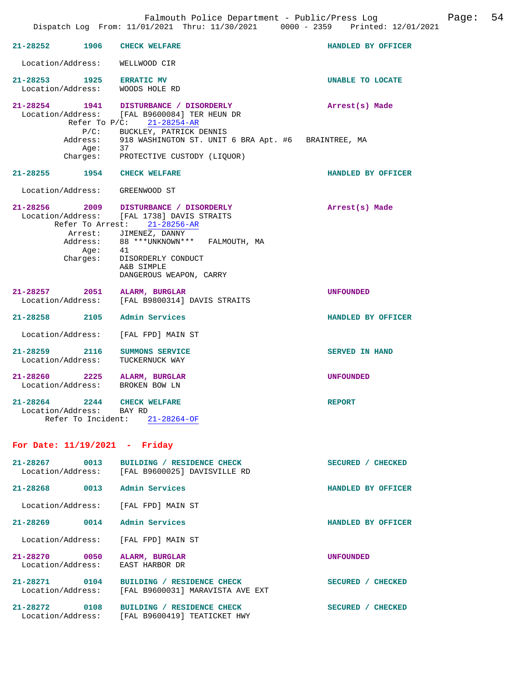|                                                      | Dispatch Log From: 11/01/2021 Thru: 11/30/2021 0000 - 2359 Printed: 12/01/2021                                         |                       |
|------------------------------------------------------|------------------------------------------------------------------------------------------------------------------------|-----------------------|
| 21-28252 1906                                        | <b>CHECK WELFARE</b>                                                                                                   | HANDLED BY OFFICER    |
| Location/Address: WELLWOOD CIR                       |                                                                                                                        |                       |
| 21-28253 1925 ERRATIC MV<br>Location/Address:        | WOODS HOLE RD                                                                                                          | UNABLE TO LOCATE      |
|                                                      | 21-28254 1941 DISTURBANCE / DISORDERLY<br>Location/Address: [FAL B9600084] TER HEUN DR<br>Refer To $P/C$ : 21-28254-AR | Arrest(s) Made        |
| Aqe:                                                 | P/C: BUCKLEY, PATRICK DENNIS<br>Address: 918 WASHINGTON ST. UNIT 6 BRA Apt. #6 BRAINTREE, MA<br>37                     |                       |
|                                                      | Charges: PROTECTIVE CUSTODY (LIQUOR)                                                                                   |                       |
| 21-28255 1954 CHECK WELFARE                          |                                                                                                                        | HANDLED BY OFFICER    |
| Location/Address:                                    | GREENWOOD ST                                                                                                           |                       |
|                                                      | 21-28256 2009 DISTURBANCE / DISORDERLY<br>Location/Address: [FAL 1738] DAVIS STRAITS<br>Refer To Arrest: 21-28256-AR   | Arrest(s) Made        |
| Address:                                             | Arrest: JIMENEZ, DANNY<br>88 *** UNKNOWN *** FALMOUTH, MA                                                              |                       |
| Aqe:                                                 | 41<br>Charges: DISORDERLY CONDUCT<br>A&B SIMPLE                                                                        |                       |
|                                                      | DANGEROUS WEAPON, CARRY                                                                                                |                       |
| 21-28257 2051 ALARM, BURGLAR                         | Location/Address: [FAL B9800314] DAVIS STRAITS                                                                         | UNFOUNDED             |
| 21-28258 2105 Admin Services                         |                                                                                                                        | HANDLED BY OFFICER    |
| Location/Address:                                    | [FAL FPD] MAIN ST                                                                                                      |                       |
| 21-28259 2116<br>Location/Address:                   | SUMMONS SERVICE<br>TUCKERNUCK WAY                                                                                      | <b>SERVED IN HAND</b> |
| $21 - 28260$ 2225<br>Location/Address: BROKEN BOW LN | ALARM, BURGLAR                                                                                                         | <b>UNFOUNDED</b>      |
| 21-28264<br>2244<br>Location/Address: BAY RD         | <b>CHECK WELFARE</b>                                                                                                   | <b>REPORT</b>         |
|                                                      | Refer To Incident: 21-28264-OF                                                                                         |                       |
| For Date: $11/19/2021$ - Friday                      |                                                                                                                        |                       |
|                                                      | 21-28267 0013 BUILDING / RESIDENCE CHECK<br>Location/Address: [FAL B9600025] DAVISVILLE RD                             | SECURED / CHECKED     |
| 21-28268 0013 Admin Services                         |                                                                                                                        | HANDLED BY OFFICER    |
| Location/Address: [FAL FPD] MAIN ST                  |                                                                                                                        |                       |
| 21-28269 0014 Admin Services                         |                                                                                                                        | HANDLED BY OFFICER    |
| Location/Address:                                    | [FAL FPD] MAIN ST                                                                                                      |                       |
| 21-28270 0050<br>Location/Address:                   | ALARM, BURGLAR<br>EAST HARBOR DR                                                                                       | UNFOUNDED             |
| 21-28271 0104<br>Location/Address:                   | BUILDING / RESIDENCE CHECK<br>[FAL B9600031] MARAVISTA AVE EXT                                                         | SECURED / CHECKED     |
|                                                      | 21-28272 0108 BUILDING / RESIDENCE CHECK<br>Location/Address: [FAL B9600419] TEATICKET HWY                             | SECURED / CHECKED     |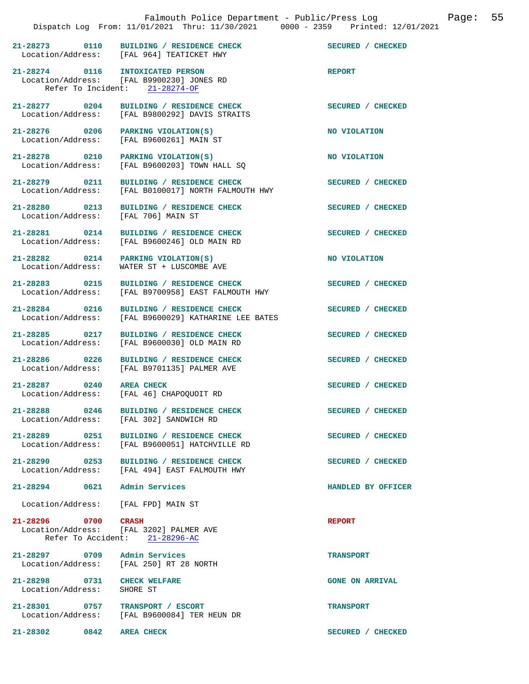|                                                  | 21-28273 0110 BUILDING / RESIDENCE CHECK<br>Location/Address: [FAL 964] TEATICKET HWY                    | SECURED / CHECKED      |
|--------------------------------------------------|----------------------------------------------------------------------------------------------------------|------------------------|
| 21-28274 0116                                    | <b>INTOXICATED PERSON</b><br>Location/Address: [FAL B9900230] JONES RD<br>Refer To Incident: 21-28274-OF | <b>REPORT</b>          |
| 21-28277 0204<br>Location/Address:               | BUILDING / RESIDENCE CHECK<br>[FAL B9800292] DAVIS STRAITS                                               | SECURED / CHECKED      |
| 21-28276 0206<br>Location/Address:               | PARKING VIOLATION(S)<br>[FAL B9600261] MAIN ST                                                           | NO VIOLATION           |
| 21-28278 0210<br>Location/Address:               | PARKING VIOLATION(S)<br>[FAL B9600203] TOWN HALL SO                                                      | NO VIOLATION           |
| 21-28279 0211<br>Location/Address:               | BUILDING / RESIDENCE CHECK<br>[FAL B0100017] NORTH FALMOUTH HWY                                          | SECURED / CHECKED      |
| 21-28280 0213<br>Location/Address:               | BUILDING / RESIDENCE CHECK<br>[FAL 706] MAIN ST                                                          | SECURED / CHECKED      |
| 21-28281 0214<br>Location/Address:               | BUILDING / RESIDENCE CHECK<br>[FAL B9600246] OLD MAIN RD                                                 | SECURED / CHECKED      |
| 21-28282 0214<br>Location/Address:               | PARKING VIOLATION(S)<br>WATER ST + LUSCOMBE AVE                                                          | NO VIOLATION           |
| 21-28283 0215<br>Location/Address:               | BUILDING / RESIDENCE CHECK<br>[FAL B9700958] EAST FALMOUTH HWY                                           | SECURED / CHECKED      |
| 21-28284 0216<br>Location/Address:               | BUILDING / RESIDENCE CHECK<br>[FAL B9600029] KATHARINE LEE BATES                                         | SECURED / CHECKED      |
| 21-28285 0217<br>Location/Address:               | BUILDING / RESIDENCE CHECK<br>[FAL B9600030] OLD MAIN RD                                                 | SECURED / CHECKED      |
| 21-28286 0226<br>Location/Address:               | BUILDING / RESIDENCE CHECK<br>[FAL B9701135] PALMER AVE                                                  | SECURED / CHECKED      |
| 21-28287 0240                                    | <b>AREA CHECK</b><br>Location/Address: [FAL 46] CHAPOQUOIT RD                                            | SECURED / CHECKED      |
| 21-28288 0246<br>Location/Address:               | BUILDING / RESIDENCE CHECK<br>[FAL 302] SANDWICH RD                                                      | SECURED / CHECKED      |
|                                                  | 21-28289 0251 BUILDING / RESIDENCE CHECK<br>Location/Address: [FAL B9600051] HATCHVILLE RD               | SECURED / CHECKED      |
|                                                  | 21-28290 0253 BUILDING / RESIDENCE CHECK<br>Location/Address: [FAL 494] EAST FALMOUTH HWY                | SECURED / CHECKED      |
| 21-28294 0621                                    | Admin Services                                                                                           | HANDLED BY OFFICER     |
| Location/Address: [FAL FPD] MAIN ST              |                                                                                                          |                        |
| 21-28296 0700                                    | CRASH<br>Location/Address: [FAL 3202] PALMER AVE<br>Refer To Accident: 21-28296-AC                       | <b>REPORT</b>          |
| 21-28297 0709 Admin Services                     | Location/Address: [FAL 250] RT 28 NORTH                                                                  | <b>TRANSPORT</b>       |
| 21-28298 0731 CHECK WELFARE<br>Location/Address: | SHORE ST                                                                                                 | <b>GONE ON ARRIVAL</b> |
| 21-28301 0757                                    | TRANSPORT / ESCORT<br>Location/Address: [FAL B9600084] TER HEUN DR                                       | <b>TRANSPORT</b>       |

**21-28302** 0842 AREA CHECK SECURED / CHECKED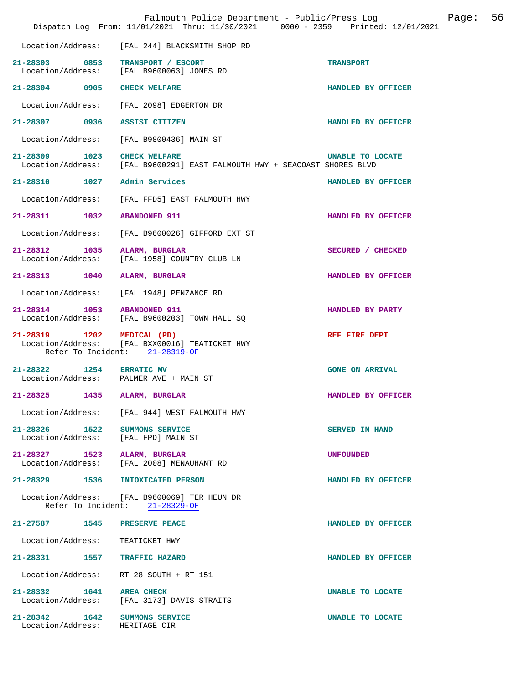|                                                                      | Falmouth Police Department - Public/Press Log<br>Dispatch Log From: 11/01/2021 Thru: 11/30/2021 0000 - 2359 Printed: 12/01/2021 |                         | Page: | 56 |
|----------------------------------------------------------------------|---------------------------------------------------------------------------------------------------------------------------------|-------------------------|-------|----|
| Location/Address:                                                    | [FAL 244] BLACKSMITH SHOP RD                                                                                                    |                         |       |    |
| 21-28303 0853 TRANSPORT / ESCORT                                     | Location/Address: [FAL B9600063] JONES RD                                                                                       | <b>TRANSPORT</b>        |       |    |
| 21-28304 0905 CHECK WELFARE                                          |                                                                                                                                 | HANDLED BY OFFICER      |       |    |
|                                                                      | Location/Address: [FAL 2098] EDGERTON DR                                                                                        |                         |       |    |
| 21-28307 0936 ASSIST CITIZEN                                         |                                                                                                                                 | HANDLED BY OFFICER      |       |    |
|                                                                      | Location/Address: [FAL B9800436] MAIN ST                                                                                        |                         |       |    |
| 21-28309 1023 CHECK WELFARE                                          | Location/Address: [FAL B9600291] EAST FALMOUTH HWY + SEACOAST SHORES BLVD                                                       | <b>UNABLE TO LOCATE</b> |       |    |
| 21-28310 1027                                                        | Admin Services                                                                                                                  | HANDLED BY OFFICER      |       |    |
| Location/Address:                                                    | [FAL FFD5] EAST FALMOUTH HWY                                                                                                    |                         |       |    |
| 21-28311 1032 ABANDONED 911                                          |                                                                                                                                 | HANDLED BY OFFICER      |       |    |
| Location/Address:                                                    | [FAL B9600026] GIFFORD EXT ST                                                                                                   |                         |       |    |
| 21-28312 1035 ALARM, BURGLAR                                         | Location/Address: [FAL 1958] COUNTRY CLUB LN                                                                                    | SECURED / CHECKED       |       |    |
| 21-28313 1040                                                        | ALARM, BURGLAR                                                                                                                  | HANDLED BY OFFICER      |       |    |
| Location/Address:                                                    | [FAL 1948] PENZANCE RD                                                                                                          |                         |       |    |
| 21-28314 1053 ABANDONED 911                                          | Location/Address: [FAL B9600203] TOWN HALL SQ                                                                                   | HANDLED BY PARTY        |       |    |
| 21-28319 1202 MEDICAL (PD)                                           | Location/Address: [FAL BXX00016] TEATICKET HWY<br>Refer To Incident: 21-28319-OF                                                | REF FIRE DEPT           |       |    |
| 21-28322 1254 ERRATIC MV<br>Location/Address: PALMER AVE + MAIN ST   |                                                                                                                                 | <b>GONE ON ARRIVAL</b>  |       |    |
| 21-28325<br>1435                                                     | ALARM, BURGLAR                                                                                                                  | HANDLED BY OFFICER      |       |    |
|                                                                      | Location/Address: [FAL 944] WEST FALMOUTH HWY                                                                                   |                         |       |    |
| 21-28326 1522 SUMMONS SERVICE<br>Location/Address: [FAL FPD] MAIN ST |                                                                                                                                 | <b>SERVED IN HAND</b>   |       |    |
| 21-28327 1523 ALARM, BURGLAR                                         | Location/Address: [FAL 2008] MENAUHANT RD                                                                                       | <b>UNFOUNDED</b>        |       |    |
| 21-28329 1536 INTOXICATED PERSON                                     |                                                                                                                                 | HANDLED BY OFFICER      |       |    |
|                                                                      | Location/Address: [FAL B9600069] TER HEUN DR<br>Refer To Incident: 21-28329-OF                                                  |                         |       |    |
| 21-27587 1545 PRESERVE PEACE                                         |                                                                                                                                 | HANDLED BY OFFICER      |       |    |
| Location/Address: TEATICKET HWY                                      |                                                                                                                                 |                         |       |    |
| 21-28331 1557 TRAFFIC HAZARD                                         |                                                                                                                                 | HANDLED BY OFFICER      |       |    |
| Location/Address: RT 28 SOUTH + RT 151                               |                                                                                                                                 |                         |       |    |
| 21-28332 1641 AREA CHECK                                             | Location/Address: [FAL 3173] DAVIS STRAITS                                                                                      | UNABLE TO LOCATE        |       |    |
| 21-28342   1642   SUMMONS SERVICE<br>Location/Address: HERITAGE CIR  |                                                                                                                                 | UNABLE TO LOCATE        |       |    |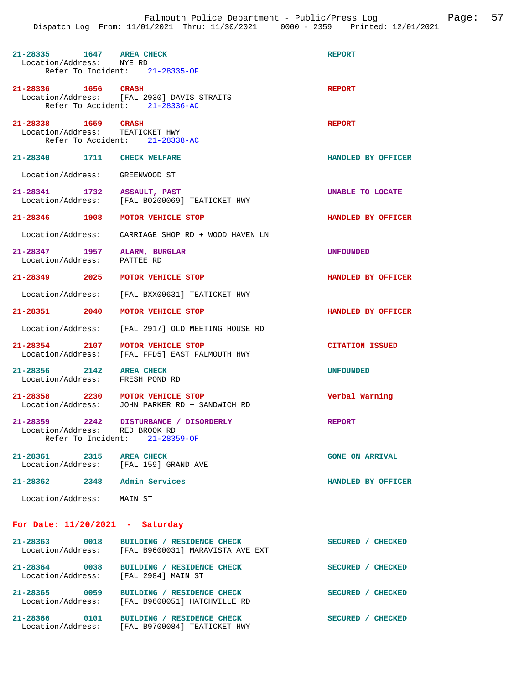| 21-28335 1647 AREA CHECK<br>Location/Address: NYE RD              | Refer To Incident: $21-28335-OF$                                                 | <b>REPORT</b>          |
|-------------------------------------------------------------------|----------------------------------------------------------------------------------|------------------------|
| 21-28336 1656 CRASH                                               | Location/Address: [FAL 2930] DAVIS STRAITS<br>Refer To Accident: 21-28336-AC     | <b>REPORT</b>          |
| 21-28338 1659 CRASH<br>Location/Address: TEATICKET HWY            | Refer To Accident: 21-28338-AC                                                   | <b>REPORT</b>          |
| 21-28340 1711 CHECK WELFARE                                       |                                                                                  | HANDLED BY OFFICER     |
| Location/Address: GREENWOOD ST                                    |                                                                                  |                        |
| 21-28341 1732 ASSAULT, PAST                                       | Location/Address: [FAL B0200069] TEATICKET HWY                                   | UNABLE TO LOCATE       |
| 21-28346 1908 MOTOR VEHICLE STOP                                  |                                                                                  | HANDLED BY OFFICER     |
|                                                                   | Location/Address: CARRIAGE SHOP RD + WOOD HAVEN LN                               |                        |
| 21-28347 1957 ALARM, BURGLAR<br>Location/Address:                 | PATTEE RD                                                                        | UNFOUNDED              |
| 21-28349 2025                                                     | MOTOR VEHICLE STOP                                                               | HANDLED BY OFFICER     |
|                                                                   | Location/Address: [FAL BXX00631] TEATICKET HWY                                   |                        |
| 21-28351 2040                                                     | MOTOR VEHICLE STOP                                                               | HANDLED BY OFFICER     |
| Location/Address:                                                 | [FAL 2917] OLD MEETING HOUSE RD                                                  |                        |
| 21-28354 2107<br>Location/Address:                                | MOTOR VEHICLE STOP<br>[FAL FFD5] EAST FALMOUTH HWY                               | <b>CITATION ISSUED</b> |
| 21-28356 2142<br>Location/Address:                                | <b>AREA CHECK</b><br>FRESH POND RD                                               | <b>UNFOUNDED</b>       |
| 21-28358 2230 MOTOR VEHICLE STOP                                  | Location/Address: JOHN PARKER RD + SANDWICH RD                                   | Verbal Warning         |
| 21-28359 2242<br>Location/Address: RED BROOK RD                   | DISTURBANCE / DISORDERLY<br>Refer To Incident: 21-28359-OF                       | <b>REPORT</b>          |
| 21-28361 2315 AREA CHECK<br>Location/Address: [FAL 159] GRAND AVE |                                                                                  | <b>GONE ON ARRIVAL</b> |
| 21-28362 2348 Admin Services                                      |                                                                                  | HANDLED BY OFFICER     |
| Location/Address: MAIN ST                                         |                                                                                  |                        |
| For Date: $11/20/2021$ - Saturday                                 |                                                                                  |                        |
| 21-28363 0018                                                     | BUILDING / RESIDENCE CHECK<br>Location/Address: [FAL B9600031] MARAVISTA AVE EXT | SECURED / CHECKED      |
| Location/Address: [FAL 2984] MAIN ST                              | 21-28364 0038 BUILDING / RESIDENCE CHECK                                         | SECURED / CHECKED      |
| 21-28365 0059<br>Location/Address:                                | BUILDING / RESIDENCE CHECK<br>[FAL B9600051] HATCHVILLE RD                       | SECURED / CHECKED      |

**21-28366 0101 BUILDING / RESIDENCE CHECK SECURED / CHECKED**  Location/Address: [FAL B9700084] TEATICKET HWY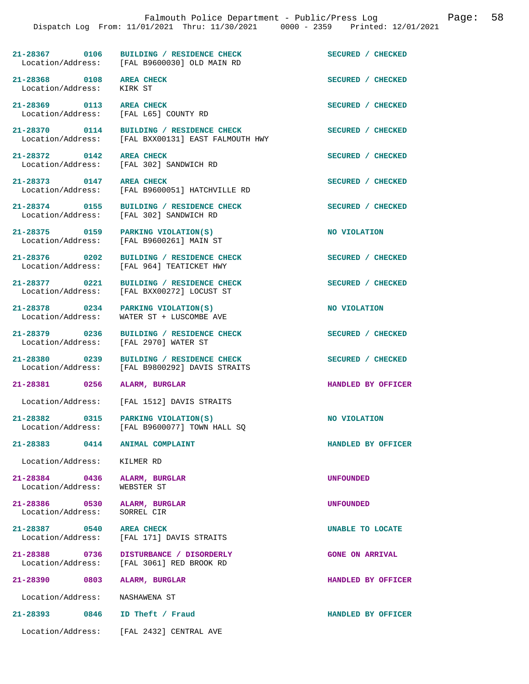|                                                                   | 21-28367 0106 BUILDING / RESIDENCE CHECK<br>Location/Address: [FAL B9600030] OLD MAIN RD | SECURED / CHECKED |
|-------------------------------------------------------------------|------------------------------------------------------------------------------------------|-------------------|
| 21-28368 0108 AREA CHECK<br>Location/Address:                     | KIRK ST                                                                                  | SECURED / CHECKED |
| 21-28369 0113 AREA CHECK<br>Location/Address: [FAL L65] COUNTY RD |                                                                                          | SECURED / CHECKED |
| 21-28370 0114                                                     | BUILDING / RESIDENCE CHECK<br>Location/Address: [FAL BXX00131] EAST FALMOUTH HWY         | SECURED / CHECKED |
| 21-28372 0142 AREA CHECK                                          | Location/Address: [FAL 302] SANDWICH RD                                                  | SECURED / CHECKED |
| 21-28373 0147 AREA CHECK                                          | Location/Address: [FAL B9600051] HATCHVILLE RD                                           | SECURED / CHECKED |
|                                                                   | 21-28374 0155 BUILDING / RESIDENCE CHECK<br>Location/Address: [FAL 302] SANDWICH RD      | SECURED / CHECKED |
| Location/Address:                                                 | 21-28375 0159 PARKING VIOLATION(S)<br>[FAL B9600261] MAIN ST                             | NO VIOLATION      |
|                                                                   | 21-28376 0202 BUILDING / RESIDENCE CHECK<br>Location/Address: [FAL 964] TEATICKET HWY    | SECURED / CHECKED |
|                                                                   | 21-28377 0221 BUILDING / RESIDENCE CHECK<br>Location/Address: [FAL BXX00272] LOCUST ST   | SECURED / CHECKED |
| 0234<br>$21 - 28378$                                              | PARKING VIOLATION(S)                                                                     | NO VIOLATION      |

Location/Address: WATER ST + LUSCOMBE AVE

21-28379 0236 BUILDING / RESIDENCE CHECK SECURED / CHECKED Location / Address: [FAL 2970] WATER ST

**21-28380 0239 BUILDING / RESIDENCE CHECK SECURED / CHECKED**  Location/Address: [FAL B9800292] DAVIS STRAITS

**21-28381 0256 ALARM, BURGLAR HANDLED BY OFFICER** 

Location/Address: [FAL 1512] DAVIS STRAITS

21-28382 0315 PARKING VIOLATION(S) **NO VIOLATION NO** VIOLATION Location/Address: [FAL B9600077] TOWN HALL SQ

**21-28383 0414 ANIMAL COMPLAINT HANDLED BY OFFICER** 

Location/Address: KILMER RD

**21-28384 0436 ALARM, BURGLAR UNFOUNDED**  Location/Address: WEBSTER ST

**21-28386 0530 ALARM, BURGLAR UNFOUNDED**  Location/Address: SORREL CIR

**21-28387 0540 AREA CHECK UNABLE TO LOCATE**  Location/Address: [FAL 171] DAVIS STRAITS

 $[FAL B9600077]$  TOWN HALL SQ

[FAL 2970] WATER ST

**21-28388 0736 DISTURBANCE / DISORDERLY GONE ON ARRIVAL**  [FAL 3061] RED BROOK RD

**21-28390 0803 ALARM, BURGLAR HANDLED BY OFFICER**  Location/Address: NASHAWENA ST

**21-28393 0846 ID Theft / Fraud HANDLED BY OFFICER** 

Location/Address: [FAL 2432] CENTRAL AVE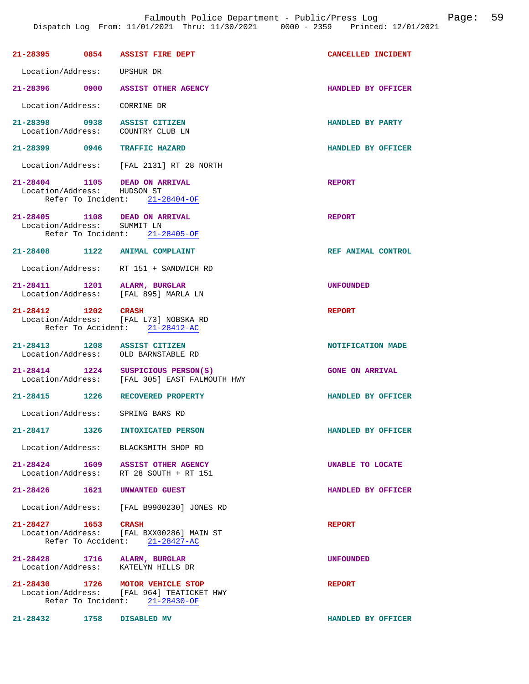|                              |      | 21-28395 0854 ASSIST FIRE DEPT                                                                                  | CANCELLED INCIDENT     |
|------------------------------|------|-----------------------------------------------------------------------------------------------------------------|------------------------|
| Location/Address: UPSHUR DR  |      |                                                                                                                 |                        |
|                              |      | 21-28396 0900 ASSIST OTHER AGENCY                                                                               | HANDLED BY OFFICER     |
| Location/Address: CORRINE DR |      |                                                                                                                 |                        |
|                              |      | 21-28398 0938 ASSIST CITIZEN<br>Location/Address: COUNTRY CLUB LN                                               | HANDLED BY PARTY       |
|                              |      | 21-28399 0946 TRAFFIC HAZARD                                                                                    | HANDLED BY OFFICER     |
|                              |      | Location/Address: [FAL 2131] RT 28 NORTH                                                                        |                        |
| Location/Address: HUDSON ST  |      | 21-28404 1105 DEAD ON ARRIVAL<br>Refer To Incident: 21-28404-OF                                                 | <b>REPORT</b>          |
| Location/Address: SUMMIT LN  |      | 21-28405 1108 DEAD ON ARRIVAL<br>Refer To Incident: 21-28405-OF                                                 | <b>REPORT</b>          |
|                              |      | 21-28408 1122 ANIMAL COMPLAINT                                                                                  | REF ANIMAL CONTROL     |
|                              |      | Location/Address: RT 151 + SANDWICH RD                                                                          |                        |
|                              |      | 21-28411 1201 ALARM, BURGLAR<br>Location/Address: [FAL 895] MARLA LN                                            | <b>UNFOUNDED</b>       |
| 21-28412 1202 CRASH          |      | Location/Address: [FAL L73] NOBSKA RD<br>Refer To Accident: 21-28412-AC                                         | <b>REPORT</b>          |
|                              |      | 21-28413 1208 ASSIST CITIZEN<br>Location/Address: OLD BARNSTABLE RD                                             | NOTIFICATION MADE      |
|                              |      | 21-28414 1224 SUSPICIOUS PERSON(S)<br>Location/Address: [FAL 305] EAST FALMOUTH HWY                             | <b>GONE ON ARRIVAL</b> |
|                              |      | 21-28415 1226 RECOVERED PROPERTY                                                                                | HANDLED BY OFFICER     |
|                              |      | Location/Address: SPRING BARS RD                                                                                |                        |
| 21-28417                     | 1326 | INTOXICATED PERSON                                                                                              | HANDLED BY OFFICER     |
|                              |      | Location/Address: BLACKSMITH SHOP RD                                                                            |                        |
|                              |      | 21-28424 1609 ASSIST OTHER AGENCY<br>Location/Address: RT 28 SOUTH + RT 151                                     | UNABLE TO LOCATE       |
|                              |      | 21-28426 1621 UNWANTED GUEST                                                                                    | HANDLED BY OFFICER     |
|                              |      | Location/Address: [FAL B9900230] JONES RD                                                                       |                        |
| 21-28427 1653 CRASH          |      | Location/Address: [FAL BXX00286] MAIN ST<br>Refer To Accident: 21-28427-AC                                      | <b>REPORT</b>          |
|                              |      | 21-28428 1716 ALARM, BURGLAR<br>Location/Address: KATELYN HILLS DR                                              | <b>UNFOUNDED</b>       |
|                              |      | 21-28430 1726 MOTOR VEHICLE STOP<br>Location/Address: [FAL 964] TEATICKET HWY<br>Refer To Incident: 21-28430-OF | <b>REPORT</b>          |

**21-28432 1758 DISABLED MV HANDLED BY OFFICER**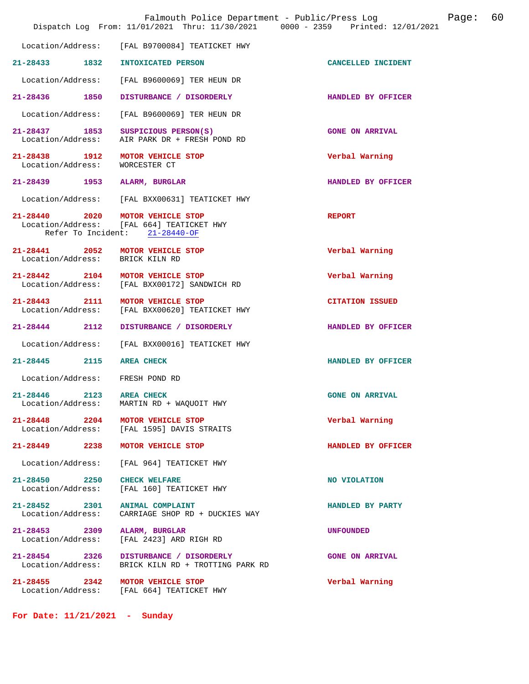|                                                                     | Falmouth Police Department - Public/Press Log<br>Dispatch Log From: 11/01/2021 Thru: 11/30/2021 0000 - 2359 Printed: 12/01/2021 | Page: 60               |  |
|---------------------------------------------------------------------|---------------------------------------------------------------------------------------------------------------------------------|------------------------|--|
|                                                                     | Location/Address: [FAL B9700084] TEATICKET HWY                                                                                  |                        |  |
| 21-28433 1832                                                       | INTOXICATED PERSON                                                                                                              | CANCELLED INCIDENT     |  |
| Location/Address:                                                   | [FAL B9600069] TER HEUN DR                                                                                                      |                        |  |
| 21-28436 1850                                                       | DISTURBANCE / DISORDERLY                                                                                                        | HANDLED BY OFFICER     |  |
| Location/Address:                                                   | [FAL B9600069] TER HEUN DR                                                                                                      |                        |  |
| 21-28437 1853<br>Location/Address:                                  | SUSPICIOUS PERSON(S)<br>AIR PARK DR + FRESH POND RD                                                                             | <b>GONE ON ARRIVAL</b> |  |
| 21-28438 1912<br>Location/Address:                                  | MOTOR VEHICLE STOP<br>WORCESTER CT                                                                                              | Verbal Warning         |  |
| 21-28439 1953 ALARM, BURGLAR                                        |                                                                                                                                 | HANDLED BY OFFICER     |  |
| Location/Address:                                                   | [FAL BXX00631] TEATICKET HWY                                                                                                    |                        |  |
| 21-28440 2020 MOTOR VEHICLE STOP                                    | Location/Address: [FAL 664] TEATICKET HWY<br>Refer To Incident: 21-28440-OF                                                     | <b>REPORT</b>          |  |
| 21-28441 2052 MOTOR VEHICLE STOP<br>Location/Address: BRICK KILN RD |                                                                                                                                 | Verbal Warning         |  |
| $21 - 28442$ 2104                                                   | MOTOR VEHICLE STOP<br>Location/Address: [FAL BXX00172] SANDWICH RD                                                              | Verbal Warning         |  |
| 21-28443 2111<br>Location/Address:                                  | MOTOR VEHICLE STOP<br>[FAL BXX00620] TEATICKET HWY                                                                              | <b>CITATION ISSUED</b> |  |
| 21-28444 2112                                                       | DISTURBANCE / DISORDERLY                                                                                                        | HANDLED BY OFFICER     |  |
| Location/Address:                                                   | [FAL BXX00016] TEATICKET HWY                                                                                                    |                        |  |
| 21-28445<br>2115                                                    | <b>AREA CHECK</b>                                                                                                               | HANDLED BY OFFICER     |  |
| Location/Address: FRESH POND RD                                     |                                                                                                                                 |                        |  |
| 21-28446 2123 AREA CHECK<br>Location/Address:                       | MARTIN RD + WAQUOIT HWY                                                                                                         | <b>GONE ON ARRIVAL</b> |  |
| 21-28448 2204 MOTOR VEHICLE STOP                                    | Location/Address: [FAL 1595] DAVIS STRAITS                                                                                      | Verbal Warning         |  |
| 21-28449 2238 MOTOR VEHICLE STOP                                    |                                                                                                                                 | HANDLED BY OFFICER     |  |
|                                                                     | Location/Address: [FAL 964] TEATICKET HWY                                                                                       |                        |  |
| 21-28450 2250 CHECK WELFARE                                         | Location/Address: [FAL 160] TEATICKET HWY                                                                                       | NO VIOLATION           |  |
| 21-28452 2301 ANIMAL COMPLAINT<br>Location/Address:                 | CARRIAGE SHOP RD + DUCKIES WAY                                                                                                  | HANDLED BY PARTY       |  |
| 21-28453 2309 ALARM, BURGLAR                                        | Location/Address: [FAL 2423] ARD RIGH RD                                                                                        | <b>UNFOUNDED</b>       |  |
| 21-28454 2326<br>Location/Address:                                  | <b>DISTURBANCE / DISORDERLY</b><br>BRICK KILN RD + TROTTING PARK RD                                                             | <b>GONE ON ARRIVAL</b> |  |
| 21-28455 2342 MOTOR VEHICLE STOP                                    | Location/Address: [FAL 664] TEATICKET HWY                                                                                       | Verbal Warning         |  |

**For Date: 11/21/2021 - Sunday**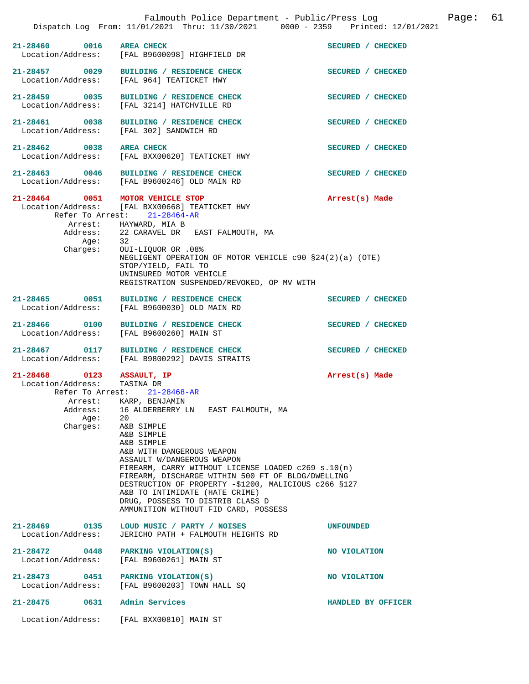|                                                                      |                  | Falmouth Police Department - Public/Press Log<br>Dispatch Log From: 11/01/2021 Thru: 11/30/2021 0000 - 2359 Printed: 12/01/2021                                                                                                                                                                                                                                                                                                                                                            |                    | Page: | 61 |
|----------------------------------------------------------------------|------------------|--------------------------------------------------------------------------------------------------------------------------------------------------------------------------------------------------------------------------------------------------------------------------------------------------------------------------------------------------------------------------------------------------------------------------------------------------------------------------------------------|--------------------|-------|----|
| 21-28460 0016 AREA CHECK                                             |                  | Location/Address: [FAL B9600098] HIGHFIELD DR                                                                                                                                                                                                                                                                                                                                                                                                                                              | SECURED / CHECKED  |       |    |
|                                                                      |                  | 21-28457 0029 BUILDING / RESIDENCE CHECK<br>Location/Address: [FAL 964] TEATICKET HWY                                                                                                                                                                                                                                                                                                                                                                                                      | SECURED / CHECKED  |       |    |
| 21-28459 0035                                                        |                  | BUILDING / RESIDENCE CHECK<br>Location/Address: [FAL 3214] HATCHVILLE RD                                                                                                                                                                                                                                                                                                                                                                                                                   | SECURED / CHECKED  |       |    |
|                                                                      |                  | 21-28461 0038 BUILDING / RESIDENCE CHECK<br>Location/Address: [FAL 302] SANDWICH RD                                                                                                                                                                                                                                                                                                                                                                                                        | SECURED / CHECKED  |       |    |
| 21-28462 0038 AREA CHECK                                             |                  | Location/Address: [FAL BXX00620] TEATICKET HWY                                                                                                                                                                                                                                                                                                                                                                                                                                             | SECURED / CHECKED  |       |    |
|                                                                      |                  | 21-28463 0046 BUILDING / RESIDENCE CHECK<br>Location/Address: [FAL B9600246] OLD MAIN RD                                                                                                                                                                                                                                                                                                                                                                                                   | SECURED / CHECKED  |       |    |
|                                                                      | Age:             | 21-28464 0051 MOTOR VEHICLE STOP<br>Location/Address: [FAL BXX00668] TEATICKET HWY<br>Refer To Arrest: 21-28464-AR<br>Arrest: HAYWARD, MIA B<br>Address: 22 CARAVEL DR EAST FALMOUTH, MA<br>32<br>Charges: OUI-LIQUOR OR .08%<br>NEGLIGENT OPERATION OF MOTOR VEHICLE c90 §24(2)(a) (OTE)<br>STOP/YIELD, FAIL TO<br>UNINSURED MOTOR VEHICLE<br>REGISTRATION SUSPENDED/REVOKED, OP MV WITH                                                                                                  | Arrest(s) Made     |       |    |
| 21-28465 0051                                                        |                  | BUILDING / RESIDENCE CHECK<br>Location/Address: [FAL B9600030] OLD MAIN RD                                                                                                                                                                                                                                                                                                                                                                                                                 | SECURED / CHECKED  |       |    |
|                                                                      |                  | 21-28466 0100 BUILDING / RESIDENCE CHECK<br>Location/Address: [FAL B9600260] MAIN ST                                                                                                                                                                                                                                                                                                                                                                                                       | SECURED / CHECKED  |       |    |
|                                                                      |                  | 21-28467 0117 BUILDING / RESIDENCE CHECK<br>Location/Address: [FAL B9800292] DAVIS STRAITS                                                                                                                                                                                                                                                                                                                                                                                                 | SECURED / CHECKED  |       |    |
| 21-28468 0123 ASSAULT, IP<br>Location/Address: TASINA DR<br>Address: | Age:<br>Charges: | Refer To Arrest: 21-28468-AR<br>Arrest: KARP, BENJAMIN<br>16 ALDERBERRY LN EAST FALMOUTH, MA<br>20<br>A&B SIMPLE<br>A&B SIMPLE<br>A&B SIMPLE<br>A&B WITH DANGEROUS WEAPON<br>ASSAULT W/DANGEROUS WEAPON<br>FIREARM, CARRY WITHOUT LICENSE LOADED $c269 s.10(n)$<br>FIREARM, DISCHARGE WITHIN 500 FT OF BLDG/DWELLING<br>DESTRUCTION OF PROPERTY -\$1200, MALICIOUS c266 §127<br>A&B TO INTIMIDATE (HATE CRIME)<br>DRUG, POSSESS TO DISTRIB CLASS D<br>AMMUNITION WITHOUT FID CARD, POSSESS | Arrest(s) Made     |       |    |
| 21-28469 0135<br>Location/Address:                                   |                  | LOUD MUSIC / PARTY / NOISES<br>JERICHO PATH + FALMOUTH HEIGHTS RD                                                                                                                                                                                                                                                                                                                                                                                                                          | <b>UNFOUNDED</b>   |       |    |
| 21-28472 0448<br>Location/Address:                                   |                  | PARKING VIOLATION(S)<br>[FAL B9600261] MAIN ST                                                                                                                                                                                                                                                                                                                                                                                                                                             | NO VIOLATION       |       |    |
| 21-28473<br>Location/Address:                                        | 0451             | PARKING VIOLATION(S)<br>[FAL B9600203] TOWN HALL SQ                                                                                                                                                                                                                                                                                                                                                                                                                                        | NO VIOLATION       |       |    |
| $21 - 28475$                                                         | 0631             | Admin Services                                                                                                                                                                                                                                                                                                                                                                                                                                                                             | HANDLED BY OFFICER |       |    |
|                                                                      |                  | Location/Address: [FAL BXX00810] MAIN ST                                                                                                                                                                                                                                                                                                                                                                                                                                                   |                    |       |    |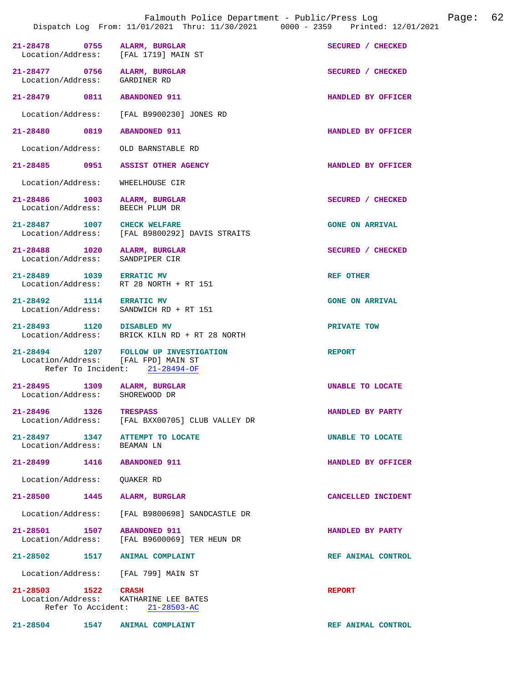|                                                                |                                                                         | Dispatch Log From: 11/01/2021 Thru: 11/30/2021 0000 - 2359 Printed: 12/01/2021 |
|----------------------------------------------------------------|-------------------------------------------------------------------------|--------------------------------------------------------------------------------|
| 21-28478 0755<br>Location/Address: [FAL 1719] MAIN ST          | ALARM, BURGLAR                                                          | SECURED / CHECKED                                                              |
| 21-28477 0756<br>Location/Address:                             | ALARM, BURGLAR<br>GARDINER RD                                           | SECURED / CHECKED                                                              |
| 21-28479 0811                                                  | <b>ABANDONED 911</b>                                                    | HANDLED BY OFFICER                                                             |
| Location/Address:                                              | [FAL B9900230] JONES RD                                                 |                                                                                |
| 21-28480 0819                                                  | <b>ABANDONED 911</b>                                                    | HANDLED BY OFFICER                                                             |
| Location/Address:                                              | OLD BARNSTABLE RD                                                       |                                                                                |
| 21-28485 0951                                                  | <b>ASSIST OTHER AGENCY</b>                                              | HANDLED BY OFFICER                                                             |
| Location/Address:                                              | WHEELHOUSE CIR                                                          |                                                                                |
| 21-28486 1003<br>Location/Address:                             | ALARM, BURGLAR<br>BEECH PLUM DR                                         | SECURED / CHECKED                                                              |
| 21-28487 1007                                                  | <b>CHECK WELFARE</b><br>Location/Address: [FAL B9800292] DAVIS STRAITS  | <b>GONE ON ARRIVAL</b>                                                         |
| 21-28488 1020<br>Location/Address:                             | ALARM, BURGLAR<br>SANDPIPER CIR                                         | SECURED / CHECKED                                                              |
| 21-28489 1039 ERRATIC MV                                       | Location/Address: RT 28 NORTH + RT 151                                  | <b>REF OTHER</b>                                                               |
| 21-28492 1114<br>Location/Address:                             | <b>ERRATIC MV</b><br>SANDWICH RD + RT 151                               | <b>GONE ON ARRIVAL</b>                                                         |
| 21-28493 1120 DISABLED MV                                      | Location/Address: BRICK KILN RD + RT 28 NORTH                           | PRIVATE TOW                                                                    |
| Location/Address: [FAL FPD] MAIN ST                            | 21-28494 1207 FOLLOW UP INVESTIGATION<br>Refer To Incident: 21-28494-OF | <b>REPORT</b>                                                                  |
| 21-28495 1309 ALARM, BURGLAR<br>Location/Address: SHOREWOOD DR |                                                                         | UNABLE TO LOCATE                                                               |
| 21-28496 1326 TRESPASS                                         | Location/Address: [FAL BXX00705] CLUB VALLEY DR                         | HANDLED BY PARTY                                                               |
| 21-28497 1347<br>Location/Address: BEAMAN LN                   | <b>ATTEMPT TO LOCATE</b>                                                | UNABLE TO LOCATE                                                               |
| 21-28499 1416 ABANDONED 911                                    |                                                                         | HANDLED BY OFFICER                                                             |
| Location/Address:                                              | QUAKER RD                                                               |                                                                                |
| 21-28500<br>1445                                               | ALARM, BURGLAR                                                          | CANCELLED INCIDENT                                                             |
|                                                                | Location/Address: [FAL B9800698] SANDCASTLE DR                          |                                                                                |
| 21-28501 1507                                                  | <b>ABANDONED 911</b><br>Location/Address: [FAL B9600069] TER HEUN DR    | HANDLED BY PARTY                                                               |
| 21-28502 1517 ANIMAL COMPLAINT                                 |                                                                         | REF ANIMAL CONTROL                                                             |
| Location/Address: [FAL 799] MAIN ST                            |                                                                         |                                                                                |
| 21-28503 1522 CRASH                                            | Location/Address: KATHARINE LEE BATES<br>Refer To Accident: 21-28503-AC | <b>REPORT</b>                                                                  |
| 21-28504 1547 ANIMAL COMPLAINT                                 |                                                                         | REF ANIMAL CONTROL                                                             |

Falmouth Police Department - Public/Press Log Canade: 62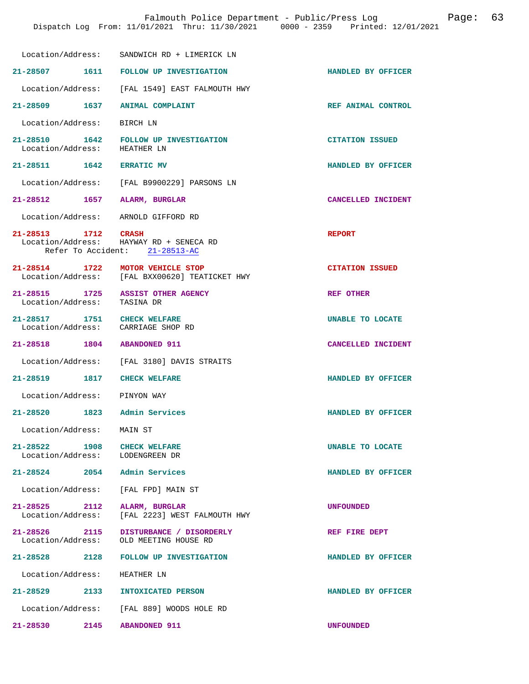|                                                                   | Location/Address: SANDWICH RD + LIMERICK LN                                        |                        |
|-------------------------------------------------------------------|------------------------------------------------------------------------------------|------------------------|
|                                                                   | 21-28507 1611 FOLLOW UP INVESTIGATION                                              | HANDLED BY OFFICER     |
|                                                                   | Location/Address: [FAL 1549] EAST FALMOUTH HWY                                     |                        |
| 21-28509 1637 ANIMAL COMPLAINT                                    |                                                                                    | REF ANIMAL CONTROL     |
| Location/Address: BIRCH LN                                        |                                                                                    |                        |
| Location/Address: HEATHER LN                                      | 21-28510 1642 FOLLOW UP INVESTIGATION                                              | <b>CITATION ISSUED</b> |
| 21-28511 1642 ERRATIC MV                                          |                                                                                    | HANDLED BY OFFICER     |
|                                                                   | Location/Address: [FAL B9900229] PARSONS LN                                        |                        |
| 21-28512 1657 ALARM, BURGLAR                                      |                                                                                    | CANCELLED INCIDENT     |
| Location/Address: ARNOLD GIFFORD RD                               |                                                                                    |                        |
| 21-28513 1712 CRASH                                               | Location/Address: HAYWAY RD + SENECA RD<br>Refer To Accident: 21-28513-AC          | <b>REPORT</b>          |
|                                                                   | 21-28514 1722 MOTOR VEHICLE STOP<br>Location/Address: [FAL BXX00620] TEATICKET HWY | <b>CITATION ISSUED</b> |
| Location/Address: TASINA DR                                       | 21-28515 1725 ASSIST OTHER AGENCY                                                  | <b>REF OTHER</b>       |
| 21-28517 1751 CHECK WELFARE<br>Location/Address: CARRIAGE SHOP RD |                                                                                    | UNABLE TO LOCATE       |
| 21-28518 1804 ABANDONED 911                                       |                                                                                    | CANCELLED INCIDENT     |
|                                                                   | Location/Address: [FAL 3180] DAVIS STRAITS                                         |                        |
| 21-28519 1817 CHECK WELFARE                                       |                                                                                    | HANDLED BY OFFICER     |
| Location/Address: PINYON WAY                                      |                                                                                    |                        |
| 21-28520 1823 Admin Services                                      |                                                                                    | HANDLED BY OFFICER     |
| Location/Address:    MAIN ST                                      |                                                                                    |                        |
| 21-28522 1908 CHECK WELFARE<br>Location/Address: LODENGREEN DR    |                                                                                    | UNABLE TO LOCATE       |
| 21-28524 2054 Admin Services                                      |                                                                                    | HANDLED BY OFFICER     |
| Location/Address: [FAL FPD] MAIN ST                               |                                                                                    |                        |
| 21-28525 2112 ALARM, BURGLAR                                      | Location/Address: [FAL 2223] WEST FALMOUTH HWY                                     | <b>UNFOUNDED</b>       |
|                                                                   | 21-28526 2115 DISTURBANCE / DISORDERLY<br>Location/Address: OLD MEETING HOUSE RD   | REF FIRE DEPT          |
|                                                                   | 21-28528 2128 FOLLOW UP INVESTIGATION                                              | HANDLED BY OFFICER     |
| Location/Address: HEATHER LN                                      |                                                                                    |                        |
|                                                                   | 21-28529 2133 INTOXICATED PERSON                                                   | HANDLED BY OFFICER     |
|                                                                   | Location/Address: [FAL 889] WOODS HOLE RD                                          |                        |
| 21-28530<br>2145                                                  | <b>ABANDONED 911</b>                                                               | <b>UNFOUNDED</b>       |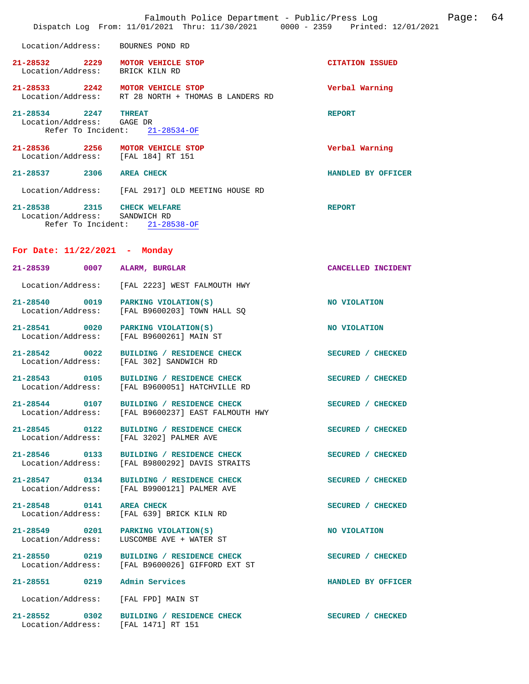|                                                                        | Falmouth Police Department - Public/Press Log<br>Dispatch Log From: 11/01/2021 Thru: 11/30/2021 0000 - 2359 Printed: 12/01/2021 | Page: 64               |
|------------------------------------------------------------------------|---------------------------------------------------------------------------------------------------------------------------------|------------------------|
| Location/Address: BOURNES POND RD                                      |                                                                                                                                 |                        |
| 21-28532 2229 MOTOR VEHICLE STOP<br>Location/Address: BRICK KILN RD    |                                                                                                                                 | <b>CITATION ISSUED</b> |
| 21-28533 2242 MOTOR VEHICLE STOP                                       | Location/Address: RT 28 NORTH + THOMAS B LANDERS RD                                                                             | Verbal Warning         |
| 21-28534 2247 THREAT<br>Location/Address: GAGE DR                      | Refer To Incident: 21-28534-OF                                                                                                  | <b>REPORT</b>          |
| 21-28536 2256 MOTOR VEHICLE STOP<br>Location/Address: [FAL 184] RT 151 |                                                                                                                                 | Verbal Warning         |
| 21-28537 2306 AREA CHECK                                               |                                                                                                                                 | HANDLED BY OFFICER     |
|                                                                        | Location/Address: [FAL 2917] OLD MEETING HOUSE RD                                                                               |                        |
| 21-28538 2315 CHECK WELFARE<br>Location/Address: SANDWICH RD           | Refer To Incident: 21-28538-OF                                                                                                  | <b>REPORT</b>          |
| For Date: $11/22/2021$ - Monday                                        |                                                                                                                                 |                        |
| 21-28539 0007 ALARM, BURGLAR                                           |                                                                                                                                 | CANCELLED INCIDENT     |
|                                                                        | Location/Address: [FAL 2223] WEST FALMOUTH HWY                                                                                  |                        |
| 21-28540 0019<br>Location/Address:                                     | PARKING VIOLATION(S)<br>[FAL B9600203] TOWN HALL SQ                                                                             | NO VIOLATION           |
| 21-28541 0020 PARKING VIOLATION(S)<br>Location/Address:                | [FAL B9600261] MAIN ST                                                                                                          | NO VIOLATION           |
| Location/Address:                                                      | 21-28542 0022 BUILDING / RESIDENCE CHECK<br>[FAL 302] SANDWICH RD                                                               | SECURED / CHECKED      |
|                                                                        | 21-28543 0105 BUILDING / RESIDENCE CHECK<br>Location/Address: [FAL B9600051] HATCHVILLE RD                                      | SECURED / CHECKED      |
| 21-28544 0107                                                          | BUILDING / RESIDENCE CHECK<br>Location/Address: [FAL B9600237] EAST FALMOUTH HWY                                                | SECURED / CHECKED      |
|                                                                        | 21-28545 0122 BUILDING / RESIDENCE CHECK<br>Location/Address: [FAL 3202] PALMER AVE                                             | SECURED / CHECKED      |
| 21-28546 0133<br>Location/Address:                                     | BUILDING / RESIDENCE CHECK<br>[FAL B9800292] DAVIS STRAITS                                                                      | SECURED / CHECKED      |
|                                                                        | 21-28547 0134 BUILDING / RESIDENCE CHECK<br>Location/Address: [FAL B9900121] PALMER AVE                                         | SECURED / CHECKED      |
| 21-28548 0141<br>Location/Address:                                     | <b>AREA CHECK</b><br>[FAL 639] BRICK KILN RD                                                                                    | SECURED / CHECKED      |
| 21-28549 0201 PARKING VIOLATION(S)<br>Location/Address:                | LUSCOMBE AVE + WATER ST                                                                                                         | NO VIOLATION           |
| Location/Address:                                                      | 21-28550 0219 BUILDING / RESIDENCE CHECK<br>[FAL B9600026] GIFFORD EXT ST                                                       | SECURED / CHECKED      |
| 21-28551 0219 Admin Services                                           |                                                                                                                                 | HANDLED BY OFFICER     |
| Location/Address:                                                      | [FAL FPD] MAIN ST                                                                                                               |                        |
| Location/Address: [FAL 1471] RT 151                                    | 21-28552 0302 BUILDING / RESIDENCE CHECK                                                                                        | SECURED / CHECKED      |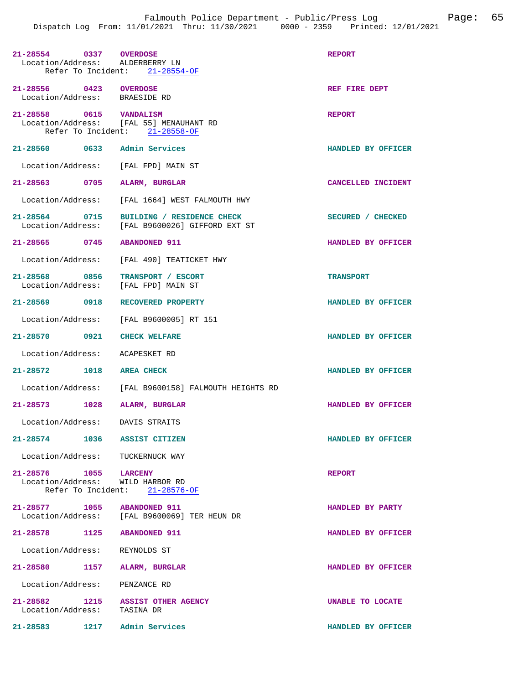| 21-28554 0337 OVERDOSE<br>Location/Address: ALDERBERRY LN        | Refer To Incident: 21-28554-OF                                            | <b>REPORT</b>      |
|------------------------------------------------------------------|---------------------------------------------------------------------------|--------------------|
| 21-28556 0423 OVERDOSE<br>Location/Address: BRAESIDE RD          |                                                                           | REF FIRE DEPT      |
| 21-28558 0615 VANDALISM                                          | Location/Address: [FAL 55] MENAUHANT RD<br>Refer To Incident: 21-28558-OF | <b>REPORT</b>      |
| 21-28560 0633 Admin Services                                     |                                                                           | HANDLED BY OFFICER |
| Location/Address: [FAL FPD] MAIN ST                              |                                                                           |                    |
| 21-28563 0705                                                    | ALARM, BURGLAR                                                            | CANCELLED INCIDENT |
|                                                                  | Location/Address: [FAL 1664] WEST FALMOUTH HWY                            |                    |
| 21-28564 0715<br>Location/Address:                               | BUILDING / RESIDENCE CHECK<br>[FAL B9600026] GIFFORD EXT ST               | SECURED / CHECKED  |
| 21-28565 0745 ABANDONED 911                                      |                                                                           | HANDLED BY OFFICER |
|                                                                  | Location/Address: [FAL 490] TEATICKET HWY                                 |                    |
| 21-28568 0856<br>Location/Address: [FAL FPD] MAIN ST             | TRANSPORT / ESCORT                                                        | <b>TRANSPORT</b>   |
| 21-28569 0918 RECOVERED PROPERTY                                 |                                                                           | HANDLED BY OFFICER |
|                                                                  | Location/Address: [FAL B9600005] RT 151                                   |                    |
| 21-28570 0921 CHECK WELFARE                                      |                                                                           | HANDLED BY OFFICER |
| Location/Address: ACAPESKET RD                                   |                                                                           |                    |
| 21-28572 1018 AREA CHECK                                         |                                                                           | HANDLED BY OFFICER |
|                                                                  | Location/Address: [FAL B9600158] FALMOUTH HEIGHTS RD                      |                    |
| 21-28573 1028 ALARM, BURGLAR                                     |                                                                           | HANDLED BY OFFICER |
| Location/Address: DAVIS STRAITS                                  |                                                                           |                    |
| 21-28574 1036 ASSIST CITIZEN                                     |                                                                           | HANDLED BY OFFICER |
| Location/Address: TUCKERNUCK WAY                                 |                                                                           |                    |
| 21-28576 1055 LARCENY<br>Location/Address: WILD HARBOR RD        | Refer To Incident: 21-28576-OF                                            | <b>REPORT</b>      |
| 21-28577 1055 ABANDONED 911                                      | Location/Address: [FAL B9600069] TER HEUN DR                              | HANDLED BY PARTY   |
| 21-28578 1125 ABANDONED 911                                      |                                                                           | HANDLED BY OFFICER |
| Location/Address: REYNOLDS ST                                    |                                                                           |                    |
| 21-28580 1157 ALARM, BURGLAR                                     |                                                                           | HANDLED BY OFFICER |
| Location/Address: PENZANCE RD                                    |                                                                           |                    |
| 21-28582 1215 ASSIST OTHER AGENCY<br>Location/Address: TASINA DR |                                                                           | UNABLE TO LOCATE   |
| 21-28583 1217 Admin Services                                     |                                                                           | HANDLED BY OFFICER |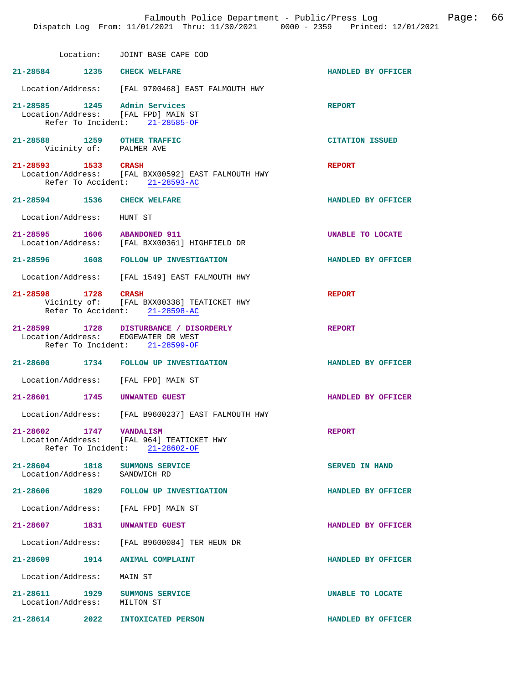Location: JOINT BASE CAPE COD

| Location:                                                           | JOINT BASE CAPE COD                                                                             |                        |
|---------------------------------------------------------------------|-------------------------------------------------------------------------------------------------|------------------------|
| 21-28584 1235 CHECK WELFARE                                         |                                                                                                 | HANDLED BY OFFICER     |
|                                                                     | Location/Address: [FAL 9700468] EAST FALMOUTH HWY                                               |                        |
| 21-28585 1245 Admin Services<br>Location/Address: [FAL FPD] MAIN ST | Refer To Incident: 21-28585-OF                                                                  | <b>REPORT</b>          |
| 21-28588 1259 OTHER TRAFFIC<br>Vicinity of: PALMER AVE              |                                                                                                 | <b>CITATION ISSUED</b> |
| 21-28593 1533 CRASH                                                 | Location/Address: [FAL BXX00592] EAST FALMOUTH HWY<br>Refer To Accident: 21-28593-AC            | <b>REPORT</b>          |
| 21-28594 1536 CHECK WELFARE                                         |                                                                                                 | HANDLED BY OFFICER     |
| Location/Address: HUNT ST                                           |                                                                                                 |                        |
| 21-28595 1606 ABANDONED 911                                         | Location/Address: [FAL BXX00361] HIGHFIELD DR                                                   | UNABLE TO LOCATE       |
|                                                                     | 21-28596 1608 FOLLOW UP INVESTIGATION                                                           | HANDLED BY OFFICER     |
|                                                                     | Location/Address: [FAL 1549] EAST FALMOUTH HWY                                                  |                        |
| 21-28598 1728 CRASH                                                 | Vicinity of: [FAL BXX00338] TEATICKET HWY<br>Refer To Accident: 21-28598-AC                     | <b>REPORT</b>          |
| Location/Address: EDGEWATER DR WEST                                 | 21-28599 1728 DISTURBANCE / DISORDERLY<br>Refer To Incident: 21-28599-OF                        | <b>REPORT</b>          |
|                                                                     | 21-28600 1734 FOLLOW UP INVESTIGATION                                                           | HANDLED BY OFFICER     |
| Location/Address: [FAL FPD] MAIN ST                                 |                                                                                                 |                        |
| 21-28601 1745                                                       | UNWANTED GUEST                                                                                  | HANDLED BY OFFICER     |
|                                                                     | Location/Address: [FAL B9600237] EAST FALMOUTH HWY                                              |                        |
| 21-28602 1747                                                       | <b>VANDALISM</b><br>Location/Address: [FAL 964] TEATICKET HWY<br>Refer To Incident: 21-28602-OF | <b>REPORT</b>          |
| 21-28604 1818<br>Location/Address: SANDWICH RD                      | SUMMONS SERVICE                                                                                 | <b>SERVED IN HAND</b>  |
| 21-28606                                                            | 1829 FOLLOW UP INVESTIGATION                                                                    | HANDLED BY OFFICER     |
| Location/Address: [FAL FPD] MAIN ST                                 |                                                                                                 |                        |

**21-28607 1831 UNWANTED GUEST HANDLED BY OFFICER** 

**21-28609 1914 ANIMAL COMPLAINT HANDLED BY OFFICER** 

 Location/Address: MAIN ST **21-28611 1929 SUMMONS SERVICE UNABLE TO LOCATE**  Location/Address: MILTON ST **21-28614 2022 INTOXICATED PERSON HANDLED BY OFFICER** 

Location/Address: [FAL B9600084] TER HEUN DR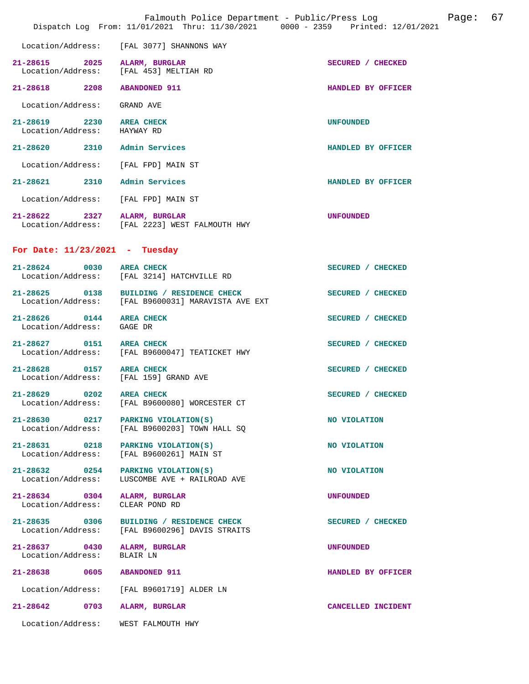|                                                                          | Falmouth Police Department - Public/Press Log<br>Dispatch Log From: 11/01/2021 Thru: 11/30/2021 0000 - 2359 Printed: 12/01/2021 |                    | Page: | 67 |
|--------------------------------------------------------------------------|---------------------------------------------------------------------------------------------------------------------------------|--------------------|-------|----|
| Location/Address:                                                        | [FAL 3077] SHANNONS WAY                                                                                                         |                    |       |    |
| 21-28615 2025 ALARM, BURGLAR<br>Location/Address: [FAL 453] MELTIAH RD   |                                                                                                                                 | SECURED / CHECKED  |       |    |
| 21-28618 2208                                                            | <b>ABANDONED 911</b>                                                                                                            | HANDLED BY OFFICER |       |    |
| Location/Address:                                                        | GRAND AVE                                                                                                                       |                    |       |    |
| 21-28619 2230 AREA CHECK<br>Location/Address: HAYWAY RD                  |                                                                                                                                 | <b>UNFOUNDED</b>   |       |    |
| 21-28620 2310 Admin Services                                             |                                                                                                                                 | HANDLED BY OFFICER |       |    |
| Location/Address: [FAL FPD] MAIN ST                                      |                                                                                                                                 |                    |       |    |
| 21-28621 2310 Admin Services                                             |                                                                                                                                 | HANDLED BY OFFICER |       |    |
| Location/Address:                                                        | [FAL FPD] MAIN ST                                                                                                               |                    |       |    |
| 21-28622 2327 ALARM, BURGLAR                                             | Location/Address: [FAL 2223] WEST FALMOUTH HWY                                                                                  | <b>UNFOUNDED</b>   |       |    |
| For Date: $11/23/2021$ - Tuesday                                         |                                                                                                                                 |                    |       |    |
| 21-28624 0030 AREA CHECK                                                 | Location/Address: [FAL 3214] HATCHVILLE RD                                                                                      | SECURED / CHECKED  |       |    |
|                                                                          | 21-28625 0138 BUILDING / RESIDENCE CHECK<br>Location/Address: [FAL B9600031] MARAVISTA AVE EXT                                  | SECURED / CHECKED  |       |    |
| 21-28626 0144<br>Location/Address:                                       | <b>AREA CHECK</b><br>GAGE DR                                                                                                    | SECURED / CHECKED  |       |    |
| 21-28627 0151                                                            | <b>AREA CHECK</b><br>Location/Address: [FAL B9600047] TEATICKET HWY                                                             | SECURED / CHECKED  |       |    |
| $21 - 28628$<br>0157 AREA CHECK<br>Location/Address: [FAL 159] GRAND AVE |                                                                                                                                 | SECURED / CHECKED  |       |    |
| $21 - 28629$<br>0202<br>Location/Address:                                | <b>AREA CHECK</b><br>[FAL B9600080] WORCESTER CT                                                                                | SECURED / CHECKED  |       |    |
| 21-28630 0217<br>Location/Address:                                       | PARKING VIOLATION(S)<br>[FAL B9600203] TOWN HALL SQ                                                                             | NO VIOLATION       |       |    |
| 21-28631 0218<br>Location/Address:                                       | PARKING VIOLATION(S)<br>[FAL B9600261] MAIN ST                                                                                  | NO VIOLATION       |       |    |
| 21-28632 0254<br>Location/Address:                                       | PARKING VIOLATION(S)<br>LUSCOMBE AVE + RAILROAD AVE                                                                             | NO VIOLATION       |       |    |
| 21-28634 0304<br>Location/Address:                                       | ALARM, BURGLAR<br>CLEAR POND RD                                                                                                 | <b>UNFOUNDED</b>   |       |    |
| 21-28635 0306<br>Location/Address:                                       | BUILDING / RESIDENCE CHECK<br>[FAL B9600296] DAVIS STRAITS                                                                      | SECURED / CHECKED  |       |    |
| 21-28637 0430<br>Location/Address:                                       | ALARM, BURGLAR<br>BLAIR LN                                                                                                      | <b>UNFOUNDED</b>   |       |    |
| 21-28638 0605                                                            | <b>ABANDONED 911</b>                                                                                                            | HANDLED BY OFFICER |       |    |
| Location/Address:                                                        | [FAL B9601719] ALDER LN                                                                                                         |                    |       |    |
| $21 - 28642$<br>0703                                                     | ALARM, BURGLAR                                                                                                                  | CANCELLED INCIDENT |       |    |
| Location/Address:                                                        | WEST FALMOUTH HWY                                                                                                               |                    |       |    |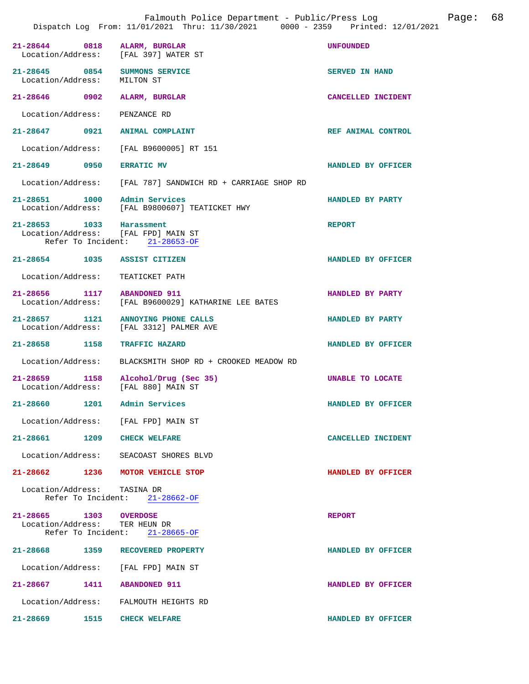|                                                                 |      | Falmouth Police Department - Public/Press Log<br>Dispatch Log From: 11/01/2021 Thru: 11/30/2021 0000 - 2359 Printed: 12/01/2021 |                       | Page: | 68 |
|-----------------------------------------------------------------|------|---------------------------------------------------------------------------------------------------------------------------------|-----------------------|-------|----|
| 21-28644 0818 ALARM, BURGLAR                                    |      | Location/Address: [FAL 397] WATER ST                                                                                            | <b>UNFOUNDED</b>      |       |    |
| 21-28645 0854 SUMMONS SERVICE<br>Location/Address:              |      | MILTON ST                                                                                                                       | <b>SERVED IN HAND</b> |       |    |
| 21-28646 0902                                                   |      | ALARM, BURGLAR                                                                                                                  | CANCELLED INCIDENT    |       |    |
| Location/Address: PENZANCE RD                                   |      |                                                                                                                                 |                       |       |    |
| 21-28647 0921 ANIMAL COMPLAINT                                  |      |                                                                                                                                 | REF ANIMAL CONTROL    |       |    |
|                                                                 |      | Location/Address: [FAL B9600005] RT 151                                                                                         |                       |       |    |
| 21-28649 0950 ERRATIC MV                                        |      |                                                                                                                                 | HANDLED BY OFFICER    |       |    |
|                                                                 |      | Location/Address: [FAL 787] SANDWICH RD + CARRIAGE SHOP RD                                                                      |                       |       |    |
| 21-28651 1000 Admin Services                                    |      | Location/Address: [FAL B9800607] TEATICKET HWY                                                                                  | HANDLED BY PARTY      |       |    |
| 21-28653 1033 Harassment<br>Location/Address: [FAL FPD] MAIN ST |      | Refer To Incident: 21-28653-OF                                                                                                  | <b>REPORT</b>         |       |    |
| 21-28654 1035 ASSIST CITIZEN                                    |      |                                                                                                                                 | HANDLED BY OFFICER    |       |    |
| Location/Address: TEATICKET PATH                                |      |                                                                                                                                 |                       |       |    |
| 21-28656 1117 ABANDONED 911                                     |      | Location/Address: [FAL B9600029] KATHARINE LEE BATES                                                                            | HANDLED BY PARTY      |       |    |
|                                                                 |      | 21-28657 1121 ANNOYING PHONE CALLS<br>Location/Address: [FAL 3312] PALMER AVE                                                   | HANDLED BY PARTY      |       |    |
| 21-28658 1158                                                   |      | <b>TRAFFIC HAZARD</b>                                                                                                           | HANDLED BY OFFICER    |       |    |
|                                                                 |      | Location/Address: BLACKSMITH SHOP RD + CROOKED MEADOW RD                                                                        |                       |       |    |
| Location/Address: [FAL 880] MAIN ST                             |      | 21-28659 1158 Alcohol/Drug (Sec 35)                                                                                             | UNABLE TO LOCATE      |       |    |
| 21-28660                                                        | 1201 | Admin Services                                                                                                                  | HANDLED BY OFFICER    |       |    |
| Location/Address: [FAL FPD] MAIN ST                             |      |                                                                                                                                 |                       |       |    |
| 21-28661 1209 CHECK WELFARE                                     |      |                                                                                                                                 | CANCELLED INCIDENT    |       |    |
|                                                                 |      | Location/Address: SEACOAST SHORES BLVD                                                                                          |                       |       |    |
|                                                                 |      | 21-28662 1236 MOTOR VEHICLE STOP                                                                                                | HANDLED BY OFFICER    |       |    |
| Location/Address: TASINA DR                                     |      | Refer To Incident: 21-28662-OF                                                                                                  |                       |       |    |
| 21-28665 1303 OVERDOSE<br>Location/Address: TER HEUN DR         |      | Refer To Incident: 21-28665-OF                                                                                                  | <b>REPORT</b>         |       |    |
|                                                                 |      | 21-28668 1359 RECOVERED PROPERTY                                                                                                | HANDLED BY OFFICER    |       |    |
| Location/Address: [FAL FPD] MAIN ST                             |      |                                                                                                                                 |                       |       |    |
| 21-28667 1411 ABANDONED 911                                     |      |                                                                                                                                 | HANDLED BY OFFICER    |       |    |
|                                                                 |      | Location/Address: FALMOUTH HEIGHTS RD                                                                                           |                       |       |    |
| 21-28669 1515 CHECK WELFARE                                     |      |                                                                                                                                 | HANDLED BY OFFICER    |       |    |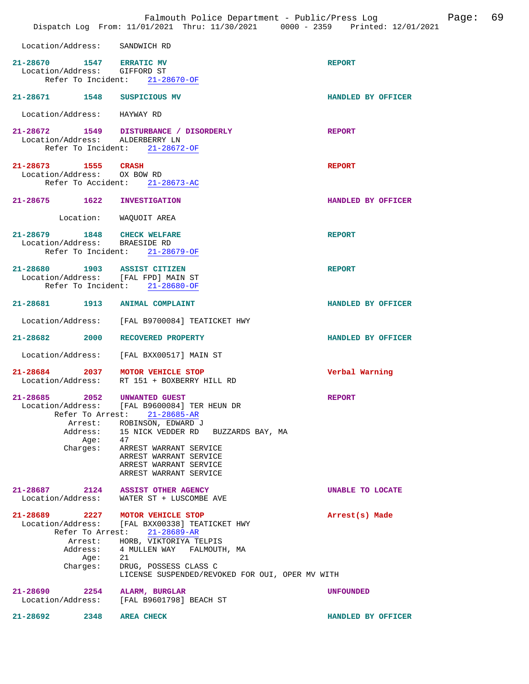|                                                                                  | Falmouth Police Department - Public/Press Log<br>Dispatch Log From: 11/01/2021 Thru: 11/30/2021 0000 - 2359 Printed: 12/01/2021                                                                                                                        |                    | Page: | 69 |
|----------------------------------------------------------------------------------|--------------------------------------------------------------------------------------------------------------------------------------------------------------------------------------------------------------------------------------------------------|--------------------|-------|----|
| Location/Address: SANDWICH RD                                                    |                                                                                                                                                                                                                                                        |                    |       |    |
| 21-28670 1547 ERRATIC MV<br>Location/Address: GIFFORD ST                         | Refer To Incident: 21-28670-OF                                                                                                                                                                                                                         | <b>REPORT</b>      |       |    |
| 21-28671 1548 SUSPICIOUS MV                                                      |                                                                                                                                                                                                                                                        | HANDLED BY OFFICER |       |    |
| Location/Address: HAYWAY RD                                                      |                                                                                                                                                                                                                                                        |                    |       |    |
| Location/Address: ALDERBERRY LN                                                  | 21-28672 1549 DISTURBANCE / DISORDERLY<br>Refer To Incident: 21-28672-OF                                                                                                                                                                               | <b>REPORT</b>      |       |    |
| 21-28673 1555<br>Location/Address: OX BOW RD                                     | <b>CRASH</b><br>Refer To Accident: 21-28673-AC                                                                                                                                                                                                         | <b>REPORT</b>      |       |    |
| 21-28675 1622                                                                    | <b>INVESTIGATION</b>                                                                                                                                                                                                                                   | HANDLED BY OFFICER |       |    |
|                                                                                  | Location: WAQUOIT AREA                                                                                                                                                                                                                                 |                    |       |    |
| 21-28679 1848 CHECK WELFARE<br>Location/Address: BRAESIDE RD                     | Refer To Incident: 21-28679-OF                                                                                                                                                                                                                         | <b>REPORT</b>      |       |    |
| 21-28680 1903 ASSIST CITIZEN                                                     | Location/Address: [FAL FPD] MAIN ST<br>Refer To Incident: 21-28680-OF                                                                                                                                                                                  | <b>REPORT</b>      |       |    |
| 21-28681 1913 ANIMAL COMPLAINT                                                   |                                                                                                                                                                                                                                                        | HANDLED BY OFFICER |       |    |
|                                                                                  | Location/Address: [FAL B9700084] TEATICKET HWY                                                                                                                                                                                                         |                    |       |    |
| 21-28682 2000                                                                    | <b>RECOVERED PROPERTY</b>                                                                                                                                                                                                                              | HANDLED BY OFFICER |       |    |
| Location/Address:                                                                | [FAL BXX00517] MAIN ST                                                                                                                                                                                                                                 |                    |       |    |
| Location/Address:                                                                | 21-28684 2037 MOTOR VEHICLE STOP<br>RT 151 + BOXBERRY HILL RD                                                                                                                                                                                          | Verbal Warning     |       |    |
| 21-28685<br>2052<br>Location/Address:<br>Arrest:<br>Address:<br>Age:<br>Charges: | UNWANTED GUEST<br>[FAL B9600084] TER HEUN DR<br>Refer To Arrest: 21-28685-AR<br>ROBINSON, EDWARD J<br>15 NICK VEDDER RD BUZZARDS BAY, MA<br>47<br>ARREST WARRANT SERVICE<br>ARREST WARRANT SERVICE<br>ARREST WARRANT SERVICE<br>ARREST WARRANT SERVICE | <b>REPORT</b>      |       |    |
| $21 - 28687$ 2124<br>Location/Address:                                           | <b>ASSIST OTHER AGENCY</b><br>WATER ST + LUSCOMBE AVE                                                                                                                                                                                                  | UNABLE TO LOCATE   |       |    |
| Refer To Arrest:<br>Arrest:<br>Address:<br>Aqe:<br>Charges:                      | 21-28689 2227 MOTOR VEHICLE STOP<br>Location/Address: [FAL BXX00338] TEATICKET HWY<br>21-28689-AR<br>HORB, VIKTORIYA TELPIS<br>4 MULLEN WAY FALMOUTH, MA<br>21<br>DRUG, POSSESS CLASS C<br>LICENSE SUSPENDED/REVOKED FOR OUI, OPER MV WITH             | Arrest(s) Made     |       |    |
| 21-28690<br>2254<br>Location/Address:                                            | ALARM, BURGLAR<br>[FAL B9601798] BEACH ST                                                                                                                                                                                                              | <b>UNFOUNDED</b>   |       |    |
| 21-28692<br>2348                                                                 | <b>AREA CHECK</b>                                                                                                                                                                                                                                      | HANDLED BY OFFICER |       |    |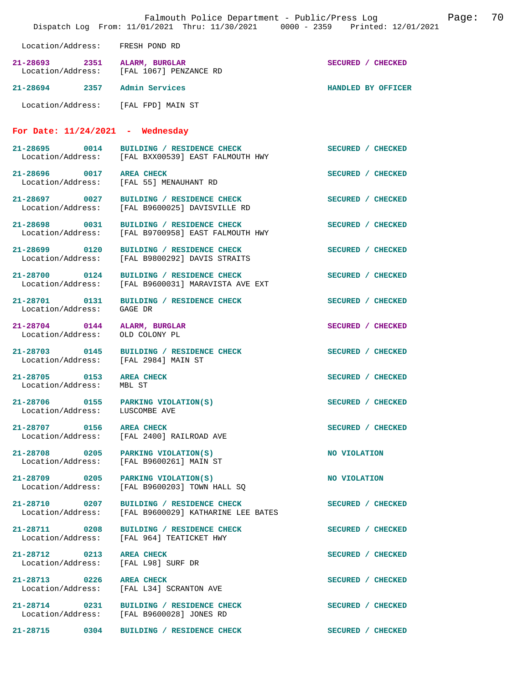| Falmouth Police Department - Public/Press Log<br>Page:<br>Dispatch Log From: 11/01/2021 Thru: 11/30/2021 0000 - 2359 Printed: 12/01/2021 |                                                                                                |                    | 70 |
|------------------------------------------------------------------------------------------------------------------------------------------|------------------------------------------------------------------------------------------------|--------------------|----|
| Location/Address: FRESH POND RD                                                                                                          |                                                                                                |                    |    |
| 21-28693 2351 ALARM, BURGLAR                                                                                                             | Location/Address: [FAL 1067] PENZANCE RD                                                       | SECURED / CHECKED  |    |
| 21-28694 2357 Admin Services                                                                                                             |                                                                                                | HANDLED BY OFFICER |    |
| Location/Address: [FAL FPD] MAIN ST                                                                                                      |                                                                                                |                    |    |
| For Date: $11/24/2021$ - Wednesday                                                                                                       |                                                                                                |                    |    |
|                                                                                                                                          | 21-28695 0014 BUILDING / RESIDENCE CHECK<br>Location/Address: [FAL BXX00539] EAST FALMOUTH HWY | SECURED / CHECKED  |    |
| 21-28696 0017                                                                                                                            | <b>AREA CHECK</b><br>Location/Address: [FAL 55] MENAUHANT RD                                   | SECURED / CHECKED  |    |
| 21-28697 0027                                                                                                                            | BUILDING / RESIDENCE CHECK<br>Location/Address: [FAL B9600025] DAVISVILLE RD                   | SECURED / CHECKED  |    |
| 21-28698 0031<br>Location/Address:                                                                                                       | BUILDING / RESIDENCE CHECK<br>[FAL B9700958] EAST FALMOUTH HWY                                 | SECURED / CHECKED  |    |
| 21-28699 0120                                                                                                                            | BUILDING / RESIDENCE CHECK<br>Location/Address: [FAL B9800292] DAVIS STRAITS                   | SECURED / CHECKED  |    |
| 21-28700 0124<br>Location/Address:                                                                                                       | BUILDING / RESIDENCE CHECK<br>[FAL B9600031] MARAVISTA AVE EXT                                 | SECURED / CHECKED  |    |
| 21-28701 0131<br>Location/Address:                                                                                                       | BUILDING / RESIDENCE CHECK<br>GAGE DR                                                          | SECURED / CHECKED  |    |
| 21-28704 0144<br>Location/Address:                                                                                                       | ALARM, BURGLAR<br>OLD COLONY PL                                                                | SECURED / CHECKED  |    |
| 21-28703 0145<br>Location/Address: [FAL 2984] MAIN ST                                                                                    | BUILDING / RESIDENCE CHECK                                                                     | SECURED / CHECKED  |    |
| 21-28705 0153<br>Location/Address:                                                                                                       | <b>AREA CHECK</b><br>MBL ST                                                                    | SECURED / CHECKED  |    |
| 21-28706 0155<br>Location/Address:                                                                                                       | PARKING VIOLATION(S)<br>LUSCOMBE AVE                                                           | SECURED / CHECKED  |    |
| 21-28707 0156                                                                                                                            | <b>AREA CHECK</b><br>Location/Address: [FAL 2400] RAILROAD AVE                                 | SECURED / CHECKED  |    |
| 21-28708 0205<br>Location/Address:                                                                                                       | PARKING VIOLATION(S)<br>[FAL B9600261] MAIN ST                                                 | NO VIOLATION       |    |
| 21-28709 0205<br>Location/Address:                                                                                                       | PARKING VIOLATION(S)<br>[FAL B9600203] TOWN HALL SO                                            | NO VIOLATION       |    |
| 21-28710 0207<br>Location/Address:                                                                                                       | BUILDING / RESIDENCE CHECK<br>[FAL B9600029] KATHARINE LEE BATES                               | SECURED / CHECKED  |    |
| 21-28711 0208<br>Location/Address:                                                                                                       | BUILDING / RESIDENCE CHECK<br>[FAL 964] TEATICKET HWY                                          | SECURED / CHECKED  |    |
| 21-28712 0213<br>Location/Address:                                                                                                       | <b>AREA CHECK</b><br>[FAL L98] SURF DR                                                         | SECURED / CHECKED  |    |
| 21-28713 0226<br>Location/Address:                                                                                                       | <b>AREA CHECK</b><br>[FAL L34] SCRANTON AVE                                                    | SECURED / CHECKED  |    |
| 21-28714 0231<br>Location/Address:                                                                                                       | BUILDING / RESIDENCE CHECK<br>[FAL B9600028] JONES RD                                          | SECURED / CHECKED  |    |
| 21-28715 0304                                                                                                                            | BUILDING / RESIDENCE CHECK                                                                     | SECURED / CHECKED  |    |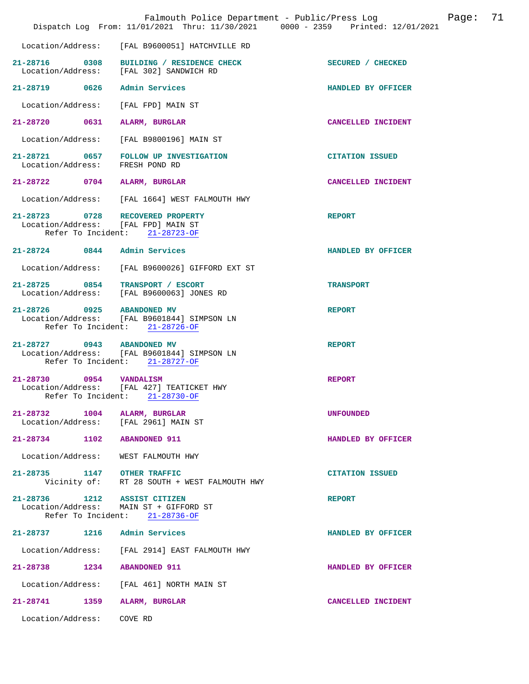|                                                                         | Falmouth Police Department - Public/Press Log Fage: 71<br>Dispatch Log From: 11/01/2021 Thru: 11/30/2021 0000 - 2359 Printed: 12/01/2021 |                        |
|-------------------------------------------------------------------------|------------------------------------------------------------------------------------------------------------------------------------------|------------------------|
|                                                                         | Location/Address: [FAL B9600051] HATCHVILLE RD                                                                                           |                        |
| Location/Address: [FAL 302] SANDWICH RD                                 | 21-28716 0308 BUILDING / RESIDENCE CHECK                                                                                                 | SECURED / CHECKED      |
| 21-28719 0626 Admin Services                                            |                                                                                                                                          | HANDLED BY OFFICER     |
| Location/Address:                                                       | [FAL FPD] MAIN ST                                                                                                                        |                        |
| 21-28720 0631 ALARM, BURGLAR                                            |                                                                                                                                          | CANCELLED INCIDENT     |
|                                                                         | Location/Address: [FAL B9800196] MAIN ST                                                                                                 |                        |
| Location/Address: FRESH POND RD                                         | 21-28721 0657 FOLLOW UP INVESTIGATION                                                                                                    | <b>CITATION ISSUED</b> |
| 21-28722 0704 ALARM, BURGLAR                                            |                                                                                                                                          | CANCELLED INCIDENT     |
|                                                                         | Location/Address: [FAL 1664] WEST FALMOUTH HWY                                                                                           |                        |
| 21-28723 0728 RECOVERED PROPERTY<br>Location/Address: [FAL FPD] MAIN ST | Refer To Incident: 21-28723-OF                                                                                                           | <b>REPORT</b>          |
| 21-28724 0844 Admin Services                                            |                                                                                                                                          | HANDLED BY OFFICER     |
|                                                                         | Location/Address: [FAL B9600026] GIFFORD EXT ST                                                                                          |                        |
| 21-28725 0854 TRANSPORT / ESCORT                                        | Location/Address: [FAL B9600063] JONES RD                                                                                                | <b>TRANSPORT</b>       |
| 21-28726 0925 ABANDONED MV                                              | Location/Address: [FAL B9601844] SIMPSON LN<br>Refer To Incident: 21-28726-OF                                                            | <b>REPORT</b>          |
| 21-28727 0943 ABANDONED MV                                              | Location/Address: [FAL B9601844] SIMPSON LN<br>Refer To Incident: 21-28727-OF                                                            | <b>REPORT</b>          |
| 21-28730 0954 VANDALISM                                                 | Location/Address: [FAL 427] TEATICKET HWY<br>Refer To Incident: 21-28730-OF                                                              | <b>REPORT</b>          |
| 21-28732 1004 ALARM, BURGLAR<br>Location/Address: [FAL 2961] MAIN ST    |                                                                                                                                          | <b>UNFOUNDED</b>       |
| 21-28734 1102 ABANDONED 911                                             |                                                                                                                                          | HANDLED BY OFFICER     |
| Location/Address: WEST FALMOUTH HWY                                     |                                                                                                                                          |                        |
|                                                                         | 21-28735 1147 OTHER TRAFFIC<br>Vicinity of: RT 28 SOUTH + WEST FALMOUTH HWY                                                              | <b>CITATION ISSUED</b> |
| 21-28736 1212 ASSIST CITIZEN<br>Location/Address: MAIN ST + GIFFORD ST  | Refer To Incident: 21-28736-OF                                                                                                           | <b>REPORT</b>          |
| 21-28737 1216 Admin Services                                            |                                                                                                                                          | HANDLED BY OFFICER     |
|                                                                         | Location/Address: [FAL 2914] EAST FALMOUTH HWY                                                                                           |                        |
| 21-28738 1234 ABANDONED 911                                             |                                                                                                                                          | HANDLED BY OFFICER     |
|                                                                         | Location/Address: [FAL 461] NORTH MAIN ST                                                                                                |                        |
| 21-28741 1359 ALARM, BURGLAR                                            |                                                                                                                                          | CANCELLED INCIDENT     |
| Location/Address: COVE RD                                               |                                                                                                                                          |                        |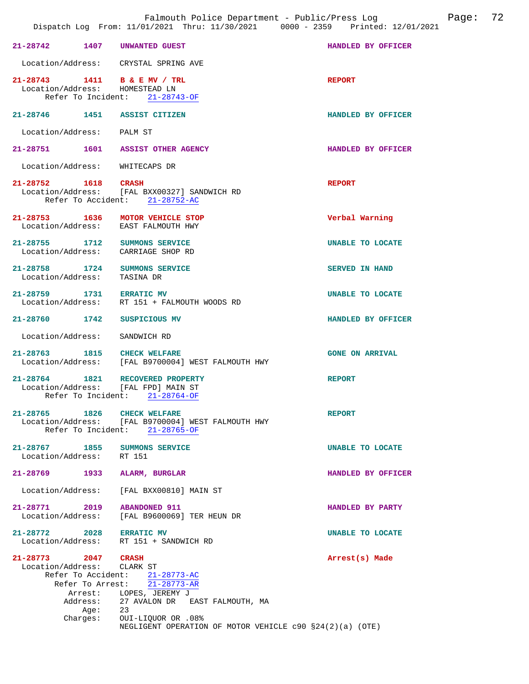| 21-28742 1407                                     |         | UNWANTED GUEST                                                                                               | HANDLED BY OFFICER      |
|---------------------------------------------------|---------|--------------------------------------------------------------------------------------------------------------|-------------------------|
|                                                   |         | Location/Address: CRYSTAL SPRING AVE                                                                         |                         |
|                                                   |         | 21-28743 1411 B & E MV / TRL<br>Location/Address: HOMESTEAD LN<br>Refer To Incident: 21-28743-OF             | <b>REPORT</b>           |
|                                                   |         | 21-28746 1451 ASSIST CITIZEN                                                                                 | HANDLED BY OFFICER      |
| Location/Address: PALM ST                         |         |                                                                                                              |                         |
| 21-28751 1601                                     |         | <b>ASSIST OTHER AGENCY</b>                                                                                   | HANDLED BY OFFICER      |
|                                                   |         | Location/Address: WHITECAPS DR                                                                               |                         |
| 21-28752 1618                                     |         | CRASH<br>Location/Address: [FAL BXX00327] SANDWICH RD<br>Refer To Accident: 21-28752-AC                      | <b>REPORT</b>           |
| Location/Address:                                 |         | 21-28753 1636 MOTOR VEHICLE STOP<br>EAST FALMOUTH HWY                                                        | Verbal Warning          |
|                                                   |         | 21-28755 1712 SUMMONS SERVICE<br>Location/Address: CARRIAGE SHOP RD                                          | UNABLE TO LOCATE        |
| Location/Address:                                 |         | 21-28758 1724 SUMMONS SERVICE<br>TASINA DR                                                                   | <b>SERVED IN HAND</b>   |
| 21-28759 1731 ERRATIC MV                          |         | Location/Address: RT 151 + FALMOUTH WOODS RD                                                                 | <b>UNABLE TO LOCATE</b> |
| 21-28760 1742                                     |         | SUSPICIOUS MV                                                                                                | HANDLED BY OFFICER      |
| Location/Address:                                 |         | SANDWICH RD                                                                                                  |                         |
| 21-28763 1815                                     |         | <b>CHECK WELFARE</b><br>Location/Address: [FAL B9700004] WEST FALMOUTH HWY                                   | <b>GONE ON ARRIVAL</b>  |
| 21-28764 1821                                     |         | RECOVERED PROPERTY<br>Location/Address: [FAL FPD] MAIN ST<br>Refer To Incident: 21-28764-OF                  | <b>REPORT</b>           |
| 21-28765 1826                                     |         | <b>CHECK WELFARE</b><br>Location/Address: [FAL B9700004] WEST FALMOUTH HWY<br>Refer To Incident: 21-28765-OF | <b>REPORT</b>           |
| 21-28767 1855<br>Location/Address: RT 151         |         | <b>SUMMONS SERVICE</b>                                                                                       | UNABLE TO LOCATE        |
| 21-28769                                          |         | 1933 ALARM, BURGLAR                                                                                          | HANDLED BY OFFICER      |
|                                                   |         | Location/Address: [FAL BXX00810] MAIN ST                                                                     |                         |
| 21-28771 2019 ABANDONED 911                       |         | Location/Address: [FAL B9600069] TER HEUN DR                                                                 | HANDLED BY PARTY        |
| 21-28772 2028 ERRATIC MV                          |         | Location/Address: RT 151 + SANDWICH RD                                                                       | UNABLE TO LOCATE        |
| 21-28773 2047 CRASH<br>Location/Address: CLARK ST |         | Refer To Accident: 21-28773-AC                                                                               | Arrest(s) Made          |
|                                                   |         | Refer To Arrest: 21-28773-AR                                                                                 |                         |
|                                                   |         | Arrest: LOPES, JEREMY J<br>Address: 27 AVALON DR EAST FALMOUTH, MA                                           |                         |
|                                                   | Age: 23 |                                                                                                              |                         |
|                                                   |         | Charges: OUI-LIQUOR OR .08%                                                                                  |                         |
|                                                   |         | NEGLIGENT OPERATION OF MOTOR VEHICLE $c90$ $$24(2)(a)$ (OTE)                                                 |                         |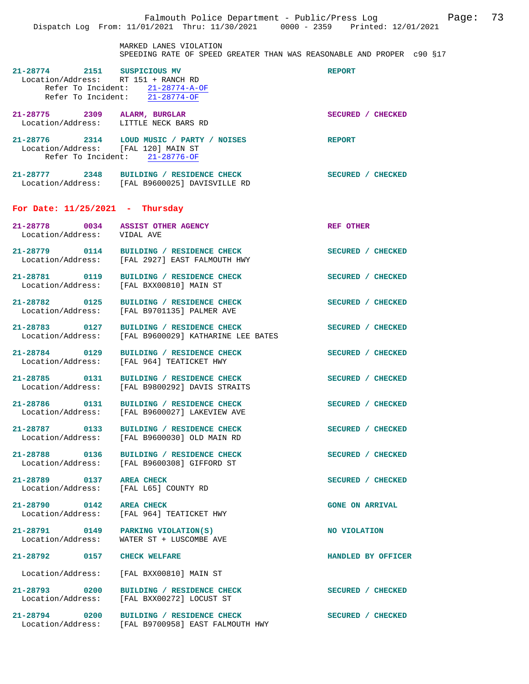MARKED LANES VIOLATION SPEEDING RATE OF SPEED GREATER THAN WAS REASONABLE AND PROPER c90 §17

| $\begin{tabular}{llll} \bf 21-28774 & \tt 2151 & \tt SUSPICIOUS~MV \\ \bf Location/Address: &\tt RT~151 ~+\tt RANCH~RD \\ \end{tabular}$ | Refer To Incident: 21-28774-A-OF<br>Refer To Incident: 21-28774-OF                             | <b>REPORT</b>          |
|------------------------------------------------------------------------------------------------------------------------------------------|------------------------------------------------------------------------------------------------|------------------------|
| 21-28775 2309 ALARM, BURGLAR<br>Location/Address: LITTLE NECK BARS RD                                                                    |                                                                                                | SECURED / CHECKED      |
| Location/Address: [FAL 120] MAIN ST                                                                                                      | 21-28776 2314 LOUD MUSIC / PARTY / NOISES<br>Refer To Incident: 21-28776-OF                    | <b>REPORT</b>          |
|                                                                                                                                          | 21-28777 2348 BUILDING / RESIDENCE CHECK<br>Location/Address: [FAL B9600025] DAVISVILLE RD     | SECURED / CHECKED      |
| For Date: $11/25/2021$ - Thursday                                                                                                        |                                                                                                |                        |
| 21-28778 0034 ASSIST OTI<br>Location/Address: VIDAL AVE                                                                                  | <b>ASSIST OTHER AGENCY</b>                                                                     | REF OTHER              |
|                                                                                                                                          | 21-28779 0114 BUILDING / RESIDENCE CHECK<br>Location/Address: [FAL 2927] EAST FALMOUTH HWY     | SECURED / CHECKED      |
| 21-28781 0119<br>Location/Address:                                                                                                       | BUILDING / RESIDENCE CHECK<br>[FAL BXX00810] MAIN ST                                           | SECURED / CHECKED      |
| 21-28782 0125<br>Location/Address:                                                                                                       | BUILDING / RESIDENCE CHECK<br>[FAL B9701135] PALMER AVE                                        | SECURED / CHECKED      |
| 21-28783 0127<br>Location/Address:                                                                                                       | BUILDING / RESIDENCE CHECK<br>[FAL B9600029] KATHARINE LEE BATES                               | SECURED / CHECKED      |
| 21-28784 0129<br>Location/Address:                                                                                                       | BUILDING / RESIDENCE CHECK<br>[FAL 964] TEATICKET HWY                                          | SECURED / CHECKED      |
|                                                                                                                                          | 21-28785 0131 BUILDING / RESIDENCE CHECK<br>Location/Address: [FAL B9800292] DAVIS STRAITS     | SECURED / CHECKED      |
|                                                                                                                                          | 21-28786 0131 BUILDING / RESIDENCE CHECK<br>Location/Address: [FAL B9600027] LAKEVIEW AVE      | SECURED / CHECKED      |
|                                                                                                                                          | 21-28787 0133 BUILDING / RESIDENCE CHECK<br>Location/Address: [FAL B9600030] OLD MAIN RD       | SECURED / CHECKED      |
| 21-28788                                                                                                                                 | 0136 BUILDING / RESIDENCE CHECK<br>Location/Address: [FAL B9600308] GIFFORD ST                 | SECURED / CHECKED      |
| 21-28789 0137 AREA CHECK<br>Location/Address: [FAL L65] COUNTY RD                                                                        |                                                                                                | SECURED / CHECKED      |
| 21-28790 0142 AREA CHECK                                                                                                                 | Location/Address: [FAL 964] TEATICKET HWY                                                      | <b>GONE ON ARRIVAL</b> |
| 21-28791 0149 PARKING VIOLATION(S)<br>Location/Address:                                                                                  | WATER ST + LUSCOMBE AVE                                                                        | NO VIOLATION           |
| 21-28792 0157 CHECK WELFARE                                                                                                              |                                                                                                | HANDLED BY OFFICER     |
|                                                                                                                                          | Location/Address: [FAL BXX00810] MAIN ST                                                       |                        |
|                                                                                                                                          | 21-28793 0200 BUILDING / RESIDENCE CHECK<br>Location/Address: [FAL BXX00272] LOCUST ST         | SECURED / CHECKED      |
|                                                                                                                                          | 21-28794 0200 BUILDING / RESIDENCE CHECK<br>Location/Address: [FAL B9700958] EAST FALMOUTH HWY | SECURED / CHECKED      |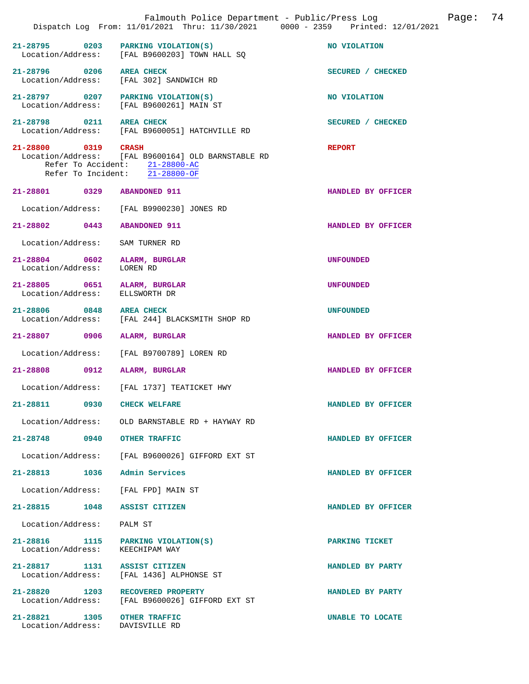|                                                         | Falmouth Police Department - Public/Press Log<br>Dispatch Log From: 11/01/2021 Thru: 11/30/2021 0000 - 2359 Printed: 12/01/2021 | 74<br>Page:        |
|---------------------------------------------------------|---------------------------------------------------------------------------------------------------------------------------------|--------------------|
| 21-28795<br>0203                                        | PARKING VIOLATION(S)<br>Location/Address: [FAL B9600203] TOWN HALL SQ                                                           | NO VIOLATION       |
| 21-28796 0206<br>Location/Address:                      | <b>AREA CHECK</b><br>[FAL 302] SANDWICH RD                                                                                      | SECURED / CHECKED  |
| 21-28797 0207 PARKING VIOLATION(S)<br>Location/Address: | [FAL B9600261] MAIN ST                                                                                                          | NO VIOLATION       |
| 21-28798 0211 AREA CHECK                                | Location/Address: [FAL B9600051] HATCHVILLE RD                                                                                  | SECURED / CHECKED  |
| 21-28800 0319 CRASH                                     | Location/Address: [FAL B9600164] OLD BARNSTABLE RD<br>Refer To Accident: 21-28800-AC<br>Refer To Incident: 21-28800-OF          | <b>REPORT</b>      |
| 21-28801 0329                                           | <b>ABANDONED 911</b>                                                                                                            | HANDLED BY OFFICER |
| Location/Address:                                       | [FAL B9900230] JONES RD                                                                                                         |                    |
| 21-28802 0443                                           | <b>ABANDONED 911</b>                                                                                                            | HANDLED BY OFFICER |
| Location/Address:                                       | SAM TURNER RD                                                                                                                   |                    |
| 21-28804 0602<br>Location/Address:                      | ALARM, BURGLAR<br>LOREN RD                                                                                                      | <b>UNFOUNDED</b>   |
| 21-28805 0651<br>Location/Address:                      | ALARM, BURGLAR<br>ELLSWORTH DR                                                                                                  | <b>UNFOUNDED</b>   |
| 21-28806 0848<br>Location/Address:                      | <b>AREA CHECK</b><br>[FAL 244] BLACKSMITH SHOP RD                                                                               | <b>UNFOUNDED</b>   |
| 21-28807 0906                                           | ALARM, BURGLAR                                                                                                                  | HANDLED BY OFFICER |
| Location/Address:                                       | [FAL B9700789] LOREN RD                                                                                                         |                    |
| 21-28808 0912                                           | ALARM, BURGLAR                                                                                                                  | HANDLED BY OFFICER |
| Location/Address:                                       | FAL 1737] TEATICKET HWY                                                                                                         |                    |
| 21-28811<br>0930                                        | <b>CHECK WELFARE</b>                                                                                                            | HANDLED BY OFFICER |
| Location/Address:                                       | OLD BARNSTABLE RD + HAYWAY RD                                                                                                   |                    |
| 21-28748 0940                                           | <b>OTHER TRAFFIC</b>                                                                                                            | HANDLED BY OFFICER |
| Location/Address:                                       | [FAL B9600026] GIFFORD EXT ST                                                                                                   |                    |
| 21-28813<br>1036                                        | Admin Services                                                                                                                  | HANDLED BY OFFICER |
| Location/Address:                                       | [FAL FPD] MAIN ST                                                                                                               |                    |
| 21-28815<br>1048                                        | ASSIST CITIZEN                                                                                                                  | HANDLED BY OFFICER |
| Location/Address:                                       | PALM ST                                                                                                                         |                    |
| 21-28816<br>1115<br>Location/Address:                   | PARKING VIOLATION(S)<br>KEECHIPAM WAY                                                                                           | PARKING TICKET     |
| 21-28817<br>1131<br>Location/Address:                   | ASSIST CITIZEN<br>[FAL 1436] ALPHONSE ST                                                                                        | HANDLED BY PARTY   |
| $21 - 28820$<br>1203<br>Location/Address:               | RECOVERED PROPERTY<br>[FAL B9600026] GIFFORD EXT ST                                                                             | HANDLED BY PARTY   |
| 21-28821<br>1305<br>Location/Address:                   | <b>OTHER TRAFFIC</b><br>DAVISVILLE RD                                                                                           | UNABLE TO LOCATE   |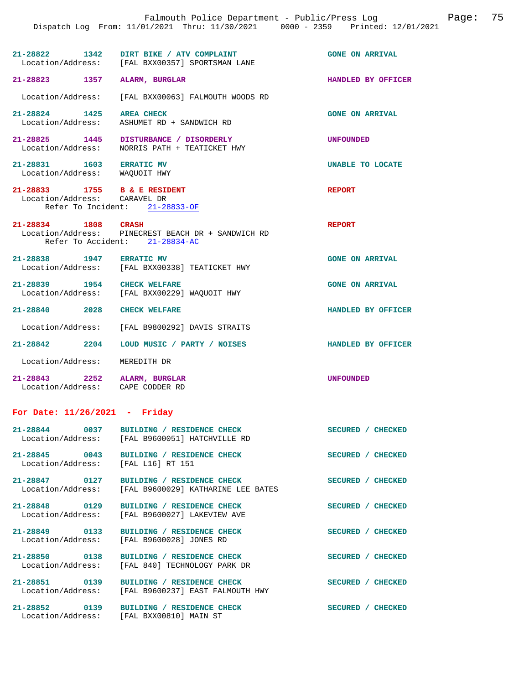|                                                                  | Dispatch Log From: 11/01/2021 Thru: 11/30/2021 0000 - 2359 Printed: 12/01/2021             |                           |
|------------------------------------------------------------------|--------------------------------------------------------------------------------------------|---------------------------|
|                                                                  | 21-28822 1342 DIRT BIKE / ATV COMPLAINT<br>Location/Address: [FAL BXX00357] SPORTSMAN LANE | <b>GONE ON ARRIVAL</b>    |
| 21-28823 1357 ALARM, BURGLAR                                     |                                                                                            | HANDLED BY OFFICER        |
|                                                                  | Location/Address: [FAL BXX00063] FALMOUTH WOODS RD                                         |                           |
| 21-28824 1425 AREA CHECK                                         | Location/Address: ASHUMET RD + SANDWICH RD                                                 | <b>GONE ON ARRIVAL</b>    |
|                                                                  | 21-28825 1445 DISTURBANCE / DISORDERLY<br>Location/Address: NORRIS PATH + TEATICKET HWY    | <b>UNFOUNDED</b>          |
| 21-28831 1603 ERRATIC MV<br>Location/Address: WAQUOIT HWY        |                                                                                            | UNABLE TO LOCATE          |
| 21-28833 1755 B & E RESIDENT<br>Location/Address: CARAVEL DR     | Refer To Incident: 21-28833-OF                                                             | <b>REPORT</b>             |
| 21-28834 1808 CRASH                                              | Location/Address: PINECREST BEACH DR + SANDWICH RD<br>Refer To Accident: 21-28834-AC       | <b>REPORT</b>             |
| 21-28838 1947 ERRATIC MV                                         | Location/Address: [FAL BXX00338] TEATICKET HWY                                             | <b>GONE ON ARRIVAL</b>    |
| 21-28839 1954 CHECK WELFARE                                      | Location/Address: [FAL BXX00229] WAQUOIT HWY                                               | <b>GONE ON ARRIVAL</b>    |
| 21-28840 2028 CHECK WELFARE                                      |                                                                                            | HANDLED BY OFFICER        |
|                                                                  | Location/Address: [FAL B9800292] DAVIS STRAITS                                             |                           |
|                                                                  |                                                                                            | <b>HANDLED BY OFFICER</b> |
| Location/Address: MEREDITH DR                                    |                                                                                            |                           |
| 21-28843 2252 ALARM, BURGLAR<br>Location/Address: CAPE CODDER RD |                                                                                            | <b>UNFOUNDED</b>          |
| For Date: $11/26/2021$ - Friday                                  |                                                                                            |                           |
|                                                                  | 21-28844 0037 BUILDING / RESIDENCE CHECK<br>Location/Address: [FAL B9600051] HATCHVILLE RD | SECURED / CHECKED         |
| Location/Address: [FAL L16] RT 151                               | 21-28845 0043 BUILDING / RESIDENCE CHECK                                                   | SECURED / CHECKED         |
|                                                                  | Location/Address: [FAL B9600029] KATHARINE LEE BATES                                       | SECURED / CHECKED         |
|                                                                  | Location/Address: [FAL B9600027] LAKEVIEW AVE                                              | SECURED / CHECKED         |
| Location/Address:                                                | 21-28849 0133 BUILDING / RESIDENCE CHECK<br>[FAL B9600028] JONES RD                        | SECURED / CHECKED         |
|                                                                  | 21-28850 0138 BUILDING / RESIDENCE CHECK<br>Location/Address: [FAL 840] TECHNOLOGY PARK DR | SECURED / CHECKED         |
| Location/Address:                                                | 21-28851 0139 BUILDING / RESIDENCE CHECK<br>[FAL B9600237] EAST FALMOUTH HWY               | SECURED / CHECKED         |
|                                                                  | 21-28852 0139 BUILDING / RESIDENCE CHECK<br>Location/Address: [FAL BXX00810] MAIN ST       | <b>SECURED / CHECKED</b>  |

Falmouth Police Department - Public/Press Log Page: 75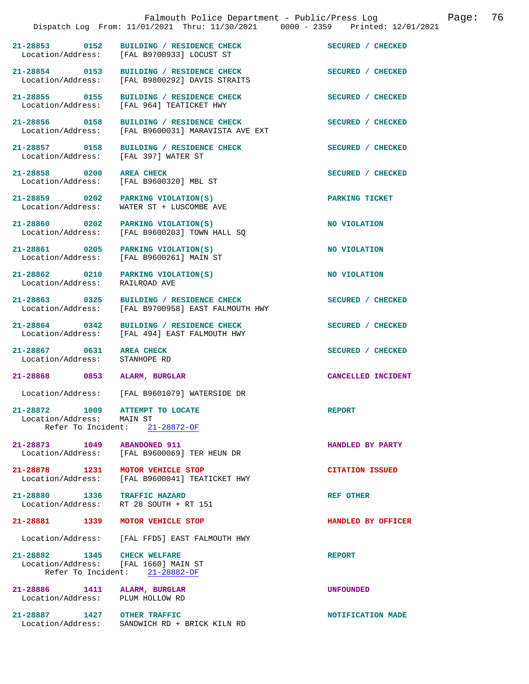|                                      | Dispatch Log From: 11/01/2021 Thru: 11/30/2021 0000 - 2359 Printed: 12/01/2021                        | Page: 76<br>Falmouth Police Department - Public/Press Log |  |
|--------------------------------------|-------------------------------------------------------------------------------------------------------|-----------------------------------------------------------|--|
| 21-28853 0152                        | BUILDING / RESIDENCE CHECK<br>Location/Address: [FAL B9700933] LOCUST ST                              | SECURED / CHECKED                                         |  |
| 21-28854 0153                        | BUILDING / RESIDENCE CHECK<br>Location/Address: [FAL B9800292] DAVIS STRAITS                          | SECURED / CHECKED                                         |  |
| 21-28855 0155                        | BUILDING / RESIDENCE CHECK<br>Location/Address: [FAL 964] TEATICKET HWY                               | SECURED / CHECKED                                         |  |
| 21-28856 0158                        | BUILDING / RESIDENCE CHECK<br>Location/Address: [FAL B9600031] MARAVISTA AVE EXT                      | SECURED / CHECKED                                         |  |
| 21-28857 0158                        | BUILDING / RESIDENCE CHECK<br>Location/Address: [FAL 397] WATER ST                                    | SECURED / CHECKED                                         |  |
| 21-28858 0200<br>Location/Address:   | <b>AREA CHECK</b><br>[FAL B9600320] MBL ST                                                            | SECURED / CHECKED                                         |  |
| 21-28859 0202<br>Location/Address:   | PARKING VIOLATION(S)<br>WATER ST + LUSCOMBE AVE                                                       | PARKING TICKET                                            |  |
| Location/Address:                    | 21-28860 0202 PARKING VIOLATION(S)<br>[FAL B9600203] TOWN HALL SO                                     | NO VIOLATION                                              |  |
| 21-28861 0205                        | PARKING VIOLATION(S)<br>Location/Address: [FAL B9600261] MAIN ST                                      | NO VIOLATION                                              |  |
| 21-28862 0210<br>Location/Address:   | PARKING VIOLATION(S)<br>RAILROAD AVE                                                                  | NO VIOLATION                                              |  |
| 21-28863 0325                        | BUILDING / RESIDENCE CHECK<br>Location/Address: [FAL B9700958] EAST FALMOUTH HWY                      | SECURED / CHECKED                                         |  |
| 21-28864 0342                        | BUILDING / RESIDENCE CHECK<br>Location/Address: [FAL 494] EAST FALMOUTH HWY                           | SECURED / CHECKED                                         |  |
| 21-28867 0631<br>Location/Address:   | <b>AREA CHECK</b><br>STANHOPE RD                                                                      | SECURED / CHECKED                                         |  |
| 21-28868 0853                        | ALARM, BURGLAR                                                                                        | CANCELLED INCIDENT                                        |  |
| $\epsilon = -1$<br>Location/Address: | [FAL B9601079] WATERSIDE DR                                                                           |                                                           |  |
| 21-28872 1009<br>Location/Address:   | ATTEMPT TO LOCATE<br>MAIN ST<br>Refer To Incident: $21-28872-OF$                                      | <b>REPORT</b>                                             |  |
| 21-28873 1049                        | <b>ABANDONED 911</b><br>Location/Address: [FAL B9600069] TER HEUN DR                                  | HANDLED BY PARTY                                          |  |
| 21-28878 1231                        | MOTOR VEHICLE STOP<br>Location/Address: [FAL B9600041] TEATICKET HWY                                  | <b>CITATION ISSUED</b>                                    |  |
|                                      | 21-28880 1336 TRAFFIC HAZARD<br>Location/Address: RT 28 SOUTH + RT 151                                | REF OTHER                                                 |  |
| 21-28881 1339                        | MOTOR VEHICLE STOP                                                                                    | HANDLED BY OFFICER                                        |  |
| Location/Address:                    | [FAL FFD5] EAST FALMOUTH HWY                                                                          |                                                           |  |
|                                      | 21-28882 1345 CHECK WELFARE<br>Location/Address: [FAL 1660] MAIN ST<br>Refer To Incident: 21-28882-OF | <b>REPORT</b>                                             |  |
| 21-28886 1411                        | ALARM, BURGLAR<br>Location/Address: PLUM HOLLOW RD                                                    | <b>UNFOUNDED</b>                                          |  |
| 21-28887<br>1427                     | OTHER TRAFFIC                                                                                         | NOTIFICATION MADE                                         |  |

Location/Address: SANDWICH RD + BRICK KILN RD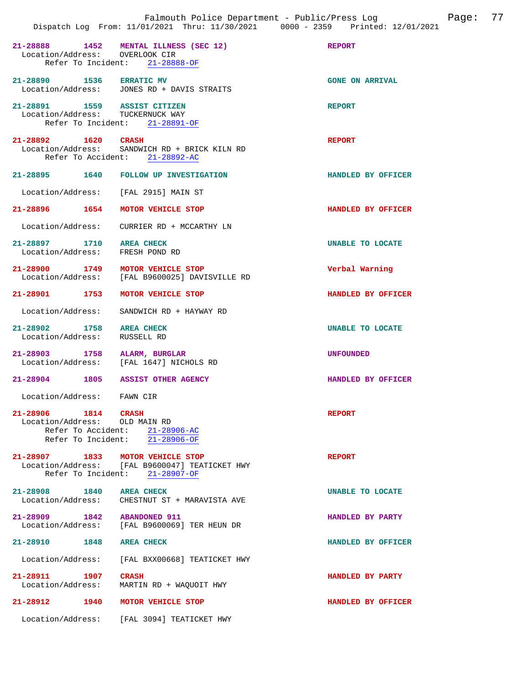|                                                                  |                                                                                                                      | Page: 77<br>Falmouth Police Department - Public/Press Log<br>Dispatch Log From: 11/01/2021 Thru: 11/30/2021 0000 - 2359 Printed: 12/01/2021 |  |
|------------------------------------------------------------------|----------------------------------------------------------------------------------------------------------------------|---------------------------------------------------------------------------------------------------------------------------------------------|--|
| Location/Address: OVERLOOK CIR                                   | 21-28888 1452 MENTAL ILLNESS (SEC 12)<br>Refer To Incident: 21-28888-OF                                              | <b>REPORT</b>                                                                                                                               |  |
| 21-28890 1536 ERRATIC MV                                         | Location/Address: JONES RD + DAVIS STRAITS                                                                           | <b>GONE ON ARRIVAL</b>                                                                                                                      |  |
| 21-28891 1559 ASSIST CITIZEN<br>Location/Address: TUCKERNUCK WAY | Refer To Incident: 21-28891-OF                                                                                       | <b>REPORT</b>                                                                                                                               |  |
| 21-28892 1620 CRASH                                              | Location/Address: SANDWICH RD + BRICK KILN RD<br>Refer To Accident: 21-28892-AC                                      | <b>REPORT</b>                                                                                                                               |  |
|                                                                  | 21-28895 1640 FOLLOW UP INVESTIGATION                                                                                | HANDLED BY OFFICER                                                                                                                          |  |
|                                                                  | Location/Address: [FAL 2915] MAIN ST                                                                                 |                                                                                                                                             |  |
|                                                                  | 21-28896 1654 MOTOR VEHICLE STOP                                                                                     | HANDLED BY OFFICER                                                                                                                          |  |
|                                                                  | Location/Address:     CURRIER RD + MCCARTHY LN                                                                       |                                                                                                                                             |  |
| 21-28897 1710 AREA CHECK<br>Location/Address: FRESH POND RD      |                                                                                                                      | UNABLE TO LOCATE                                                                                                                            |  |
|                                                                  | 21-28900 1749 MOTOR VEHICLE STOP<br>Location/Address: [FAL B9600025] DAVISVILLE RD                                   | Verbal Warning                                                                                                                              |  |
|                                                                  | 21-28901 1753 MOTOR VEHICLE STOP                                                                                     | HANDLED BY OFFICER                                                                                                                          |  |
|                                                                  | Location/Address: SANDWICH RD + HAYWAY RD                                                                            |                                                                                                                                             |  |
| 21-28902 1758 AREA CHECK<br>Location/Address: RUSSELL RD         |                                                                                                                      | UNABLE TO LOCATE                                                                                                                            |  |
|                                                                  | 21-28903 1758 ALARM, BURGLAR<br>Location/Address: [FAL 1647] NICHOLS RD                                              | UNFOUNDED                                                                                                                                   |  |
|                                                                  | 21-28904 1805 ASSIST OTHER AGENCY                                                                                    | HANDLED BY OFFICER                                                                                                                          |  |
| Location/Address:                                                | FAWN CIR                                                                                                             |                                                                                                                                             |  |
| 21-28906 1814 CRASH<br>Location/Address: OLD MAIN RD             | Refer To Accident: 21-28906-AC<br>Refer To Incident: 21-28906-OF                                                     | <b>REPORT</b>                                                                                                                               |  |
|                                                                  | 21-28907 1833 MOTOR VEHICLE STOP<br>Location/Address: [FAL B9600047] TEATICKET HWY<br>Refer To Incident: 21-28907-OF | <b>REPORT</b>                                                                                                                               |  |
| 21-28908 1840 AREA CHECK                                         | Location/Address: CHESTNUT ST + MARAVISTA AVE                                                                        | UNABLE TO LOCATE                                                                                                                            |  |
| 21-28909 1842 ABANDONED 911                                      | Location/Address: [FAL B9600069] TER HEUN DR                                                                         | HANDLED BY PARTY                                                                                                                            |  |
| 21-28910 1848 AREA CHECK                                         |                                                                                                                      | HANDLED BY OFFICER                                                                                                                          |  |
| Location/Address:                                                | [FAL BXX00668] TEATICKET HWY                                                                                         |                                                                                                                                             |  |
| 21-28911 1907<br>Location/Address:                               | CRASH<br>MARTIN RD + WAQUOIT HWY                                                                                     | HANDLED BY PARTY                                                                                                                            |  |
|                                                                  | 21-28912 1940 MOTOR VEHICLE STOP                                                                                     | HANDLED BY OFFICER                                                                                                                          |  |
|                                                                  | Location/Address: [FAL 3094] TEATICKET HWY                                                                           |                                                                                                                                             |  |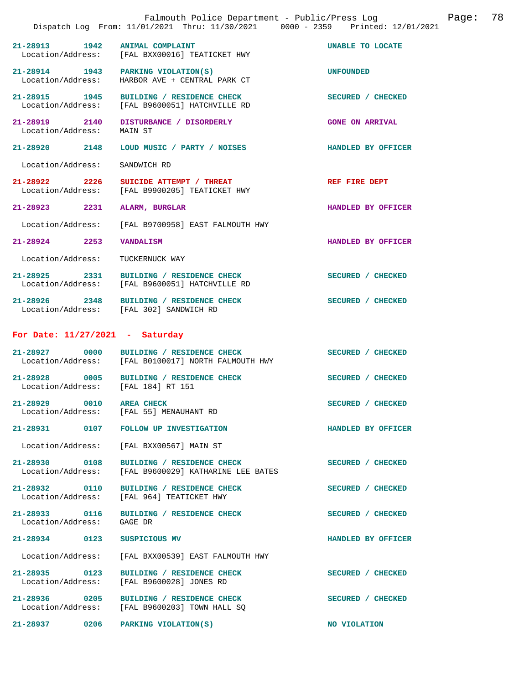|                                    |      | Falmouth Police Department - Public/Press Log Cage:<br>Dispatch Log From: 11/01/2021 Thru: 11/30/2021 0000 - 2359 Printed: 12/01/2021 |                        | 78 |
|------------------------------------|------|---------------------------------------------------------------------------------------------------------------------------------------|------------------------|----|
|                                    |      | 21-28913 1942 ANIMAL COMPLAINT<br>Location/Address: [FAL BXX00016] TEATICKET HWY                                                      | UNABLE TO LOCATE       |    |
|                                    |      | 21-28914 1943 PARKING VIOLATION(S)<br>Location/Address: HARBOR AVE + CENTRAL PARK CT                                                  | <b>UNFOUNDED</b>       |    |
|                                    |      | 21-28915 1945 BUILDING / RESIDENCE CHECK<br>Location/Address: [FAL B9600051] HATCHVILLE RD                                            | SECURED / CHECKED      |    |
| Location/Address:                  |      | 21-28919 2140 DISTURBANCE / DISORDERLY<br>MAIN ST                                                                                     | <b>GONE ON ARRIVAL</b> |    |
| 21-28920 2148                      |      | LOUD MUSIC / PARTY / NOISES                                                                                                           | HANDLED BY OFFICER     |    |
| Location/Address:                  |      | SANDWICH RD                                                                                                                           |                        |    |
|                                    |      | 21-28922 2226 SUICIDE ATTEMPT / THREAT<br>Location/Address: [FAL B9900205] TEATICKET HWY                                              | REF FIRE DEPT          |    |
| 21-28923                           | 2231 | ALARM, BURGLAR                                                                                                                        | HANDLED BY OFFICER     |    |
| Location/Address:                  |      | [FAL B9700958] EAST FALMOUTH HWY                                                                                                      |                        |    |
| 21-28924 2253                      |      | <b>VANDALISM</b>                                                                                                                      | HANDLED BY OFFICER     |    |
| Location/Address:                  |      | TUCKERNUCK WAY                                                                                                                        |                        |    |
|                                    |      | 21-28925 2331 BUILDING / RESIDENCE CHECK<br>Location/Address: [FAL B9600051] HATCHVILLE RD                                            | SECURED / CHECKED      |    |
|                                    |      | 21-28926 2348 BUILDING / RESIDENCE CHECK<br>Location/Address: [FAL 302] SANDWICH RD                                                   | SECURED / CHECKED      |    |
| For Date: $11/27/2021$ - Saturday  |      |                                                                                                                                       |                        |    |
|                                    |      | 21-28927 0000 BUILDING / RESIDENCE CHECK<br>Location/Address: [FAL B0100017] NORTH FALMOUTH HWY                                       | SECURED / CHECKED      |    |
| Location/Address: [FAL 184] RT 151 |      | 21-28928 0005 BUILDING / RESIDENCE CHECK                                                                                              | SECURED / CHECKED      |    |
| 21-28929 0010 AREA CHECK           |      | Location/Address: [FAL 55] MENAUHANT RD                                                                                               | SECURED / CHECKED      |    |
|                                    |      | 21-28931 0107 FOLLOW UP INVESTIGATION                                                                                                 | HANDLED BY OFFICER     |    |
| Location/Address:                  |      | [FAL BXX00567] MAIN ST                                                                                                                |                        |    |
| 21-28930 0108<br>Location/Address: |      | BUILDING / RESIDENCE CHECK<br>[FAL B9600029] KATHARINE LEE BATES                                                                      | SECURED / CHECKED      |    |
| 21-28932 0110<br>Location/Address: |      | BUILDING / RESIDENCE CHECK<br>[FAL 964] TEATICKET HWY                                                                                 | SECURED / CHECKED      |    |
| 21-28933 0116<br>Location/Address: |      | BUILDING / RESIDENCE CHECK<br>GAGE DR                                                                                                 | SECURED / CHECKED      |    |
| 21-28934 0123                      |      | SUSPICIOUS MV                                                                                                                         | HANDLED BY OFFICER     |    |
| Location/Address:                  |      | [FAL BXX00539] EAST FALMOUTH HWY                                                                                                      |                        |    |
| 21-28935 0123<br>Location/Address: |      | BUILDING / RESIDENCE CHECK<br>[FAL B9600028] JONES RD                                                                                 | SECURED / CHECKED      |    |
|                                    |      | 21-28936 0205 BUILDING / RESIDENCE CHECK<br>Location/Address: [FAL B9600203] TOWN HALL SQ                                             | SECURED / CHECKED      |    |
| 21-28937 0206                      |      | PARKING VIOLATION(S)                                                                                                                  | NO VIOLATION           |    |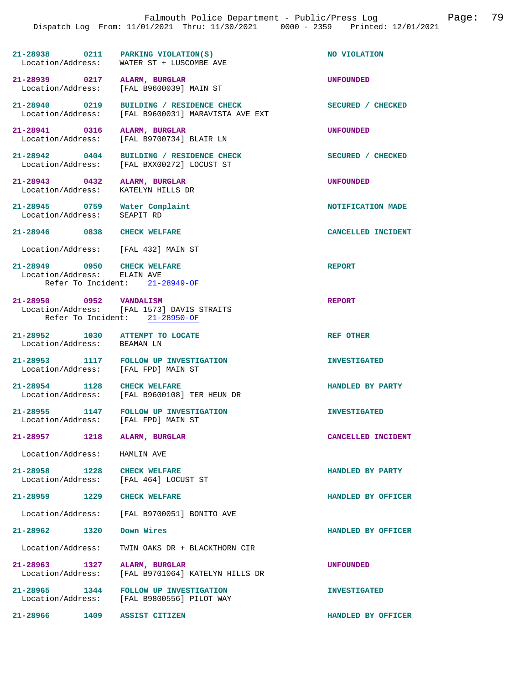| 21-28938          | 0211 | PARKING VIOLATION(S)    | NO VIOLATION |
|-------------------|------|-------------------------|--------------|
| Location/Address: |      | WATER ST + LUSCOMBE AVE |              |

**21-28939 0217 ALARM, BURGLAR UNFOUNDED**  Location/Address: [FAL B9600039] MAIN ST

21-28940 0219 BUILDING / RESIDENCE CHECK<br>
Location/Address: [FAL B9600031] MARAVISTA AVE EXT [FAL B9600031] MARAVISTA AVE EXT

**21-28941 0316 ALARM, BURGLAR UNFOUNDED**  Location/Address: [FAL B9700734] BLAIR LN

**21-28942 0404 BUILDING / RESIDENCE CHECK SECURED / CHECKED**  Location/Address: [FAL BXX00272] LOCUST ST

**21-28943 0432 ALARM, BURGLAR UNFOUNDED**  Location/Address:

**21-28945** 0759 Water Complaint **121-28945** NOTIFICATION MADE **NOTIFICATION** MADE Location/Address:

**21-28946 0838 CHECK WELFARE CANCELLED INCIDENT** 

Location/Address: [FAL 432] MAIN ST

**21-28949 0950 CHECK WELFARE REPORT**  Location/Address: Refer To Incident: 21-28949-OF

**21-28950 0952 VANDALISM REPORT**  Location/Address: [FAL 1573] DAVIS STRAITS Refer To Incident: 21-28950-OF

**21-28952 1030 ATTEMPT TO LOCATE REF OTHER**  Location/Address: BEAMAN LN

21-28953 1117 FOLLOW UP INVESTIGATION **INVESTIGATED** Location/Address: [FAL FPD] MAIN ST Location/Address:

**21-28954 1128 CHECK WELFARE HANDLED BY PARTY**  [FAL B9600108] TER HEUN DR

[FAL 464] LOCUST ST

**21-28955 1147 FOLLOW UP INVESTIGATION INVESTIGATED**  Location/Address:

**21-28957 1218 ALARM, BURGLAR CANCELLED INCIDENT** 

Location/Address: HAMLIN AVE

**21-28958 1228 CHECK WELFARE HANDLED BY PARTY** 

**21-28959 1229 CHECK WELFARE HANDLED BY OFFICER** 

Location/Address: [FAL B9700051] BONITO AVE

**21-28962 1320 Down Wires HANDLED BY OFFICER** 

Location/Address: TWIN OAKS DR + BLACKTHORN CIR

**21-28963 1327 ALARM, BURGLAR UNFOUNDED**  [FAL B9701064] KATELYN HILLS DR

21-28965 1344 FOLLOW UP INVESTIGATION **INVESTIGATED**<br>
Location/Address: [FAL B9800556] PILOT WAY [FAL B9800556] PILOT WAY

**21-28966 1409 ASSIST CITIZEN HANDLED BY OFFICER**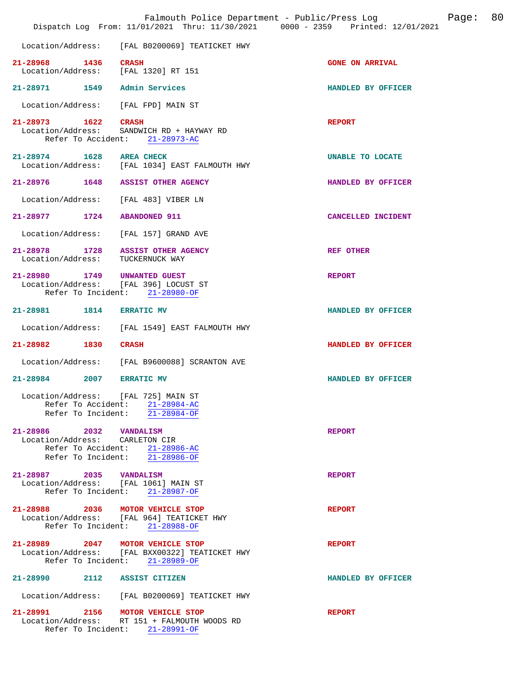|                                                                 | Dispatch Log From: 11/01/2021 Thru: 11/30/2021 0000 - 2359 Printed: 12/01/2021   | Page: 80<br>Falmouth Police Department - Public/Press Log |  |
|-----------------------------------------------------------------|----------------------------------------------------------------------------------|-----------------------------------------------------------|--|
|                                                                 | Location/Address: [FAL B0200069] TEATICKET HWY                                   |                                                           |  |
| 21-28968 1436 CRASH<br>Location/Address: [FAL 1320] RT 151      |                                                                                  | <b>GONE ON ARRIVAL</b>                                    |  |
| 21-28971 1549 Admin Services                                    |                                                                                  | HANDLED BY OFFICER                                        |  |
| Location/Address: [FAL FPD] MAIN ST                             |                                                                                  |                                                           |  |
| 21-28973 1622 CRASH<br>Location/Address:                        | SANDWICH RD + HAYWAY RD<br>Refer To Accident: 21-28973-AC                        | <b>REPORT</b>                                             |  |
| 21-28974 1628 AREA CHECK                                        | Location/Address: [FAL 1034] EAST FALMOUTH HWY                                   | UNABLE TO LOCATE                                          |  |
|                                                                 | 21-28976 1648 ASSIST OTHER AGENCY                                                | HANDLED BY OFFICER                                        |  |
| Location/Address: [FAL 483] VIBER LN                            |                                                                                  |                                                           |  |
| 21-28977 1724 ABANDONED 911                                     |                                                                                  | CANCELLED INCIDENT                                        |  |
|                                                                 | Location/Address: [FAL 157] GRAND AVE                                            |                                                           |  |
|                                                                 | 21-28978 1728 ASSIST OTHER AGENCY<br>Location/Address: TUCKERNUCK WAY            | <b>REF OTHER</b>                                          |  |
| 21-28980 1749 UNWANTED GUEST                                    | Location/Address: [FAL 396] LOCUST ST<br>Refer To Incident: 21-28980-OF          | <b>REPORT</b>                                             |  |
| 21-28981 1814 ERRATIC MV                                        |                                                                                  | HANDLED BY OFFICER                                        |  |
|                                                                 | Location/Address: [FAL 1549] EAST FALMOUTH HWY                                   |                                                           |  |
| 21-28982 1830                                                   | <b>CRASH</b>                                                                     | HANDLED BY OFFICER                                        |  |
|                                                                 | Location/Address: [FAL B9600088] SCRANTON AVE                                    |                                                           |  |
| 21-28984 2007                                                   | <b>ERRATIC MV</b>                                                                | HANDLED BY OFFICER                                        |  |
| Location/Address:<br>Refer To Accident:                         | [FAL 725] MAIN ST<br>$21 - 28984 - AC$<br>Refer To Incident: 21-28984-OF         |                                                           |  |
| 21-28986 2032 VANDALISM<br>Location/Address: CARLETON CIR       | Refer To Accident: 21-28986-AC<br>Refer To Incident: 21-28986-OF                 | <b>REPORT</b>                                             |  |
| 21-28987 2035 VANDALISM<br>Location/Address: [FAL 1061] MAIN ST | Refer To Incident: 21-28987-OF                                                   | <b>REPORT</b>                                             |  |
| 21-28988 2036 MOTOR VEHICLE STOP                                | Location/Address: [FAL 964] TEATICKET HWY<br>Refer To Incident: 21-28988-OF      | <b>REPORT</b>                                             |  |
| 21-28989 2047 MOTOR VEHICLE STOP                                | Location/Address: [FAL BXX00322] TEATICKET HWY<br>Refer To Incident: 21-28989-OF | <b>REPORT</b>                                             |  |
| 21-28990 2112 ASSIST CITIZEN                                    |                                                                                  | HANDLED BY OFFICER                                        |  |
|                                                                 | Location/Address: [FAL B0200069] TEATICKET HWY                                   |                                                           |  |
| 21-28991 2156 MOTOR VEHICLE STOP                                | Location/Address: RT 151 + FALMOUTH WOODS RD<br>Refer To Incident: 21-28991-OF   | <b>REPORT</b>                                             |  |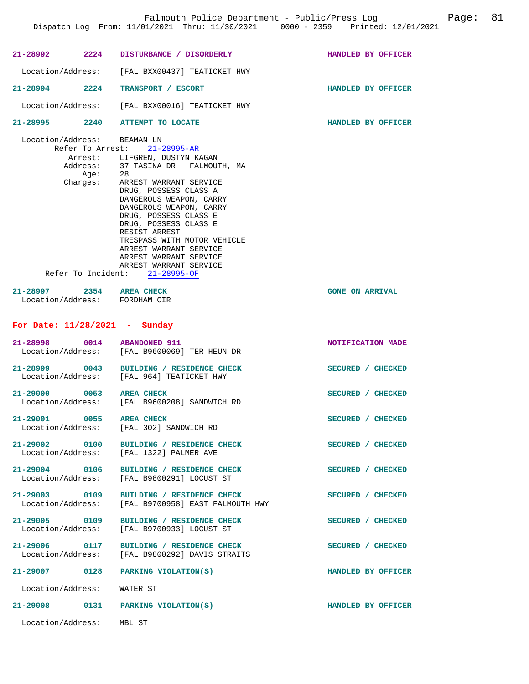|                            | 21-28992 2224 DISTURBANCE / DISORDERLY                                                         | HANDLED BY OFFICER     |
|----------------------------|------------------------------------------------------------------------------------------------|------------------------|
|                            | Location/Address: [FAL BXX00437] TEATICKET HWY                                                 |                        |
|                            | 21-28994 2224 TRANSPORT / ESCORT                                                               | HANDLED BY OFFICER     |
|                            | Location/Address: [FAL BXX00016] TEATICKET HWY                                                 |                        |
|                            | 21-28995 2240 ATTEMPT TO LOCATE                                                                | HANDLED BY OFFICER     |
|                            | Location/Address: BEAMAN LN<br>Refer To Arrest: 21-28995-AR                                    |                        |
|                            |                                                                                                |                        |
|                            | Arrest: LIFGREN, DUSTYN KAGAN<br>Address: 37 TASINA DR FALMOUTH, MA                            |                        |
|                            |                                                                                                |                        |
|                            | Age: 28<br>Charges: ARREST WARRANT SERVICE                                                     |                        |
|                            | DRUG, POSSESS CLASS A                                                                          |                        |
|                            | DANGEROUS WEAPON, CARRY                                                                        |                        |
|                            | DANGEROUS WEAPON, CARRY                                                                        |                        |
|                            | DRUG, POSSESS CLASS E                                                                          |                        |
|                            | DRUG, POSSESS CLASS E                                                                          |                        |
|                            | RESIST ARREST                                                                                  |                        |
|                            | TRESPASS WITH MOTOR VEHICLE                                                                    |                        |
|                            | ARREST WARRANT SERVICE                                                                         |                        |
|                            | ARREST WARRANT SERVICE                                                                         |                        |
|                            | ARREST WARRANT SERVICE                                                                         |                        |
|                            | Refer To Incident: 21-28995-OF                                                                 |                        |
|                            |                                                                                                |                        |
|                            | 21-28997 2354 AREA CHECK<br>Location/Address: FORDHAM CIR                                      | <b>GONE ON ARRIVAL</b> |
|                            |                                                                                                |                        |
|                            | For Date: $11/28/2021$ - Sunday                                                                |                        |
|                            | 21-28998 0014 ABANDONED 911                                                                    |                        |
|                            | Location/Address: [FAL B9600069] TER HEUN DR                                                   | NOTIFICATION MADE      |
|                            |                                                                                                |                        |
|                            | 21-28999 0043 BUILDING / RESIDENCE CHECK                                                       | SECURED / CHECKED      |
|                            | Location/Address: [FAL 964] TEATICKET HWY                                                      |                        |
|                            |                                                                                                |                        |
|                            | 21-29000 0053 AREA CHECK                                                                       | SECURED / CHECKED      |
|                            | Location/Address: [FAL B9600208] SANDWICH RD                                                   |                        |
|                            |                                                                                                |                        |
|                            | 21-29001 0055 AREA CHECK                                                                       | SECURED / CHECKED      |
|                            | Location/Address: [FAL 302] SANDWICH RD                                                        |                        |
| 21-29002 0100              |                                                                                                |                        |
|                            | BUILDING / RESIDENCE CHECK<br>Location/Address: [FAL 1322] PALMER AVE                          | SECURED / CHECKED      |
|                            |                                                                                                |                        |
|                            | 21-29004 0106 BUILDING / RESIDENCE CHECK                                                       | SECURED / CHECKED      |
|                            | Location/Address: [FAL B9800291] LOCUST ST                                                     |                        |
|                            |                                                                                                |                        |
|                            |                                                                                                | SECURED / CHECKED      |
|                            | 21-29003 0109 BUILDING / RESIDENCE CHECK<br>Location/Address: [FAL B9700958] EAST FALMOUTH HWY |                        |
|                            |                                                                                                |                        |
|                            | 21-29005 0109 BUILDING / RESIDENCE CHECK                                                       | SECURED / CHECKED      |
|                            | Location/Address: [FAL B9700933] LOCUST ST                                                     |                        |
|                            |                                                                                                |                        |
| 21-29006 0117              | BUILDING / RESIDENCE CHECK<br>Location/Address: [FAL B9800292] DAVIS STRAITS                   | SECURED / CHECKED      |
|                            |                                                                                                |                        |
|                            | 21-29007 0128 PARKING VIOLATION(S)                                                             | HANDLED BY OFFICER     |
|                            |                                                                                                |                        |
| Location/Address: WATER ST |                                                                                                |                        |
|                            |                                                                                                |                        |
|                            | 21-29008 0131 PARKING VIOLATION(S)                                                             | HANDLED BY OFFICER     |
|                            |                                                                                                |                        |
| Location/Address: MBL ST   |                                                                                                |                        |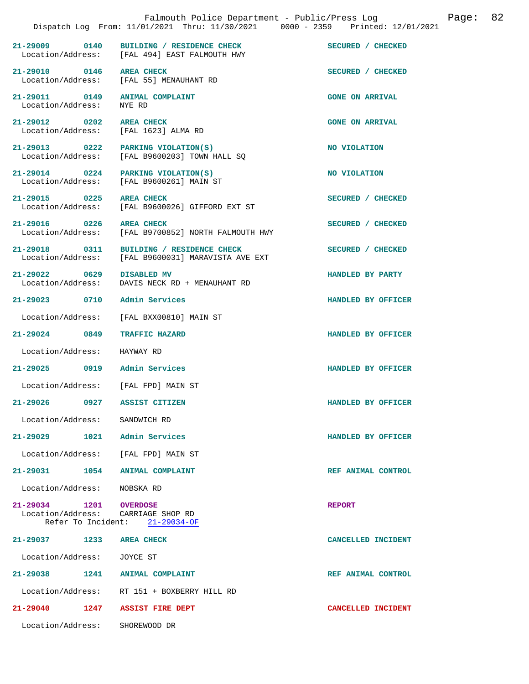|                                                |                                                                                                | Falmouth Police Department - Public/Press Log Fage: 82<br>Dispatch Log From: 11/01/2021 Thru: 11/30/2021 0000 - 2359 Printed: 12/01/2021 |  |
|------------------------------------------------|------------------------------------------------------------------------------------------------|------------------------------------------------------------------------------------------------------------------------------------------|--|
|                                                | 21-29009 0140 BUILDING / RESIDENCE CHECK<br>Location/Address: [FAL 494] EAST FALMOUTH HWY      | SECURED / CHECKED                                                                                                                        |  |
| 21-29010 0146 AREA CHECK                       | Location/Address: [FAL 55] MENAUHANT RD                                                        | SECURED / CHECKED                                                                                                                        |  |
| Location/Address:                              | 21-29011 0149 ANIMAL COMPLAINT<br>NYE RD                                                       | <b>GONE ON ARRIVAL</b>                                                                                                                   |  |
|                                                | 21-29012 0202 AREA CHECK<br>Location/Address: [FAL 1623] ALMA RD                               | <b>GONE ON ARRIVAL</b>                                                                                                                   |  |
|                                                | 21-29013 0222 PARKING VIOLATION(S)<br>Location/Address: [FAL B9600203] TOWN HALL SQ            | NO VIOLATION                                                                                                                             |  |
|                                                | 21-29014 0224 PARKING VIOLATION(S)<br>Location/Address: [FAL B9600261] MAIN ST                 | NO VIOLATION                                                                                                                             |  |
|                                                | 21-29015 0225 AREA CHECK<br>Location/Address: [FAL B9600026] GIFFORD EXT ST                    | SECURED / CHECKED                                                                                                                        |  |
| 21-29016 0226 AREA CHECK                       | Location/Address: [FAL B9700852] NORTH FALMOUTH HWY                                            | SECURED / CHECKED                                                                                                                        |  |
|                                                | 21-29018 0311 BUILDING / RESIDENCE CHECK<br>Location/Address: [FAL B9600031] MARAVISTA AVE EXT | SECURED / CHECKED                                                                                                                        |  |
| 21-29022 0629 DISABLED MV<br>Location/Address: | DAVIS NECK RD + MENAUHANT RD                                                                   | HANDLED BY PARTY                                                                                                                         |  |
| 21-29023 0710 Admin Services                   |                                                                                                | HANDLED BY OFFICER                                                                                                                       |  |
|                                                | Location/Address: [FAL BXX00810] MAIN ST                                                       |                                                                                                                                          |  |
| 21-29024 0849 TRAFFIC HAZARD                   |                                                                                                | HANDLED BY OFFICER                                                                                                                       |  |
| Location/Address: HAYWAY RD                    |                                                                                                |                                                                                                                                          |  |
| 21-29025 0919 Admin Services                   |                                                                                                | HANDLED BY OFFICER                                                                                                                       |  |
|                                                | Location/Address: [FAL FPD] MAIN ST                                                            |                                                                                                                                          |  |
| 21-29026<br>0927                               | ASSIST CITIZEN                                                                                 | HANDLED BY OFFICER                                                                                                                       |  |
| Location/Address: SANDWICH RD                  |                                                                                                |                                                                                                                                          |  |
| 21-29029 1021 Admin Services                   |                                                                                                | HANDLED BY OFFICER                                                                                                                       |  |
|                                                | Location/Address: [FAL FPD] MAIN ST                                                            |                                                                                                                                          |  |
|                                                | 21-29031 1054 ANIMAL COMPLAINT                                                                 | REF ANIMAL CONTROL                                                                                                                       |  |
| Location/Address: NOBSKA RD                    |                                                                                                |                                                                                                                                          |  |
| 21-29034 1201 OVERDOSE                         | Location/Address: CARRIAGE SHOP RD<br>Refer To Incident: 21-29034-OF                           | <b>REPORT</b>                                                                                                                            |  |
| 21-29037 1233 AREA CHECK                       |                                                                                                | CANCELLED INCIDENT                                                                                                                       |  |
| Location/Address: JOYCE ST                     |                                                                                                |                                                                                                                                          |  |

**21-29038 1241 ANIMAL COMPLAINT REF ANIMAL CONTROL**  Location/Address: RT 151 + BOXBERRY HILL RD

**21-29040 1247 ASSIST FIRE DEPT CANCELLED INCIDENT** 

Location/Address: SHOREWOOD DR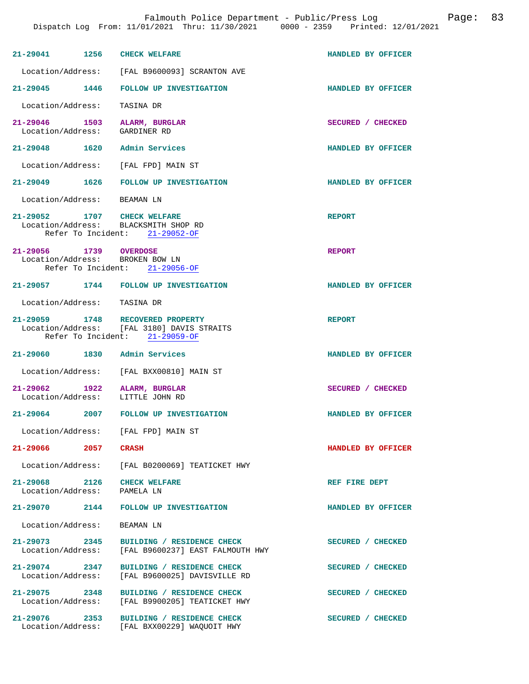| 21-29041 1256                                                       | <b>CHECK WELFARE</b>                                                                                             | HANDLED BY OFFICER |
|---------------------------------------------------------------------|------------------------------------------------------------------------------------------------------------------|--------------------|
|                                                                     | Location/Address: [FAL B9600093] SCRANTON AVE                                                                    |                    |
|                                                                     | 21-29045 1446 FOLLOW UP INVESTIGATION                                                                            | HANDLED BY OFFICER |
| Location/Address:                                                   | TASINA DR                                                                                                        |                    |
| 21-29046 1503 ALARM, BURGLAR<br>Location/Address: GARDINER RD       |                                                                                                                  | SECURED / CHECKED  |
| 21-29048 1620 Admin Services                                        |                                                                                                                  | HANDLED BY OFFICER |
| Location/Address: [FAL FPD] MAIN ST                                 |                                                                                                                  |                    |
|                                                                     | 21-29049 1626 FOLLOW UP INVESTIGATION                                                                            | HANDLED BY OFFICER |
| Location/Address: BEAMAN LN                                         |                                                                                                                  |                    |
| 21-29052 1707 CHECK WELFARE<br>Location/Address: BLACKSMITH SHOP RD | Refer To Incident: 21-29052-OF                                                                                   | <b>REPORT</b>      |
| 21-29056 1739 OVERDOSE<br>Location/Address: BROKEN BOW LN           | Refer To Incident: 21-29056-OF                                                                                   | <b>REPORT</b>      |
|                                                                     | 21-29057 1744 FOLLOW UP INVESTIGATION                                                                            | HANDLED BY OFFICER |
| Location/Address: TASINA DR                                         |                                                                                                                  |                    |
|                                                                     | 21-29059 1748 RECOVERED PROPERTY<br>Location/Address: [FAL 3180] DAVIS STRAITS<br>Refer To Incident: 21-29059-OF | <b>REPORT</b>      |
| 21-29060 1830 Admin Services                                        |                                                                                                                  | HANDLED BY OFFICER |
|                                                                     | Location/Address: [FAL BXX00810] MAIN ST                                                                         |                    |
| 21-29062 1922 ALARM, BURGLAR<br>Location/Address:                   | LITTLE JOHN RD                                                                                                   | SECURED / CHECKED  |
|                                                                     | 21-29064 2007 FOLLOW UP INVESTIGATION                                                                            | HANDLED BY OFFICER |
| Location/Address: [FAL FPD] MAIN ST                                 |                                                                                                                  |                    |
| 21-29066 2057 CRASH                                                 |                                                                                                                  | HANDLED BY OFFICER |
|                                                                     | Location/Address: [FAL B0200069] TEATICKET HWY                                                                   |                    |
| 21-29068 2126 CHECK WELFARE<br>Location/Address: PAMELA LN          |                                                                                                                  | REF FIRE DEPT      |
|                                                                     | 21-29070 2144 FOLLOW UP INVESTIGATION                                                                            | HANDLED BY OFFICER |
| Location/Address: BEAMAN LN                                         |                                                                                                                  |                    |
| 21-29073 2345                                                       | BUILDING / RESIDENCE CHECK<br>Location/Address: [FAL B9600237] EAST FALMOUTH HWY                                 | SECURED / CHECKED  |
| 21-29074 2347<br>Location/Address:                                  | BUILDING / RESIDENCE CHECK<br>[FAL B9600025] DAVISVILLE RD                                                       | SECURED / CHECKED  |
| 21–29075 2348                                                       | BUILDING / RESIDENCE CHECK<br>Location/Address: [FAL B9900205] TEATICKET HWY                                     | SECURED / CHECKED  |
| 21-29076 2353                                                       | BUILDING / RESIDENCE CHECK<br>Location/Address: [FAL BXX00229] WAQUOIT HWY                                       | SECURED / CHECKED  |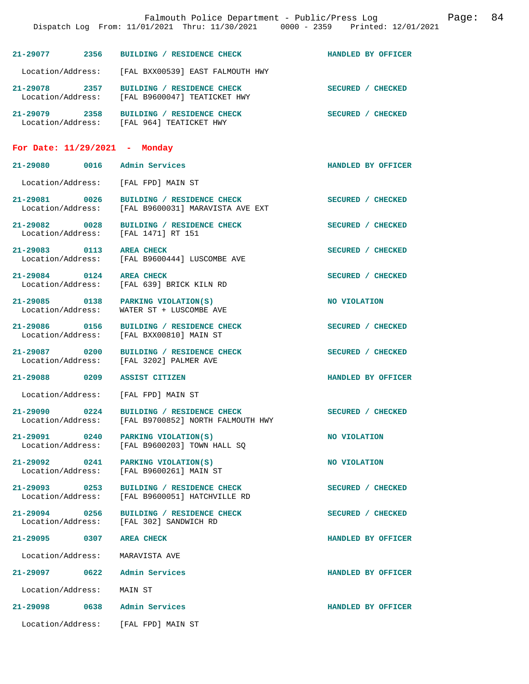|                                    | Falmouth Police Department - Public/Press Log Fage: 84<br>Dispatch Log From: 11/01/2021 Thru: 11/30/2021 0000 - 2359 Printed: 12/01/2021 |                    |  |
|------------------------------------|------------------------------------------------------------------------------------------------------------------------------------------|--------------------|--|
|                                    | 21-29077 2356 BUILDING / RESIDENCE CHECK HANDLED BY OFFICER                                                                              |                    |  |
|                                    | Location/Address: [FAL BXX00539] EAST FALMOUTH HWY                                                                                       |                    |  |
|                                    | 21-29078 2357 BUILDING / RESIDENCE CHECK<br>Location/Address: [FAL B9600047] TEATICKET HWY                                               | SECURED / CHECKED  |  |
|                                    |                                                                                                                                          | SECURED / CHECKED  |  |
|                                    | For Date: $11/29/2021$ - Monday                                                                                                          |                    |  |
|                                    | 21-29080 0016 Admin Services                                                                                                             | HANDLED BY OFFICER |  |
|                                    | Location/Address: [FAL FPD] MAIN ST                                                                                                      |                    |  |
|                                    | 21-29081 0026 BUILDING / RESIDENCE CHECK<br>Location/Address: [FAL B9600031] MARAVISTA AVE EXT                                           | SECURED / CHECKED  |  |
|                                    | 21-29082 0028 BUILDING / RESIDENCE CHECK<br>Location/Address: [FAL 1471] RT 151                                                          | SECURED / CHECKED  |  |
|                                    | 21-29083 0113 AREA CHECK<br>Location/Address: [FAL B9600444] LUSCOMBE AVE                                                                | SECURED / CHECKED  |  |
| 21-29084 0124 AREA CHECK           | Location/Address: [FAL 639] BRICK KILN RD                                                                                                | SECURED / CHECKED  |  |
|                                    | 21-29085 0138 PARKING VIOLATION(S)<br>Location/Address: WATER ST + LUSCOMBE AVE                                                          | NO VIOLATION       |  |
|                                    | 21-29086 0156 BUILDING / RESIDENCE CHECK<br>Location/Address: [FAL BXX00810] MAIN ST                                                     | SECURED / CHECKED  |  |
|                                    | 21-29087 0200 BUILDING / RESIDENCE CHECK<br>Location/Address: [FAL 3202] PALMER AVE                                                      | SECURED / CHECKED  |  |
|                                    | 21-29088 0209 ASSIST CITIZEN                                                                                                             | HANDLED BY OFFICER |  |
| Location/Address:                  | [FAL FPD] MAIN ST                                                                                                                        |                    |  |
| Location/Address:                  | 21-29090 0224 BUILDING / RESIDENCE CHECK<br>[FAL B9700852] NORTH FALMOUTH HWY                                                            | SECURED / CHECKED  |  |
| 21-29091 0240<br>Location/Address: | PARKING VIOLATION(S)<br>[FAL B9600203] TOWN HALL SO                                                                                      | NO VIOLATION       |  |
| 21-29092 0241<br>Location/Address: | PARKING VIOLATION(S)<br>[FAL B9600261] MAIN ST                                                                                           | NO VIOLATION       |  |
| 21–29093 0253<br>Location/Address: | BUILDING / RESIDENCE CHECK<br>[FAL B9600051] HATCHVILLE RD                                                                               | SECURED / CHECKED  |  |
| 21-29094 0256<br>Location/Address: | BUILDING / RESIDENCE CHECK<br>[FAL 302] SANDWICH RD                                                                                      | SECURED / CHECKED  |  |
| 21-29095 0307                      | <b>AREA CHECK</b>                                                                                                                        | HANDLED BY OFFICER |  |
| Location/Address:                  | MARAVISTA AVE                                                                                                                            |                    |  |
| 21-29097 0622                      | Admin Services                                                                                                                           | HANDLED BY OFFICER |  |
| Location/Address:                  | MAIN ST                                                                                                                                  |                    |  |
| 21-29098                           | 0638 Admin Services                                                                                                                      | HANDLED BY OFFICER |  |
|                                    | Location/Address: [FAL FPD] MAIN ST                                                                                                      |                    |  |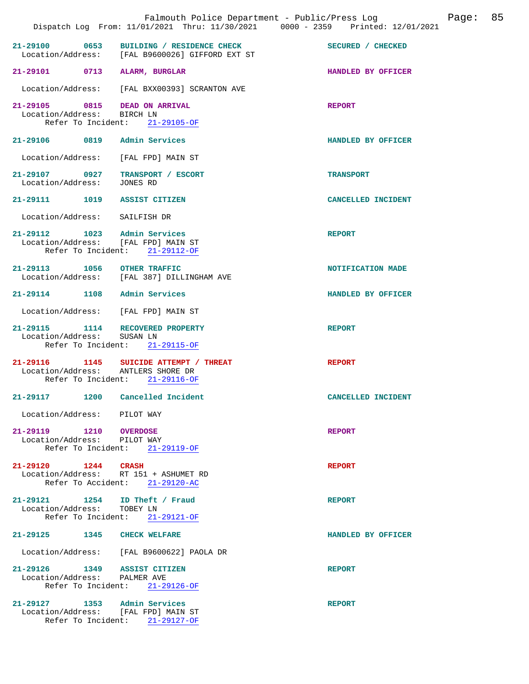|                                                                     |                                                                                                | Falmouth Police Department - Public/Press Log<br>Dispatch Log From: 11/01/2021 Thru: 11/30/2021 0000 - 2359 Printed: 12/01/2021 | 85<br>Page: |
|---------------------------------------------------------------------|------------------------------------------------------------------------------------------------|---------------------------------------------------------------------------------------------------------------------------------|-------------|
| 0653<br>$21 - 29100$                                                | BUILDING / RESIDENCE CHECK<br>Location/Address: [FAL B9600026] GIFFORD EXT ST                  | SECURED / CHECKED                                                                                                               |             |
| 21-29101 0713 ALARM, BURGLAR                                        |                                                                                                | HANDLED BY OFFICER                                                                                                              |             |
|                                                                     | Location/Address: [FAL BXX00393] SCRANTON AVE                                                  |                                                                                                                                 |             |
| 21-29105 0815 DEAD ON ARRIVAL<br>Location/Address: BIRCH LN         | Refer To Incident: 21-29105-OF                                                                 | <b>REPORT</b>                                                                                                                   |             |
| 21-29106 0819 Admin Services                                        |                                                                                                | HANDLED BY OFFICER                                                                                                              |             |
| Location/Address:                                                   | [FAL FPD] MAIN ST                                                                              |                                                                                                                                 |             |
| 21-29107 0927 TRANSPORT / ESCORT<br>Location/Address:               | JONES RD                                                                                       | <b>TRANSPORT</b>                                                                                                                |             |
| 21-29111 1019                                                       | <b>ASSIST CITIZEN</b>                                                                          | CANCELLED INCIDENT                                                                                                              |             |
| Location/Address: SAILFISH DR                                       |                                                                                                |                                                                                                                                 |             |
| 21-29112 1023 Admin Services<br>Location/Address: [FAL FPD] MAIN ST | Refer To Incident: 21-29112-OF                                                                 | <b>REPORT</b>                                                                                                                   |             |
| 21-29113 1056 OTHER TRAFFIC                                         | Location/Address: [FAL 387] DILLINGHAM AVE                                                     | NOTIFICATION MADE                                                                                                               |             |
| 21-29114 1108 Admin Services                                        |                                                                                                | HANDLED BY OFFICER                                                                                                              |             |
| Location/Address: [FAL FPD] MAIN ST                                 |                                                                                                |                                                                                                                                 |             |
| 21-29115 1114 RECOVERED PROPERTY<br>Location/Address:               | SUSAN LN<br>Refer To Incident: 21-29115-OF                                                     | <b>REPORT</b>                                                                                                                   |             |
| Location/Address:                                                   | 21-29116 1145 SUICIDE ATTEMPT / THREAT<br>ANTLERS SHORE DR<br>Refer To Incident: $21-29116-OF$ | <b>REPORT</b>                                                                                                                   |             |
| $21 - 29117$<br>1200                                                | Cancelled Incident                                                                             | CANCELLED INCIDENT                                                                                                              |             |
| Location/Address: PILOT WAY                                         |                                                                                                |                                                                                                                                 |             |
| 21-29119 1210 OVERDOSE<br>Location/Address: PILOT WAY               | Refer To Incident: 21-29119-OF                                                                 | <b>REPORT</b>                                                                                                                   |             |
| 21-29120 1244 CRASH                                                 | Location/Address: RT 151 + ASHUMET RD<br>Refer To Accident: 21-29120-AC                        | <b>REPORT</b>                                                                                                                   |             |
| 21-29121 1254 ID Theft / Fraud<br>Location/Address: TOBEY LN        | Refer To Incident: 21-29121-OF                                                                 | <b>REPORT</b>                                                                                                                   |             |
| 21-29125 1345 CHECK WELFARE                                         |                                                                                                | HANDLED BY OFFICER                                                                                                              |             |
|                                                                     | Location/Address: [FAL B9600622] PAOLA DR                                                      |                                                                                                                                 |             |
| 21-29126 1349 ASSIST CITIZEN<br>Location/Address: PALMER AVE        | Refer To Incident: 21-29126-OF                                                                 | <b>REPORT</b>                                                                                                                   |             |
| 21-29127 1353 Admin Services<br>Location/Address: [FAL FPD] MAIN ST | Refer To Incident: 21-29127-OF                                                                 | <b>REPORT</b>                                                                                                                   |             |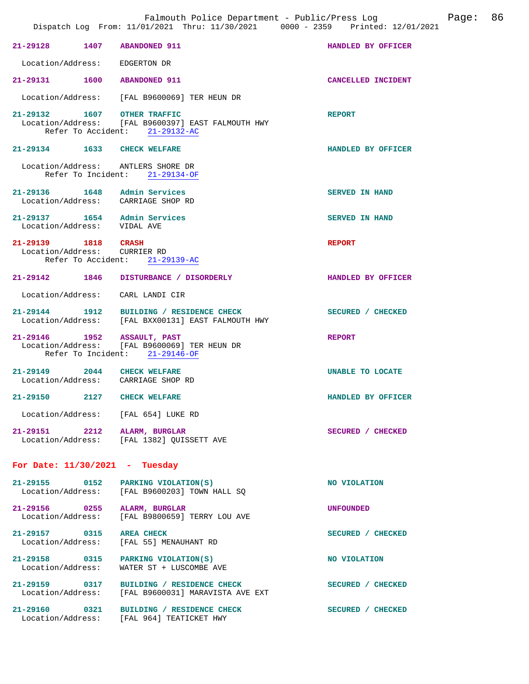|                                                             | Falmouth Police Department - Public/Press Log Fage: 86<br>Dispatch Log From: 11/01/2021 Thru: 11/30/2021 0000 - 2359 Printed: 12/01/2021 |                         |  |
|-------------------------------------------------------------|------------------------------------------------------------------------------------------------------------------------------------------|-------------------------|--|
| 21-29128 1407 ABANDONED 911                                 |                                                                                                                                          | HANDLED BY OFFICER      |  |
| Location/Address:                                           | EDGERTON DR                                                                                                                              |                         |  |
| 21-29131 1600 ABANDONED 911                                 |                                                                                                                                          | CANCELLED INCIDENT      |  |
|                                                             | Location/Address: [FAL B9600069] TER HEUN DR                                                                                             |                         |  |
| 21-29132 1607 OTHER TRAFFIC                                 | Location/Address: [FAL B9600397] EAST FALMOUTH HWY<br>Refer To Accident: 21-29132-AC                                                     | <b>REPORT</b>           |  |
| 21-29134 1633 CHECK WELFARE                                 |                                                                                                                                          | HANDLED BY OFFICER      |  |
|                                                             | Location/Address: ANTLERS SHORE DR<br>Refer To Incident: 21-29134-OF                                                                     |                         |  |
| 21-29136   1648   Admin Services                            | Location/Address: CARRIAGE SHOP RD                                                                                                       | <b>SERVED IN HAND</b>   |  |
| 21-29137 1654 Admin Services<br>Location/Address: VIDAL AVE |                                                                                                                                          | <b>SERVED IN HAND</b>   |  |
| 21-29139 1818 CRASH<br>Location/Address: CURRIER RD         | Refer To Accident: 21-29139-AC                                                                                                           | <b>REPORT</b>           |  |
|                                                             | 21-29142 1846 DISTURBANCE / DISORDERLY                                                                                                   | HANDLED BY OFFICER      |  |
| Location/Address: CARL LANDI CIR                            |                                                                                                                                          |                         |  |
|                                                             | 21-29144   1912   BUILDING / RESIDENCE CHECK<br>Location/Address: [FAL BXX00131] EAST FALMOUTH HWY                                       | SECURED / CHECKED       |  |
| 21-29146 1952 ASSAULT, PAST                                 | Location/Address: [FAL B9600069] TER HEUN DR<br>Refer To Incident: 21-29146-OF                                                           | <b>REPORT</b>           |  |
| 21-29149 2044 CHECK WELFARE                                 | Location/Address: CARRIAGE SHOP RD                                                                                                       | <b>UNABLE TO LOCATE</b> |  |
| 21-29150 2127 CHECK WELFARE                                 |                                                                                                                                          | HANDLED BY OFFICER      |  |
|                                                             | Location/Address: [FAL 654] LUKE RD                                                                                                      |                         |  |
| 21-29151 2212 ALARM, BURGLAR                                | Location/Address: [FAL 1382] QUISSETT AVE                                                                                                | SECURED / CHECKED       |  |
| For Date: $11/30/2021$ - Tuesday                            |                                                                                                                                          |                         |  |
|                                                             | 21-29155 0152 PARKING VIOLATION(S)<br>Location/Address: [FAL B9600203] TOWN HALL SQ                                                      | NO VIOLATION            |  |
| 21-29156 0255 ALARM, BURGLAR                                | Location/Address: [FAL B9800659] TERRY LOU AVE                                                                                           | UNFOUNDED               |  |
| 21-29157 0315 AREA CHECK                                    | Location/Address: [FAL 55] MENAUHANT RD                                                                                                  | SECURED / CHECKED       |  |
| Location/Address:                                           | 21-29158 0315 PARKING VIOLATION(S)<br>WATER ST + LUSCOMBE AVE                                                                            | NO VIOLATION            |  |
|                                                             | 21-29159 0317 BUILDING / RESIDENCE CHECK<br>Location/Address: [FAL B9600031] MARAVISTA AVE EXT                                           | SECURED / CHECKED       |  |
|                                                             | 21-29160 0321 BUILDING / RESIDENCE CHECK<br>Location/Address: [FAL 964] TEATICKET HWY                                                    | SECURED / CHECKED       |  |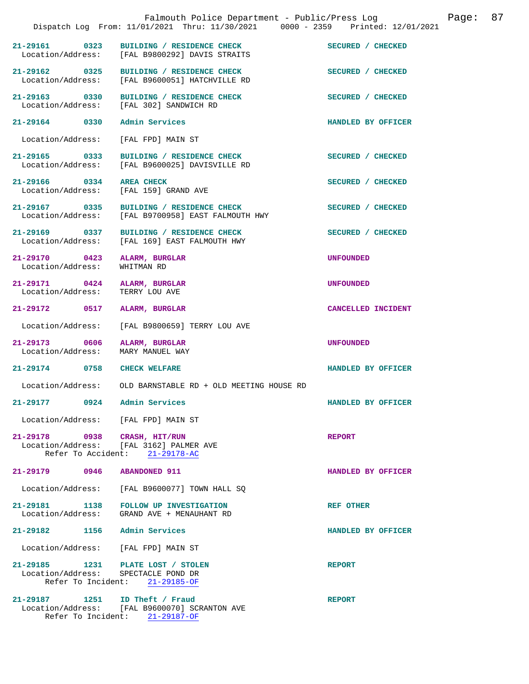|                                    | Falmouth Police Department - Public/Press Log<br>Dispatch Log From: 11/01/2021 Thru: 11/30/2021 0000 - 2359 Printed: 12/01/2021 | 87<br>Page:        |  |
|------------------------------------|---------------------------------------------------------------------------------------------------------------------------------|--------------------|--|
| 21-29161 0323                      | BUILDING / RESIDENCE CHECK<br>Location/Address: [FAL B9800292] DAVIS STRAITS                                                    | SECURED / CHECKED  |  |
| 21-29162 0325<br>Location/Address: | BUILDING / RESIDENCE CHECK<br>[FAL B9600051] HATCHVILLE RD                                                                      | SECURED / CHECKED  |  |
| 21-29163 0330                      | BUILDING / RESIDENCE CHECK<br>Location/Address: [FAL 302] SANDWICH RD                                                           | SECURED / CHECKED  |  |
| 21-29164 0330                      | Admin Services                                                                                                                  | HANDLED BY OFFICER |  |
| Location/Address:                  | [FAL FPD] MAIN ST                                                                                                               |                    |  |
| 21-29165 0333                      | BUILDING / RESIDENCE CHECK<br>Location/Address: [FAL B9600025] DAVISVILLE RD                                                    | SECURED / CHECKED  |  |
| 21-29166 0334                      | <b>AREA CHECK</b><br>Location/Address: [FAL 159] GRAND AVE                                                                      | SECURED / CHECKED  |  |
| 21-29167 0335                      | BUILDING / RESIDENCE CHECK<br>Location/Address: [FAL B9700958] EAST FALMOUTH HWY                                                | SECURED / CHECKED  |  |
| 21-29169 0337<br>Location/Address: | BUILDING / RESIDENCE CHECK<br>[FAL 169] EAST FALMOUTH HWY                                                                       | SECURED / CHECKED  |  |
| 21-29170 0423<br>Location/Address: | ALARM, BURGLAR<br>WHITMAN RD                                                                                                    | <b>UNFOUNDED</b>   |  |
| 21-29171 0424<br>Location/Address: | ALARM, BURGLAR<br>TERRY LOU AVE                                                                                                 | <b>UNFOUNDED</b>   |  |
| 21-29172 0517                      | ALARM, BURGLAR                                                                                                                  | CANCELLED INCIDENT |  |
| Location/Address:                  | [FAL B9800659] TERRY LOU AVE                                                                                                    |                    |  |
| 21-29173 0606<br>Location/Address: | ALARM, BURGLAR<br>MARY MANUEL WAY                                                                                               | <b>UNFOUNDED</b>   |  |
| 21-29174 0758 CHECK WELFARE        |                                                                                                                                 | HANDLED BY OFFICER |  |
|                                    | Location/Address: OLD BARNSTABLE RD + OLD MEETING HOUSE RD                                                                      |                    |  |
| 21-29177<br>0924                   | Admin Services                                                                                                                  | HANDLED BY OFFICER |  |
|                                    | Location/Address: [FAL FPD] MAIN ST                                                                                             |                    |  |
| 21-29178 0938                      | CRASH, HIT/RUN<br>Location/Address: [FAL 3162] PALMER AVE<br>Refer To Accident: 21-29178-AC                                     | <b>REPORT</b>      |  |
| 21-29179 0946                      | <b>ABANDONED 911</b>                                                                                                            | HANDLED BY OFFICER |  |
| Location/Address:                  | [FAL B9600077] TOWN HALL SQ                                                                                                     |                    |  |
| 21-29181 1138<br>Location/Address: | FOLLOW UP INVESTIGATION<br>GRAND AVE + MENAUHANT RD                                                                             | <b>REF OTHER</b>   |  |
| 21-29182 1156                      | Admin Services                                                                                                                  | HANDLED BY OFFICER |  |
| Location/Address:                  | [FAL FPD] MAIN ST                                                                                                               |                    |  |
|                                    | 21-29185 1231 PLATE LOST / STOLEN<br>Location/Address: SPECTACLE POND DR<br>Refer To Incident: 21-29185-OF                      | <b>REPORT</b>      |  |
|                                    | 21-29187 1251 ID Theft / Fraud<br>Location/Address: [FAL B9600070] SCRANTON AVE                                                 | <b>REPORT</b>      |  |

Refer To Incident: 21-29187-OF